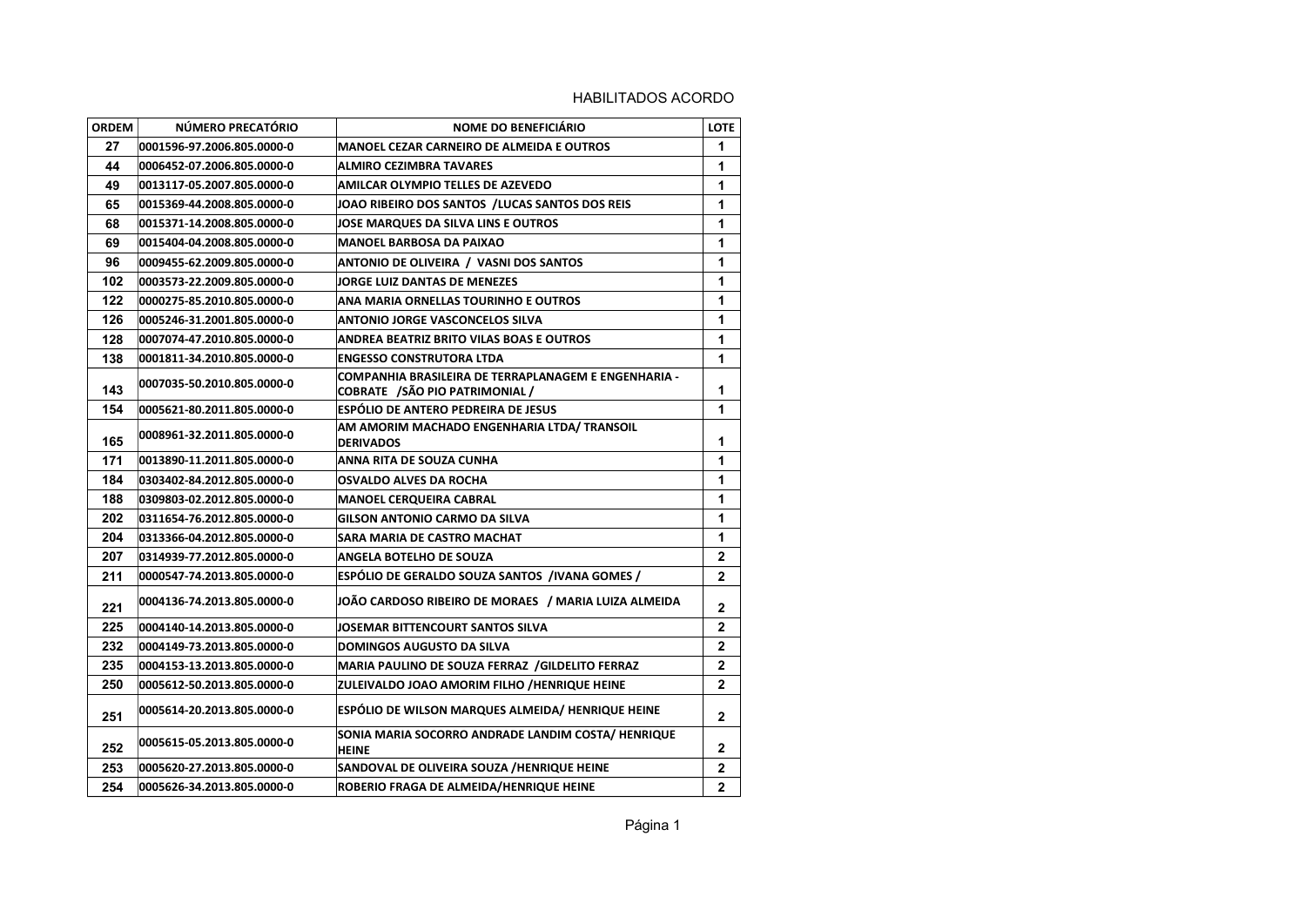| <b>ORDEM</b> | NÚMERO PRECATÓRIO          | <b>NOME DO BENEFICIÁRIO</b>                                                                    | <b>LOTE</b>    |
|--------------|----------------------------|------------------------------------------------------------------------------------------------|----------------|
| 27           | 0001596-97.2006.805.0000-0 | <b>MANOEL CEZAR CARNEIRO DE ALMEIDA E OUTROS</b>                                               | 1              |
| 44           | 0006452-07.2006.805.0000-0 | <b>ALMIRO CEZIMBRA TAVARES</b>                                                                 | 1              |
| 49           | 0013117-05.2007.805.0000-0 | AMILCAR OLYMPIO TELLES DE AZEVEDO                                                              | 1              |
| 65           | 0015369-44.2008.805.0000-0 | JOAO RIBEIRO DOS SANTOS / LUCAS SANTOS DOS REIS                                                | 1              |
| 68           | 0015371-14.2008.805.0000-0 | <b>JOSE MARQUES DA SILVA LINS E OUTROS</b>                                                     | 1              |
| 69           | 0015404-04.2008.805.0000-0 | <b>MANOEL BARBOSA DA PAIXAO</b>                                                                | 1              |
| 96           | 0009455-62.2009.805.0000-0 | ANTONIO DE OLIVEIRA / VASNI DOS SANTOS                                                         | 1              |
| 102          | 0003573-22.2009.805.0000-0 | <b>JORGE LUIZ DANTAS DE MENEZES</b>                                                            | 1              |
| 122          | 0000275-85.2010.805.0000-0 | ANA MARIA ORNELLAS TOURINHO E OUTROS                                                           | 1              |
| 126          | 0005246-31.2001.805.0000-0 | <b>ANTONIO JORGE VASCONCELOS SILVA</b>                                                         | 1              |
| 128          | 0007074-47.2010.805.0000-0 | ANDREA BEATRIZ BRITO VILAS BOAS E OUTROS                                                       | 1              |
| 138          | 0001811-34.2010.805.0000-0 | <b>ENGESSO CONSTRUTORA LTDA</b>                                                                | 1              |
| 143          | 0007035-50.2010.805.0000-0 | COMPANHIA BRASILEIRA DE TERRAPLANAGEM E ENGENHARIA -<br><b>COBRATE / SÃO PIO PATRIMONIAL /</b> | 1              |
| 154          | 0005621-80.2011.805.0000-0 | ESPÓLIO DE ANTERO PEDREIRA DE JESUS                                                            | 1              |
| 165          | 0008961-32.2011.805.0000-0 | AM AMORIM MACHADO ENGENHARIA LTDA/ TRANSOIL<br><b>DERIVADOS</b>                                | 1              |
| 171          | 0013890-11.2011.805.0000-0 | ANNA RITA DE SOUZA CUNHA                                                                       | 1              |
| 184          | 0303402-84.2012.805.0000-0 | <b>OSVALDO ALVES DA ROCHA</b>                                                                  | 1              |
| 188          | 0309803-02.2012.805.0000-0 | <b>MANOEL CERQUEIRA CABRAL</b>                                                                 | 1              |
| 202          | 0311654-76.2012.805.0000-0 | GILSON ANTONIO CARMO DA SILVA                                                                  | 1              |
| 204          | 0313366-04.2012.805.0000-0 | SARA MARIA DE CASTRO MACHAT                                                                    | 1              |
| 207          | 0314939-77.2012.805.0000-0 | ANGELA BOTELHO DE SOUZA                                                                        | $\mathbf{2}$   |
| 211          | 0000547-74.2013.805.0000-0 | ESPÓLIO DE GERALDO SOUZA SANTOS /IVANA GOMES /                                                 | $\mathbf{2}$   |
| 221          | 0004136-74.2013.805.0000-0 | JOÃO CARDOSO RIBEIRO DE MORAES / MARIA LUIZA ALMEIDA                                           | $\mathbf{2}$   |
| 225          | 0004140-14.2013.805.0000-0 | JOSEMAR BITTENCOURT SANTOS SILVA                                                               | $\mathbf 2$    |
| 232          | 0004149-73.2013.805.0000-0 | <b>DOMINGOS AUGUSTO DA SILVA</b>                                                               | $\mathbf{2}$   |
| 235          | 0004153-13.2013.805.0000-0 | MARIA PAULINO DE SOUZA FERRAZ / GILDELITO FERRAZ                                               | $\mathbf{2}$   |
| 250          | 0005612-50.2013.805.0000-0 | ZULEIVALDO JOAO AMORIM FILHO /HENRIQUE HEINE                                                   | $\mathbf{2}$   |
| 251          | 0005614-20.2013.805.0000-0 | ESPÓLIO DE WILSON MARQUES ALMEIDA/ HENRIQUE HEINE                                              | $\overline{2}$ |
| 252          | 0005615-05.2013.805.0000-0 | SONIA MARIA SOCORRO ANDRADE LANDIM COSTA/ HENRIQUE<br><b>HEINE</b>                             | 2              |
| 253          | 0005620-27.2013.805.0000-0 | SANDOVAL DE OLIVEIRA SOUZA /HENRIQUE HEINE                                                     | $\mathbf{2}$   |
| 254          | 0005626-34.2013.805.0000-0 | ROBERIO FRAGA DE ALMEIDA/HENRIQUE HEINE                                                        | $\mathbf{2}$   |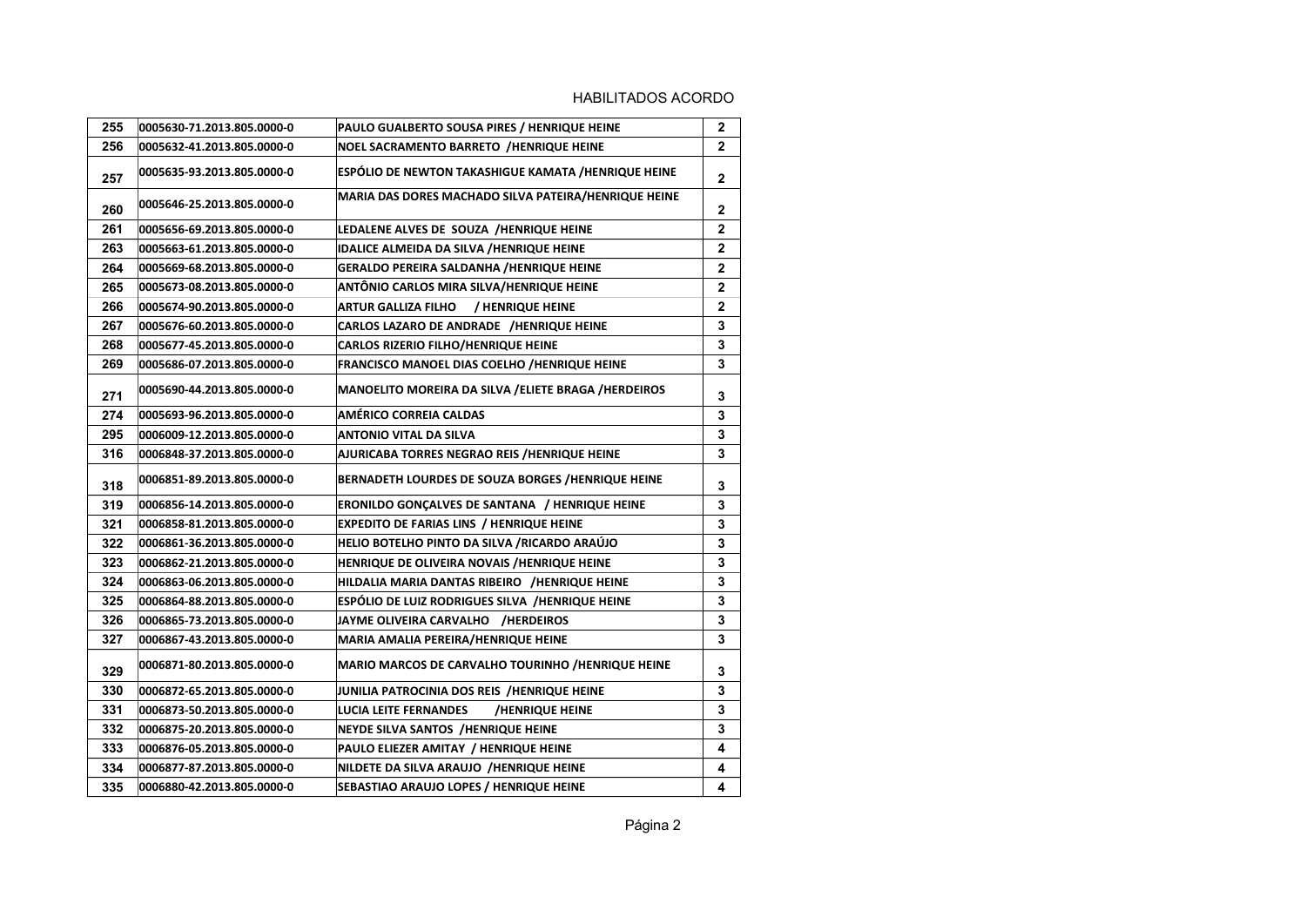| 255 | 0005630-71.2013.805.0000-0 | PAULO GUALBERTO SOUSA PIRES / HENRIQUE HEINE          | $\mathbf 2$    |
|-----|----------------------------|-------------------------------------------------------|----------------|
| 256 | 0005632-41.2013.805.0000-0 | NOEL SACRAMENTO BARRETO /HENRIQUE HEINE               | $\overline{2}$ |
| 257 | 0005635-93.2013.805.0000-0 | ESPÓLIO DE NEWTON TAKASHIGUE KAMATA /HENRIQUE HEINE   | $\mathbf{2}$   |
| 260 | 0005646-25.2013.805.0000-0 | MARIA DAS DORES MACHADO SILVA PATEIRA/HENRIQUE HEINE  | 2              |
| 261 | 0005656-69.2013.805.0000-0 | LEDALENE ALVES DE SOUZA /HENRIQUE HEINE               | $\overline{2}$ |
| 263 | 0005663-61.2013.805.0000-0 | <b>IDALICE ALMEIDA DA SILVA /HENRIQUE HEINE</b>       | $\mathbf 2$    |
| 264 | 0005669-68.2013.805.0000-0 | <b>GERALDO PEREIRA SALDANHA /HENRIQUE HEINE</b>       | $\mathbf 2$    |
| 265 | 0005673-08.2013.805.0000-0 | ANTÔNIO CARLOS MIRA SILVA/HENRIQUE HEINE              | $\overline{2}$ |
| 266 | 0005674-90.2013.805.0000-0 | <b>ARTUR GALLIZA FILHO</b><br>/ HENRIQUE HEINE        | $\overline{2}$ |
| 267 | 0005676-60.2013.805.0000-0 | CARLOS LAZARO DE ANDRADE /HENRIQUE HEINE              | 3              |
| 268 | 0005677-45.2013.805.0000-0 | <b>CARLOS RIZERIO FILHO/HENRIQUE HEINE</b>            | 3              |
| 269 | 0005686-07.2013.805.0000-0 | FRANCISCO MANOEL DIAS COELHO / HENRIQUE HEINE         | 3              |
| 271 | 0005690-44.2013.805.0000-0 | MANOELITO MOREIRA DA SILVA / ELIETE BRAGA / HERDEIROS | 3              |
| 274 | 0005693-96.2013.805.0000-0 | <b>AMÉRICO CORREIA CALDAS</b>                         | 3              |
| 295 | 0006009-12.2013.805.0000-0 | <b>ANTONIO VITAL DA SILVA</b>                         | 3              |
| 316 | 0006848-37.2013.805.0000-0 | AJURICABA TORRES NEGRAO REIS /HENRIQUE HEINE          | 3              |
| 318 | 0006851-89.2013.805.0000-0 | BERNADETH LOURDES DE SOUZA BORGES /HENRIQUE HEINE     | 3              |
| 319 | 0006856-14.2013.805.0000-0 | <b>ERONILDO GONÇALVES DE SANTANA / HENRIQUE HEINE</b> | 3              |
| 321 | 0006858-81.2013.805.0000-0 | EXPEDITO DE FARIAS LINS / HENRIQUE HEINE              | 3              |
| 322 | 0006861-36.2013.805.0000-0 | HELIO BOTELHO PINTO DA SILVA / RICARDO ARAÚJO         | 3              |
| 323 | 0006862-21.2013.805.0000-0 | HENRIQUE DE OLIVEIRA NOVAIS /HENRIQUE HEINE           | 3              |
| 324 | 0006863-06.2013.805.0000-0 | HILDALIA MARIA DANTAS RIBEIRO /HENRIQUE HEINE         | 3              |
| 325 | 0006864-88.2013.805.0000-0 | ESPÓLIO DE LUIZ RODRIGUES SILVA /HENRIQUE HEINE       | 3              |
| 326 | 0006865-73.2013.805.0000-0 | JAYME OLIVEIRA CARVALHO /HERDEIROS                    | 3              |
| 327 | 0006867-43.2013.805.0000-0 | MARIA AMALIA PEREIRA/HENRIQUE HEINE                   | 3              |
| 329 | 0006871-80.2013.805.0000-0 | MARIO MARCOS DE CARVALHO TOURINHO /HENRIQUE HEINE     | 3              |
| 330 | 0006872-65.2013.805.0000-0 | JUNILIA PATROCINIA DOS REIS /HENRIQUE HEINE           | 3              |
| 331 | 0006873-50.2013.805.0000-0 | LUCIA LEITE FERNANDES<br>/HENRIQUE HEINE              | 3              |
| 332 | 0006875-20.2013.805.0000-0 | NEYDE SILVA SANTOS /HENRIQUE HEINE                    | 3              |
| 333 | 0006876-05.2013.805.0000-0 | PAULO ELIEZER AMITAY / HENRIQUE HEINE                 | 4              |
| 334 | 0006877-87.2013.805.0000-0 | NILDETE DA SILVA ARAUJO /HENRIQUE HEINE               | 4              |
| 335 | 0006880-42.2013.805.0000-0 | SEBASTIAO ARAUJO LOPES / HENRIQUE HEINE               | 4              |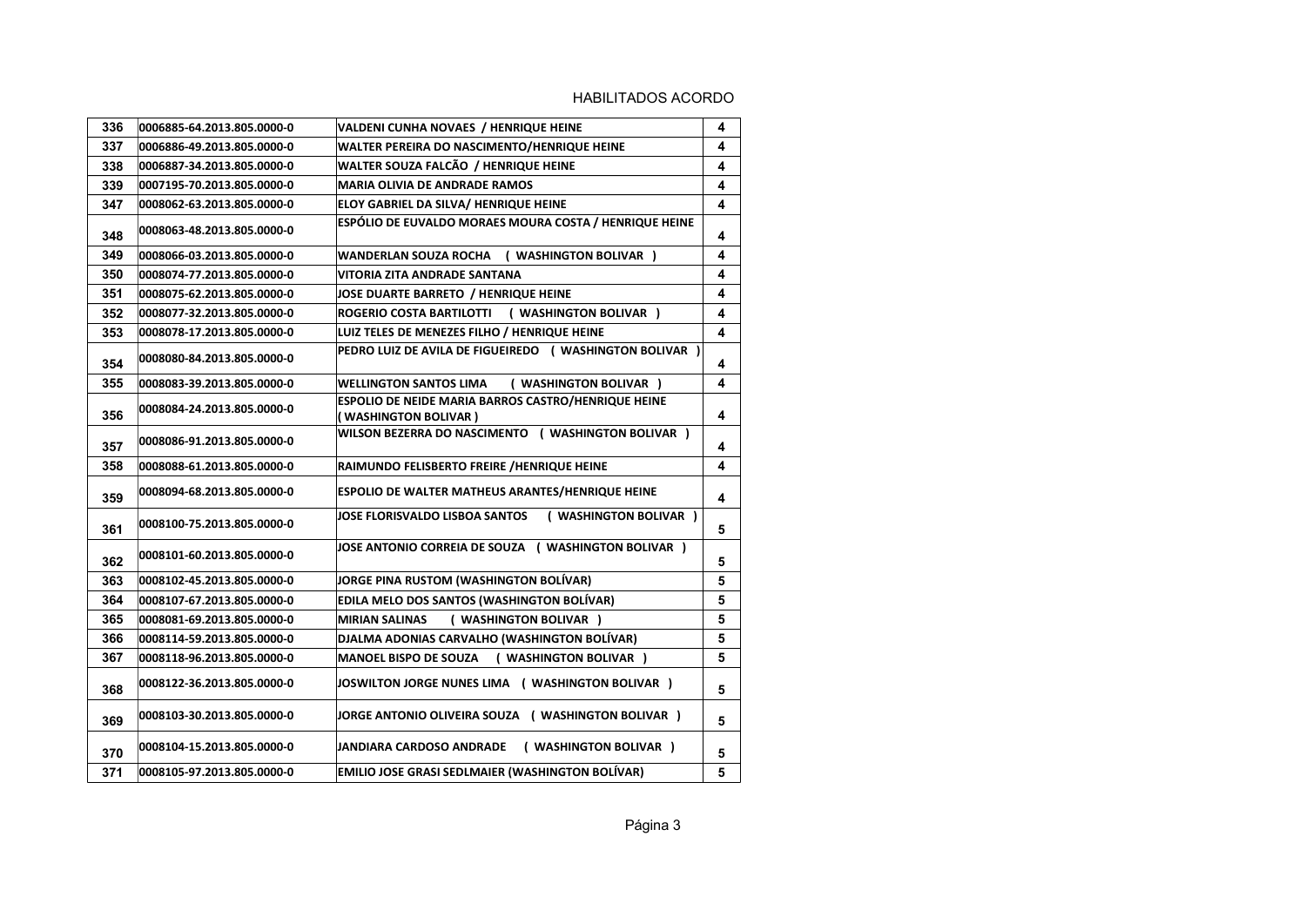| 336 | 0006885-64.2013.805.0000-0 | VALDENI CUNHA NOVAES / HENRIQUE HEINE                                        | 4 |
|-----|----------------------------|------------------------------------------------------------------------------|---|
| 337 | 0006886-49.2013.805.0000-0 | WALTER PEREIRA DO NASCIMENTO/HENRIQUE HEINE                                  | 4 |
| 338 | 0006887-34.2013.805.0000-0 | WALTER SOUZA FALCÃO / HENRIQUE HEINE                                         | 4 |
| 339 | 0007195-70.2013.805.0000-0 | <b>MARIA OLIVIA DE ANDRADE RAMOS</b>                                         | 4 |
| 347 | 0008062-63.2013.805.0000-0 | ELOY GABRIEL DA SILVA/ HENRIQUE HEINE                                        | 4 |
| 348 | 0008063-48.2013.805.0000-0 | ESPÓLIO DE EUVALDO MORAES MOURA COSTA / HENRIQUE HEINE                       | 4 |
| 349 | 0008066-03.2013.805.0000-0 | WANDERLAN SOUZA ROCHA<br>( WASHINGTON BOLIVAR )                              | 4 |
| 350 | 0008074-77.2013.805.0000-0 | VITORIA ZITA ANDRADE SANTANA                                                 | 4 |
| 351 | 0008075-62.2013.805.0000-0 | JOSE DUARTE BARRETO / HENRIQUE HEINE                                         | 4 |
| 352 | 0008077-32.2013.805.0000-0 | ROGERIO COSTA BARTILOTTI<br>( WASHINGTON BOLIVAR )                           | 4 |
| 353 | 0008078-17.2013.805.0000-0 | LUIZ TELES DE MENEZES FILHO / HENRIQUE HEINE                                 | 4 |
| 354 | 0008080-84.2013.805.0000-0 | PEDRO LUIZ DE AVILA DE FIGUEIREDO ( WASHINGTON BOLIVAR )                     | 4 |
| 355 | 0008083-39.2013.805.0000-0 | <b>WELLINGTON SANTOS LIMA</b><br>( WASHINGTON BOLIVAR )                      | 4 |
| 356 | 0008084-24.2013.805.0000-0 | ESPOLIO DE NEIDE MARIA BARROS CASTRO/HENRIQUE HEINE<br>(WASHINGTON BOLIVAR ) | 4 |
| 357 | 0008086-91.2013.805.0000-0 | WILSON BEZERRA DO NASCIMENTO ( WASHINGTON BOLIVAR )                          | 4 |
| 358 | 0008088-61.2013.805.0000-0 | RAIMUNDO FELISBERTO FREIRE / HENRIQUE HEINE                                  | 4 |
| 359 | 0008094-68.2013.805.0000-0 | ESPOLIO DE WALTER MATHEUS ARANTES/HENRIQUE HEINE                             | 4 |
| 361 | 0008100-75.2013.805.0000-0 | ( WASHINGTON BOLIVAR )<br>JOSE FLORISVALDO LISBOA SANTOS                     | 5 |
| 362 | 0008101-60.2013.805.0000-0 | JOSE ANTONIO CORREIA DE SOUZA ( WASHINGTON BOLIVAR )                         | 5 |
| 363 | 0008102-45.2013.805.0000-0 | JORGE PINA RUSTOM (WASHINGTON BOLÍVAR)                                       | 5 |
| 364 | 0008107-67.2013.805.0000-0 | EDILA MELO DOS SANTOS (WASHINGTON BOLÍVAR)                                   | 5 |
| 365 | 0008081-69.2013.805.0000-0 | ( WASHINGTON BOLIVAR )<br><b>MIRIAN SALINAS</b>                              | 5 |
| 366 | 0008114-59.2013.805.0000-0 | DJALMA ADONIAS CARVALHO (WASHINGTON BOLIVAR)                                 | 5 |
| 367 | 0008118-96.2013.805.0000-0 | ( WASHINGTON BOLIVAR )<br><b>MANOEL BISPO DE SOUZA</b>                       | 5 |
| 368 | 0008122-36.2013.805.0000-0 | JOSWILTON JORGE NUNES LIMA ( WASHINGTON BOLIVAR )                            | 5 |
| 369 | 0008103-30.2013.805.0000-0 | JORGE ANTONIO OLIVEIRA SOUZA ( WASHINGTON BOLIVAR )                          | 5 |
| 370 | 0008104-15.2013.805.0000-0 | ( WASHINGTON BOLIVAR )<br>JANDIARA CARDOSO ANDRADE                           | 5 |
| 371 | 0008105-97.2013.805.0000-0 | <b>EMILIO JOSE GRASI SEDLMAIER (WASHINGTON BOLÍVAR)</b>                      | 5 |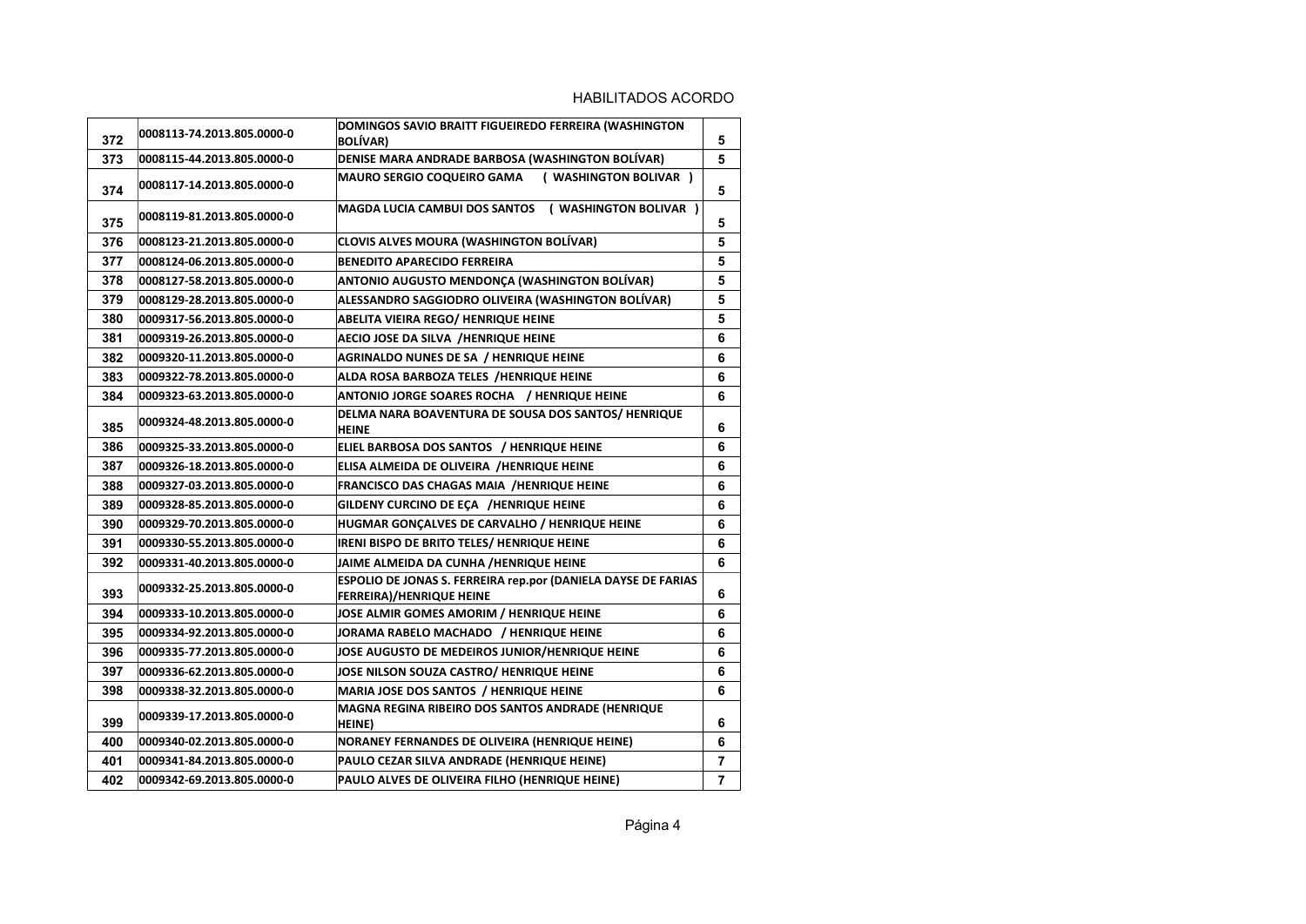| 372 | 0008113-74.2013.805.0000-0 | DOMINGOS SAVIO BRAITT FIGUEIREDO FERREIRA (WASHINGTON<br><b>BOLÍVAR)</b>                                | 5 |
|-----|----------------------------|---------------------------------------------------------------------------------------------------------|---|
| 373 | 0008115-44.2013.805.0000-0 | DENISE MARA ANDRADE BARBOSA (WASHINGTON BOLÍVAR)                                                        | 5 |
| 374 | 0008117-14.2013.805.0000-0 | ( WASHINGTON BOLIVAR )<br><b>MAURO SERGIO COQUEIRO GAMA</b>                                             | 5 |
| 375 | 0008119-81.2013.805.0000-0 | <b>MAGDA LUCIA CAMBUI DOS SANTOS</b><br>( WASHINGTON BOLIVAR )                                          | 5 |
| 376 | 0008123-21.2013.805.0000-0 | <b>CLOVIS ALVES MOURA (WASHINGTON BOLÍVAR)</b>                                                          | 5 |
| 377 | 0008124-06.2013.805.0000-0 | <b>BENEDITO APARECIDO FERREIRA</b>                                                                      | 5 |
| 378 | 0008127-58.2013.805.0000-0 | ANTONIO AUGUSTO MENDONÇA (WASHINGTON BOLÍVAR)                                                           | 5 |
| 379 | 0008129-28.2013.805.0000-0 | ALESSANDRO SAGGIODRO OLIVEIRA (WASHINGTON BOLÍVAR)                                                      | 5 |
| 380 | 0009317-56.2013.805.0000-0 | <b>ABELITA VIEIRA REGO/ HENRIQUE HEINE</b>                                                              | 5 |
| 381 | 0009319-26.2013.805.0000-0 | AECIO JOSE DA SILVA /HENRIQUE HEINE                                                                     | 6 |
| 382 | 0009320-11.2013.805.0000-0 | <b>AGRINALDO NUNES DE SA / HENRIQUE HEINE</b>                                                           | 6 |
| 383 | 0009322-78.2013.805.0000-0 | ALDA ROSA BARBOZA TELES /HENRIQUE HEINE                                                                 | 6 |
| 384 | 0009323-63.2013.805.0000-0 | ANTONIO JORGE SOARES ROCHA / HENRIQUE HEINE                                                             | 6 |
| 385 | 0009324-48.2013.805.0000-0 | DELMA NARA BOAVENTURA DE SOUSA DOS SANTOS/HENRIQUE<br><b>HEINE</b>                                      | 6 |
| 386 | 0009325-33.2013.805.0000-0 | ELIEL BARBOSA DOS SANTOS / HENRIQUE HEINE                                                               | 6 |
| 387 | 0009326-18.2013.805.0000-0 | ELISA ALMEIDA DE OLIVEIRA /HENRIQUE HEINE                                                               | 6 |
| 388 | 0009327-03.2013.805.0000-0 | <b>FRANCISCO DAS CHAGAS MAIA /HENRIQUE HEINE</b>                                                        | 6 |
| 389 | 0009328-85.2013.805.0000-0 | GILDENY CURCINO DE EÇA /HENRIQUE HEINE                                                                  | 6 |
| 390 | 0009329-70.2013.805.0000-0 | HUGMAR GONCALVES DE CARVALHO / HENRIQUE HEINE                                                           | 6 |
| 391 | 0009330-55.2013.805.0000-0 | IRENI BISPO DE BRITO TELES/ HENRIQUE HEINE                                                              | 6 |
| 392 | 0009331-40.2013.805.0000-0 | JAIME ALMEIDA DA CUNHA /HENRIQUE HEINE                                                                  | 6 |
| 393 | 0009332-25.2013.805.0000-0 | <b>ESPOLIO DE JONAS S. FERREIRA rep.por (DANIELA DAYSE DE FARIAS</b><br><b>FERREIRA)/HENRIQUE HEINE</b> | 6 |
| 394 | 0009333-10.2013.805.0000-0 | JOSE ALMIR GOMES AMORIM / HENRIQUE HEINE                                                                | 6 |
| 395 | 0009334-92.2013.805.0000-0 | JORAMA RABELO MACHADO / HENRIQUE HEINE                                                                  | 6 |
| 396 | 0009335-77.2013.805.0000-0 | JOSE AUGUSTO DE MEDEIROS JUNIOR/HENRIQUE HEINE                                                          | 6 |
| 397 | 0009336-62.2013.805.0000-0 | JOSE NILSON SOUZA CASTRO/ HENRIQUE HEINE                                                                | 6 |
| 398 | 0009338-32.2013.805.0000-0 | MARIA JOSE DOS SANTOS / HENRIQUE HEINE                                                                  | 6 |
| 399 | 0009339-17.2013.805.0000-0 | MAGNA REGINA RIBEIRO DOS SANTOS ANDRADE (HENRIQUE<br><b>HEINE</b> )                                     | 6 |
| 400 | 0009340-02.2013.805.0000-0 | NORANEY FERNANDES DE OLIVEIRA (HENRIQUE HEINE)                                                          | 6 |
| 401 | 0009341-84.2013.805.0000-0 | PAULO CEZAR SILVA ANDRADE (HENRIQUE HEINE)                                                              | 7 |
| 402 | 0009342-69.2013.805.0000-0 | PAULO ALVES DE OLIVEIRA FILHO (HENRIQUE HEINE)                                                          | 7 |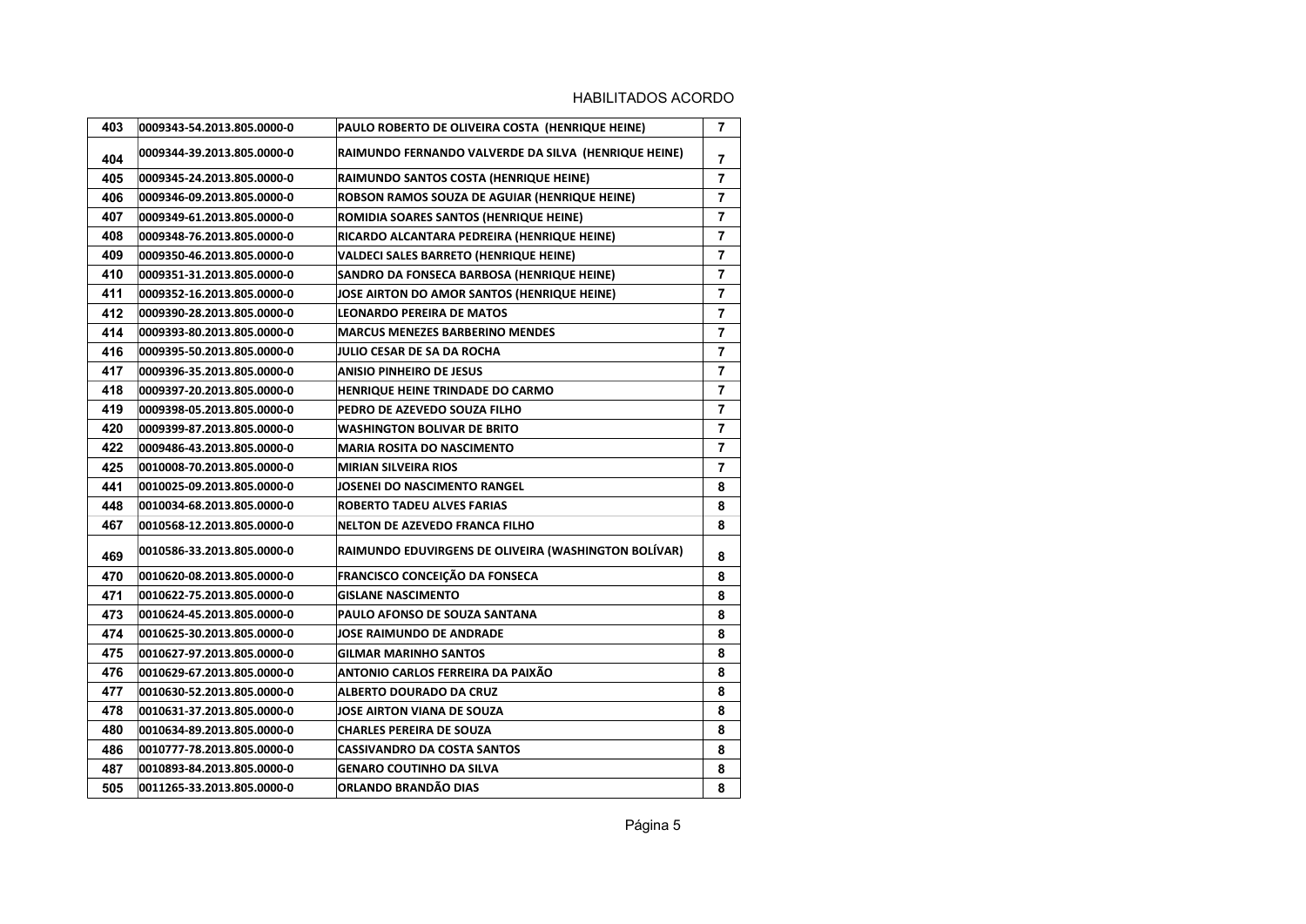| 403 | 0009343-54.2013.805.0000-0 | PAULO ROBERTO DE OLIVEIRA COSTA (HENRIQUE HEINE)     | $\overline{7}$ |
|-----|----------------------------|------------------------------------------------------|----------------|
| 404 | 0009344-39.2013.805.0000-0 | RAIMUNDO FERNANDO VALVERDE DA SILVA (HENRIQUE HEINE) | 7              |
| 405 | 0009345-24.2013.805.0000-0 | RAIMUNDO SANTOS COSTA (HENRIQUE HEINE)               | $\overline{7}$ |
| 406 | 0009346-09.2013.805.0000-0 | ROBSON RAMOS SOUZA DE AGUIAR (HENRIQUE HEINE)        | $\overline{7}$ |
| 407 | 0009349-61.2013.805.0000-0 | ROMIDIA SOARES SANTOS (HENRIQUE HEINE)               | $\overline{7}$ |
| 408 | 0009348-76.2013.805.0000-0 | RICARDO ALCANTARA PEDREIRA (HENRIQUE HEINE)          | 7              |
| 409 | 0009350-46.2013.805.0000-0 | VALDECI SALES BARRETO (HENRIQUE HEINE)               | $\overline{7}$ |
| 410 | 0009351-31.2013.805.0000-0 | SANDRO DA FONSECA BARBOSA (HENRIQUE HEINE)           | $\overline{7}$ |
| 411 | 0009352-16.2013.805.0000-0 | JOSE AIRTON DO AMOR SANTOS (HENRIQUE HEINE)          | $\overline{7}$ |
| 412 | 0009390-28.2013.805.0000-0 | <b>LEONARDO PEREIRA DE MATOS</b>                     | 7              |
| 414 | 0009393-80.2013.805.0000-0 | <b>MARCUS MENEZES BARBERINO MENDES</b>               | 7              |
| 416 | 0009395-50.2013.805.0000-0 | JULIO CESAR DE SA DA ROCHA                           | 7              |
| 417 | 0009396-35.2013.805.0000-0 | <b>ANISIO PINHEIRO DE JESUS</b>                      | $\overline{7}$ |
| 418 | 0009397-20.2013.805.0000-0 | HENRIQUE HEINE TRINDADE DO CARMO                     | $\overline{7}$ |
| 419 | 0009398-05.2013.805.0000-0 | PEDRO DE AZEVEDO SOUZA FILHO                         | 7              |
| 420 | 0009399-87.2013.805.0000-0 | <b>WASHINGTON BOLIVAR DE BRITO</b>                   | $\overline{7}$ |
| 422 | 0009486-43.2013.805.0000-0 | <b>MARIA ROSITA DO NASCIMENTO</b>                    | $\overline{7}$ |
| 425 | 0010008-70.2013.805.0000-0 | <b>MIRIAN SILVEIRA RIOS</b>                          | 7              |
| 441 | 0010025-09.2013.805.0000-0 | <b>JOSENEI DO NASCIMENTO RANGEL</b>                  | 8              |
| 448 | 0010034-68.2013.805.0000-0 | ROBERTO TADEU ALVES FARIAS                           | 8              |
| 467 | 0010568-12.2013.805.0000-0 | <b>NELTON DE AZEVEDO FRANCA FILHO</b>                | 8              |
| 469 | 0010586-33.2013.805.0000-0 | RAIMUNDO EDUVIRGENS DE OLIVEIRA (WASHINGTON BOLÍVAR) | 8              |
| 470 | 0010620-08.2013.805.0000-0 | FRANCISCO CONCEIÇÃO DA FONSECA                       | 8              |
| 471 | 0010622-75.2013.805.0000-0 | <b>GISLANE NASCIMENTO</b>                            | 8              |
| 473 | 0010624-45.2013.805.0000-0 | <b>PAULO AFONSO DE SOUZA SANTANA</b>                 | 8              |
| 474 | 0010625-30.2013.805.0000-0 | <b>JOSE RAIMUNDO DE ANDRADE</b>                      | 8              |
| 475 | 0010627-97.2013.805.0000-0 | <b>GILMAR MARINHO SANTOS</b>                         | 8              |
| 476 | 0010629-67.2013.805.0000-0 | ANTONIO CARLOS FERREIRA DA PAIXÃO                    | 8              |
| 477 | 0010630-52.2013.805.0000-0 | <b>ALBERTO DOURADO DA CRUZ</b>                       | 8              |
| 478 | 0010631-37.2013.805.0000-0 | <b>JOSE AIRTON VIANA DE SOUZA</b>                    | 8              |
| 480 | 0010634-89.2013.805.0000-0 | <b>CHARLES PEREIRA DE SOUZA</b>                      | 8              |
| 486 | 0010777-78.2013.805.0000-0 | <b>CASSIVANDRO DA COSTA SANTOS</b>                   | 8              |
| 487 | 0010893-84.2013.805.0000-0 | <b>GENARO COUTINHO DA SILVA</b>                      | 8              |
| 505 | 0011265-33.2013.805.0000-0 | ORLANDO BRANDÃO DIAS                                 | 8              |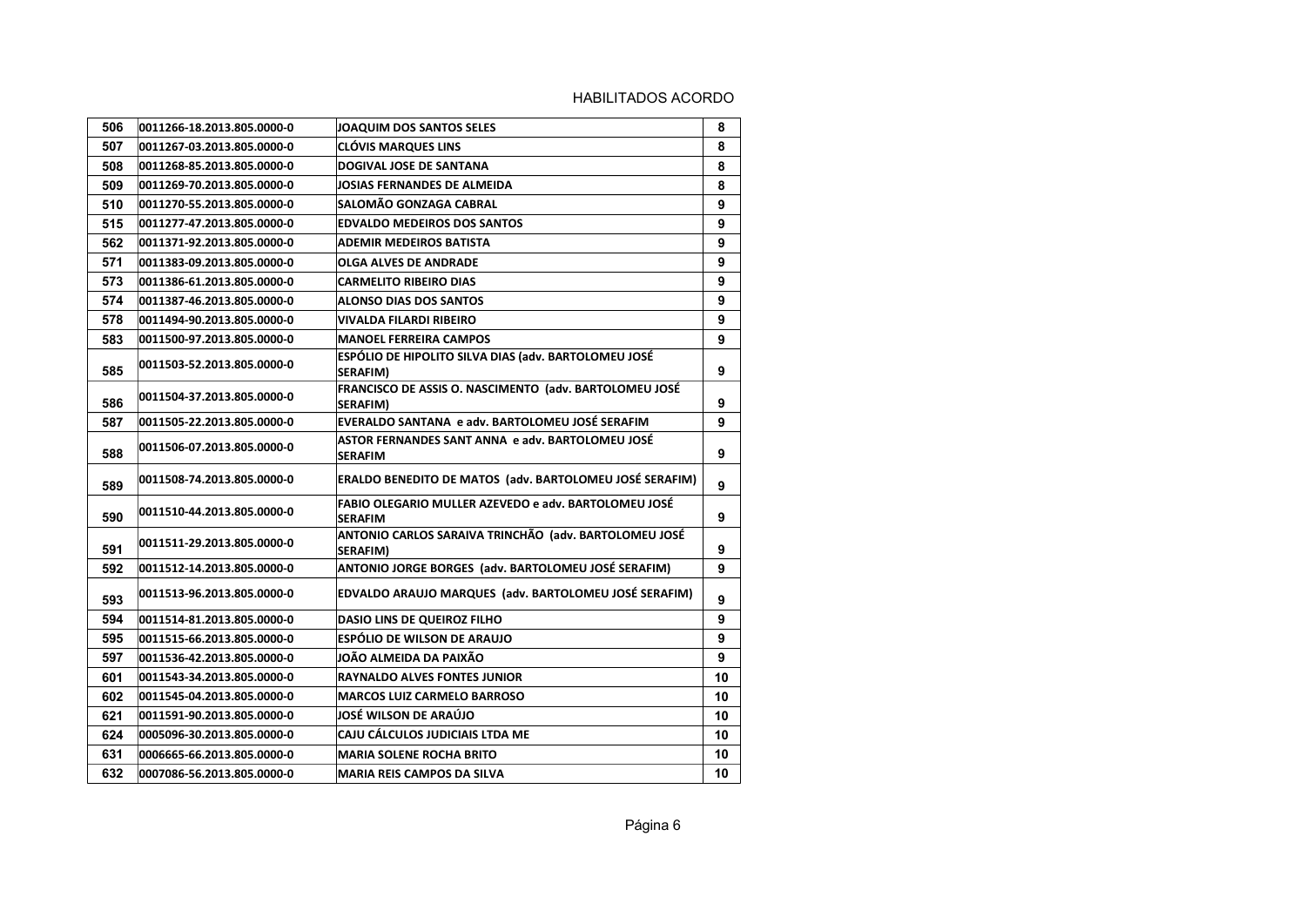| 506 | 0011266-18.2013.805.0000-0 | JOAQUIM DOS SANTOS SELES                                                 | 8  |
|-----|----------------------------|--------------------------------------------------------------------------|----|
| 507 | 0011267-03.2013.805.0000-0 | <b>CLÓVIS MARQUES LINS</b>                                               | 8  |
| 508 | 0011268-85.2013.805.0000-0 | <b>DOGIVAL JOSE DE SANTANA</b>                                           | 8  |
| 509 | 0011269-70.2013.805.0000-0 | JOSIAS FERNANDES DE ALMEIDA                                              | 8  |
| 510 | 0011270-55.2013.805.0000-0 | <b>SALOMÃO GONZAGA CABRAL</b>                                            | 9  |
| 515 | 0011277-47.2013.805.0000-0 | <b>EDVALDO MEDEIROS DOS SANTOS</b>                                       | 9  |
| 562 | 0011371-92.2013.805.0000-0 | <b>ADEMIR MEDEIROS BATISTA</b>                                           | 9  |
| 571 | 0011383-09.2013.805.0000-0 | <b>OLGA ALVES DE ANDRADE</b>                                             | 9  |
| 573 | 0011386-61.2013.805.0000-0 | <b>CARMELITO RIBEIRO DIAS</b>                                            | 9  |
| 574 | 0011387-46.2013.805.0000-0 | <b>ALONSO DIAS DOS SANTOS</b>                                            | 9  |
| 578 | 0011494-90.2013.805.0000-0 | VIVALDA FILARDI RIBEIRO                                                  | 9  |
| 583 | 0011500-97.2013.805.0000-0 | <b>MANOEL FERREIRA CAMPOS</b>                                            | 9  |
| 585 | 0011503-52.2013.805.0000-0 | ESPÓLIO DE HIPOLITO SILVA DIAS (adv. BARTOLOMEU JOSÉ<br>SERAFIM)         | 9  |
| 586 | 0011504-37.2013.805.0000-0 | FRANCISCO DE ASSIS O. NASCIMENTO (adv. BARTOLOMEU JOSÉ<br>SERAFIM)       | 9  |
| 587 | 0011505-22.2013.805.0000-0 | EVERALDO SANTANA e adv. BARTOLOMEU JOSÉ SERAFIM                          | 9  |
| 588 | 0011506-07.2013.805.0000-0 | ASTOR FERNANDES SANT ANNA e adv. BARTOLOMEU JOSÉ<br><b>SERAFIM</b>       | 9  |
| 589 | 0011508-74.2013.805.0000-0 | ERALDO BENEDITO DE MATOS (adv. BARTOLOMEU JOSÉ SERAFIM)                  | 9  |
| 590 | 0011510-44.2013.805.0000-0 | FABIO OLEGARIO MULLER AZEVEDO e adv. BARTOLOMEU JOSÉ<br><b>SERAFIM</b>   | 9  |
| 591 | 0011511-29.2013.805.0000-0 | ANTONIO CARLOS SARAIVA TRINCHÃO (adv. BARTOLOMEU JOSÉ<br><b>SERAFIM)</b> | 9  |
| 592 | 0011512-14.2013.805.0000-0 | ANTONIO JORGE BORGES (adv. BARTOLOMEU JOSÉ SERAFIM)                      | 9  |
| 593 | 0011513-96.2013.805.0000-0 | EDVALDO ARAUJO MARQUES (adv. BARTOLOMEU JOSÉ SERAFIM)                    | 9  |
| 594 | 0011514-81.2013.805.0000-0 | <b>DASIO LINS DE QUEIROZ FILHO</b>                                       | 9  |
| 595 | 0011515-66.2013.805.0000-0 | <b>ESPÓLIO DE WILSON DE ARAUJO</b>                                       | 9  |
| 597 | 0011536-42.2013.805.0000-0 | JOÃO ALMEIDA DA PAIXÃO                                                   | 9  |
| 601 | 0011543-34.2013.805.0000-0 | RAYNALDO ALVES FONTES JUNIOR                                             | 10 |
| 602 | 0011545-04.2013.805.0000-0 | <b>MARCOS LUIZ CARMELO BARROSO</b>                                       | 10 |
| 621 | 0011591-90.2013.805.0000-0 | JOSÉ WILSON DE ARAÚJO                                                    | 10 |
| 624 | 0005096-30.2013.805.0000-0 | CAJU CÁLCULOS JUDICIAIS LTDA ME                                          | 10 |
| 631 | 0006665-66.2013.805.0000-0 | <b>MARIA SOLENE ROCHA BRITO</b>                                          | 10 |
| 632 | 0007086-56.2013.805.0000-0 | <b>MARIA REIS CAMPOS DA SILVA</b>                                        | 10 |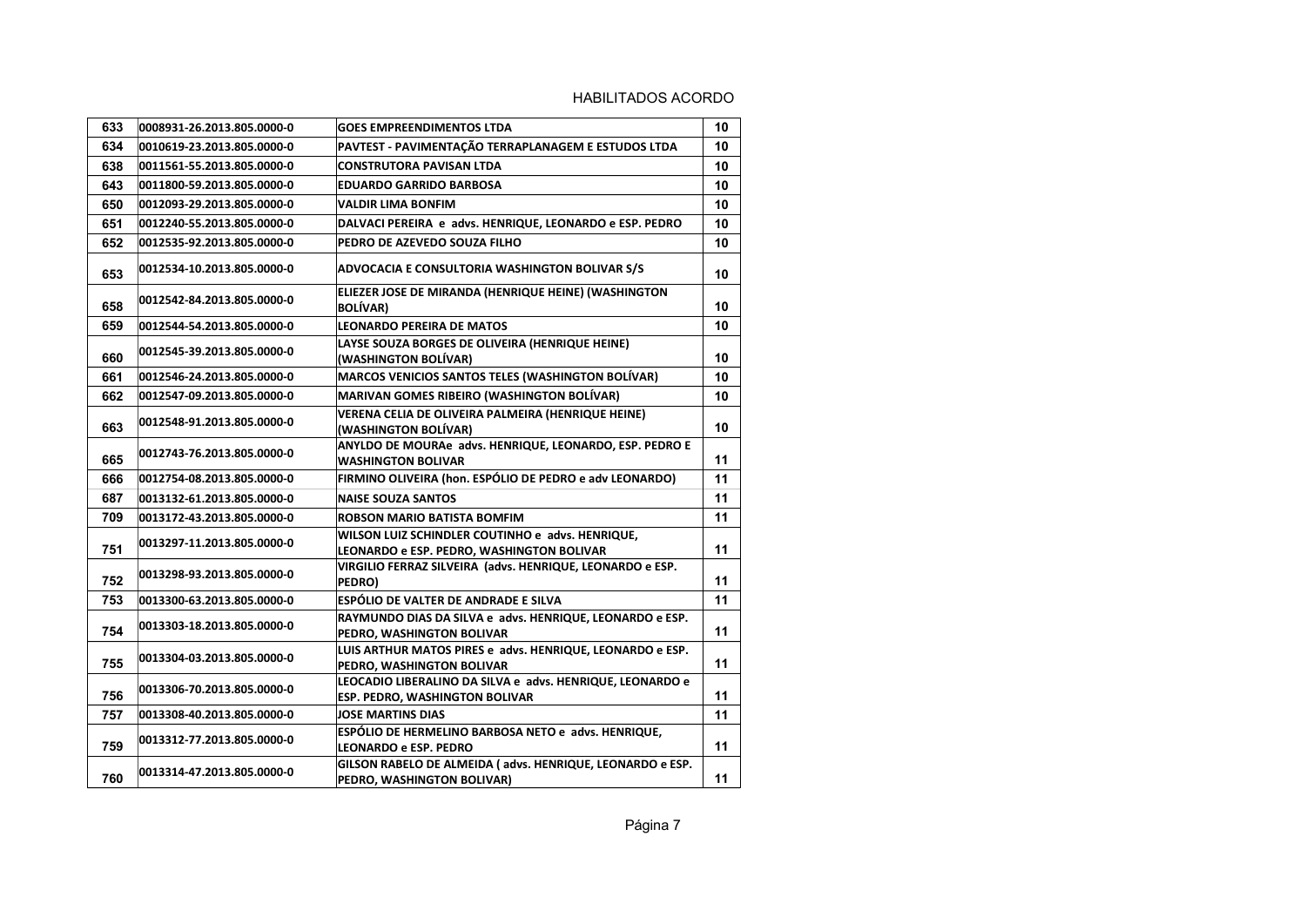| 633 | 0008931-26.2013.805.0000-0 | <b>GOES EMPREENDIMENTOS LTDA</b>                                                                   | 10 |
|-----|----------------------------|----------------------------------------------------------------------------------------------------|----|
| 634 | 0010619-23.2013.805.0000-0 | PAVTEST - PAVIMENTAÇÃO TERRAPLANAGEM E ESTUDOS LTDA                                                | 10 |
| 638 | 0011561-55.2013.805.0000-0 | <b>CONSTRUTORA PAVISAN LTDA</b>                                                                    | 10 |
| 643 | 0011800-59.2013.805.0000-0 | <b>EDUARDO GARRIDO BARBOSA</b>                                                                     | 10 |
| 650 | 0012093-29.2013.805.0000-0 | <b>VALDIR LIMA BONFIM</b>                                                                          | 10 |
| 651 | 0012240-55.2013.805.0000-0 | DALVACI PEREIRA e advs. HENRIQUE, LEONARDO e ESP. PEDRO                                            | 10 |
| 652 | 0012535-92.2013.805.0000-0 | PEDRO DE AZEVEDO SOUZA FILHO                                                                       | 10 |
| 653 | 0012534-10.2013.805.0000-0 | <b>ADVOCACIA E CONSULTORIA WASHINGTON BOLIVAR S/S</b>                                              | 10 |
| 658 | 0012542-84.2013.805.0000-0 | ELIEZER JOSE DE MIRANDA (HENRIQUE HEINE) (WASHINGTON<br><b>BOLÍVAR)</b>                            | 10 |
| 659 | 0012544-54.2013.805.0000-0 | <b>LEONARDO PEREIRA DE MATOS</b>                                                                   | 10 |
| 660 | 0012545-39.2013.805.0000-0 | LAYSE SOUZA BORGES DE OLIVEIRA (HENRIQUE HEINE)<br>(WASHINGTON BOLÍVAR)                            | 10 |
| 661 | 0012546-24.2013.805.0000-0 | <b>MARCOS VENICIOS SANTOS TELES (WASHINGTON BOLÍVAR)</b>                                           | 10 |
| 662 | 0012547-09.2013.805.0000-0 | MARIVAN GOMES RIBEIRO (WASHINGTON BOLÍVAR)                                                         | 10 |
| 663 | 0012548-91.2013.805.0000-0 | VERENA CELIA DE OLIVEIRA PALMEIRA (HENRIQUE HEINE)<br>(WASHINGTON BOLÍVAR)                         | 10 |
| 665 | 0012743-76.2013.805.0000-0 | ANYLDO DE MOURAe advs. HENRIQUE, LEONARDO, ESP. PEDRO E<br><b>WASHINGTON BOLIVAR</b>               | 11 |
| 666 | 0012754-08.2013.805.0000-0 | FIRMINO OLIVEIRA (hon. ESPÓLIO DE PEDRO e adv LEONARDO)                                            | 11 |
| 687 | 0013132-61.2013.805.0000-0 | <b>NAISE SOUZA SANTOS</b>                                                                          | 11 |
| 709 | 0013172-43.2013.805.0000-0 | <b>ROBSON MARIO BATISTA BOMFIM</b>                                                                 | 11 |
| 751 | 0013297-11.2013.805.0000-0 | WILSON LUIZ SCHINDLER COUTINHO e advs. HENRIQUE,<br>LEONARDO e ESP. PEDRO, WASHINGTON BOLIVAR      | 11 |
| 752 | 0013298-93.2013.805.0000-0 | VIRGILIO FERRAZ SILVEIRA (advs. HENRIQUE, LEONARDO e ESP.<br>PEDRO)                                | 11 |
| 753 | 0013300-63.2013.805.0000-0 | ESPÓLIO DE VALTER DE ANDRADE E SILVA                                                               | 11 |
| 754 | 0013303-18.2013.805.0000-0 | RAYMUNDO DIAS DA SILVA e advs. HENRIQUE, LEONARDO e ESP.<br>PEDRO, WASHINGTON BOLIVAR              | 11 |
| 755 | 0013304-03.2013.805.0000-0 | LUIS ARTHUR MATOS PIRES e advs. HENRIQUE, LEONARDO e ESP.<br>PEDRO, WASHINGTON BOLIVAR             | 11 |
| 756 | 0013306-70.2013.805.0000-0 | LEOCADIO LIBERALINO DA SILVA e advs. HENRIQUE, LEONARDO e<br><b>ESP. PEDRO, WASHINGTON BOLIVAR</b> | 11 |
| 757 | 0013308-40.2013.805.0000-0 | <b>JOSE MARTINS DIAS</b>                                                                           | 11 |
| 759 | 0013312-77.2013.805.0000-0 | ESPÓLIO DE HERMELINO BARBOSA NETO e advs. HENRIQUE,<br><b>LEONARDO e ESP. PEDRO</b>                | 11 |
| 760 | 0013314-47.2013.805.0000-0 | GILSON RABELO DE ALMEIDA (advs. HENRIQUE, LEONARDO e ESP.<br>PEDRO, WASHINGTON BOLIVAR)            | 11 |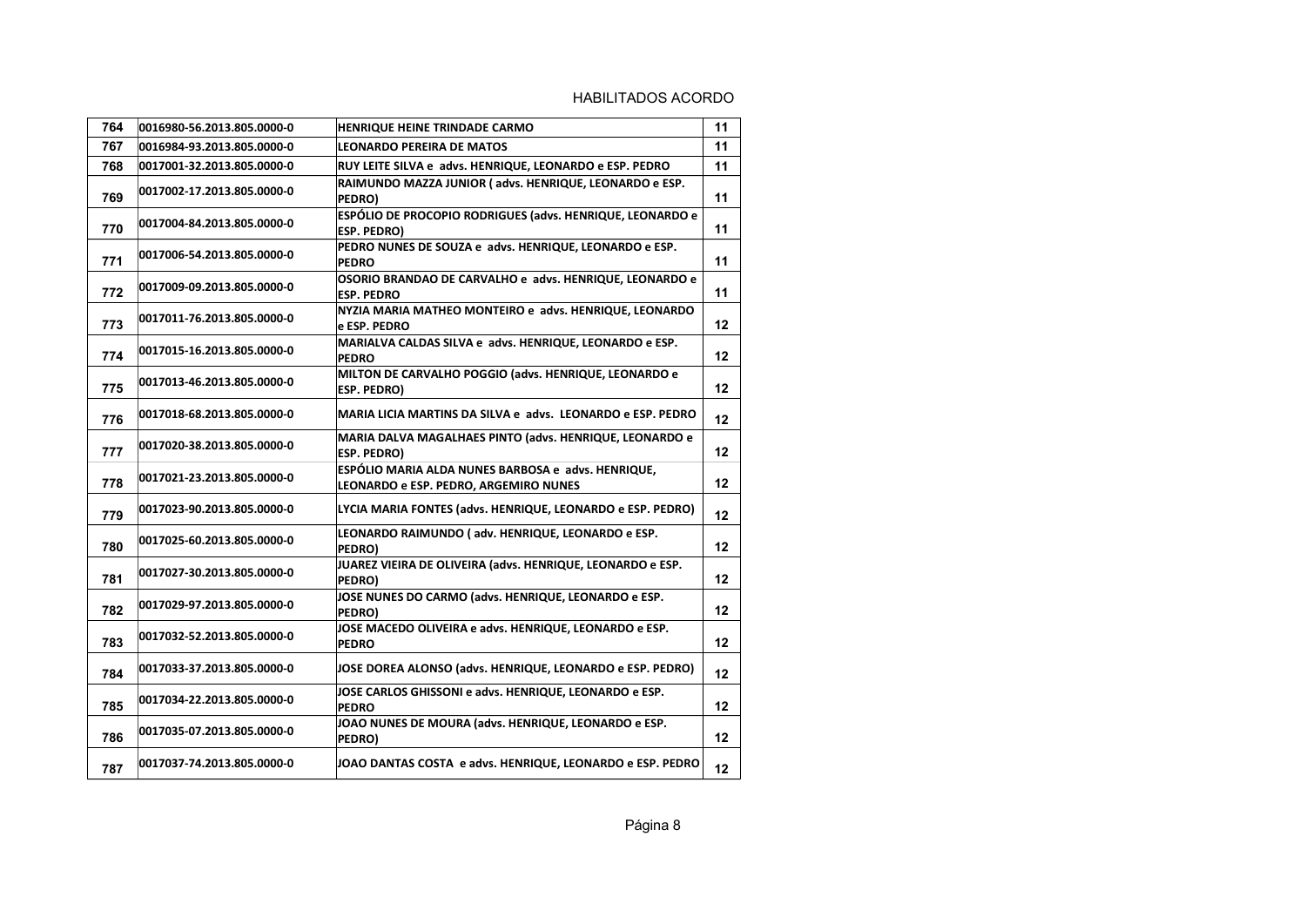| 764 | 0016980-56.2013.805.0000-0 | <b>HENRIQUE HEINE TRINDADE CARMO</b>                                                        | 11 |
|-----|----------------------------|---------------------------------------------------------------------------------------------|----|
| 767 | 0016984-93.2013.805.0000-0 | <b>LEONARDO PEREIRA DE MATOS</b>                                                            | 11 |
| 768 | 0017001-32.2013.805.0000-0 | RUY LEITE SILVA e advs. HENRIQUE, LEONARDO e ESP. PEDRO                                     | 11 |
| 769 | 0017002-17.2013.805.0000-0 | RAIMUNDO MAZZA JUNIOR (advs. HENRIQUE, LEONARDO e ESP.<br>PEDRO)                            | 11 |
| 770 | 0017004-84.2013.805.0000-0 | ESPÓLIO DE PROCOPIO RODRIGUES (advs. HENRIQUE, LEONARDO e<br>ESP. PEDRO)                    | 11 |
| 771 | 0017006-54.2013.805.0000-0 | PEDRO NUNES DE SOUZA e advs. HENRIQUE, LEONARDO e ESP.<br><b>PEDRO</b>                      | 11 |
| 772 | 0017009-09.2013.805.0000-0 | OSORIO BRANDAO DE CARVALHO e advs. HENRIQUE, LEONARDO e<br><b>ESP. PEDRO</b>                | 11 |
| 773 | 0017011-76.2013.805.0000-0 | NYZIA MARIA MATHEO MONTEIRO e advs. HENRIQUE, LEONARDO<br>e ESP. PEDRO                      | 12 |
| 774 | 0017015-16.2013.805.0000-0 | MARIALVA CALDAS SILVA e advs. HENRIQUE, LEONARDO e ESP.<br><b>PEDRO</b>                     | 12 |
| 775 | 0017013-46.2013.805.0000-0 | MILTON DE CARVALHO POGGIO (advs. HENRIQUE, LEONARDO e<br>ESP. PEDRO)                        | 12 |
| 776 | 0017018-68.2013.805.0000-0 | MARIA LICIA MARTINS DA SILVA e advs. LEONARDO e ESP. PEDRO                                  | 12 |
| 777 | 0017020-38.2013.805.0000-0 | MARIA DALVA MAGALHAES PINTO (advs. HENRIQUE, LEONARDO e<br><b>ESP. PEDRO)</b>               | 12 |
| 778 | 0017021-23.2013.805.0000-0 | ESPÓLIO MARIA ALDA NUNES BARBOSA e advs. HENRIQUE,<br>LEONARDO e ESP. PEDRO, ARGEMIRO NUNES | 12 |
| 779 | 0017023-90.2013.805.0000-0 | LYCIA MARIA FONTES (advs. HENRIQUE, LEONARDO e ESP. PEDRO)                                  | 12 |
| 780 | 0017025-60.2013.805.0000-0 | LEONARDO RAIMUNDO (adv. HENRIQUE, LEONARDO e ESP.<br>PEDRO)                                 | 12 |
| 781 | 0017027-30.2013.805.0000-0 | JUAREZ VIEIRA DE OLIVEIRA (advs. HENRIQUE, LEONARDO e ESP.<br>PEDRO)                        | 12 |
| 782 | 0017029-97.2013.805.0000-0 | JOSE NUNES DO CARMO (advs. HENRIQUE, LEONARDO e ESP.<br>PEDRO)                              | 12 |
| 783 | 0017032-52.2013.805.0000-0 | JOSE MACEDO OLIVEIRA e advs. HENRIQUE, LEONARDO e ESP.<br><b>PEDRO</b>                      | 12 |
| 784 | 0017033-37.2013.805.0000-0 | JOSE DOREA ALONSO (advs. HENRIQUE, LEONARDO e ESP. PEDRO)                                   | 12 |
| 785 | 0017034-22.2013.805.0000-0 | JOSE CARLOS GHISSONI e advs. HENRIQUE, LEONARDO e ESP.<br><b>PEDRO</b>                      | 12 |
| 786 | 0017035-07.2013.805.0000-0 | JOAO NUNES DE MOURA (advs. HENRIQUE, LEONARDO e ESP.<br>PEDRO)                              | 12 |
| 787 | 0017037-74.2013.805.0000-0 | JOAO DANTAS COSTA e advs. HENRIQUE, LEONARDO e ESP. PEDRO                                   | 12 |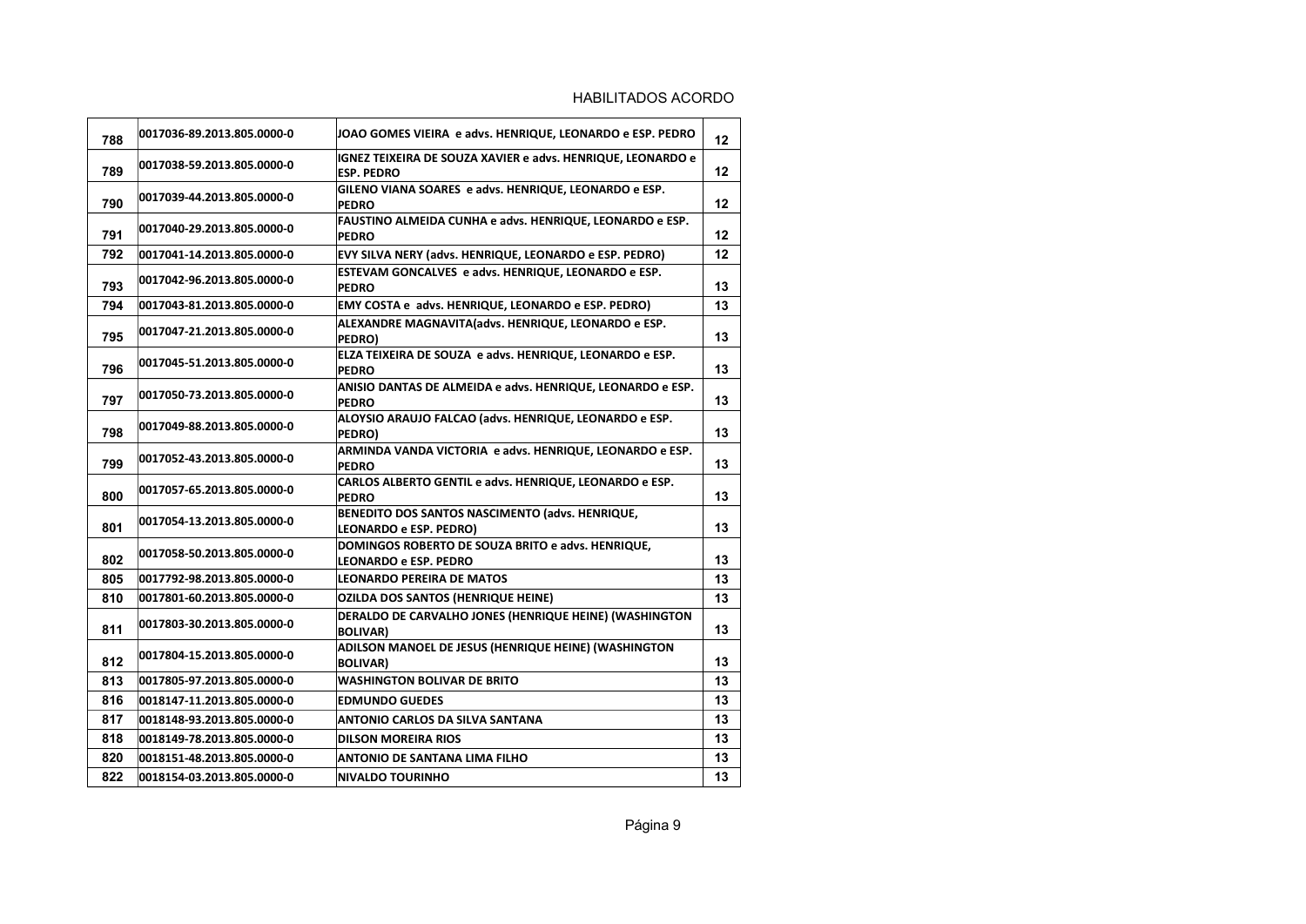| 788 | 0017036-89.2013.805.0000-0 | JOAO GOMES VIEIRA e advs. HENRIQUE, LEONARDO e ESP. PEDRO                         | 12              |
|-----|----------------------------|-----------------------------------------------------------------------------------|-----------------|
| 789 | 0017038-59.2013.805.0000-0 | IGNEZ TEIXEIRA DE SOUZA XAVIER e advs. HENRIQUE, LEONARDO e<br><b>ESP. PEDRO</b>  | $12 \,$         |
| 790 | 0017039-44.2013.805.0000-0 | GILENO VIANA SOARES e advs. HENRIQUE, LEONARDO e ESP.<br><b>PEDRO</b>             | 12              |
| 791 | 0017040-29.2013.805.0000-0 | FAUSTINO ALMEIDA CUNHA e advs. HENRIQUE, LEONARDO e ESP.<br><b>PEDRO</b>          | 12              |
| 792 | 0017041-14.2013.805.0000-0 | EVY SILVA NERY (advs. HENRIQUE, LEONARDO e ESP. PEDRO)                            | 12 <sup>2</sup> |
| 793 | 0017042-96.2013.805.0000-0 | ESTEVAM GONCALVES e advs. HENRIQUE, LEONARDO e ESP.<br><b>PEDRO</b>               | 13              |
| 794 | 0017043-81.2013.805.0000-0 | EMY COSTA e advs. HENRIQUE, LEONARDO e ESP. PEDRO)                                | 13              |
| 795 | 0017047-21.2013.805.0000-0 | ALEXANDRE MAGNAVITA(advs. HENRIQUE, LEONARDO e ESP.<br>PEDRO)                     | 13              |
| 796 | 0017045-51.2013.805.0000-0 | ELZA TEIXEIRA DE SOUZA e advs. HENRIQUE, LEONARDO e ESP.<br><b>PEDRO</b>          | 13              |
| 797 | 0017050-73.2013.805.0000-0 | ANISIO DANTAS DE ALMEIDA e advs. HENRIQUE, LEONARDO e ESP.<br><b>PEDRO</b>        | 13              |
| 798 | 0017049-88.2013.805.0000-0 | ALOYSIO ARAUJO FALCAO (advs. HENRIQUE, LEONARDO e ESP.<br>PEDRO)                  | 13              |
| 799 | 0017052-43.2013.805.0000-0 | ARMINDA VANDA VICTORIA e advs. HENRIQUE, LEONARDO e ESP.<br><b>PEDRO</b>          | 13              |
| 800 | 0017057-65.2013.805.0000-0 | CARLOS ALBERTO GENTIL e advs. HENRIQUE, LEONARDO e ESP.<br><b>PEDRO</b>           | 13              |
| 801 | 0017054-13.2013.805.0000-0 | BENEDITO DOS SANTOS NASCIMENTO (advs. HENRIQUE.<br>LEONARDO e ESP. PEDRO)         | 13              |
| 802 | 0017058-50.2013.805.0000-0 | DOMINGOS ROBERTO DE SOUZA BRITO e advs. HENRIQUE,<br><b>LEONARDO e ESP. PEDRO</b> | 13              |
| 805 | 0017792-98.2013.805.0000-0 | <b>LEONARDO PEREIRA DE MATOS</b>                                                  | 13              |
| 810 | 0017801-60.2013.805.0000-0 | <b>OZILDA DOS SANTOS (HENRIQUE HEINE)</b>                                         | 13              |
| 811 | 0017803-30.2013.805.0000-0 | DERALDO DE CARVALHO JONES (HENRIQUE HEINE) (WASHINGTON<br><b>BOLIVAR)</b>         | 13              |
| 812 | 0017804-15.2013.805.0000-0 | ADILSON MANOEL DE JESUS (HENRIQUE HEINE) (WASHINGTON<br><b>BOLIVAR)</b>           | 13              |
| 813 | 0017805-97.2013.805.0000-0 | <b>WASHINGTON BOLIVAR DE BRITO</b>                                                | 13              |
| 816 | 0018147-11.2013.805.0000-0 | <b>EDMUNDO GUEDES</b>                                                             | 13              |
| 817 | 0018148-93.2013.805.0000-0 | ANTONIO CARLOS DA SILVA SANTANA                                                   | 13              |
| 818 | 0018149-78.2013.805.0000-0 | <b>DILSON MOREIRA RIOS</b>                                                        | 13              |
| 820 | 0018151-48.2013.805.0000-0 | <b>ANTONIO DE SANTANA LIMA FILHO</b>                                              | 13              |
| 822 | 0018154-03.2013.805.0000-0 | <b>NIVALDO TOURINHO</b>                                                           | 13              |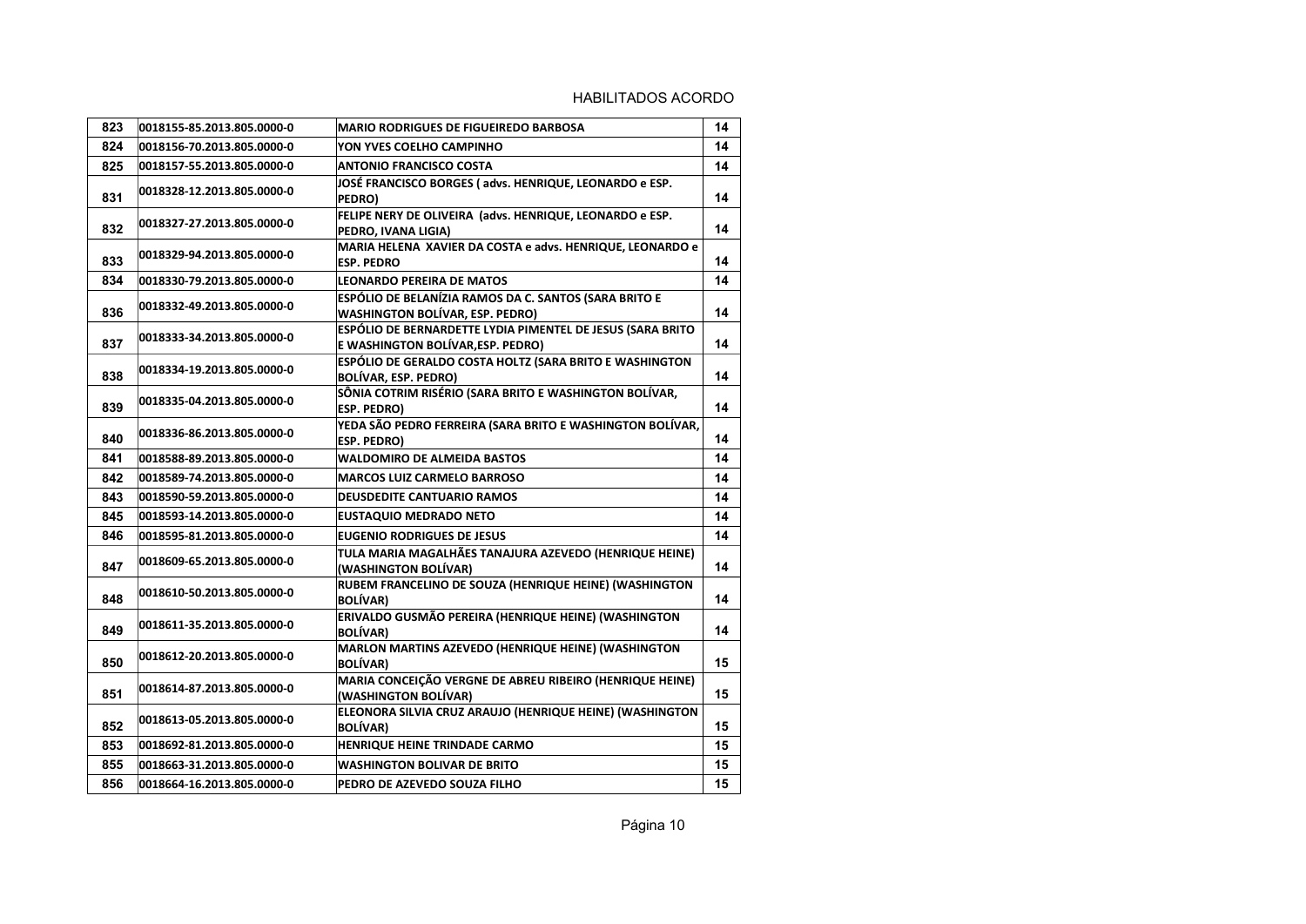| 823 | 0018155-85.2013.805.0000-0 | <b>MARIO RODRIGUES DE FIGUEIREDO BARBOSA</b>                                                    | 14 |
|-----|----------------------------|-------------------------------------------------------------------------------------------------|----|
| 824 | 0018156-70.2013.805.0000-0 | YON YVES COELHO CAMPINHO                                                                        | 14 |
| 825 | 0018157-55.2013.805.0000-0 | <b>ANTONIO FRANCISCO COSTA</b>                                                                  | 14 |
| 831 | 0018328-12.2013.805.0000-0 | JOSÉ FRANCISCO BORGES (advs. HENRIQUE, LEONARDO e ESP.<br>PEDRO)                                | 14 |
| 832 | 0018327-27.2013.805.0000-0 | FELIPE NERY DE OLIVEIRA (advs. HENRIQUE, LEONARDO e ESP.<br>PEDRO, IVANA LIGIA)                 | 14 |
| 833 | 0018329-94.2013.805.0000-0 | MARIA HELENA XAVIER DA COSTA e advs. HENRIQUE, LEONARDO e<br><b>ESP. PEDRO</b>                  | 14 |
| 834 | 0018330-79.2013.805.0000-0 | <b>LEONARDO PEREIRA DE MATOS</b>                                                                | 14 |
| 836 | 0018332-49.2013.805.0000-0 | ESPÓLIO DE BELANÍZIA RAMOS DA C. SANTOS (SARA BRITO E<br><b>WASHINGTON BOLÍVAR, ESP. PEDRO)</b> | 14 |
| 837 | 0018333-34.2013.805.0000-0 | ESPÓLIO DE BERNARDETTE LYDIA PIMENTEL DE JESUS (SARA BRITO<br>E WASHINGTON BOLÍVAR, ESP. PEDRO) | 14 |
| 838 | 0018334-19.2013.805.0000-0 | ESPÓLIO DE GERALDO COSTA HOLTZ (SARA BRITO E WASHINGTON<br><b>BOLÍVAR, ESP. PEDRO)</b>          | 14 |
| 839 | 0018335-04.2013.805.0000-0 | SÔNIA COTRIM RISÉRIO (SARA BRITO E WASHINGTON BOLÍVAR,<br><b>ESP. PEDRO)</b>                    | 14 |
| 840 | 0018336-86.2013.805.0000-0 | YEDA SÃO PEDRO FERREIRA (SARA BRITO E WASHINGTON BOLÍVAR,<br>ESP. PEDRO)                        | 14 |
| 841 | 0018588-89.2013.805.0000-0 | <b>WALDOMIRO DE ALMEIDA BASTOS</b>                                                              | 14 |
| 842 | 0018589-74.2013.805.0000-0 | <b>MARCOS LUIZ CARMELO BARROSO</b>                                                              | 14 |
| 843 | 0018590-59.2013.805.0000-0 | <b>DEUSDEDITE CANTUARIO RAMOS</b>                                                               | 14 |
| 845 | 0018593-14.2013.805.0000-0 | <b>EUSTAQUIO MEDRADO NETO</b>                                                                   | 14 |
| 846 | 0018595-81.2013.805.0000-0 | <b>EUGENIO RODRIGUES DE JESUS</b>                                                               | 14 |
| 847 | 0018609-65.2013.805.0000-0 | TULA MARIA MAGALHÃES TANAJURA AZEVEDO (HENRIQUE HEINE)<br>(WASHINGTON BOLÍVAR)                  | 14 |
| 848 | 0018610-50.2013.805.0000-0 | RUBEM FRANCELINO DE SOUZA (HENRIQUE HEINE) (WASHINGTON<br><b>BOLÍVAR)</b>                       | 14 |
| 849 | 0018611-35.2013.805.0000-0 | ERIVALDO GUSMÃO PEREIRA (HENRIQUE HEINE) (WASHINGTON<br><b>BOLÍVAR)</b>                         | 14 |
| 850 | 0018612-20.2013.805.0000-0 | MARLON MARTINS AZEVEDO (HENRIQUE HEINE) (WASHINGTON<br><b>BOLÍVAR)</b>                          | 15 |
| 851 | 0018614-87.2013.805.0000-0 | MARIA CONCEIÇÃO VERGNE DE ABREU RIBEIRO (HENRIQUE HEINE)<br>(WASHINGTON BOLÍVAR)                | 15 |
| 852 | 0018613-05.2013.805.0000-0 | ELEONORA SILVIA CRUZ ARAUJO (HENRIQUE HEINE) (WASHINGTON<br><b>BOLÍVAR)</b>                     | 15 |
| 853 | 0018692-81.2013.805.0000-0 | HENRIQUE HEINE TRINDADE CARMO                                                                   | 15 |
| 855 | 0018663-31.2013.805.0000-0 | <b>WASHINGTON BOLIVAR DE BRITO</b>                                                              | 15 |
| 856 | 0018664-16.2013.805.0000-0 | PEDRO DE AZEVEDO SOUZA FILHO                                                                    | 15 |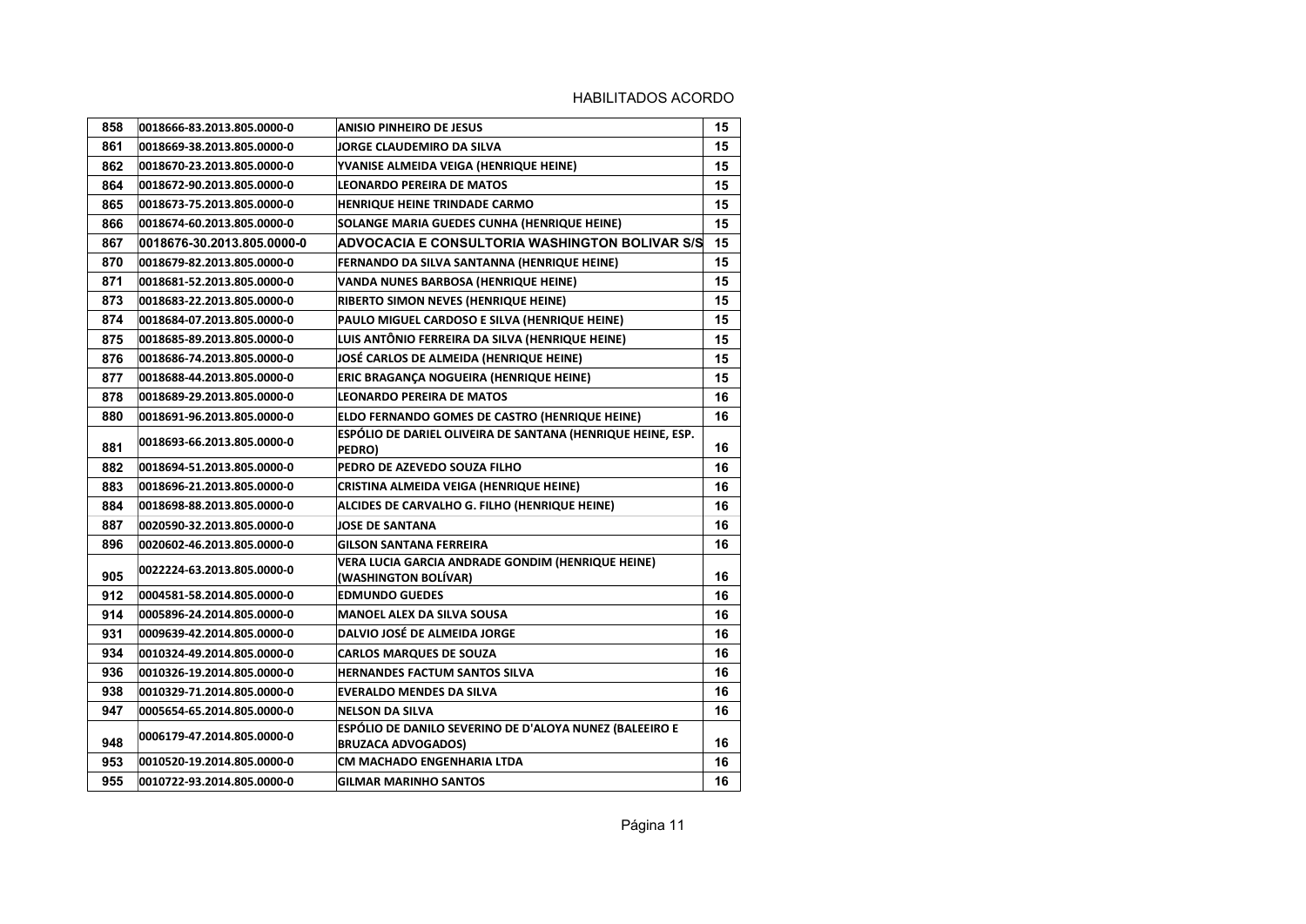| 858 | 0018666-83.2013.805.0000-0 | <b>ANISIO PINHEIRO DE JESUS</b>                                                      | 15 |
|-----|----------------------------|--------------------------------------------------------------------------------------|----|
| 861 | 0018669-38.2013.805.0000-0 | JORGE CLAUDEMIRO DA SILVA                                                            | 15 |
| 862 | 0018670-23.2013.805.0000-0 | YVANISE ALMEIDA VEIGA (HENRIQUE HEINE)                                               | 15 |
| 864 | 0018672-90.2013.805.0000-0 | <b>LEONARDO PEREIRA DE MATOS</b>                                                     | 15 |
| 865 | 0018673-75.2013.805.0000-0 | HENRIQUE HEINE TRINDADE CARMO                                                        | 15 |
| 866 | 0018674-60.2013.805.0000-0 | SOLANGE MARIA GUEDES CUNHA (HENRIQUE HEINE)                                          | 15 |
| 867 | 0018676-30.2013.805.0000-0 | ADVOCACIA E CONSULTORIA WASHINGTON BOLIVAR S/S                                       | 15 |
| 870 | 0018679-82.2013.805.0000-0 | FERNANDO DA SILVA SANTANNA (HENRIQUE HEINE)                                          | 15 |
| 871 | 0018681-52.2013.805.0000-0 | VANDA NUNES BARBOSA (HENRIQUE HEINE)                                                 | 15 |
| 873 | 0018683-22.2013.805.0000-0 | RIBERTO SIMON NEVES (HENRIQUE HEINE)                                                 | 15 |
| 874 | 0018684-07.2013.805.0000-0 | PAULO MIGUEL CARDOSO E SILVA (HENRIQUE HEINE)                                        | 15 |
| 875 | 0018685-89.2013.805.0000-0 | LUIS ANTÔNIO FERREIRA DA SILVA (HENRIQUE HEINE)                                      | 15 |
| 876 | 0018686-74.2013.805.0000-0 | JOSÉ CARLOS DE ALMEIDA (HENRIQUE HEINE)                                              | 15 |
| 877 | 0018688-44.2013.805.0000-0 | ERIC BRAGANÇA NOGUEIRA (HENRIQUE HEINE)                                              | 15 |
| 878 | 0018689-29.2013.805.0000-0 | <b>LEONARDO PEREIRA DE MATOS</b>                                                     | 16 |
| 880 | 0018691-96.2013.805.0000-0 | ELDO FERNANDO GOMES DE CASTRO (HENRIQUE HEINE)                                       | 16 |
| 881 | 0018693-66.2013.805.0000-0 | ESPÓLIO DE DARIEL OLIVEIRA DE SANTANA (HENRIQUE HEINE, ESP.<br>PEDRO)                | 16 |
| 882 | 0018694-51.2013.805.0000-0 | PEDRO DE AZEVEDO SOUZA FILHO                                                         | 16 |
| 883 | 0018696-21.2013.805.0000-0 | CRISTINA ALMEIDA VEIGA (HENRIQUE HEINE)                                              | 16 |
| 884 | 0018698-88.2013.805.0000-0 | ALCIDES DE CARVALHO G. FILHO (HENRIQUE HEINE)                                        | 16 |
| 887 | 0020590-32.2013.805.0000-0 | <b>JOSE DE SANTANA</b>                                                               | 16 |
| 896 | 0020602-46.2013.805.0000-0 | <b>GILSON SANTANA FERREIRA</b>                                                       | 16 |
| 905 | 0022224-63.2013.805.0000-0 | VERA LUCIA GARCIA ANDRADE GONDIM (HENRIQUE HEINE)<br>(WASHINGTON BOLIVAR)            | 16 |
| 912 | 0004581-58.2014.805.0000-0 | <b>EDMUNDO GUEDES</b>                                                                | 16 |
| 914 | 0005896-24.2014.805.0000-0 | <b>MANOEL ALEX DA SILVA SOUSA</b>                                                    | 16 |
| 931 | 0009639-42.2014.805.0000-0 | <b>DALVIO JOSÉ DE ALMEIDA JORGE</b>                                                  | 16 |
| 934 | 0010324-49.2014.805.0000-0 | <b>CARLOS MARQUES DE SOUZA</b>                                                       | 16 |
| 936 | 0010326-19.2014.805.0000-0 | <b>HERNANDES FACTUM SANTOS SILVA</b>                                                 | 16 |
| 938 | 0010329-71.2014.805.0000-0 | <b>EVERALDO MENDES DA SILVA</b>                                                      | 16 |
| 947 | 0005654-65.2014.805.0000-0 | <b>NELSON DA SILVA</b>                                                               | 16 |
| 948 | 0006179-47.2014.805.0000-0 | ESPÓLIO DE DANILO SEVERINO DE D'ALOYA NUNEZ (BALEEIRO E<br><b>BRUZACA ADVOGADOS)</b> | 16 |
| 953 | 0010520-19.2014.805.0000-0 | CM MACHADO ENGENHARIA LTDA                                                           | 16 |
| 955 | 0010722-93.2014.805.0000-0 | <b>GILMAR MARINHO SANTOS</b>                                                         | 16 |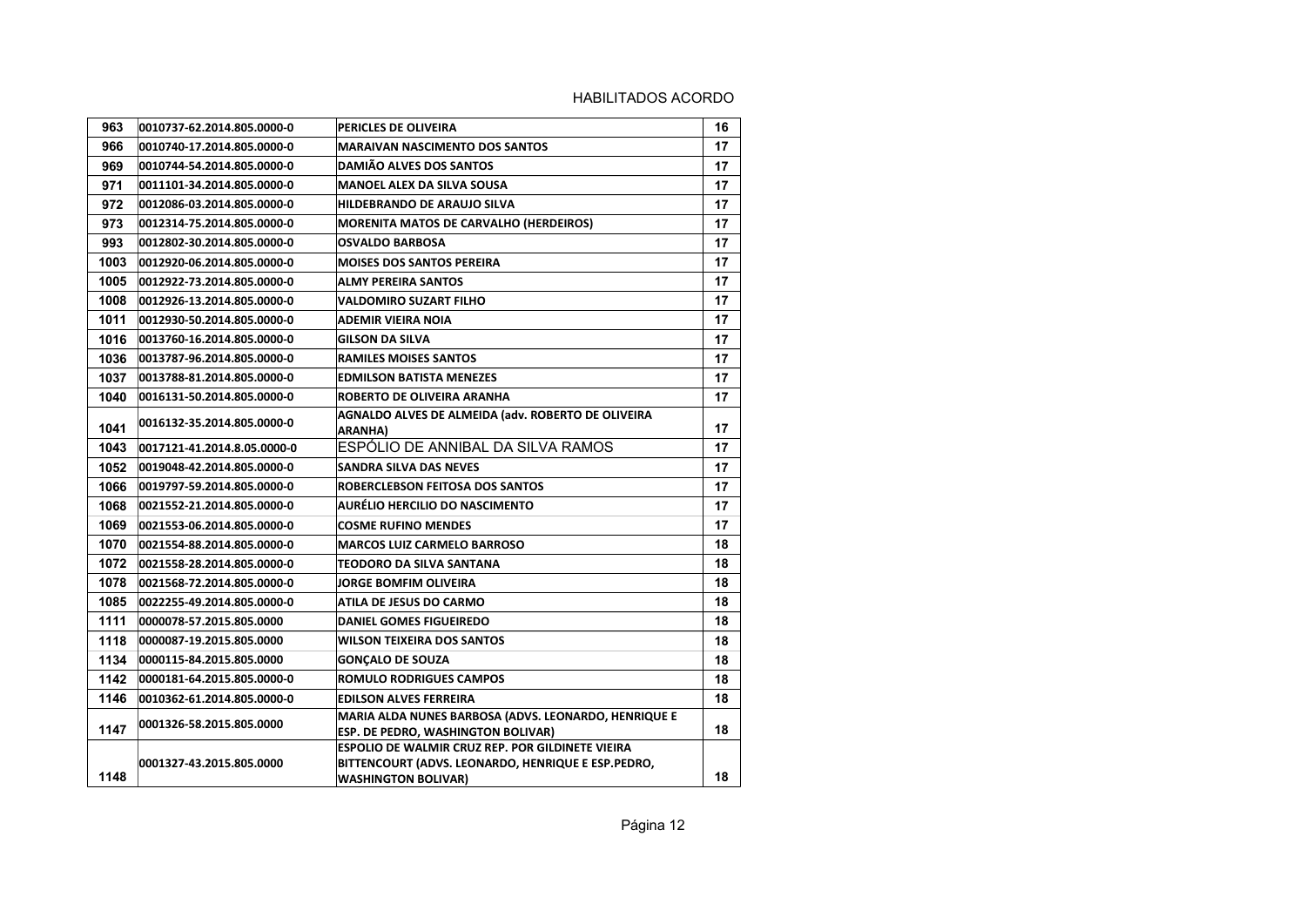| 963  | 0010737-62.2014.805.0000-0  | <b>PERICLES DE OLIVEIRA</b>                                                                                                                 | 16 |
|------|-----------------------------|---------------------------------------------------------------------------------------------------------------------------------------------|----|
| 966  | 0010740-17.2014.805.0000-0  | <b>MARAIVAN NASCIMENTO DOS SANTOS</b>                                                                                                       | 17 |
| 969  | 0010744-54.2014.805.0000-0  | <b>DAMIÃO ALVES DOS SANTOS</b>                                                                                                              | 17 |
| 971  | 0011101-34.2014.805.0000-0  | <b>MANOEL ALEX DA SILVA SOUSA</b>                                                                                                           | 17 |
| 972  | 0012086-03.2014.805.0000-0  | HILDEBRANDO DE ARAUJO SILVA                                                                                                                 | 17 |
| 973  | 0012314-75.2014.805.0000-0  | <b>MORENITA MATOS DE CARVALHO (HERDEIROS)</b>                                                                                               | 17 |
| 993  | 0012802-30.2014.805.0000-0  | <b>OSVALDO BARBOSA</b>                                                                                                                      | 17 |
| 1003 | 0012920-06.2014.805.0000-0  | <b>MOISES DOS SANTOS PEREIRA</b>                                                                                                            | 17 |
| 1005 | 0012922-73.2014.805.0000-0  | ALMY PEREIRA SANTOS                                                                                                                         | 17 |
| 1008 | 0012926-13.2014.805.0000-0  | VALDOMIRO SUZART FILHO                                                                                                                      | 17 |
| 1011 | 0012930-50.2014.805.0000-0  | <b>ADEMIR VIEIRA NOIA</b>                                                                                                                   | 17 |
| 1016 | 0013760-16.2014.805.0000-0  | <b>GILSON DA SILVA</b>                                                                                                                      | 17 |
| 1036 | 0013787-96.2014.805.0000-0  | <b>RAMILES MOISES SANTOS</b>                                                                                                                | 17 |
| 1037 | 0013788-81.2014.805.0000-0  | <b>EDMILSON BATISTA MENEZES</b>                                                                                                             | 17 |
| 1040 | 0016131-50.2014.805.0000-0  | ROBERTO DE OLIVEIRA ARANHA                                                                                                                  | 17 |
| 1041 | 0016132-35.2014.805.0000-0  | AGNALDO ALVES DE ALMEIDA (adv. ROBERTO DE OLIVEIRA<br><b>ARANHA)</b>                                                                        | 17 |
| 1043 | 0017121-41.2014.8.05.0000-0 | ESPÓLIO DE ANNIBAL DA SILVA RAMOS                                                                                                           | 17 |
| 1052 | 0019048-42.2014.805.0000-0  | SANDRA SILVA DAS NEVES                                                                                                                      | 17 |
| 1066 | 0019797-59.2014.805.0000-0  | ROBERCLEBSON FEITOSA DOS SANTOS                                                                                                             | 17 |
| 1068 | 0021552-21.2014.805.0000-0  | <b>AURÉLIO HERCILIO DO NASCIMENTO</b>                                                                                                       | 17 |
| 1069 | 0021553-06.2014.805.0000-0  | <b>COSME RUFINO MENDES</b>                                                                                                                  | 17 |
| 1070 | 0021554-88.2014.805.0000-0  | <b>MARCOS LUIZ CARMELO BARROSO</b>                                                                                                          | 18 |
| 1072 | 0021558-28.2014.805.0000-0  | TEODORO DA SILVA SANTANA                                                                                                                    | 18 |
| 1078 | 0021568-72.2014.805.0000-0  | <b>JORGE BOMFIM OLIVEIRA</b>                                                                                                                | 18 |
| 1085 | 0022255-49.2014.805.0000-0  | ATILA DE JESUS DO CARMO                                                                                                                     | 18 |
| 1111 | 0000078-57.2015.805.0000    | <b>DANIEL GOMES FIGUEIREDO</b>                                                                                                              | 18 |
| 1118 | 0000087-19.2015.805.0000    | <b>WILSON TEIXEIRA DOS SANTOS</b>                                                                                                           | 18 |
| 1134 | 0000115-84.2015.805.0000    | <b>GONCALO DE SOUZA</b>                                                                                                                     | 18 |
| 1142 | 0000181-64.2015.805.0000-0  | <b>ROMULO RODRIGUES CAMPOS</b>                                                                                                              | 18 |
| 1146 | 0010362-61.2014.805.0000-0  | <b>EDILSON ALVES FERREIRA</b>                                                                                                               | 18 |
| 1147 | 0001326-58.2015.805.0000    | MARIA ALDA NUNES BARBOSA (ADVS. LEONARDO, HENRIQUE E<br><b>ESP. DE PEDRO, WASHINGTON BOLIVAR)</b>                                           | 18 |
| 1148 | 0001327-43.2015.805.0000    | <b>ESPOLIO DE WALMIR CRUZ REP. POR GILDINETE VIEIRA</b><br>BITTENCOURT (ADVS. LEONARDO, HENRIQUE E ESP.PEDRO,<br><b>WASHINGTON BOLIVAR)</b> | 18 |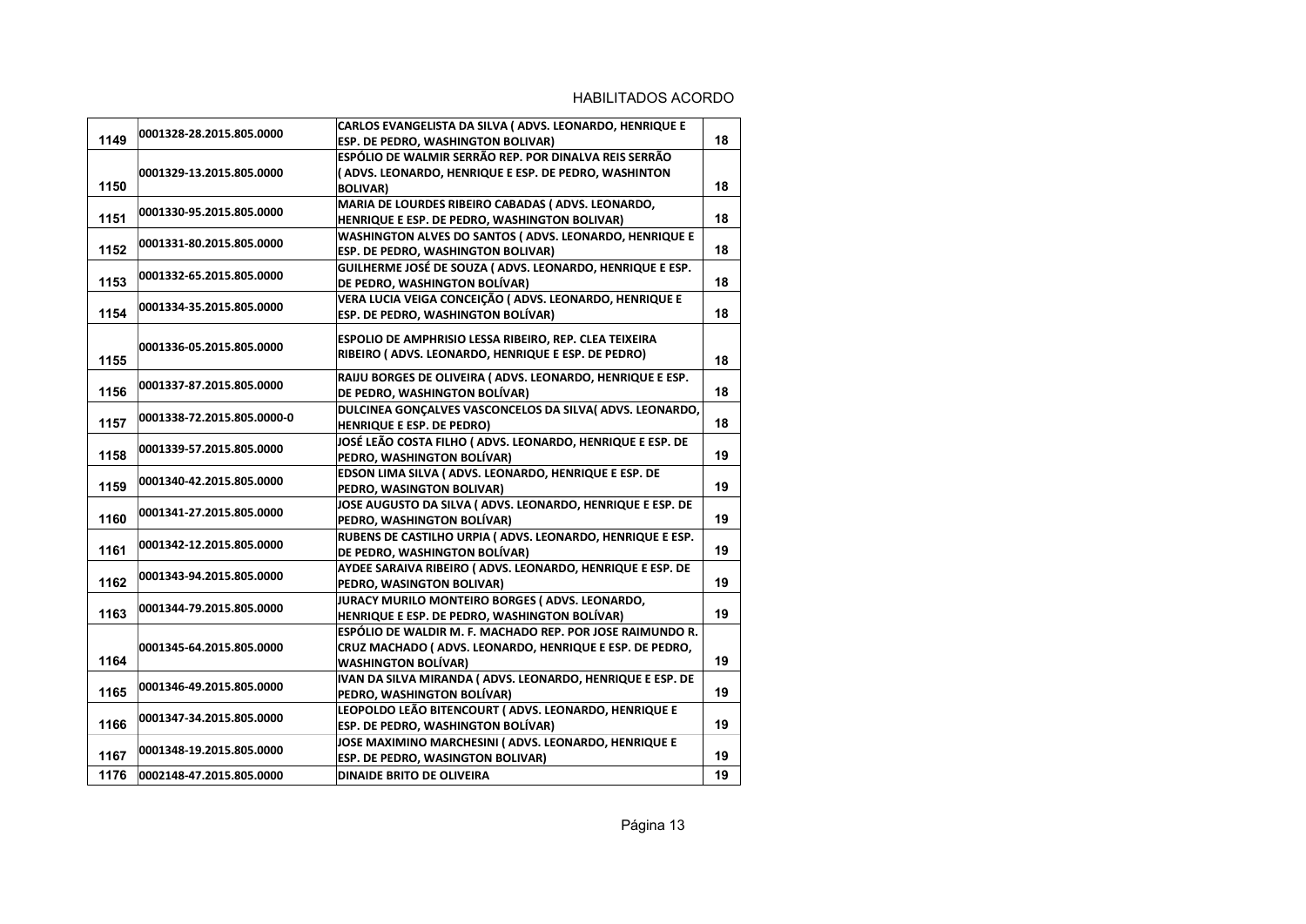| 1149 | 0001328-28.2015.805.0000   | CARLOS EVANGELISTA DA SILVA (ADVS. LEONARDO, HENRIQUE E<br><b>ESP. DE PEDRO, WASHINGTON BOLIVAR)</b> | 18 |
|------|----------------------------|------------------------------------------------------------------------------------------------------|----|
|      |                            | ESPÓLIO DE WALMIR SERRÃO REP. POR DINALVA REIS SERRÃO                                                |    |
|      | 0001329-13.2015.805.0000   | (ADVS. LEONARDO, HENRIQUE E ESP. DE PEDRO, WASHINTON                                                 |    |
| 1150 |                            |                                                                                                      | 18 |
|      |                            | <b>BOLIVAR)</b><br>MARIA DE LOURDES RIBEIRO CABADAS (ADVS. LEONARDO,                                 |    |
| 1151 | 0001330-95.2015.805.0000   |                                                                                                      | 18 |
|      |                            | HENRIQUE E ESP. DE PEDRO, WASHINGTON BOLIVAR)                                                        |    |
| 1152 | 0001331-80.2015.805.0000   | WASHINGTON ALVES DO SANTOS (ADVS. LEONARDO, HENRIQUE E                                               |    |
|      |                            | ESP. DE PEDRO, WASHINGTON BOLIVAR)                                                                   | 18 |
|      | 0001332-65.2015.805.0000   | GUILHERME JOSÉ DE SOUZA (ADVS. LEONARDO, HENRIQUE E ESP.                                             |    |
| 1153 |                            | DE PEDRO, WASHINGTON BOLÍVAR)                                                                        | 18 |
|      | 0001334-35.2015.805.0000   | VERA LUCIA VEIGA CONCEIÇÃO (ADVS. LEONARDO, HENRIQUE E                                               |    |
| 1154 |                            | ESP. DE PEDRO, WASHINGTON BOLÍVAR)                                                                   | 18 |
|      |                            | ESPOLIO DE AMPHRISIO LESSA RIBEIRO, REP. CLEA TEIXEIRA                                               |    |
|      | 0001336-05.2015.805.0000   | RIBEIRO (ADVS. LEONARDO, HENRIQUE E ESP. DE PEDRO)                                                   |    |
| 1155 |                            |                                                                                                      | 18 |
|      |                            | RAIJU BORGES DE OLIVEIRA (ADVS. LEONARDO, HENRIQUE E ESP.                                            |    |
| 1156 | 0001337-87.2015.805.0000   | DE PEDRO, WASHINGTON BOLÍVAR)                                                                        | 18 |
|      |                            | DULCINEA GONCALVES VASCONCELOS DA SILVA(ADVS. LEONARDO,                                              |    |
| 1157 | 0001338-72.2015.805.0000-0 | HENRIQUE E ESP. DE PEDRO)                                                                            | 18 |
|      |                            | JOSÉ LEÃO COSTA FILHO (ADVS. LEONARDO, HENRIQUE E ESP. DE                                            |    |
| 1158 | 0001339-57.2015.805.0000   | PEDRO, WASHINGTON BOLÍVAR)                                                                           | 19 |
|      |                            | EDSON LIMA SILVA (ADVS. LEONARDO, HENRIQUE E ESP. DE                                                 |    |
| 1159 | 0001340-42.2015.805.0000   | PEDRO, WASINGTON BOLIVAR)                                                                            | 19 |
|      |                            | JOSE AUGUSTO DA SILVA (ADVS. LEONARDO, HENRIQUE E ESP. DE                                            |    |
| 1160 | 0001341-27.2015.805.0000   | PEDRO, WASHINGTON BOLÍVAR)                                                                           | 19 |
|      |                            | RUBENS DE CASTILHO URPIA (ADVS. LEONARDO, HENRIQUE E ESP.                                            |    |
| 1161 | 0001342-12.2015.805.0000   | DE PEDRO, WASHINGTON BOLÍVAR)                                                                        | 19 |
|      |                            | AYDEE SARAIVA RIBEIRO ( ADVS. LEONARDO, HENRIQUE E ESP. DE                                           |    |
| 1162 | 0001343-94.2015.805.0000   | PEDRO, WASINGTON BOLIVAR)                                                                            | 19 |
|      |                            | JURACY MURILO MONTEIRO BORGES (ADVS. LEONARDO,                                                       |    |
| 1163 | 0001344-79.2015.805.0000   | HENRIQUE E ESP. DE PEDRO, WASHINGTON BOLÍVAR)                                                        | 19 |
|      |                            | ESPÓLIO DE WALDIR M. F. MACHADO REP. POR JOSE RAIMUNDO R.                                            |    |
|      | 0001345-64.2015.805.0000   | CRUZ MACHADO (ADVS. LEONARDO, HENRIQUE E ESP. DE PEDRO,                                              |    |
| 1164 |                            | <b>WASHINGTON BOLÍVAR)</b>                                                                           | 19 |
|      |                            | IVAN DA SILVA MIRANDA (ADVS. LEONARDO, HENRIQUE E ESP. DE                                            |    |
| 1165 | 0001346-49.2015.805.0000   | PEDRO, WASHINGTON BOLÍVAR)                                                                           | 19 |
|      |                            | LEOPOLDO LEÃO BITENCOURT (ADVS. LEONARDO, HENRIQUE E                                                 |    |
| 1166 | 0001347-34.2015.805.0000   | <b>ESP. DE PEDRO, WASHINGTON BOLÍVAR)</b>                                                            | 19 |
|      |                            |                                                                                                      |    |
| 1167 | 0001348-19.2015.805.0000   | JOSE MAXIMINO MARCHESINI ( ADVS. LEONARDO, HENRIQUE E                                                | 19 |
|      |                            | <b>ESP. DE PEDRO, WASINGTON BOLIVAR)</b>                                                             |    |
| 1176 | 0002148-47.2015.805.0000   | <b>DINAIDE BRITO DE OLIVEIRA</b>                                                                     | 19 |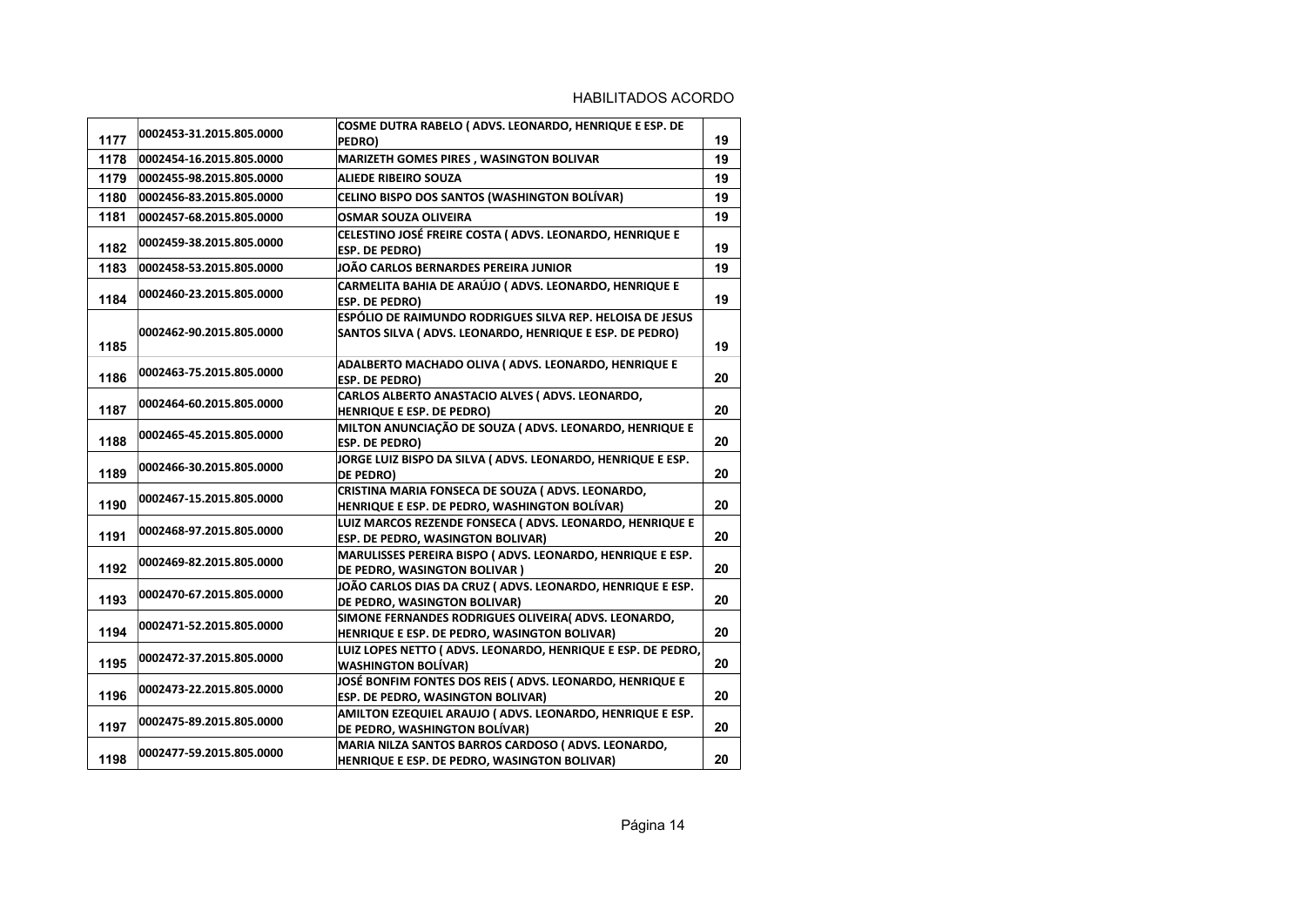| 1177 | 0002453-31.2015.805.0000 | COSME DUTRA RABELO (ADVS. LEONARDO, HENRIQUE E ESP. DE<br>PEDRO)                                                     | 19 |
|------|--------------------------|----------------------------------------------------------------------------------------------------------------------|----|
| 1178 | 0002454-16.2015.805.0000 | MARIZETH GOMES PIRES, WASINGTON BOLIVAR                                                                              | 19 |
| 1179 | 0002455-98.2015.805.0000 | <b>ALIEDE RIBEIRO SOUZA</b>                                                                                          | 19 |
| 1180 | 0002456-83.2015.805.0000 | CELINO BISPO DOS SANTOS (WASHINGTON BOLÍVAR)                                                                         | 19 |
| 1181 | 0002457-68.2015.805.0000 | <b>OSMAR SOUZA OLIVEIRA</b>                                                                                          | 19 |
| 1182 | 0002459-38.2015.805.0000 | CELESTINO JOSÉ FREIRE COSTA (ADVS. LEONARDO, HENRIQUE E<br><b>ESP. DE PEDRO)</b>                                     | 19 |
| 1183 | 0002458-53.2015.805.0000 | JOÃO CARLOS BERNARDES PEREIRA JUNIOR                                                                                 | 19 |
| 1184 | 0002460-23.2015.805.0000 | CARMELITA BAHIA DE ARAÚJO (ADVS. LEONARDO, HENRIQUE E<br><b>ESP. DE PEDRO)</b>                                       | 19 |
| 1185 | 0002462-90.2015.805.0000 | ESPÓLIO DE RAIMUNDO RODRIGUES SILVA REP. HELOISA DE JESUS<br>SANTOS SILVA (ADVS. LEONARDO, HENRIQUE E ESP. DE PEDRO) | 19 |
| 1186 | 0002463-75.2015.805.0000 | ADALBERTO MACHADO OLIVA (ADVS. LEONARDO, HENRIQUE E<br><b>ESP. DE PEDRO)</b>                                         | 20 |
| 1187 | 0002464-60.2015.805.0000 | CARLOS ALBERTO ANASTACIO ALVES (ADVS. LEONARDO,<br>HENRIQUE E ESP. DE PEDRO)                                         | 20 |
| 1188 | 0002465-45.2015.805.0000 | MILTON ANUNCIAÇÃO DE SOUZA (ADVS. LEONARDO, HENRIQUE E<br>ESP. DE PEDRO)                                             | 20 |
| 1189 | 0002466-30.2015.805.0000 | JORGE LUIZ BISPO DA SILVA (ADVS. LEONARDO, HENRIQUE E ESP.<br><b>DE PEDRO)</b>                                       | 20 |
| 1190 | 0002467-15.2015.805.0000 | CRISTINA MARIA FONSECA DE SOUZA (ADVS. LEONARDO,<br>HENRIQUE E ESP. DE PEDRO, WASHINGTON BOLÍVAR)                    | 20 |
| 1191 | 0002468-97.2015.805.0000 | LUIZ MARCOS REZENDE FONSECA (ADVS. LEONARDO, HENRIQUE E<br>ESP. DE PEDRO, WASINGTON BOLIVAR)                         | 20 |
| 1192 | 0002469-82.2015.805.0000 | MARULISSES PEREIRA BISPO (ADVS. LEONARDO, HENRIQUE E ESP.<br>DE PEDRO, WASINGTON BOLIVAR)                            | 20 |
| 1193 | 0002470-67.2015.805.0000 | JOÃO CARLOS DIAS DA CRUZ (ADVS. LEONARDO, HENRIQUE E ESP.<br>DE PEDRO, WASINGTON BOLIVAR)                            | 20 |
| 1194 | 0002471-52.2015.805.0000 | SIMONE FERNANDES RODRIGUES OLIVEIRA( ADVS. LEONARDO,<br>HENRIQUE E ESP. DE PEDRO, WASINGTON BOLIVAR)                 | 20 |
| 1195 | 0002472-37.2015.805.0000 | LUIZ LOPES NETTO (ADVS. LEONARDO, HENRIQUE E ESP. DE PEDRO,<br><b>WASHINGTON BOLÍVAR)</b>                            | 20 |
| 1196 | 0002473-22.2015.805.0000 | JOSÉ BONFIM FONTES DOS REIS (ADVS. LEONARDO, HENRIQUE E<br>ESP. DE PEDRO, WASINGTON BOLIVAR)                         | 20 |
| 1197 | 0002475-89.2015.805.0000 | AMILTON EZEQUIEL ARAUJO (ADVS. LEONARDO, HENRIQUE E ESP.<br>DE PEDRO, WASHINGTON BOLÍVAR)                            | 20 |
| 1198 | 0002477-59.2015.805.0000 | MARIA NILZA SANTOS BARROS CARDOSO (ADVS. LEONARDO,<br>HENRIQUE E ESP. DE PEDRO, WASINGTON BOLIVAR)                   | 20 |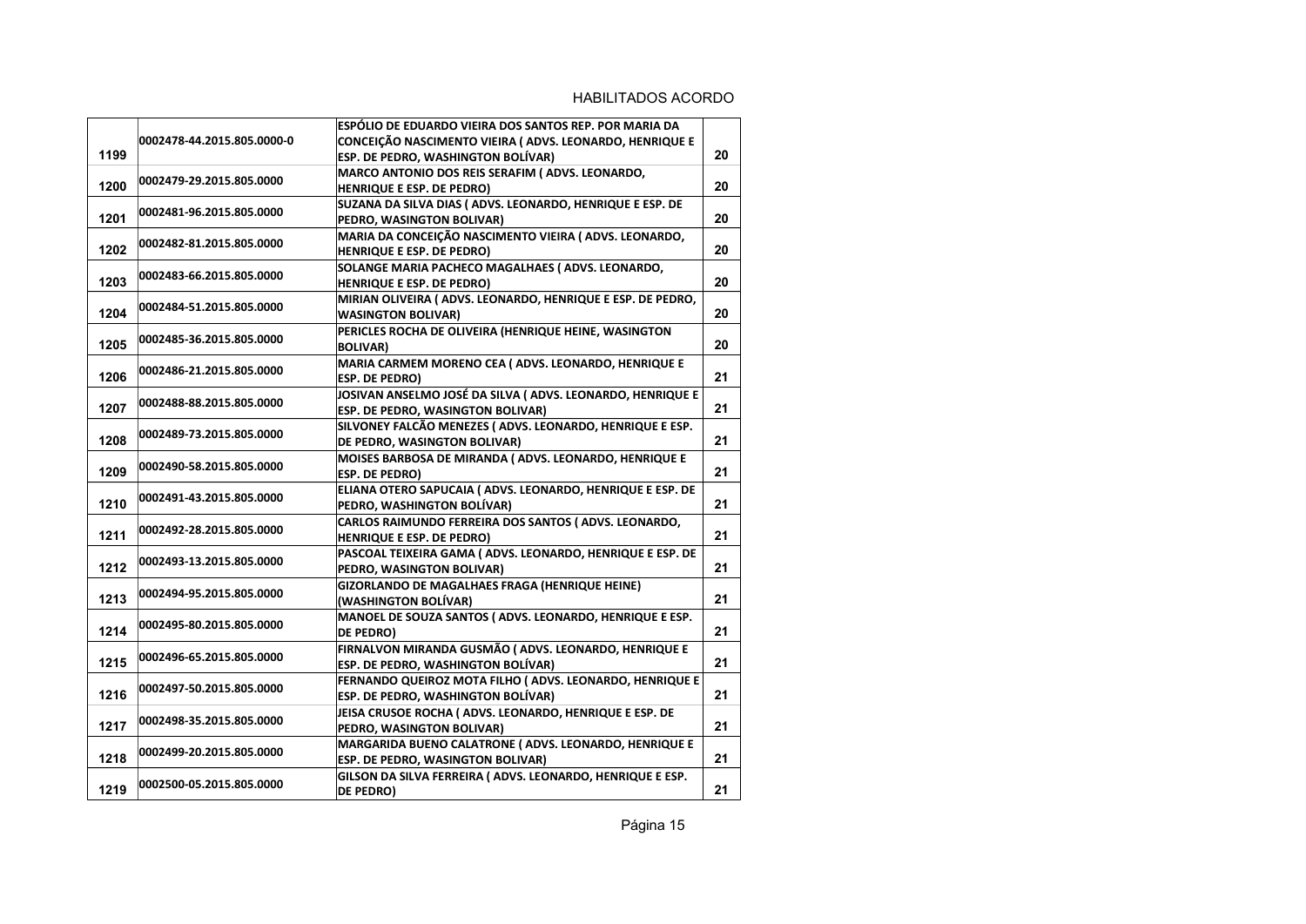|      |                            | ESPÓLIO DE EDUARDO VIEIRA DOS SANTOS REP. POR MARIA DA     |    |
|------|----------------------------|------------------------------------------------------------|----|
|      | 0002478-44.2015.805.0000-0 | CONCEIÇÃO NASCIMENTO VIEIRA (ADVS. LEONARDO, HENRIQUE E    |    |
| 1199 |                            | ESP. DE PEDRO, WASHINGTON BOLÍVAR)                         | 20 |
|      |                            | MARCO ANTONIO DOS REIS SERAFIM (ADVS. LEONARDO,            |    |
| 1200 | 0002479-29.2015.805.0000   | HENRIQUE E ESP. DE PEDRO)                                  | 20 |
|      |                            | SUZANA DA SILVA DIAS (ADVS. LEONARDO, HENRIQUE E ESP. DE   |    |
| 1201 | 0002481-96.2015.805.0000   | PEDRO, WASINGTON BOLIVAR)                                  | 20 |
|      |                            | MARIA DA CONCEIÇÃO NASCIMENTO VIEIRA (ADVS. LEONARDO,      |    |
| 1202 | 0002482-81.2015.805.0000   | HENRIQUE E ESP. DE PEDRO)                                  | 20 |
|      |                            | SOLANGE MARIA PACHECO MAGALHAES (ADVS. LEONARDO,           |    |
| 1203 | 0002483-66.2015.805.0000   | HENRIQUE E ESP. DE PEDRO)                                  | 20 |
|      |                            | MIRIAN OLIVEIRA (ADVS. LEONARDO, HENRIQUE E ESP. DE PEDRO, |    |
| 1204 | 0002484-51.2015.805.0000   | <b>WASINGTON BOLIVAR)</b>                                  | 20 |
|      |                            | PERICLES ROCHA DE OLIVEIRA (HENRIQUE HEINE, WASINGTON      |    |
| 1205 | 0002485-36.2015.805.0000   | <b>BOLIVAR)</b>                                            | 20 |
|      |                            | MARIA CARMEM MORENO CEA ( ADVS. LEONARDO, HENRIQUE E       |    |
| 1206 | 0002486-21.2015.805.0000   | <b>ESP. DE PEDRO)</b>                                      | 21 |
|      |                            | JOSIVAN ANSELMO JOSÉ DA SILVA (ADVS. LEONARDO, HENRIQUE E  |    |
| 1207 | 0002488-88.2015.805.0000   | ESP. DE PEDRO, WASINGTON BOLIVAR)                          | 21 |
|      |                            | SILVONEY FALCÃO MENEZES (ADVS. LEONARDO, HENRIQUE E ESP.   |    |
| 1208 | 0002489-73.2015.805.0000   | DE PEDRO, WASINGTON BOLIVAR)                               | 21 |
|      |                            | MOISES BARBOSA DE MIRANDA (ADVS. LEONARDO, HENRIQUE E      |    |
| 1209 | 0002490-58.2015.805.0000   | <b>ESP. DE PEDRO)</b>                                      | 21 |
|      |                            | ELIANA OTERO SAPUCAIA (ADVS. LEONARDO, HENRIQUE E ESP. DE  |    |
| 1210 | 0002491-43.2015.805.0000   | PEDRO, WASHINGTON BOLÍVAR)                                 | 21 |
|      |                            | CARLOS RAIMUNDO FERREIRA DOS SANTOS (ADVS. LEONARDO,       |    |
| 1211 | 0002492-28.2015.805.0000   | HENRIQUE E ESP. DE PEDRO)                                  | 21 |
|      |                            | PASCOAL TEIXEIRA GAMA (ADVS. LEONARDO, HENRIQUE E ESP. DE  |    |
| 1212 | 0002493-13.2015.805.0000   | PEDRO, WASINGTON BOLIVAR)                                  | 21 |
|      |                            | GIZORLANDO DE MAGALHAES FRAGA (HENRIQUE HEINE)             |    |
| 1213 | 0002494-95.2015.805.0000   | (WASHINGTON BOLÍVAR)                                       | 21 |
|      |                            | MANOEL DE SOUZA SANTOS (ADVS. LEONARDO, HENRIQUE E ESP.    |    |
| 1214 | 0002495-80.2015.805.0000   | <b>DE PEDRO)</b>                                           | 21 |
|      |                            | FIRNALVON MIRANDA GUSMÃO (ADVS. LEONARDO, HENRIQUE E       |    |
| 1215 | 0002496-65.2015.805.0000   | <b>ESP. DE PEDRO, WASHINGTON BOLÍVAR)</b>                  | 21 |
|      |                            | FERNANDO QUEIROZ MOTA FILHO (ADVS. LEONARDO, HENRIQUE E    |    |
| 1216 | 0002497-50.2015.805.0000   | ESP. DE PEDRO, WASHINGTON BOLÍVAR)                         | 21 |
|      |                            | JEISA CRUSOE ROCHA (ADVS. LEONARDO, HENRIQUE E ESP. DE     |    |
| 1217 | 0002498-35.2015.805.0000   | PEDRO, WASINGTON BOLIVAR)                                  | 21 |
|      |                            | MARGARIDA BUENO CALATRONE (ADVS. LEONARDO, HENRIQUE E      |    |
| 1218 | 0002499-20.2015.805.0000   | ESP. DE PEDRO, WASINGTON BOLIVAR)                          | 21 |
|      |                            |                                                            |    |
| 1219 | 0002500-05.2015.805.0000   | GILSON DA SILVA FERREIRA (ADVS. LEONARDO, HENRIQUE E ESP.  | 21 |
|      |                            | <b>DE PEDRO)</b>                                           |    |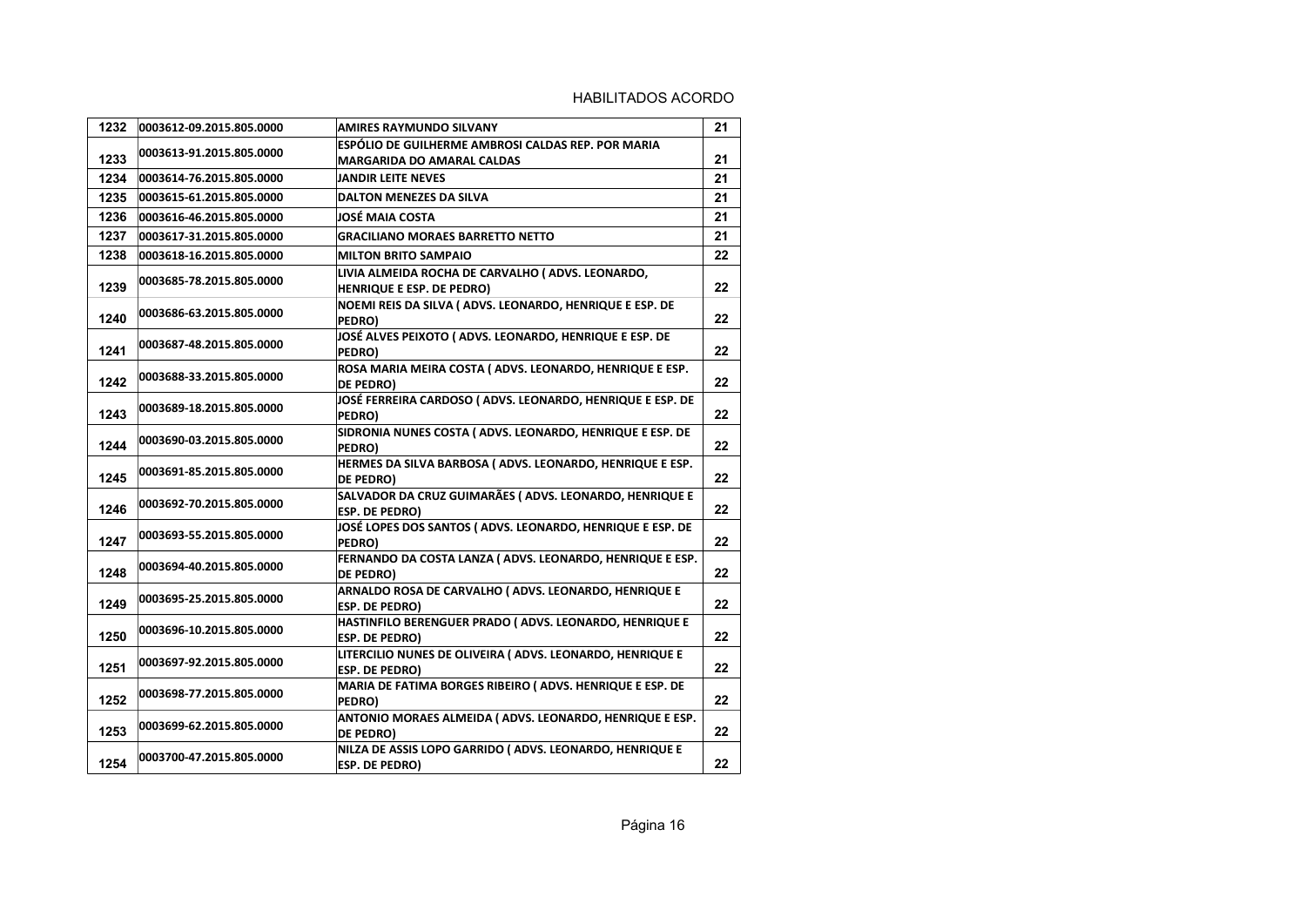| 1232 | 0003612-09.2015.805.0000 | AMIRES RAYMUNDO SILVANY                                                           | 21      |
|------|--------------------------|-----------------------------------------------------------------------------------|---------|
|      | 0003613-91.2015.805.0000 | ESPÓLIO DE GUILHERME AMBROSI CALDAS REP. POR MARIA                                |         |
| 1233 |                          | <b>MARGARIDA DO AMARAL CALDAS</b>                                                 | 21      |
| 1234 | 0003614-76.2015.805.0000 | <b>JANDIR LEITE NEVES</b>                                                         | 21      |
| 1235 | 0003615-61.2015.805.0000 | <b>DALTON MENEZES DA SILVA</b>                                                    | 21      |
| 1236 | 0003616-46.2015.805.0000 | JOSÉ MAIA COSTA                                                                   | 21      |
| 1237 | 0003617-31.2015.805.0000 | <b>GRACILIANO MORAES BARRETTO NETTO</b>                                           | 21      |
| 1238 | 0003618-16.2015.805.0000 | <b>MILTON BRITO SAMPAIO</b>                                                       | 22      |
| 1239 | 0003685-78.2015.805.0000 | LIVIA ALMEIDA ROCHA DE CARVALHO (ADVS. LEONARDO,<br>HENRIQUE E ESP. DE PEDRO)     | 22      |
| 1240 | 0003686-63.2015.805.0000 | NOEMI REIS DA SILVA (ADVS. LEONARDO, HENRIQUE E ESP. DE<br>PEDRO)                 | 22      |
| 1241 | 0003687-48.2015.805.0000 | JOSÉ ALVES PEIXOTO (ADVS. LEONARDO, HENRIQUE E ESP. DE<br>PEDRO)                  | 22      |
| 1242 | 0003688-33.2015.805.0000 | ROSA MARIA MEIRA COSTA (ADVS. LEONARDO, HENRIQUE E ESP.<br>DE PEDRO)              | 22      |
| 1243 | 0003689-18.2015.805.0000 | JOSÉ FERREIRA CARDOSO (ADVS. LEONARDO, HENRIQUE E ESP. DE<br>PEDRO)               | 22      |
| 1244 | 0003690-03.2015.805.0000 | SIDRONIA NUNES COSTA (ADVS. LEONARDO, HENRIQUE E ESP. DE<br>PEDRO)                | 22      |
| 1245 | 0003691-85.2015.805.0000 | HERMES DA SILVA BARBOSA (ADVS. LEONARDO, HENRIQUE E ESP.<br>DE PEDRO)             | 22      |
| 1246 | 0003692-70.2015.805.0000 | SALVADOR DA CRUZ GUIMARÃES (ADVS. LEONARDO, HENRIQUE E<br><b>ESP. DE PEDRO)</b>   | $22 \,$ |
| 1247 | 0003693-55.2015.805.0000 | JOSÉ LOPES DOS SANTOS (ADVS. LEONARDO, HENRIQUE E ESP. DE<br>PEDRO)               | 22      |
| 1248 | 0003694-40.2015.805.0000 | FERNANDO DA COSTA LANZA (ADVS. LEONARDO, HENRIQUE E ESP.<br><b>DE PEDRO)</b>      | 22      |
| 1249 | 0003695-25.2015.805.0000 | ARNALDO ROSA DE CARVALHO (ADVS. LEONARDO, HENRIQUE E<br><b>ESP. DE PEDRO)</b>     | 22      |
| 1250 | 0003696-10.2015.805.0000 | HASTINFILO BERENGUER PRADO (ADVS. LEONARDO, HENRIQUE E<br><b>ESP. DE PEDRO)</b>   | 22      |
| 1251 | 0003697-92.2015.805.0000 | LITERCILIO NUNES DE OLIVEIRA (ADVS. LEONARDO, HENRIQUE E<br><b>ESP. DE PEDRO)</b> | 22      |
| 1252 | 0003698-77.2015.805.0000 | MARIA DE FATIMA BORGES RIBEIRO (ADVS. HENRIQUE E ESP. DE<br>PEDRO)                | 22      |
| 1253 | 0003699-62.2015.805.0000 | ANTONIO MORAES ALMEIDA (ADVS. LEONARDO, HENRIQUE E ESP.<br>DE PEDRO)              | 22      |
| 1254 | 0003700-47.2015.805.0000 | NILZA DE ASSIS LOPO GARRIDO (ADVS. LEONARDO, HENRIQUE E<br><b>ESP. DE PEDRO)</b>  | 22      |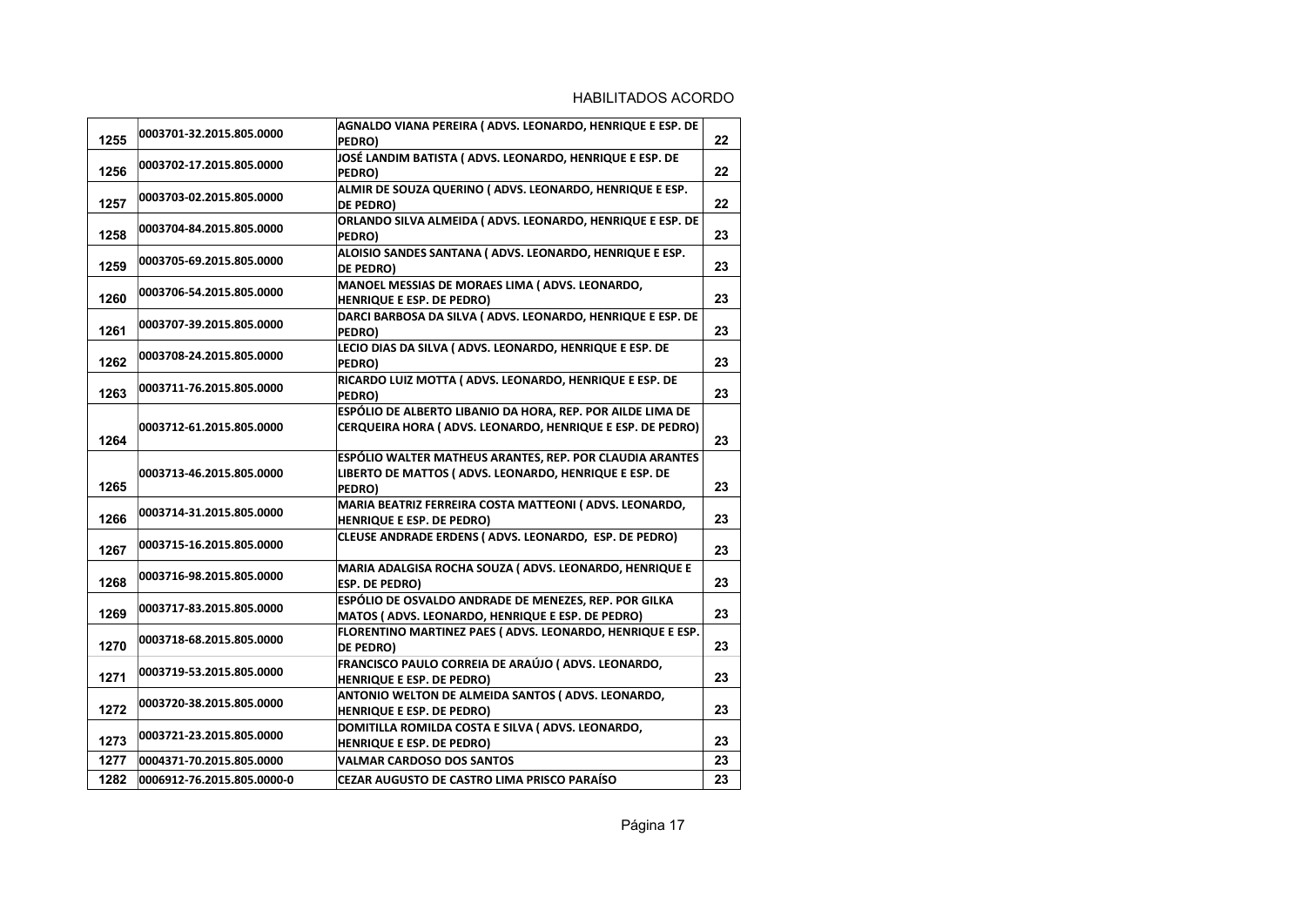| 1255 | 0003701-32.2015.805.0000   | AGNALDO VIANA PEREIRA (ADVS. LEONARDO, HENRIQUE E ESP. DE<br>PEDRO)                                                         | 22 |
|------|----------------------------|-----------------------------------------------------------------------------------------------------------------------------|----|
| 1256 | 0003702-17.2015.805.0000   | JOSÉ LANDIM BATISTA (ADVS. LEONARDO, HENRIQUE E ESP. DE<br>PEDRO)                                                           | 22 |
| 1257 | 0003703-02.2015.805.0000   | ALMIR DE SOUZA QUERINO (ADVS. LEONARDO, HENRIQUE E ESP.<br>DE PEDRO)                                                        | 22 |
| 1258 | 0003704-84.2015.805.0000   | ORLANDO SILVA ALMEIDA (ADVS. LEONARDO, HENRIQUE E ESP. DE<br>PEDRO)                                                         | 23 |
| 1259 | 0003705-69.2015.805.0000   | ALOISIO SANDES SANTANA (ADVS. LEONARDO, HENRIQUE E ESP.<br>DE PEDRO)                                                        | 23 |
| 1260 | 0003706-54.2015.805.0000   | MANOEL MESSIAS DE MORAES LIMA (ADVS. LEONARDO,<br>HENRIQUE E ESP. DE PEDRO)                                                 | 23 |
| 1261 | 0003707-39.2015.805.0000   | DARCI BARBOSA DA SILVA (ADVS. LEONARDO, HENRIQUE E ESP. DE<br>PEDRO)                                                        | 23 |
| 1262 | 0003708-24.2015.805.0000   | LECIO DIAS DA SILVA (ADVS. LEONARDO, HENRIQUE E ESP. DE<br>PEDRO)                                                           | 23 |
| 1263 | 0003711-76.2015.805.0000   | RICARDO LUIZ MOTTA (ADVS. LEONARDO, HENRIQUE E ESP. DE<br>PEDRO)                                                            | 23 |
| 1264 | 0003712-61.2015.805.0000   | ESPÓLIO DE ALBERTO LIBANIO DA HORA, REP. POR AILDE LIMA DE<br>CERQUEIRA HORA (ADVS. LEONARDO, HENRIQUE E ESP. DE PEDRO)     | 23 |
| 1265 | 0003713-46.2015.805.0000   | ESPÓLIO WALTER MATHEUS ARANTES, REP. POR CLAUDIA ARANTES<br>LIBERTO DE MATTOS (ADVS. LEONARDO, HENRIQUE E ESP. DE<br>PEDRO) | 23 |
| 1266 | 0003714-31.2015.805.0000   | MARIA BEATRIZ FERREIRA COSTA MATTEONI (ADVS. LEONARDO,<br>HENRIQUE E ESP. DE PEDRO)                                         | 23 |
| 1267 | 0003715-16.2015.805.0000   | CLEUSE ANDRADE ERDENS (ADVS. LEONARDO, ESP. DE PEDRO)                                                                       | 23 |
| 1268 | 0003716-98.2015.805.0000   | MARIA ADALGISA ROCHA SOUZA (ADVS. LEONARDO, HENRIQUE E<br><b>ESP. DE PEDRO)</b>                                             | 23 |
| 1269 | 0003717-83.2015.805.0000   | ESPÓLIO DE OSVALDO ANDRADE DE MENEZES, REP. POR GILKA<br>MATOS (ADVS. LEONARDO, HENRIQUE E ESP. DE PEDRO)                   | 23 |
| 1270 | 0003718-68.2015.805.0000   | FLORENTINO MARTINEZ PAES (ADVS. LEONARDO, HENRIQUE E ESP.<br>DE PEDRO)                                                      | 23 |
| 1271 | 0003719-53.2015.805.0000   | FRANCISCO PAULO CORREIA DE ARAÚJO (ADVS. LEONARDO,<br>HENRIQUE E ESP. DE PEDRO)                                             | 23 |
| 1272 | 0003720-38.2015.805.0000   | ANTONIO WELTON DE ALMEIDA SANTOS (ADVS. LEONARDO,<br>HENRIQUE E ESP. DE PEDRO)                                              | 23 |
| 1273 | 0003721-23.2015.805.0000   | DOMITILLA ROMILDA COSTA E SILVA (ADVS. LEONARDO,<br>HENRIQUE E ESP. DE PEDRO)                                               | 23 |
| 1277 | 0004371-70.2015.805.0000   | <b>VALMAR CARDOSO DOS SANTOS</b>                                                                                            | 23 |
| 1282 | 0006912-76.2015.805.0000-0 | <b>CEZAR AUGUSTO DE CASTRO LIMA PRISCO PARAÍSO</b>                                                                          | 23 |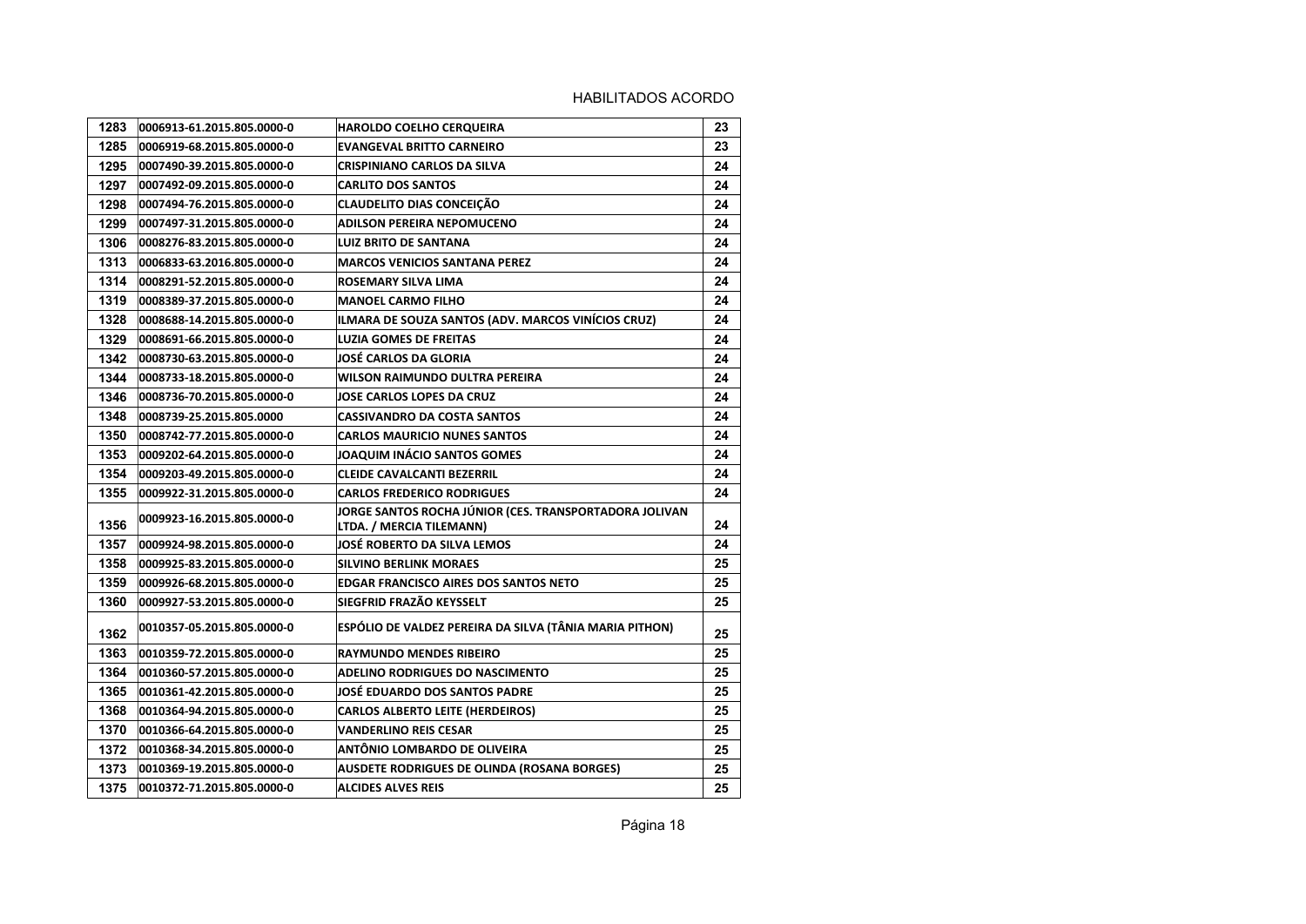| 1283 | 0006913-61.2015.805.0000-0 | <b>HAROLDO COELHO CERQUEIRA</b>                                                    | 23 |
|------|----------------------------|------------------------------------------------------------------------------------|----|
| 1285 | 0006919-68.2015.805.0000-0 | <b>EVANGEVAL BRITTO CARNEIRO</b>                                                   | 23 |
| 1295 | 0007490-39.2015.805.0000-0 | CRISPINIANO CARLOS DA SILVA                                                        | 24 |
| 1297 | 0007492-09.2015.805.0000-0 | <b>CARLITO DOS SANTOS</b>                                                          | 24 |
| 1298 | 0007494-76.2015.805.0000-0 | <b>CLAUDELITO DIAS CONCEIÇÃO</b>                                                   | 24 |
| 1299 | 0007497-31.2015.805.0000-0 | <b>ADILSON PEREIRA NEPOMUCENO</b>                                                  | 24 |
| 1306 | 0008276-83.2015.805.0000-0 | <b>LUIZ BRITO DE SANTANA</b>                                                       | 24 |
| 1313 | 0006833-63.2016.805.0000-0 | <b>MARCOS VENICIOS SANTANA PEREZ</b>                                               | 24 |
| 1314 | 0008291-52.2015.805.0000-0 | ROSEMARY SILVA LIMA                                                                | 24 |
| 1319 | 0008389-37.2015.805.0000-0 | <b>MANOEL CARMO FILHO</b>                                                          | 24 |
| 1328 | 0008688-14.2015.805.0000-0 | ILMARA DE SOUZA SANTOS (ADV. MARCOS VINÍCIOS CRUZ)                                 | 24 |
| 1329 | 0008691-66.2015.805.0000-0 | <b>LUZIA GOMES DE FREITAS</b>                                                      | 24 |
| 1342 | 0008730-63.2015.805.0000-0 | JOSÉ CARLOS DA GLORIA                                                              | 24 |
| 1344 | 0008733-18.2015.805.0000-0 | WILSON RAIMUNDO DULTRA PEREIRA                                                     | 24 |
| 1346 | 0008736-70.2015.805.0000-0 | <b>JOSE CARLOS LOPES DA CRUZ</b>                                                   | 24 |
| 1348 | 0008739-25.2015.805.0000   | CASSIVANDRO DA COSTA SANTOS                                                        | 24 |
| 1350 | 0008742-77.2015.805.0000-0 | CARLOS MAURICIO NUNES SANTOS                                                       | 24 |
| 1353 | 0009202-64.2015.805.0000-0 | JOAQUIM INÁCIO SANTOS GOMES                                                        | 24 |
| 1354 | 0009203-49.2015.805.0000-0 | <b>CLEIDE CAVALCANTI BEZERRIL</b>                                                  | 24 |
| 1355 | 0009922-31.2015.805.0000-0 | <b>CARLOS FREDERICO RODRIGUES</b>                                                  | 24 |
| 1356 | 0009923-16.2015.805.0000-0 | JORGE SANTOS ROCHA JÚNIOR (CES. TRANSPORTADORA JOLIVAN<br>LTDA. / MERCIA TILEMANN) | 24 |
| 1357 | 0009924-98.2015.805.0000-0 | JOSE ROBERTO DA SILVA LEMOS                                                        | 24 |
| 1358 | 0009925-83.2015.805.0000-0 | <b>SILVINO BERLINK MORAES</b>                                                      | 25 |
| 1359 | 0009926-68.2015.805.0000-0 | <b>EDGAR FRANCISCO AIRES DOS SANTOS NETO</b>                                       | 25 |
| 1360 | 0009927-53.2015.805.0000-0 | SIEGFRID FRAZÃO KEYSSELT                                                           | 25 |
| 1362 | 0010357-05.2015.805.0000-0 | ESPÓLIO DE VALDEZ PEREIRA DA SILVA (TÂNIA MARIA PITHON)                            | 25 |
| 1363 | 0010359-72.2015.805.0000-0 | <b>RAYMUNDO MENDES RIBEIRO</b>                                                     | 25 |
| 1364 | 0010360-57.2015.805.0000-0 | ADELINO RODRIGUES DO NASCIMENTO                                                    | 25 |
| 1365 | 0010361-42.2015.805.0000-0 | JOSÉ EDUARDO DOS SANTOS PADRE                                                      | 25 |
| 1368 | 0010364-94.2015.805.0000-0 | <b>CARLOS ALBERTO LEITE (HERDEIROS)</b>                                            | 25 |
| 1370 | 0010366-64.2015.805.0000-0 | <b>VANDERLINO REIS CESAR</b>                                                       | 25 |
| 1372 | 0010368-34.2015.805.0000-0 | ANTÔNIO LOMBARDO DE OLIVEIRA                                                       | 25 |
| 1373 | 0010369-19.2015.805.0000-0 | <b>AUSDETE RODRIGUES DE OLINDA (ROSANA BORGES)</b>                                 | 25 |
| 1375 | 0010372-71.2015.805.0000-0 | <b>ALCIDES ALVES REIS</b>                                                          | 25 |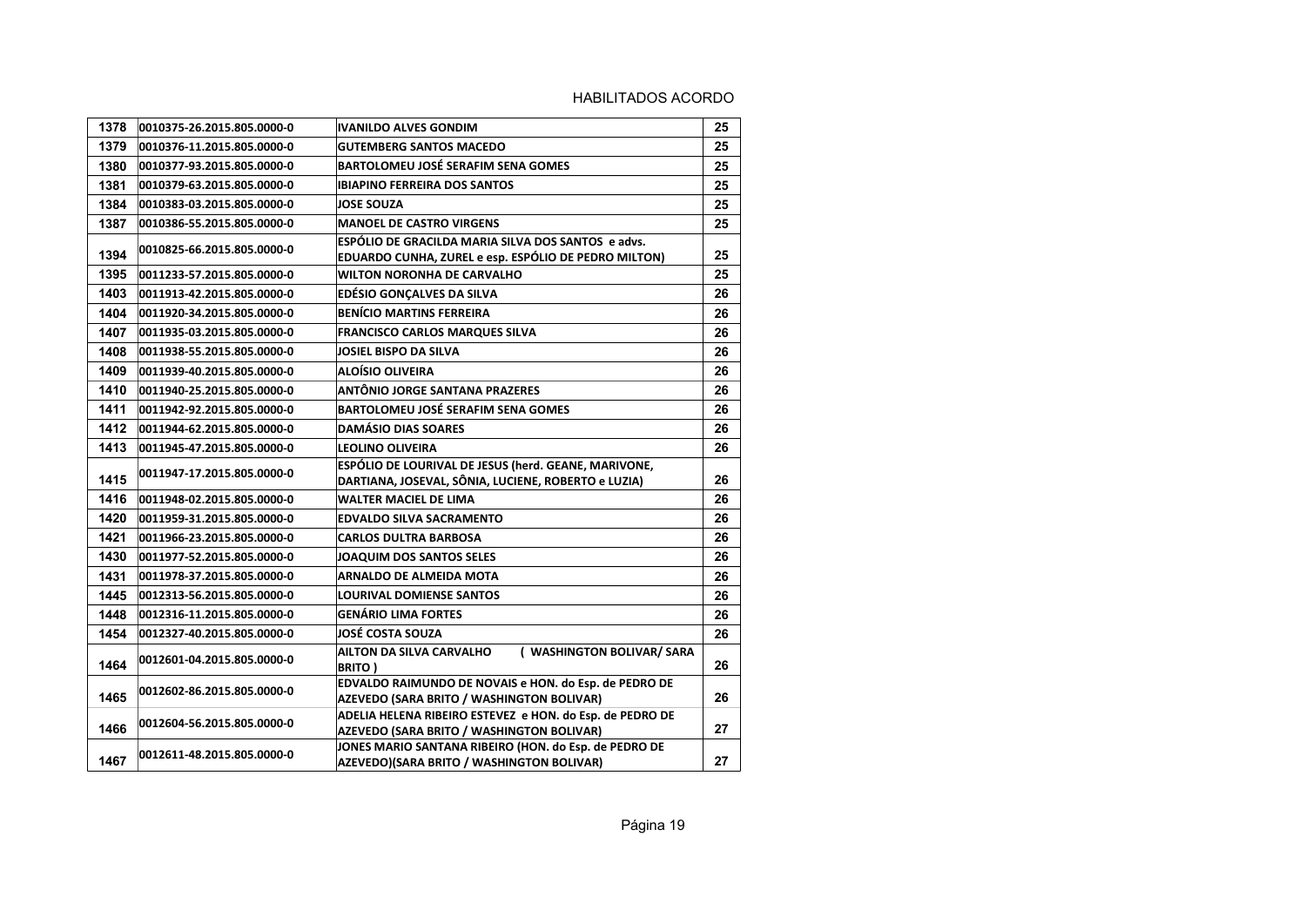| 1378 | 0010375-26.2015.805.0000-0 | <b>IVANILDO ALVES GONDIM</b>                                                                          | 25 |
|------|----------------------------|-------------------------------------------------------------------------------------------------------|----|
| 1379 | 0010376-11.2015.805.0000-0 | <b>GUTEMBERG SANTOS MACEDO</b>                                                                        | 25 |
| 1380 | 0010377-93.2015.805.0000-0 | <b>BARTOLOMEU JOSÉ SERAFIM SENA GOMES</b>                                                             | 25 |
| 1381 | 0010379-63.2015.805.0000-0 | <b>IBIAPINO FERREIRA DOS SANTOS</b>                                                                   | 25 |
| 1384 | 0010383-03.2015.805.0000-0 | <b>JOSE SOUZA</b>                                                                                     | 25 |
| 1387 | 0010386-55.2015.805.0000-0 | <b>MANOEL DE CASTRO VIRGENS</b>                                                                       | 25 |
|      | 0010825-66.2015.805.0000-0 | ESPÓLIO DE GRACILDA MARIA SILVA DOS SANTOS e advs.                                                    |    |
| 1394 |                            | EDUARDO CUNHA, ZUREL e esp. ESPÓLIO DE PEDRO MILTON)                                                  | 25 |
| 1395 | 0011233-57.2015.805.0000-0 | <b>WILTON NORONHA DE CARVALHO</b>                                                                     | 25 |
| 1403 | 0011913-42.2015.805.0000-0 | <b>EDÉSIO GONÇALVES DA SILVA</b>                                                                      | 26 |
| 1404 | 0011920-34.2015.805.0000-0 | <b>BENÍCIO MARTINS FERREIRA</b>                                                                       | 26 |
| 1407 | 0011935-03.2015.805.0000-0 | <b>FRANCISCO CARLOS MARQUES SILVA</b>                                                                 | 26 |
| 1408 | 0011938-55.2015.805.0000-0 | <b>JOSIEL BISPO DA SILVA</b>                                                                          | 26 |
| 1409 | 0011939-40.2015.805.0000-0 | ALOÍSIO OLIVEIRA                                                                                      | 26 |
| 1410 | 0011940-25.2015.805.0000-0 | ANTÔNIO JORGE SANTANA PRAZERES                                                                        | 26 |
| 1411 | 0011942-92.2015.805.0000-0 | BARTOLOMEU JOSÉ SERAFIM SENA GOMES                                                                    | 26 |
| 1412 | 0011944-62.2015.805.0000-0 | <b>DAMÁSIO DIAS SOARES</b>                                                                            | 26 |
| 1413 | 0011945-47.2015.805.0000-0 | <b>LEOLINO OLIVEIRA</b>                                                                               | 26 |
|      | 0011947-17.2015.805.0000-0 | ESPÓLIO DE LOURIVAL DE JESUS (herd. GEANE, MARIVONE,                                                  |    |
| 1415 |                            | DARTIANA, JOSEVAL, SÔNIA, LUCIENE, ROBERTO e LUZIA)                                                   | 26 |
| 1416 | 0011948-02.2015.805.0000-0 | <b>WALTER MACIEL DE LIMA</b>                                                                          | 26 |
| 1420 | 0011959-31.2015.805.0000-0 | <b>EDVALDO SILVA SACRAMENTO</b>                                                                       | 26 |
| 1421 | 0011966-23.2015.805.0000-0 | <b>CARLOS DULTRA BARBOSA</b>                                                                          | 26 |
| 1430 | 0011977-52.2015.805.0000-0 | JOAQUIM DOS SANTOS SELES                                                                              | 26 |
| 1431 | 0011978-37.2015.805.0000-0 | <b>ARNALDO DE ALMEIDA MOTA</b>                                                                        | 26 |
| 1445 | 0012313-56.2015.805.0000-0 | <b>LOURIVAL DOMIENSE SANTOS</b>                                                                       | 26 |
| 1448 | 0012316-11.2015.805.0000-0 | <b>GENÁRIO LIMA FORTES</b>                                                                            | 26 |
| 1454 | 0012327-40.2015.805.0000-0 | <b>JOSÉ COSTA SOUZA</b>                                                                               | 26 |
| 1464 | 0012601-04.2015.805.0000-0 | ( WASHINGTON BOLIVAR/ SARA<br>AILTON DA SILVA CARVALHO<br><b>BRITO)</b>                               | 26 |
| 1465 | 0012602-86.2015.805.0000-0 | EDVALDO RAIMUNDO DE NOVAIS e HON. do Esp. de PEDRO DE<br>AZEVEDO (SARA BRITO / WASHINGTON BOLIVAR)    | 26 |
| 1466 | 0012604-56.2015.805.0000-0 | ADELIA HELENA RIBEIRO ESTEVEZ e HON. do Esp. de PEDRO DE<br>AZEVEDO (SARA BRITO / WASHINGTON BOLIVAR) | 27 |
| 1467 | 0012611-48.2015.805.0000-0 | JONES MARIO SANTANA RIBEIRO (HON. do Esp. de PEDRO DE<br>AZEVEDO)(SARA BRITO / WASHINGTON BOLIVAR)    | 27 |
|      |                            |                                                                                                       |    |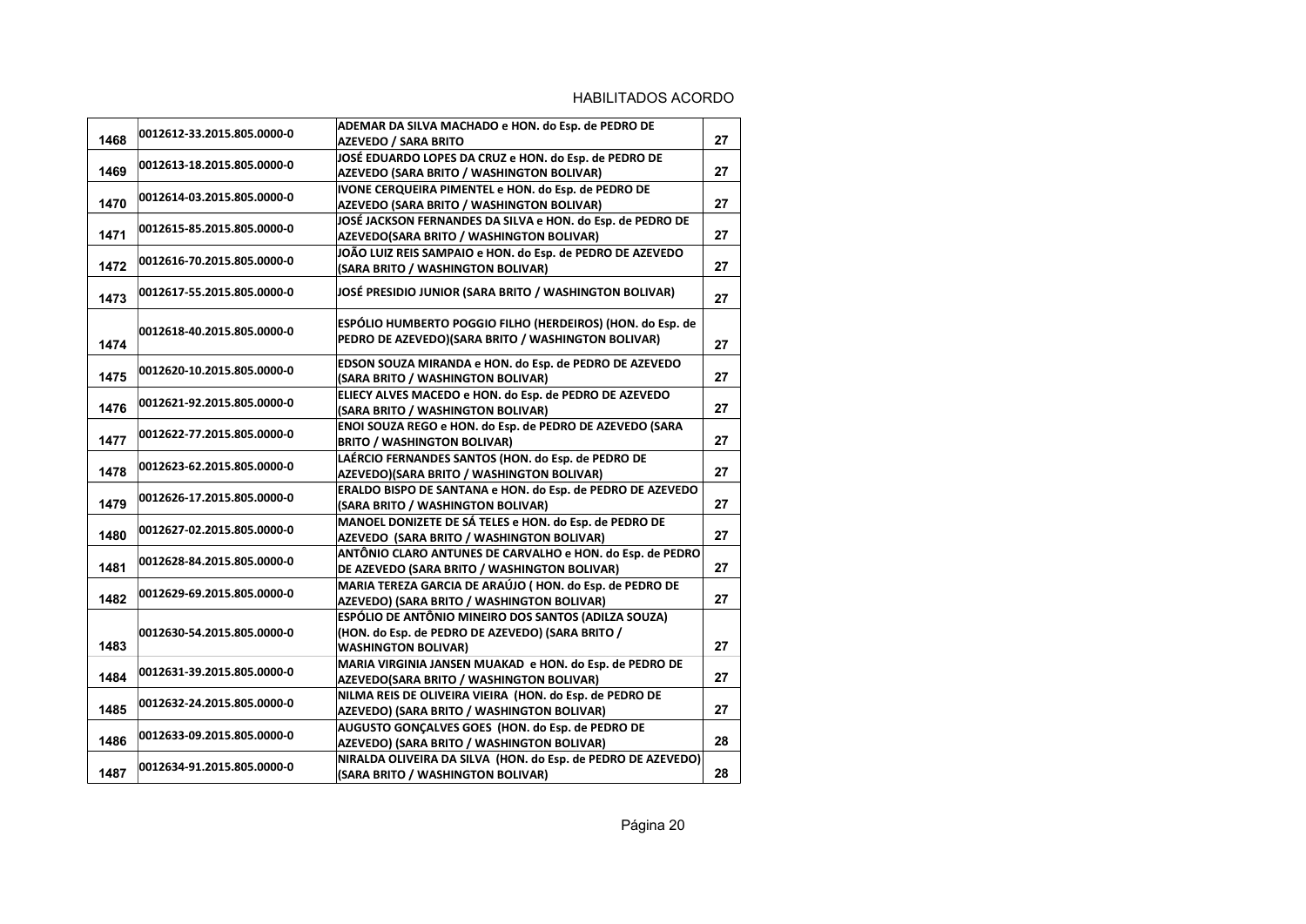| 1468 | 0012612-33.2015.805.0000-0 | ADEMAR DA SILVA MACHADO e HON. do Esp. de PEDRO DE<br>AZEVEDO / SARA BRITO                                                             | 27 |
|------|----------------------------|----------------------------------------------------------------------------------------------------------------------------------------|----|
| 1469 | 0012613-18.2015.805.0000-0 | JOSÉ EDUARDO LOPES DA CRUZ e HON. do Esp. de PEDRO DE<br>AZEVEDO (SARA BRITO / WASHINGTON BOLIVAR)                                     | 27 |
| 1470 | 0012614-03.2015.805.0000-0 | IVONE CERQUEIRA PIMENTEL e HON. do Esp. de PEDRO DE<br>AZEVEDO (SARA BRITO / WASHINGTON BOLIVAR)                                       | 27 |
| 1471 | 0012615-85.2015.805.0000-0 | JOSÉ JACKSON FERNANDES DA SILVA e HON. do Esp. de PEDRO DE<br>AZEVEDO(SARA BRITO / WASHINGTON BOLIVAR)                                 | 27 |
| 1472 | 0012616-70.2015.805.0000-0 | JOÃO LUIZ REIS SAMPAIO e HON. do Esp. de PEDRO DE AZEVEDO<br>(SARA BRITO / WASHINGTON BOLIVAR)                                         | 27 |
| 1473 | 0012617-55.2015.805.0000-0 | JOSÉ PRESIDIO JUNIOR (SARA BRITO / WASHINGTON BOLIVAR)                                                                                 | 27 |
| 1474 | 0012618-40.2015.805.0000-0 | ESPÓLIO HUMBERTO POGGIO FILHO (HERDEIROS) (HON. do Esp. de<br>PEDRO DE AZEVEDO)(SARA BRITO / WASHINGTON BOLIVAR)                       | 27 |
| 1475 | 0012620-10.2015.805.0000-0 | EDSON SOUZA MIRANDA e HON. do Esp. de PEDRO DE AZEVEDO<br>(SARA BRITO / WASHINGTON BOLIVAR)                                            | 27 |
| 1476 | 0012621-92.2015.805.0000-0 | ELIECY ALVES MACEDO e HON. do Esp. de PEDRO DE AZEVEDO<br>(SARA BRITO / WASHINGTON BOLIVAR)                                            | 27 |
| 1477 | 0012622-77.2015.805.0000-0 | ENOI SOUZA REGO e HON. do Esp. de PEDRO DE AZEVEDO (SARA<br><b>BRITO / WASHINGTON BOLIVAR)</b>                                         | 27 |
| 1478 | 0012623-62.2015.805.0000-0 | LAÉRCIO FERNANDES SANTOS (HON. do Esp. de PEDRO DE<br>AZEVEDO)(SARA BRITO / WASHINGTON BOLIVAR)                                        | 27 |
| 1479 | 0012626-17.2015.805.0000-0 | ERALDO BISPO DE SANTANA e HON. do Esp. de PEDRO DE AZEVEDO<br>(SARA BRITO / WASHINGTON BOLIVAR)                                        | 27 |
| 1480 | 0012627-02.2015.805.0000-0 | MANOEL DONIZETE DE SÁ TELES e HON. do Esp. de PEDRO DE<br>AZEVEDO (SARA BRITO / WASHINGTON BOLIVAR)                                    | 27 |
| 1481 | 0012628-84.2015.805.0000-0 | ANTÔNIO CLARO ANTUNES DE CARVALHO e HON. do Esp. de PEDRO<br>DE AZEVEDO (SARA BRITO / WASHINGTON BOLIVAR)                              | 27 |
| 1482 | 0012629-69.2015.805.0000-0 | MARIA TEREZA GARCIA DE ARAÚJO (HON. do Esp. de PEDRO DE<br>AZEVEDO) (SARA BRITO / WASHINGTON BOLIVAR)                                  | 27 |
| 1483 | 0012630-54.2015.805.0000-0 | ESPÓLIO DE ANTÔNIO MINEIRO DOS SANTOS (ADILZA SOUZA)<br>(HON. do Esp. de PEDRO DE AZEVEDO) (SARA BRITO /<br><b>WASHINGTON BOLIVAR)</b> | 27 |
| 1484 | 0012631-39.2015.805.0000-0 | MARIA VIRGINIA JANSEN MUAKAD e HON. do Esp. de PEDRO DE<br>AZEVEDO(SARA BRITO / WASHINGTON BOLIVAR)                                    | 27 |
| 1485 | 0012632-24.2015.805.0000-0 | NILMA REIS DE OLIVEIRA VIEIRA (HON. do Esp. de PEDRO DE<br>AZEVEDO) (SARA BRITO / WASHINGTON BOLIVAR)                                  | 27 |
| 1486 | 0012633-09.2015.805.0000-0 | AUGUSTO GONCALVES GOES (HON. do Esp. de PEDRO DE<br>AZEVEDO) (SARA BRITO / WASHINGTON BOLIVAR)                                         | 28 |
| 1487 | 0012634-91.2015.805.0000-0 | NIRALDA OLIVEIRA DA SILVA (HON. do Esp. de PEDRO DE AZEVEDO)<br>(SARA BRITO / WASHINGTON BOLIVAR)                                      | 28 |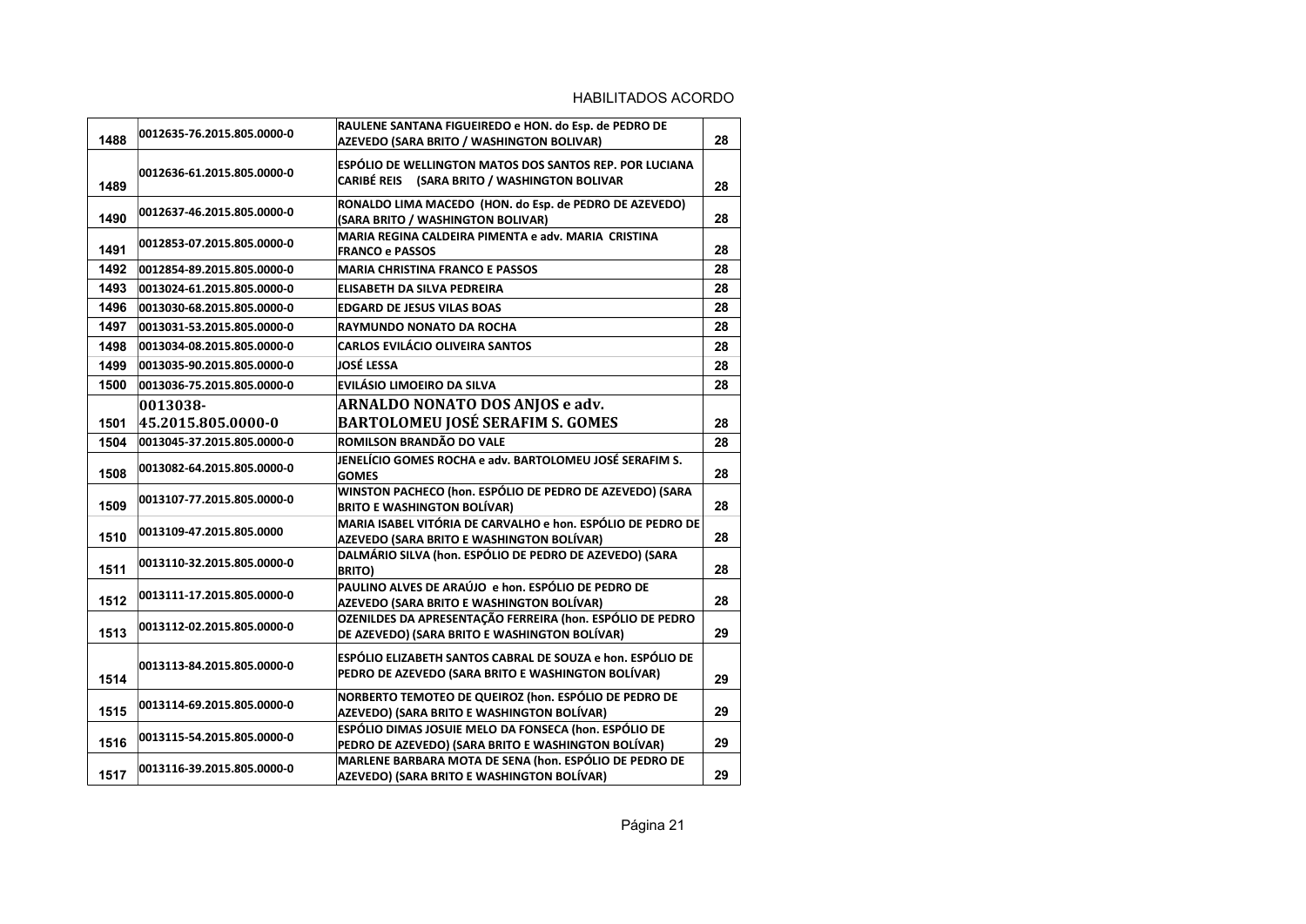| 1488 | 0012635-76.2015.805.0000-0 | RAULENE SANTANA FIGUEIREDO e HON. do Esp. de PEDRO DE<br>AZEVEDO (SARA BRITO / WASHINGTON BOLIVAR)               | 28 |
|------|----------------------------|------------------------------------------------------------------------------------------------------------------|----|
| 1489 | 0012636-61.2015.805.0000-0 | <b>ESPÓLIO DE WELLINGTON MATOS DOS SANTOS REP. POR LUCIANA</b><br>CARIBÉ REIS (SARA BRITO / WASHINGTON BOLIVAR   | 28 |
| 1490 | 0012637-46.2015.805.0000-0 | RONALDO LIMA MACEDO (HON. do Esp. de PEDRO DE AZEVEDO)<br>(SARA BRITO / WASHINGTON BOLIVAR)                      | 28 |
| 1491 | 0012853-07.2015.805.0000-0 | MARIA REGINA CALDEIRA PIMENTA e adv. MARIA CRISTINA<br><b>FRANCO e PASSOS</b>                                    | 28 |
| 1492 | 0012854-89.2015.805.0000-0 | <b>MARIA CHRISTINA FRANCO E PASSOS</b>                                                                           | 28 |
| 1493 | 0013024-61.2015.805.0000-0 | ELISABETH DA SILVA PEDREIRA                                                                                      | 28 |
| 1496 | 0013030-68.2015.805.0000-0 | <b>EDGARD DE JESUS VILAS BOAS</b>                                                                                | 28 |
| 1497 | 0013031-53.2015.805.0000-0 | <b>RAYMUNDO NONATO DA ROCHA</b>                                                                                  | 28 |
| 1498 | 0013034-08.2015.805.0000-0 | <b>CARLOS EVILÁCIO OLIVEIRA SANTOS</b>                                                                           | 28 |
| 1499 | 0013035-90.2015.805.0000-0 | JOSÉ LESSA                                                                                                       | 28 |
| 1500 | 0013036-75.2015.805.0000-0 | <b>EVILÁSIO LIMOEIRO DA SILVA</b>                                                                                | 28 |
|      | 0013038-                   | ARNALDO NONATO DOS ANJOS e adv.                                                                                  |    |
| 1501 | 45.2015.805.0000-0         | <b>BARTOLOMEU JOSÉ SERAFIM S. GOMES</b>                                                                          | 28 |
| 1504 | 0013045-37.2015.805.0000-0 | ROMILSON BRANDÃO DO VALE                                                                                         | 28 |
| 1508 | 0013082-64.2015.805.0000-0 | JENELÍCIO GOMES ROCHA e adv. BARTOLOMEU JOSÉ SERAFIM S.<br><b>GOMES</b>                                          | 28 |
| 1509 | 0013107-77.2015.805.0000-0 | WINSTON PACHECO (hon. ESPÓLIO DE PEDRO DE AZEVEDO) (SARA<br><b>BRITO E WASHINGTON BOLÍVAR)</b>                   | 28 |
| 1510 | 0013109-47.2015.805.0000   | MARIA ISABEL VITÓRIA DE CARVALHO e hon. ESPÓLIO DE PEDRO DE<br>AZEVEDO (SARA BRITO E WASHINGTON BOLÍVAR)         | 28 |
| 1511 | 0013110-32.2015.805.0000-0 | DALMÁRIO SILVA (hon. ESPÓLIO DE PEDRO DE AZEVEDO) (SARA<br><b>BRITO)</b>                                         | 28 |
| 1512 | 0013111-17.2015.805.0000-0 | PAULINO ALVES DE ARAÚJO e hon. ESPÓLIO DE PEDRO DE<br>AZEVEDO (SARA BRITO E WASHINGTON BOLÍVAR)                  | 28 |
| 1513 | 0013112-02.2015.805.0000-0 | OZENILDES DA APRESENTAÇÃO FERREIRA (hon. ESPÓLIO DE PEDRO<br>DE AZEVEDO) (SARA BRITO E WASHINGTON BOLÍVAR)       | 29 |
| 1514 | 0013113-84.2015.805.0000-0 | ESPÓLIO ELIZABETH SANTOS CABRAL DE SOUZA e hon. ESPÓLIO DE<br>PEDRO DE AZEVEDO (SARA BRITO E WASHINGTON BOLÍVAR) | 29 |
| 1515 | 0013114-69.2015.805.0000-0 | NORBERTO TEMOTEO DE QUEIROZ (hon. ESPÓLIO DE PEDRO DE<br>AZEVEDO) (SARA BRITO E WASHINGTON BOLÍVAR)              | 29 |
| 1516 | 0013115-54.2015.805.0000-0 | ESPÓLIO DIMAS JOSUIE MELO DA FONSECA (hon. ESPÓLIO DE<br>PEDRO DE AZEVEDO) (SARA BRITO E WASHINGTON BOLÍVAR)     | 29 |
| 1517 | 0013116-39.2015.805.0000-0 | MARLENE BARBARA MOTA DE SENA (hon. ESPÓLIO DE PEDRO DE<br><b>AZEVEDO) (SARA BRITO E WASHINGTON BOLÍVAR)</b>      | 29 |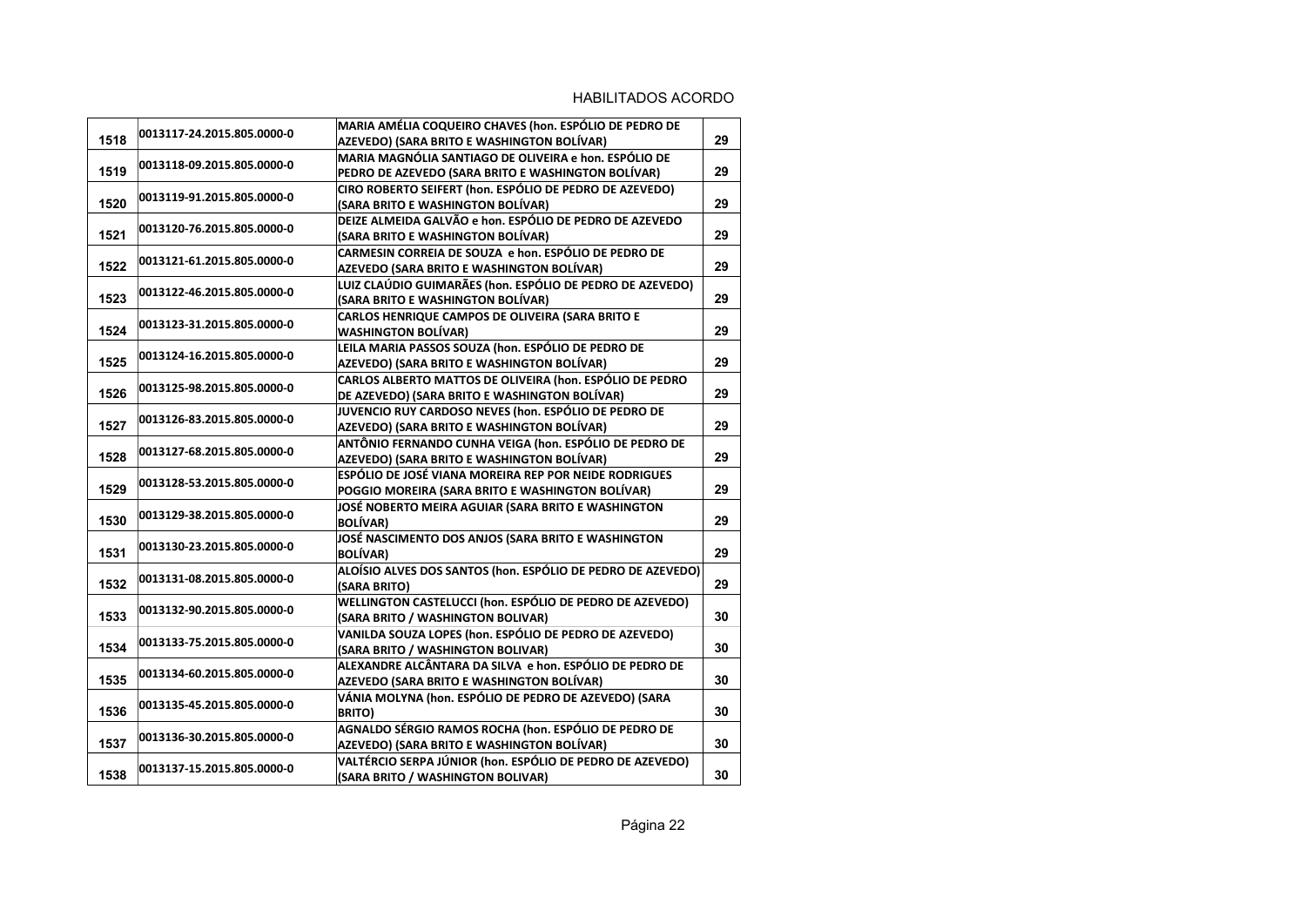| 1518 | 0013117-24.2015.805.0000-0 | MARIA AMÉLIA COQUEIRO CHAVES (hon. ESPÓLIO DE PEDRO DE<br>AZEVEDO) (SARA BRITO E WASHINGTON BOLÍVAR) | 29 |
|------|----------------------------|------------------------------------------------------------------------------------------------------|----|
|      |                            | MARIA MAGNÓLIA SANTIAGO DE OLIVEIRA e hon. ESPÓLIO DE                                                |    |
| 1519 | 0013118-09.2015.805.0000-0 | PEDRO DE AZEVEDO (SARA BRITO E WASHINGTON BOLÍVAR)                                                   | 29 |
|      | 0013119-91.2015.805.0000-0 | CIRO ROBERTO SEIFERT (hon. ESPÓLIO DE PEDRO DE AZEVEDO)                                              |    |
| 1520 |                            | (SARA BRITO E WASHINGTON BOLÍVAR)                                                                    | 29 |
|      | 0013120-76.2015.805.0000-0 | DEIZE ALMEIDA GALVÃO e hon. ESPÓLIO DE PEDRO DE AZEVEDO                                              |    |
| 1521 |                            | (SARA BRITO E WASHINGTON BOLÍVAR)                                                                    | 29 |
|      | 0013121-61.2015.805.0000-0 | CARMESIN CORREIA DE SOUZA e hon. ESPÓLIO DE PEDRO DE                                                 |    |
| 1522 |                            | AZEVEDO (SARA BRITO E WASHINGTON BOLÍVAR)                                                            | 29 |
| 1523 | 0013122-46.2015.805.0000-0 | LUIZ CLAÚDIO GUIMARÃES (hon. ESPÓLIO DE PEDRO DE AZEVEDO)                                            | 29 |
|      |                            | (SARA BRITO E WASHINGTON BOLÍVAR)                                                                    |    |
| 1524 | 0013123-31.2015.805.0000-0 | CARLOS HENRIQUE CAMPOS DE OLIVEIRA (SARA BRITO E<br><b>WASHINGTON BOLÍVAR)</b>                       | 29 |
|      |                            | LEILA MARIA PASSOS SOUZA (hon. ESPÓLIO DE PEDRO DE                                                   |    |
| 1525 | 0013124-16.2015.805.0000-0 | AZEVEDO) (SARA BRITO E WASHINGTON BOLÍVAR)                                                           | 29 |
|      |                            | CARLOS ALBERTO MATTOS DE OLIVEIRA (hon. ESPÓLIO DE PEDRO                                             |    |
| 1526 | 0013125-98.2015.805.0000-0 | DE AZEVEDO) (SARA BRITO E WASHINGTON BOLÍVAR)                                                        | 29 |
|      |                            | JUVENCIO RUY CARDOSO NEVES (hon. ESPÓLIO DE PEDRO DE                                                 |    |
| 1527 | 0013126-83.2015.805.0000-0 | AZEVEDO) (SARA BRITO E WASHINGTON BOLÍVAR)                                                           | 29 |
|      |                            | ANTÔNIO FERNANDO CUNHA VEIGA (hon. ESPÓLIO DE PEDRO DE                                               |    |
| 1528 | 0013127-68.2015.805.0000-0 | AZEVEDO) (SARA BRITO E WASHINGTON BOLÍVAR)                                                           | 29 |
|      |                            | ESPÓLIO DE JOSÉ VIANA MOREIRA REP POR NEIDE RODRIGUES                                                |    |
| 1529 | 0013128-53.2015.805.0000-0 | POGGIO MOREIRA (SARA BRITO E WASHINGTON BOLÍVAR)                                                     | 29 |
|      | 0013129-38.2015.805.0000-0 | JOSÉ NOBERTO MEIRA AGUIAR (SARA BRITO E WASHINGTON                                                   |    |
| 1530 |                            | <b>BOLÍVAR)</b>                                                                                      | 29 |
|      | 0013130-23.2015.805.0000-0 | JOSÉ NASCIMENTO DOS ANJOS (SARA BRITO E WASHINGTON                                                   |    |
| 1531 |                            | <b>BOLÍVAR)</b>                                                                                      | 29 |
|      | 0013131-08.2015.805.0000-0 | ALOÍSIO ALVES DOS SANTOS (hon. ESPÓLIO DE PEDRO DE AZEVEDO)                                          |    |
| 1532 |                            | (SARA BRITO)                                                                                         | 29 |
|      | 0013132-90.2015.805.0000-0 | WELLINGTON CASTELUCCI (hon. ESPÓLIO DE PEDRO DE AZEVEDO)                                             |    |
| 1533 |                            | (SARA BRITO / WASHINGTON BOLIVAR)                                                                    | 30 |
| 1534 | 0013133-75.2015.805.0000-0 | VANILDA SOUZA LOPES (hon. ESPÓLIO DE PEDRO DE AZEVEDO)<br>(SARA BRITO / WASHINGTON BOLIVAR)          | 30 |
|      |                            | ALEXANDRE ALCÂNTARA DA SILVA e hon. ESPÓLIO DE PEDRO DE                                              |    |
| 1535 | 0013134-60.2015.805.0000-0 | AZEVEDO (SARA BRITO E WASHINGTON BOLÍVAR)                                                            | 30 |
|      |                            | VÁNIA MOLYNA (hon. ESPÓLIO DE PEDRO DE AZEVEDO) (SARA                                                |    |
| 1536 | 0013135-45.2015.805.0000-0 | <b>BRITO)</b>                                                                                        | 30 |
|      |                            | AGNALDO SÉRGIO RAMOS ROCHA (hon. ESPÓLIO DE PEDRO DE                                                 |    |
| 1537 | 0013136-30.2015.805.0000-0 | AZEVEDO) (SARA BRITO E WASHINGTON BOLÍVAR)                                                           | 30 |
|      |                            | VALTÉRCIO SERPA JÚNIOR (hon. ESPÓLIO DE PEDRO DE AZEVEDO)                                            |    |
| 1538 | 0013137-15.2015.805.0000-0 | (SARA BRITO / WASHINGTON BOLIVAR)                                                                    | 30 |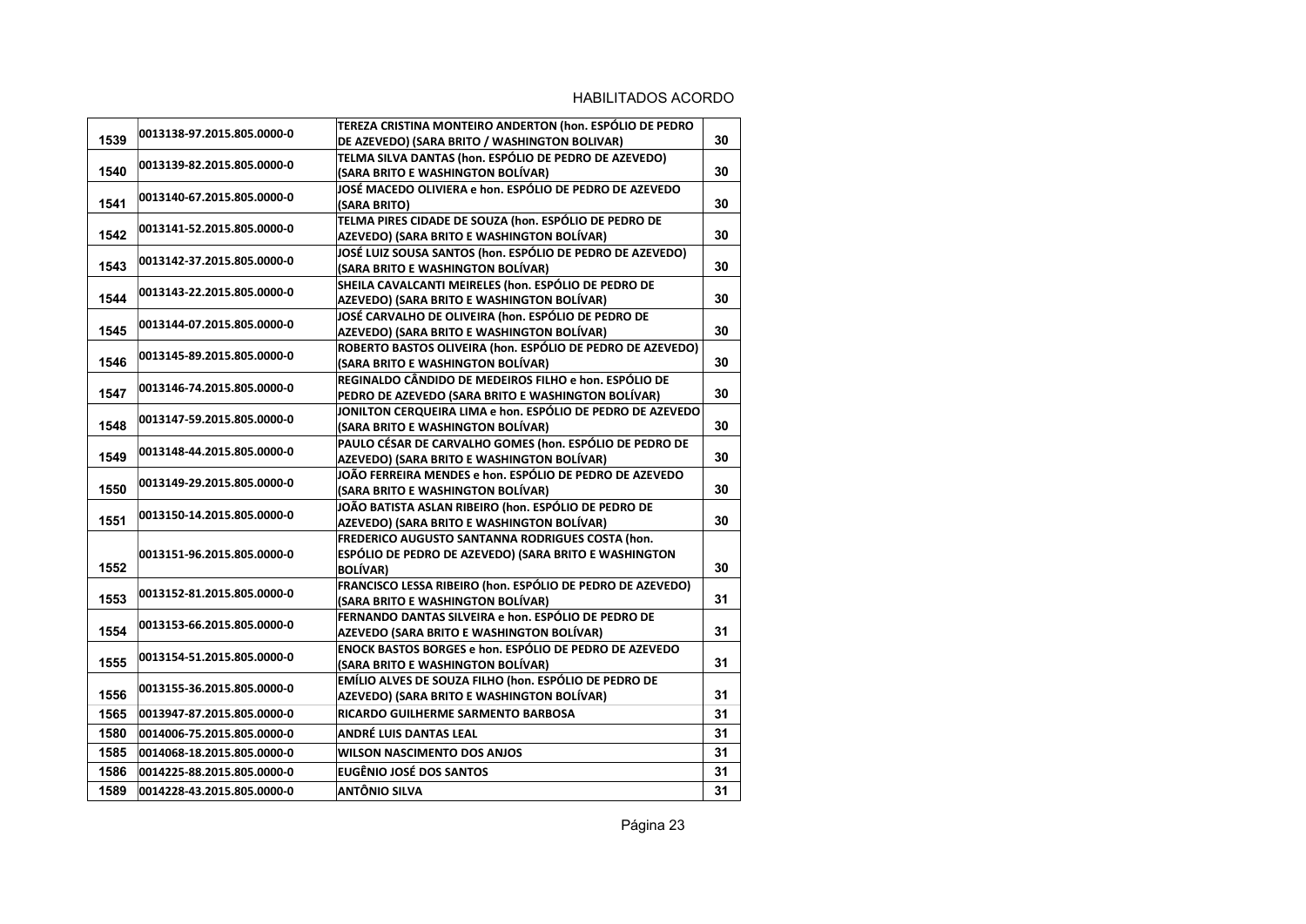| 1539 | 0013138-97.2015.805.0000-0 | TEREZA CRISTINA MONTEIRO ANDERTON (hon. ESPÓLIO DE PEDRO<br>DE AZEVEDO) (SARA BRITO / WASHINGTON BOLIVAR)                    | 30 |
|------|----------------------------|------------------------------------------------------------------------------------------------------------------------------|----|
| 1540 | 0013139-82.2015.805.0000-0 | TELMA SILVA DANTAS (hon. ESPÓLIO DE PEDRO DE AZEVEDO)<br>(SARA BRITO E WASHINGTON BOLÍVAR)                                   | 30 |
| 1541 | 0013140-67.2015.805.0000-0 | JOSÉ MACEDO OLIVIERA e hon. ESPÓLIO DE PEDRO DE AZEVEDO<br>(SARA BRITO)                                                      | 30 |
| 1542 | 0013141-52.2015.805.0000-0 | TELMA PIRES CIDADE DE SOUZA (hon. ESPÓLIO DE PEDRO DE<br>AZEVEDO) (SARA BRITO E WASHINGTON BOLÍVAR)                          | 30 |
| 1543 | 0013142-37.2015.805.0000-0 | JOSÉ LUIZ SOUSA SANTOS (hon. ESPÓLIO DE PEDRO DE AZEVEDO)<br>(SARA BRITO E WASHINGTON BOLÍVAR)                               | 30 |
| 1544 | 0013143-22.2015.805.0000-0 | SHEILA CAVALCANTI MEIRELES (hon. ESPÓLIO DE PEDRO DE<br>AZEVEDO) (SARA BRITO E WASHINGTON BOLÍVAR)                           | 30 |
| 1545 | 0013144-07.2015.805.0000-0 | JOSÉ CARVALHO DE OLIVEIRA (hon. ESPÓLIO DE PEDRO DE<br>AZEVEDO) (SARA BRITO E WASHINGTON BOLÍVAR)                            | 30 |
| 1546 | 0013145-89.2015.805.0000-0 | ROBERTO BASTOS OLIVEIRA (hon. ESPÓLIO DE PEDRO DE AZEVEDO)<br>(SARA BRITO E WASHINGTON BOLÍVAR)                              | 30 |
| 1547 | 0013146-74.2015.805.0000-0 | REGINALDO CÂNDIDO DE MEDEIROS FILHO e hon. ESPÓLIO DE<br>PEDRO DE AZEVEDO (SARA BRITO E WASHINGTON BOLÍVAR)                  | 30 |
| 1548 | 0013147-59.2015.805.0000-0 | JONILTON CERQUEIRA LIMA e hon. ESPÓLIO DE PEDRO DE AZEVEDO<br>(SARA BRITO E WASHINGTON BOLÍVAR)                              | 30 |
| 1549 | 0013148-44.2015.805.0000-0 | PAULO CÉSAR DE CARVALHO GOMES (hon. ESPÓLIO DE PEDRO DE<br>AZEVEDO) (SARA BRITO E WASHINGTON BOLÍVAR)                        | 30 |
| 1550 | 0013149-29.2015.805.0000-0 | JOÃO FERREIRA MENDES e hon. ESPÓLIO DE PEDRO DE AZEVEDO<br>(SARA BRITO E WASHINGTON BOLÍVAR)                                 | 30 |
| 1551 | 0013150-14.2015.805.0000-0 | JOÃO BATISTA ASLAN RIBEIRO (hon. ESPÓLIO DE PEDRO DE<br>AZEVEDO) (SARA BRITO E WASHINGTON BOLÍVAR)                           | 30 |
| 1552 | 0013151-96.2015.805.0000-0 | FREDERICO AUGUSTO SANTANNA RODRIGUES COSTA (hon.<br>ESPÓLIO DE PEDRO DE AZEVEDO) (SARA BRITO E WASHINGTON<br><b>BOLÍVAR)</b> | 30 |
| 1553 | 0013152-81.2015.805.0000-0 | FRANCISCO LESSA RIBEIRO (hon. ESPÓLIO DE PEDRO DE AZEVEDO)<br>(SARA BRITO E WASHINGTON BOLÍVAR)                              | 31 |
| 1554 | 0013153-66.2015.805.0000-0 | FERNANDO DANTAS SILVEIRA e hon. ESPÓLIO DE PEDRO DE<br>AZEVEDO (SARA BRITO E WASHINGTON BOLÍVAR)                             | 31 |
| 1555 | 0013154-51.2015.805.0000-0 | <b>ENOCK BASTOS BORGES e hon. ESPÓLIO DE PEDRO DE AZEVEDO</b><br>(SARA BRITO E WASHINGTON BOLÍVAR)                           | 31 |
| 1556 | 0013155-36.2015.805.0000-0 | EMÍLIO ALVES DE SOUZA FILHO (hon. ESPÓLIO DE PEDRO DE<br>AZEVEDO) (SARA BRITO E WASHINGTON BOLÍVAR)                          | 31 |
| 1565 | 0013947-87.2015.805.0000-0 | RICARDO GUILHERME SARMENTO BARBOSA                                                                                           | 31 |
| 1580 | 0014006-75.2015.805.0000-0 | ANDRÉ LUIS DANTAS LEAL                                                                                                       | 31 |
| 1585 | 0014068-18.2015.805.0000-0 | <b>WILSON NASCIMENTO DOS ANJOS</b>                                                                                           | 31 |
| 1586 | 0014225-88.2015.805.0000-0 | <b>EUGÊNIO JOSÉ DOS SANTOS</b>                                                                                               | 31 |
| 1589 | 0014228-43.2015.805.0000-0 | ANTÔNIO SILVA                                                                                                                | 31 |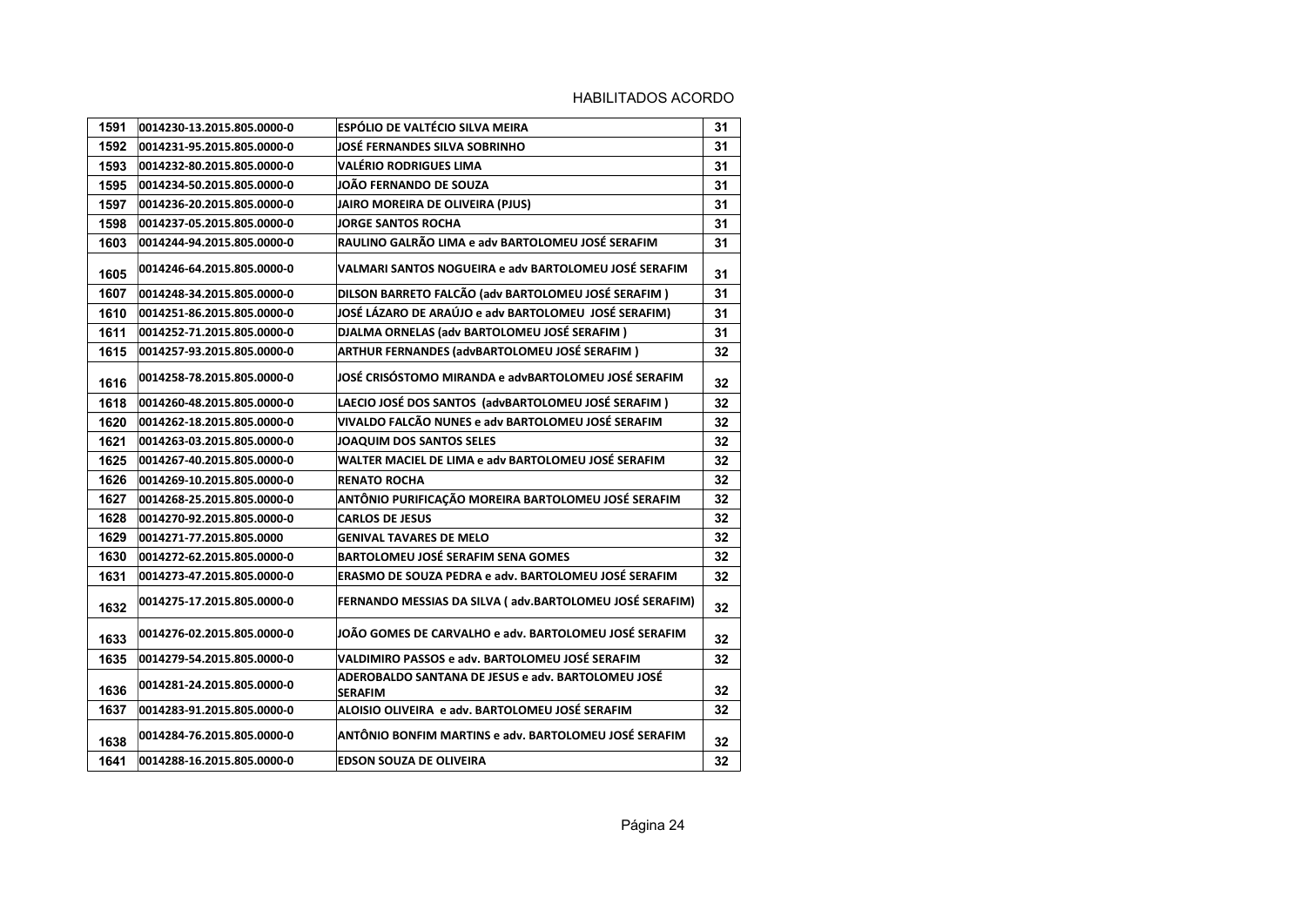| 1591 | 0014230-13.2015.805.0000-0 | <b>ESPÓLIO DE VALTÉCIO SILVA MEIRA</b>                               | 31 |
|------|----------------------------|----------------------------------------------------------------------|----|
| 1592 | 0014231-95.2015.805.0000-0 | <b>JOSÉ FERNANDES SILVA SOBRINHO</b>                                 | 31 |
| 1593 | 0014232-80.2015.805.0000-0 | <b>VALÉRIO RODRIGUES LIMA</b>                                        | 31 |
| 1595 | 0014234-50.2015.805.0000-0 | JOÃO FERNANDO DE SOUZA                                               | 31 |
| 1597 | 0014236-20.2015.805.0000-0 | JAIRO MOREIRA DE OLIVEIRA (PJUS)                                     | 31 |
| 1598 | 0014237-05.2015.805.0000-0 | <b>JORGE SANTOS ROCHA</b>                                            | 31 |
| 1603 | 0014244-94.2015.805.0000-0 | RAULINO GALRÃO LIMA e adv BARTOLOMEU JOSÉ SERAFIM                    | 31 |
| 1605 | 0014246-64.2015.805.0000-0 | VALMARI SANTOS NOGUEIRA e adv BARTOLOMEU JOSÉ SERAFIM                | 31 |
| 1607 | 0014248-34.2015.805.0000-0 | DILSON BARRETO FALCÃO (adv BARTOLOMEU JOSÉ SERAFIM)                  | 31 |
| 1610 | 0014251-86.2015.805.0000-0 | JOSÉ LÁZARO DE ARAÚJO e adv BARTOLOMEU JOSÉ SERAFIM)                 | 31 |
| 1611 | 0014252-71.2015.805.0000-0 | DJALMA ORNELAS (adv BARTOLOMEU JOSÉ SERAFIM)                         | 31 |
| 1615 | 0014257-93.2015.805.0000-0 | ARTHUR FERNANDES (advBARTOLOMEU JOSÉ SERAFIM)                        | 32 |
| 1616 | 0014258-78.2015.805.0000-0 | JOSÉ CRISÓSTOMO MIRANDA e advBARTOLOMEU JOSÉ SERAFIM                 | 32 |
| 1618 | 0014260-48.2015.805.0000-0 | LAECIO JOSÉ DOS SANTOS (advBARTOLOMEU JOSÉ SERAFIM)                  | 32 |
| 1620 | 0014262-18.2015.805.0000-0 | VIVALDO FALCÃO NUNES e adv BARTOLOMEU JOSÉ SERAFIM                   | 32 |
| 1621 | 0014263-03.2015.805.0000-0 | JOAQUIM DOS SANTOS SELES                                             | 32 |
| 1625 | 0014267-40.2015.805.0000-0 | WALTER MACIEL DE LIMA e adv BARTOLOMEU JOSÉ SERAFIM                  | 32 |
| 1626 | 0014269-10.2015.805.0000-0 | <b>RENATO ROCHA</b>                                                  | 32 |
| 1627 | 0014268-25.2015.805.0000-0 | ANTÔNIO PURIFICAÇÃO MOREIRA BARTOLOMEU JOSÉ SERAFIM                  | 32 |
| 1628 | 0014270-92.2015.805.0000-0 | <b>CARLOS DE JESUS</b>                                               | 32 |
| 1629 | 0014271-77.2015.805.0000   | <b>GENIVAL TAVARES DE MELO</b>                                       | 32 |
| 1630 | 0014272-62.2015.805.0000-0 | <b>BARTOLOMEU JOSÉ SERAFIM SENA GOMES</b>                            | 32 |
| 1631 | 0014273-47.2015.805.0000-0 | ERASMO DE SOUZA PEDRA e adv. BARTOLOMEU JOSÉ SERAFIM                 | 32 |
| 1632 | 0014275-17.2015.805.0000-0 | FERNANDO MESSIAS DA SILVA (adv.BARTOLOMEU JOSÉ SERAFIM)              | 32 |
| 1633 | 0014276-02.2015.805.0000-0 | JOÃO GOMES DE CARVALHO e adv. BARTOLOMEU JOSÉ SERAFIM                | 32 |
| 1635 | 0014279-54.2015.805.0000-0 | VALDIMIRO PASSOS e adv. BARTOLOMEU JOSÉ SERAFIM                      | 32 |
| 1636 | 0014281-24.2015.805.0000-0 | ADEROBALDO SANTANA DE JESUS e adv. BARTOLOMEU JOSÉ<br><b>SERAFIM</b> | 32 |
| 1637 | 0014283-91.2015.805.0000-0 | ALOISIO OLIVEIRA e adv. BARTOLOMEU JOSÉ SERAFIM                      | 32 |
| 1638 | 0014284-76.2015.805.0000-0 | ANTÔNIO BONFIM MARTINS e adv. BARTOLOMEU JOSÉ SERAFIM                | 32 |
| 1641 | 0014288-16.2015.805.0000-0 | <b>EDSON SOUZA DE OLIVEIRA</b>                                       | 32 |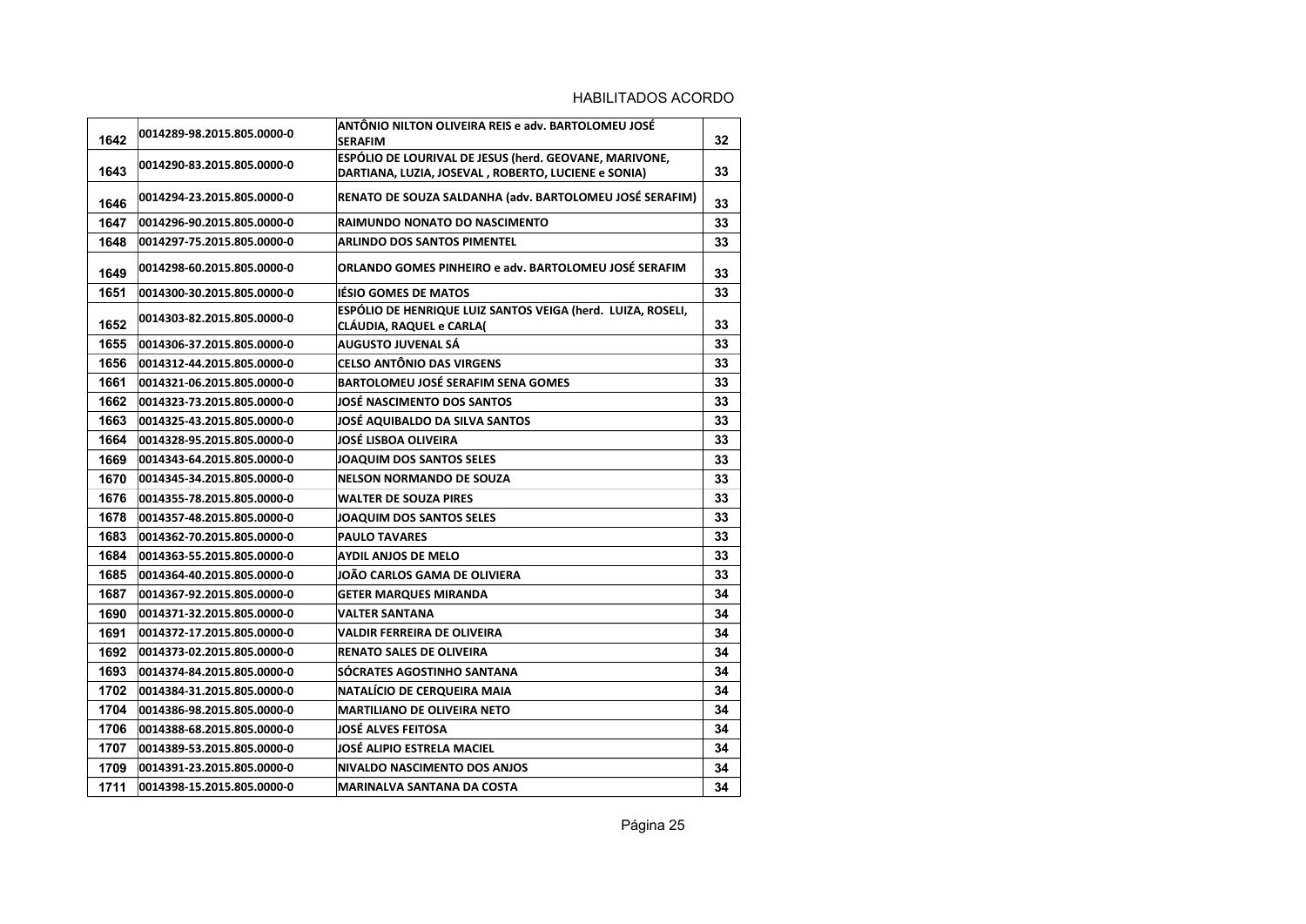| 1642 | 0014289-98.2015.805.0000-0 | ANTÔNIO NILTON OLIVEIRA REIS e adv. BARTOLOMEU JOSÉ<br><b>SERAFIM</b>                   | 32 |
|------|----------------------------|-----------------------------------------------------------------------------------------|----|
|      |                            | ESPÓLIO DE LOURIVAL DE JESUS (herd. GEOVANE, MARIVONE,                                  |    |
| 1643 | 0014290-83.2015.805.0000-0 | DARTIANA, LUZIA, JOSEVAL, ROBERTO, LUCIENE e SONIA)                                     | 33 |
| 1646 | 0014294-23.2015.805.0000-0 | RENATO DE SOUZA SALDANHA (adv. BARTOLOMEU JOSÉ SERAFIM)                                 | 33 |
| 1647 | 0014296-90.2015.805.0000-0 | RAIMUNDO NONATO DO NASCIMENTO                                                           | 33 |
| 1648 | 0014297-75.2015.805.0000-0 | <b>ARLINDO DOS SANTOS PIMENTEL</b>                                                      | 33 |
| 1649 | 0014298-60.2015.805.0000-0 | ORLANDO GOMES PINHEIRO e adv. BARTOLOMEU JOSÉ SERAFIM                                   | 33 |
| 1651 | 0014300-30.2015.805.0000-0 | <b>IÉSIO GOMES DE MATOS</b>                                                             | 33 |
| 1652 | 0014303-82.2015.805.0000-0 | ESPÓLIO DE HENRIQUE LUIZ SANTOS VEIGA (herd. LUIZA, ROSELI,<br>CLÁUDIA, RAQUEL e CARLA( | 33 |
| 1655 | 0014306-37.2015.805.0000-0 | AUGUSTO JUVENAL SÁ                                                                      | 33 |
| 1656 | 0014312-44.2015.805.0000-0 | <b>CELSO ANTÔNIO DAS VIRGENS</b>                                                        | 33 |
| 1661 | 0014321-06.2015.805.0000-0 | <b>BARTOLOMEU JOSÉ SERAFIM SENA GOMES</b>                                               | 33 |
| 1662 | 0014323-73.2015.805.0000-0 | <b>JOSÉ NASCIMENTO DOS SANTOS</b>                                                       | 33 |
| 1663 | 0014325-43.2015.805.0000-0 | JOSÉ AQUIBALDO DA SILVA SANTOS                                                          | 33 |
| 1664 | 0014328-95.2015.805.0000-0 | JOSÉ LISBOA OLIVEIRA                                                                    | 33 |
| 1669 | 0014343-64.2015.805.0000-0 | <b>JOAQUIM DOS SANTOS SELES</b>                                                         | 33 |
| 1670 | 0014345-34.2015.805.0000-0 | <b>NELSON NORMANDO DE SOUZA</b>                                                         | 33 |
| 1676 | 0014355-78.2015.805.0000-0 | <b>WALTER DE SOUZA PIRES</b>                                                            | 33 |
| 1678 | 0014357-48.2015.805.0000-0 | JOAQUIM DOS SANTOS SELES                                                                | 33 |
| 1683 | 0014362-70.2015.805.0000-0 | <b>PAULO TAVARES</b>                                                                    | 33 |
| 1684 | 0014363-55.2015.805.0000-0 | <b>AYDIL ANJOS DE MELO</b>                                                              | 33 |
| 1685 | 0014364-40.2015.805.0000-0 | JOÃO CARLOS GAMA DE OLIVIERA                                                            | 33 |
| 1687 | 0014367-92.2015.805.0000-0 | <b>GETER MARQUES MIRANDA</b>                                                            | 34 |
| 1690 | 0014371-32.2015.805.0000-0 | <b>VALTER SANTANA</b>                                                                   | 34 |
| 1691 | 0014372-17.2015.805.0000-0 | <b>VALDIR FERREIRA DE OLIVEIRA</b>                                                      | 34 |
| 1692 | 0014373-02.2015.805.0000-0 | <b>RENATO SALES DE OLIVEIRA</b>                                                         | 34 |
| 1693 | 0014374-84.2015.805.0000-0 | SÓCRATES AGOSTINHO SANTANA                                                              | 34 |
| 1702 | 0014384-31.2015.805.0000-0 | NATALÍCIO DE CERQUEIRA MAIA                                                             | 34 |
| 1704 | 0014386-98.2015.805.0000-0 | <b>MARTILIANO DE OLIVEIRA NETO</b>                                                      | 34 |
| 1706 | 0014388-68.2015.805.0000-0 | <b>JOSÉ ALVES FEITOSA</b>                                                               | 34 |
| 1707 | 0014389-53.2015.805.0000-0 | JOSÉ ALIPIO ESTRELA MACIEL                                                              | 34 |
| 1709 | 0014391-23.2015.805.0000-0 | <b>NIVALDO NASCIMENTO DOS ANJOS</b>                                                     | 34 |
| 1711 | 0014398-15.2015.805.0000-0 | <b>MARINALVA SANTANA DA COSTA</b>                                                       | 34 |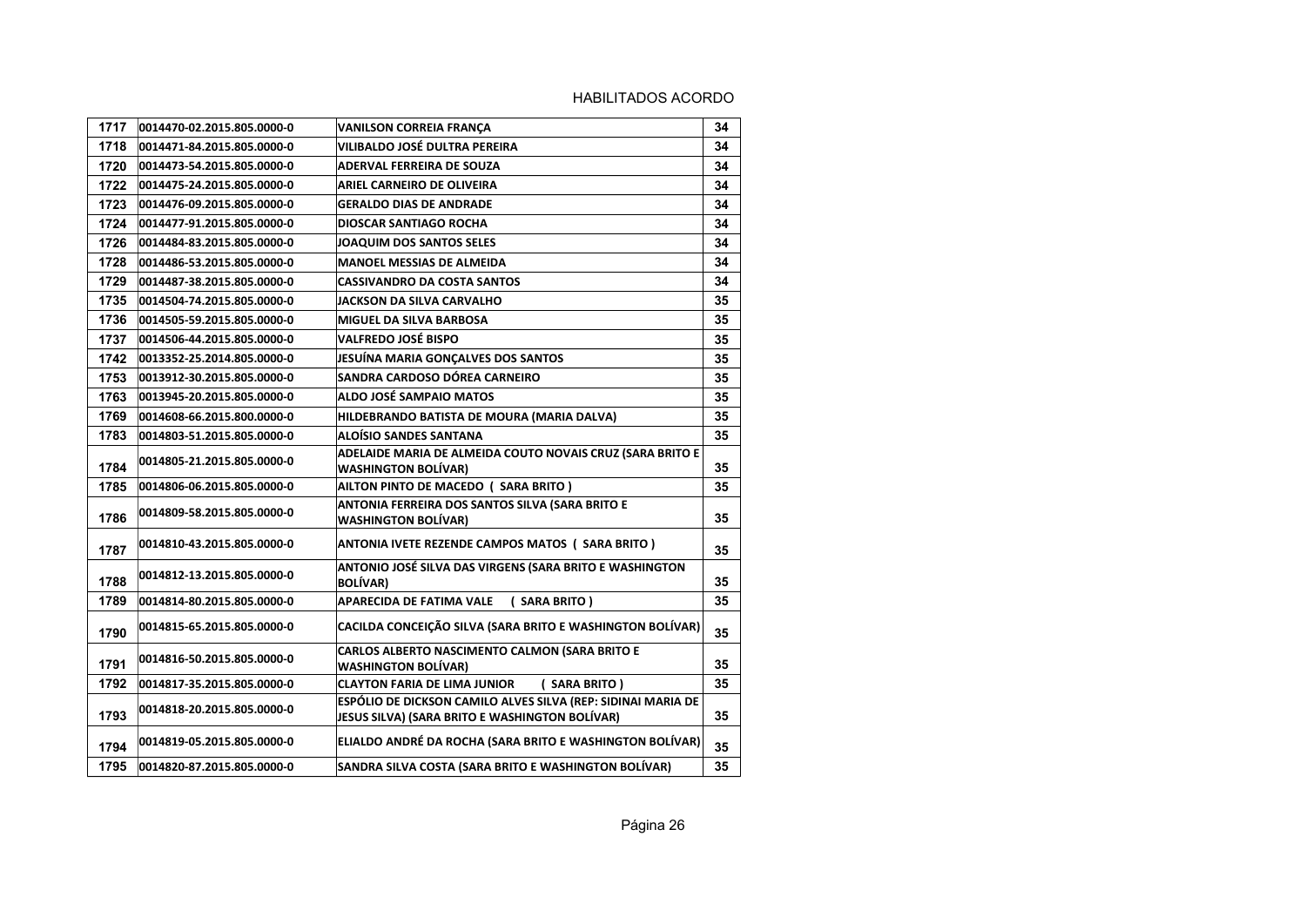| 1717 | 0014470-02.2015.805.0000-0 | <b>VANILSON CORREIA FRANÇA</b>                                                                                 | 34 |
|------|----------------------------|----------------------------------------------------------------------------------------------------------------|----|
| 1718 | 0014471-84.2015.805.0000-0 | <b>VILIBALDO JOSÉ DULTRA PEREIRA</b>                                                                           | 34 |
| 1720 | 0014473-54.2015.805.0000-0 | <b>ADERVAL FERREIRA DE SOUZA</b>                                                                               | 34 |
| 1722 | 0014475-24.2015.805.0000-0 | ARIEL CARNEIRO DE OLIVEIRA                                                                                     | 34 |
| 1723 | 0014476-09.2015.805.0000-0 | <b>GERALDO DIAS DE ANDRADE</b>                                                                                 | 34 |
| 1724 | 0014477-91.2015.805.0000-0 | <b>DIOSCAR SANTIAGO ROCHA</b>                                                                                  | 34 |
| 1726 | 0014484-83.2015.805.0000-0 | <b>JOAQUIM DOS SANTOS SELES</b>                                                                                | 34 |
| 1728 | 0014486-53.2015.805.0000-0 | <b>MANOEL MESSIAS DE ALMEIDA</b>                                                                               | 34 |
| 1729 | 0014487-38.2015.805.0000-0 | <b>CASSIVANDRO DA COSTA SANTOS</b>                                                                             | 34 |
| 1735 | 0014504-74.2015.805.0000-0 | JACKSON DA SILVA CARVALHO                                                                                      | 35 |
| 1736 | 0014505-59.2015.805.0000-0 | <b>MIGUEL DA SILVA BARBOSA</b>                                                                                 | 35 |
| 1737 | 0014506-44.2015.805.0000-0 | <b>VALFREDO JOSÉ BISPO</b>                                                                                     | 35 |
| 1742 | 0013352-25.2014.805.0000-0 | JESUÍNA MARIA GONÇALVES DOS SANTOS                                                                             | 35 |
| 1753 | 0013912-30.2015.805.0000-0 | SANDRA CARDOSO DÓREA CARNEIRO                                                                                  | 35 |
| 1763 | 0013945-20.2015.805.0000-0 | ALDO JOSÉ SAMPAIO MATOS                                                                                        | 35 |
| 1769 | 0014608-66.2015.800.0000-0 | HILDEBRANDO BATISTA DE MOURA (MARIA DALVA)                                                                     | 35 |
| 1783 | 0014803-51.2015.805.0000-0 | <b>ALOÍSIO SANDES SANTANA</b>                                                                                  | 35 |
| 1784 | 0014805-21.2015.805.0000-0 | ADELAIDE MARIA DE ALMEIDA COUTO NOVAIS CRUZ (SARA BRITO E<br><b>WASHINGTON BOLÍVAR)</b>                        | 35 |
| 1785 | 0014806-06.2015.805.0000-0 | AILTON PINTO DE MACEDO ( SARA BRITO )                                                                          | 35 |
| 1786 | 0014809-58.2015.805.0000-0 | ANTONIA FERREIRA DOS SANTOS SILVA (SARA BRITO E<br><b>WASHINGTON BOLÍVAR)</b>                                  | 35 |
| 1787 | 0014810-43.2015.805.0000-0 | ANTONIA IVETE REZENDE CAMPOS MATOS ( SARA BRITO )                                                              | 35 |
| 1788 | 0014812-13.2015.805.0000-0 | ANTONIO JOSÉ SILVA DAS VIRGENS (SARA BRITO E WASHINGTON<br><b>BOLÍVAR)</b>                                     | 35 |
| 1789 | 0014814-80.2015.805.0000-0 | <b>APARECIDA DE FATIMA VALE</b><br>( SARA BRITO )                                                              | 35 |
| 1790 | 0014815-65.2015.805.0000-0 | CACILDA CONCEIÇÃO SILVA (SARA BRITO E WASHINGTON BOLÍVAR)                                                      | 35 |
| 1791 | 0014816-50.2015.805.0000-0 | CARLOS ALBERTO NASCIMENTO CALMON (SARA BRITO E<br><b>WASHINGTON BOLÍVAR)</b>                                   | 35 |
| 1792 | 0014817-35.2015.805.0000-0 | <b>CLAYTON FARIA DE LIMA JUNIOR</b><br>(SARA BRITO)                                                            | 35 |
| 1793 | 0014818-20.2015.805.0000-0 | ESPÓLIO DE DICKSON CAMILO ALVES SILVA (REP: SIDINAI MARIA DE<br>JESUS SILVA) (SARA BRITO E WASHINGTON BOLÍVAR) | 35 |
| 1794 | 0014819-05.2015.805.0000-0 | ELIALDO ANDRÉ DA ROCHA (SARA BRITO E WASHINGTON BOLÍVAR)                                                       | 35 |
| 1795 | 0014820-87.2015.805.0000-0 | SANDRA SILVA COSTA (SARA BRITO E WASHINGTON BOLÍVAR)                                                           | 35 |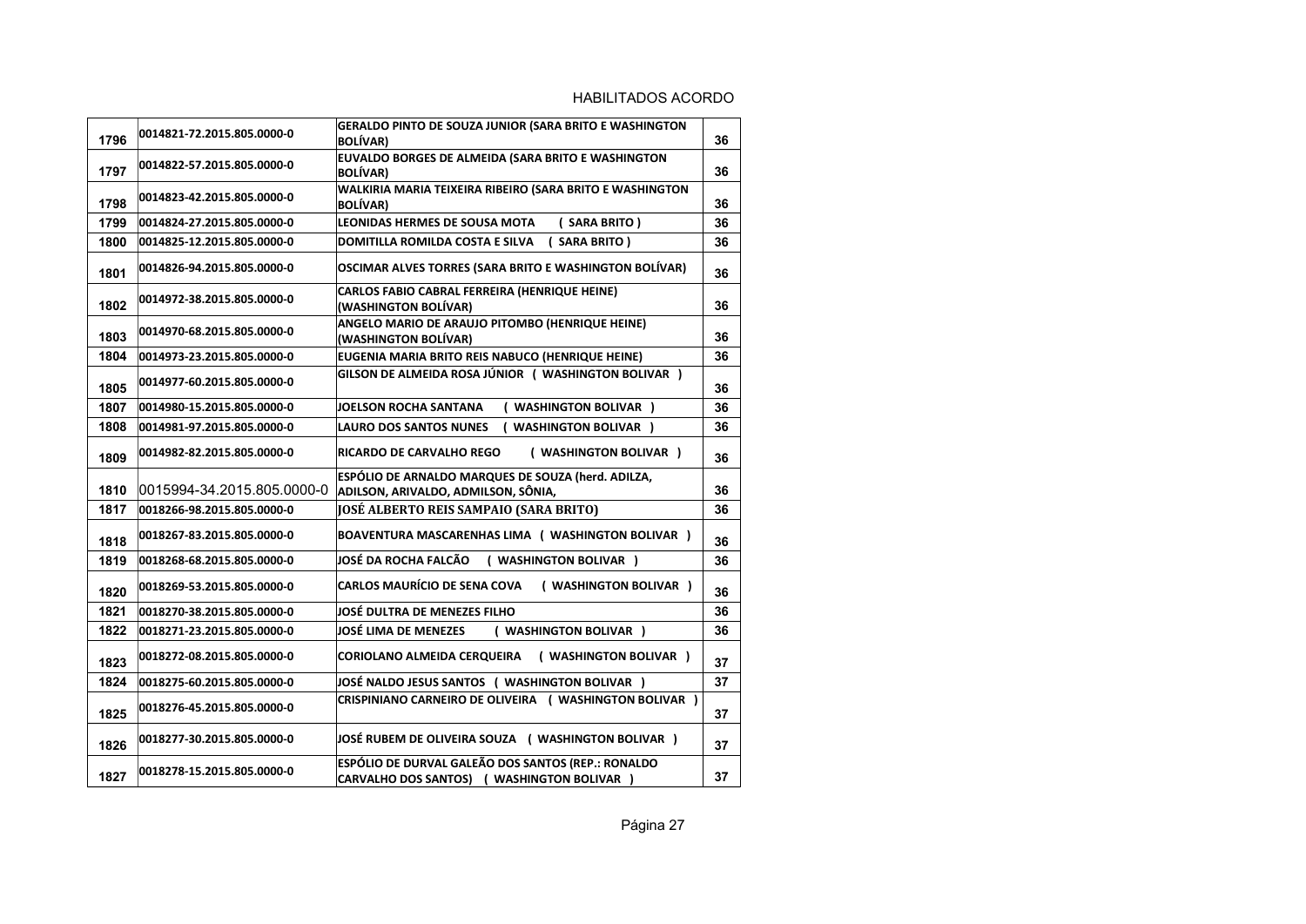| 1796 | 0014821-72.2015.805.0000-0 | GERALDO PINTO DE SOUZA JUNIOR (SARA BRITO E WASHINGTON<br><b>BOLÍVAR)</b>                         | 36 |
|------|----------------------------|---------------------------------------------------------------------------------------------------|----|
| 1797 | 0014822-57.2015.805.0000-0 | EUVALDO BORGES DE ALMEIDA (SARA BRITO E WASHINGTON<br><b>BOLÍVAR)</b>                             | 36 |
| 1798 | 0014823-42.2015.805.0000-0 | WALKIRIA MARIA TEIXEIRA RIBEIRO (SARA BRITO E WASHINGTON<br><b>BOLÍVAR)</b>                       | 36 |
| 1799 | 0014824-27.2015.805.0000-0 | <b>LEONIDAS HERMES DE SOUSA MOTA</b><br>(SARA BRITO)                                              | 36 |
| 1800 | 0014825-12.2015.805.0000-0 | <b>DOMITILLA ROMILDA COSTA E SILVA</b><br>(SARA BRITO)                                            | 36 |
| 1801 | 0014826-94.2015.805.0000-0 | OSCIMAR ALVES TORRES (SARA BRITO E WASHINGTON BOLÍVAR)                                            | 36 |
| 1802 | 0014972-38.2015.805.0000-0 | CARLOS FABIO CABRAL FERREIRA (HENRIQUE HEINE)<br>(WASHINGTON BOLÍVAR)                             | 36 |
| 1803 | 0014970-68.2015.805.0000-0 | ANGELO MARIO DE ARAUJO PITOMBO (HENRIQUE HEINE)<br>(WASHINGTON BOLÍVAR)                           | 36 |
| 1804 | 0014973-23.2015.805.0000-0 | EUGENIA MARIA BRITO REIS NABUCO (HENRIQUE HEINE)                                                  | 36 |
| 1805 | 0014977-60.2015.805.0000-0 | GILSON DE ALMEIDA ROSA JÚNIOR ( WASHINGTON BOLIVAR )                                              | 36 |
| 1807 | 0014980-15.2015.805.0000-0 | <b>JOELSON ROCHA SANTANA</b><br>( WASHINGTON BOLIVAR )                                            | 36 |
| 1808 | 0014981-97.2015.805.0000-0 | ( WASHINGTON BOLIVAR )<br><b>LAURO DOS SANTOS NUNES</b>                                           | 36 |
| 1809 | 0014982-82.2015.805.0000-0 | ( WASHINGTON BOLIVAR )<br>RICARDO DE CARVALHO REGO                                                | 36 |
| 1810 | 0015994-34.2015.805.0000-0 | ESPÓLIO DE ARNALDO MARQUES DE SOUZA (herd. ADILZA,<br>ADILSON, ARIVALDO, ADMILSON, SÔNIA,         | 36 |
| 1817 | 0018266-98.2015.805.0000-0 | JOSÉ ALBERTO REIS SAMPAIO (SARA BRITO)                                                            | 36 |
| 1818 | 0018267-83.2015.805.0000-0 | BOAVENTURA MASCARENHAS LIMA ( WASHINGTON BOLIVAR )                                                | 36 |
| 1819 | 0018268-68.2015.805.0000-0 | JOSÉ DA ROCHA FALCÃO<br>( WASHINGTON BOLIVAR )                                                    | 36 |
| 1820 | 0018269-53.2015.805.0000-0 | <b>CARLOS MAURÍCIO DE SENA COVA</b><br>( WASHINGTON BOLIVAR )                                     | 36 |
| 1821 | 0018270-38.2015.805.0000-0 | JOSÉ DULTRA DE MENEZES FILHO                                                                      | 36 |
| 1822 | 0018271-23.2015.805.0000-0 | <b>JOSÉ LIMA DE MENEZES</b><br>( WASHINGTON BOLIVAR )                                             | 36 |
| 1823 | 0018272-08.2015.805.0000-0 | ( WASHINGTON BOLIVAR )<br>CORIOLANO ALMEIDA CERQUEIRA                                             | 37 |
| 1824 | 0018275-60.2015.805.0000-0 | JOSÉ NALDO JESUS SANTOS ( WASHINGTON BOLIVAR )                                                    | 37 |
| 1825 | 0018276-45.2015.805.0000-0 | CRISPINIANO CARNEIRO DE OLIVEIRA ( WASHINGTON BOLIVAR )                                           | 37 |
| 1826 | 0018277-30.2015.805.0000-0 | JOSÉ RUBEM DE OLIVEIRA SOUZA ( WASHINGTON BOLIVAR )                                               | 37 |
| 1827 | 0018278-15.2015.805.0000-0 | ESPÓLIO DE DURVAL GALEÃO DOS SANTOS (REP.: RONALDO<br>CARVALHO DOS SANTOS) ( WASHINGTON BOLIVAR ) | 37 |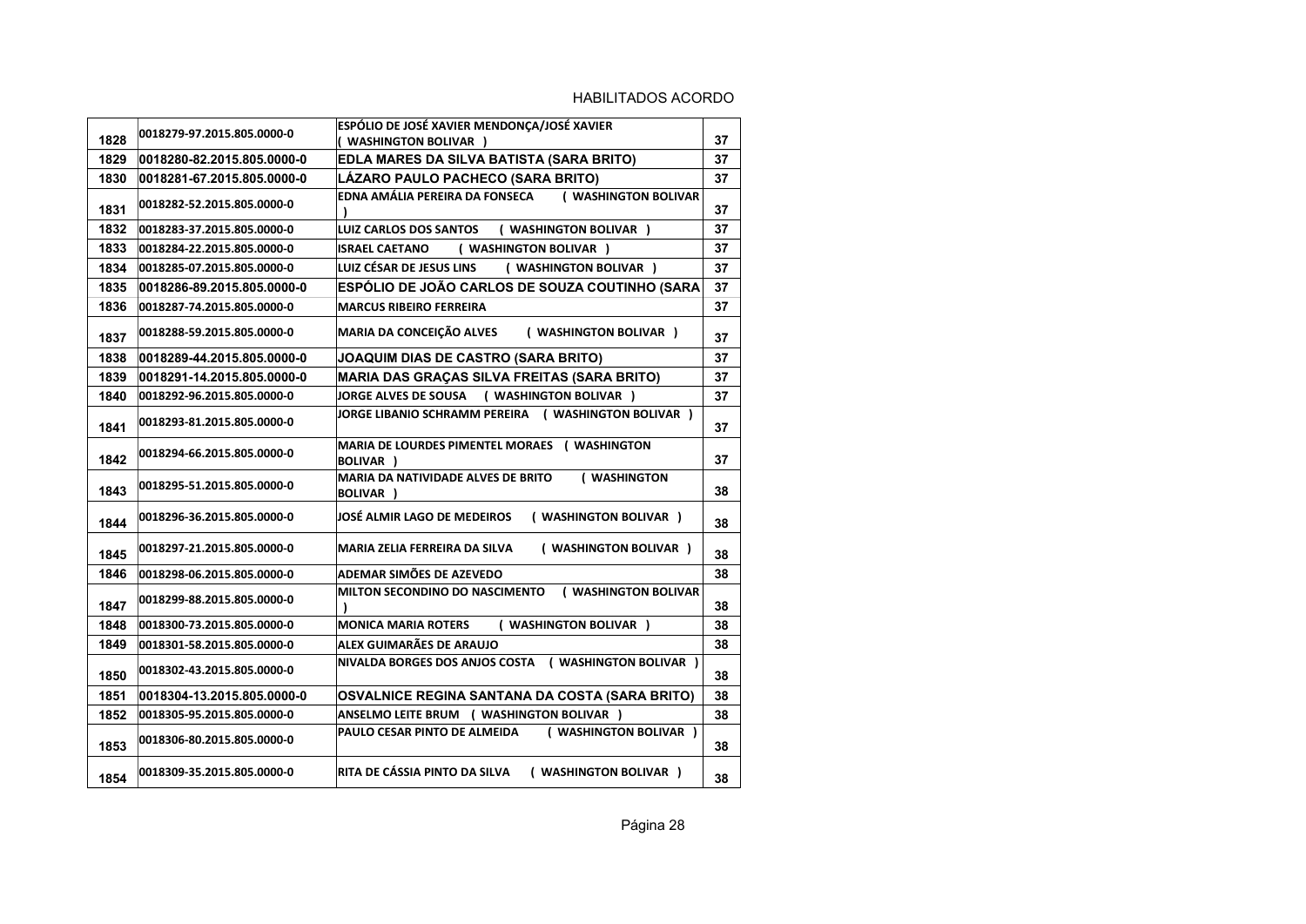| 1828 | 0018279-97.2015.805.0000-0 | ESPÓLIO DE JOSÉ XAVIER MENDONÇA/JOSÉ XAVIER<br>( WASHINGTON BOLIVAR ) | 37 |
|------|----------------------------|-----------------------------------------------------------------------|----|
| 1829 | 0018280-82.2015.805.0000-0 | EDLA MARES DA SILVA BATISTA (SARA BRITO)                              | 37 |
| 1830 | 0018281-67.2015.805.0000-0 | LÁZARO PAULO PACHECO (SARA BRITO)                                     | 37 |
| 1831 | 0018282-52.2015.805.0000-0 | EDNA AMÁLIA PEREIRA DA FONSECA<br>( WASHINGTON BOLIVAR                | 37 |
| 1832 | 0018283-37.2015.805.0000-0 | <b>LUIZ CARLOS DOS SANTOS</b><br>( WASHINGTON BOLIVAR )               | 37 |
| 1833 | 0018284-22.2015.805.0000-0 | ( WASHINGTON BOLIVAR )<br><b>ISRAEL CAETANO</b>                       | 37 |
| 1834 | 0018285-07.2015.805.0000-0 | LUIZ CÉSAR DE JESUS LINS<br>( WASHINGTON BOLIVAR )                    | 37 |
| 1835 | 0018286-89.2015.805.0000-0 | ESPÓLIO DE JOÃO CARLOS DE SOUZA COUTINHO (SARA                        | 37 |
| 1836 | 0018287-74.2015.805.0000-0 | <b>MARCUS RIBEIRO FERREIRA</b>                                        | 37 |
| 1837 | 0018288-59.2015.805.0000-0 | MARIA DA CONCEIÇÃO ALVES<br>( WASHINGTON BOLIVAR )                    | 37 |
| 1838 | 0018289-44.2015.805.0000-0 | <b>JOAQUIM DIAS DE CASTRO (SARA BRITO)</b>                            | 37 |
| 1839 | 0018291-14.2015.805.0000-0 | <b>MARIA DAS GRAÇAS SILVA FREITAS (SARA BRITO)</b>                    | 37 |
| 1840 | 0018292-96.2015.805.0000-0 | ( WASHINGTON BOLIVAR )<br><b>JORGE ALVES DE SOUSA</b>                 | 37 |
| 1841 | 0018293-81.2015.805.0000-0 | JORGE LIBANIO SCHRAMM PEREIRA ( WASHINGTON BOLIVAR )                  | 37 |
| 1842 | 0018294-66.2015.805.0000-0 | MARIA DE LOURDES PIMENTEL MORAES (WASHINGTON<br><b>BOLIVAR</b> )      | 37 |
| 1843 | 0018295-51.2015.805.0000-0 | MARIA DA NATIVIDADE ALVES DE BRITO<br>( WASHINGTON<br>BOLIVAR )       | 38 |
| 1844 | 0018296-36.2015.805.0000-0 | JOSÉ ALMIR LAGO DE MEDEIROS<br>( WASHINGTON BOLIVAR )                 | 38 |
| 1845 | 0018297-21.2015.805.0000-0 | ( WASHINGTON BOLIVAR )<br>MARIA ZELIA FERREIRA DA SILVA               | 38 |
| 1846 | 0018298-06.2015.805.0000-0 | ADEMAR SIMÕES DE AZEVEDO                                              | 38 |
| 1847 | 0018299-88.2015.805.0000-0 | <b>MILTON SECONDINO DO NASCIMENTO</b><br>( WASHINGTON BOLIVAR         | 38 |
| 1848 | 0018300-73.2015.805.0000-0 | <b>MONICA MARIA ROTERS</b><br>( WASHINGTON BOLIVAR )                  | 38 |
| 1849 | 0018301-58.2015.805.0000-0 | ALEX GUIMARÃES DE ARAUJO                                              | 38 |
| 1850 | 0018302-43.2015.805.0000-0 | NIVALDA BORGES DOS ANJOS COSTA ( WASHINGTON BOLIVAR )                 | 38 |
| 1851 | 0018304-13.2015.805.0000-0 | <b>OSVALNICE REGINA SANTANA DA COSTA (SARA BRITO)</b>                 | 38 |
| 1852 | 0018305-95.2015.805.0000-0 | ANSELMO LEITE BRUM ( WASHINGTON BOLIVAR )                             | 38 |
| 1853 | 0018306-80.2015.805.0000-0 | ( WASHINGTON BOLIVAR )<br>PAULO CESAR PINTO DE ALMEIDA                | 38 |
| 1854 | 0018309-35.2015.805.0000-0 | RITA DE CÁSSIA PINTO DA SILVA<br>( WASHINGTON BOLIVAR )               | 38 |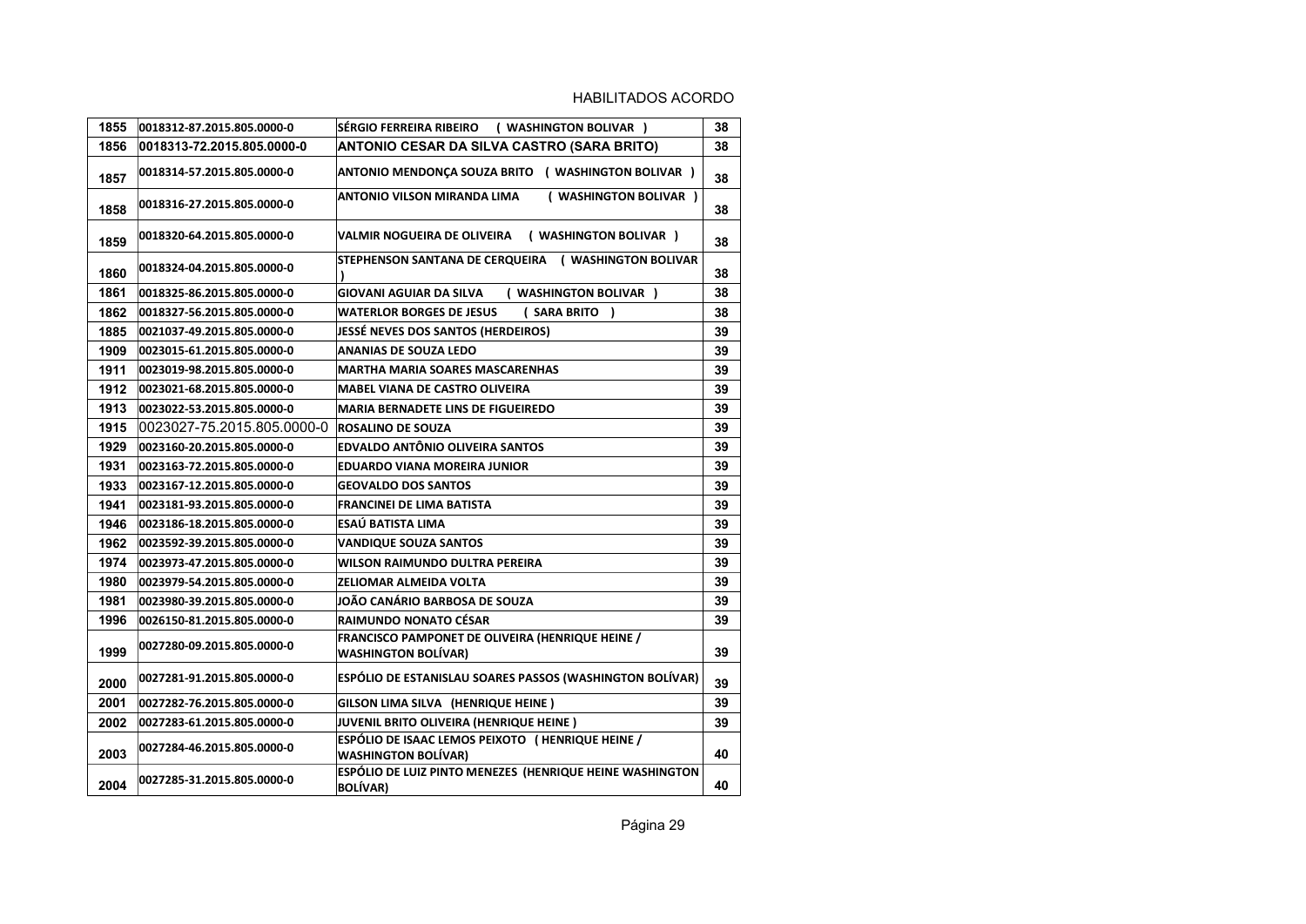| 1855 | 0018312-87.2015.805.0000-0 | SÉRGIO FERREIRA RIBEIRO<br>( WASHINGTON BOLIVAR )                              | 38 |
|------|----------------------------|--------------------------------------------------------------------------------|----|
| 1856 | 0018313-72.2015.805.0000-0 | ANTONIO CESAR DA SILVA CASTRO (SARA BRITO)                                     | 38 |
| 1857 | 0018314-57.2015.805.0000-0 | ANTONIO MENDONÇA SOUZA BRITO ( WASHINGTON BOLIVAR )                            | 38 |
| 1858 | 0018316-27.2015.805.0000-0 | <b>ANTONIO VILSON MIRANDA LIMA</b><br>( WASHINGTON BOLIVAR )                   | 38 |
| 1859 | 0018320-64.2015.805.0000-0 | ( WASHINGTON BOLIVAR )<br>VALMIR NOGUEIRA DE OLIVEIRA                          | 38 |
| 1860 | 0018324-04.2015.805.0000-0 | STEPHENSON SANTANA DE CERQUEIRA ( WASHINGTON BOLIVAR                           | 38 |
| 1861 | 0018325-86.2015.805.0000-0 | <b>GIOVANI AGUIAR DA SILVA</b><br>( WASHINGTON BOLIVAR )                       | 38 |
| 1862 | 0018327-56.2015.805.0000-0 | <b>WATERLOR BORGES DE JESUS</b><br>(SARA BRITO)                                | 38 |
| 1885 | 0021037-49.2015.805.0000-0 | <b>JESSÉ NEVES DOS SANTOS (HERDEIROS)</b>                                      | 39 |
| 1909 | 0023015-61.2015.805.0000-0 | <b>ANANIAS DE SOUZA LEDO</b>                                                   | 39 |
| 1911 | 0023019-98.2015.805.0000-0 | <b>MARTHA MARIA SOARES MASCARENHAS</b>                                         | 39 |
| 1912 | 0023021-68.2015.805.0000-0 | <b>MABEL VIANA DE CASTRO OLIVEIRA</b>                                          | 39 |
| 1913 | 0023022-53.2015.805.0000-0 | <b>MARIA BERNADETE LINS DE FIGUEIREDO</b>                                      | 39 |
| 1915 | 0023027-75.2015.805.0000-0 | <b>ROSALINO DE SOUZA</b>                                                       | 39 |
| 1929 | 0023160-20.2015.805.0000-0 | <b>EDVALDO ANTÔNIO OLIVEIRA SANTOS</b>                                         | 39 |
| 1931 | 0023163-72.2015.805.0000-0 | EDUARDO VIANA MOREIRA JUNIOR                                                   | 39 |
| 1933 | 0023167-12.2015.805.0000-0 | <b>GEOVALDO DOS SANTOS</b>                                                     | 39 |
| 1941 | 0023181-93.2015.805.0000-0 | <b>FRANCINEI DE LIMA BATISTA</b>                                               | 39 |
| 1946 | 0023186-18.2015.805.0000-0 | ESAÚ BATISTA LIMA                                                              | 39 |
| 1962 | 0023592-39.2015.805.0000-0 | <b>VANDIQUE SOUZA SANTOS</b>                                                   | 39 |
| 1974 | 0023973-47.2015.805.0000-0 | WILSON RAIMUNDO DULTRA PEREIRA                                                 | 39 |
| 1980 | 0023979-54.2015.805.0000-0 | ZELIOMAR ALMEIDA VOLTA                                                         | 39 |
| 1981 | 0023980-39.2015.805.0000-0 | JOÃO CANÁRIO BARBOSA DE SOUZA                                                  | 39 |
| 1996 | 0026150-81.2015.805.0000-0 | RAIMUNDO NONATO CÉSAR                                                          | 39 |
| 1999 | 0027280-09.2015.805.0000-0 | FRANCISCO PAMPONET DE OLIVEIRA (HENRIQUE HEINE /<br><b>WASHINGTON BOLÍVAR)</b> | 39 |
| 2000 | 0027281-91.2015.805.0000-0 | ESPÓLIO DE ESTANISLAU SOARES PASSOS (WASHINGTON BOLÍVAR)                       | 39 |
| 2001 | 0027282-76.2015.805.0000-0 | GILSON LIMA SILVA (HENRIQUE HEINE)                                             | 39 |
| 2002 | 0027283-61.2015.805.0000-0 | JUVENIL BRITO OLIVEIRA (HENRIQUE HEINE)                                        | 39 |
| 2003 | 0027284-46.2015.805.0000-0 | ESPÓLIO DE ISAAC LEMOS PEIXOTO (HENRIQUE HEINE /<br><b>WASHINGTON BOLÍVAR)</b> | 40 |
| 2004 | 0027285-31.2015.805.0000-0 | ESPÓLIO DE LUIZ PINTO MENEZES (HENRIQUE HEINE WASHINGTON<br><b>BOLÍVAR)</b>    | 40 |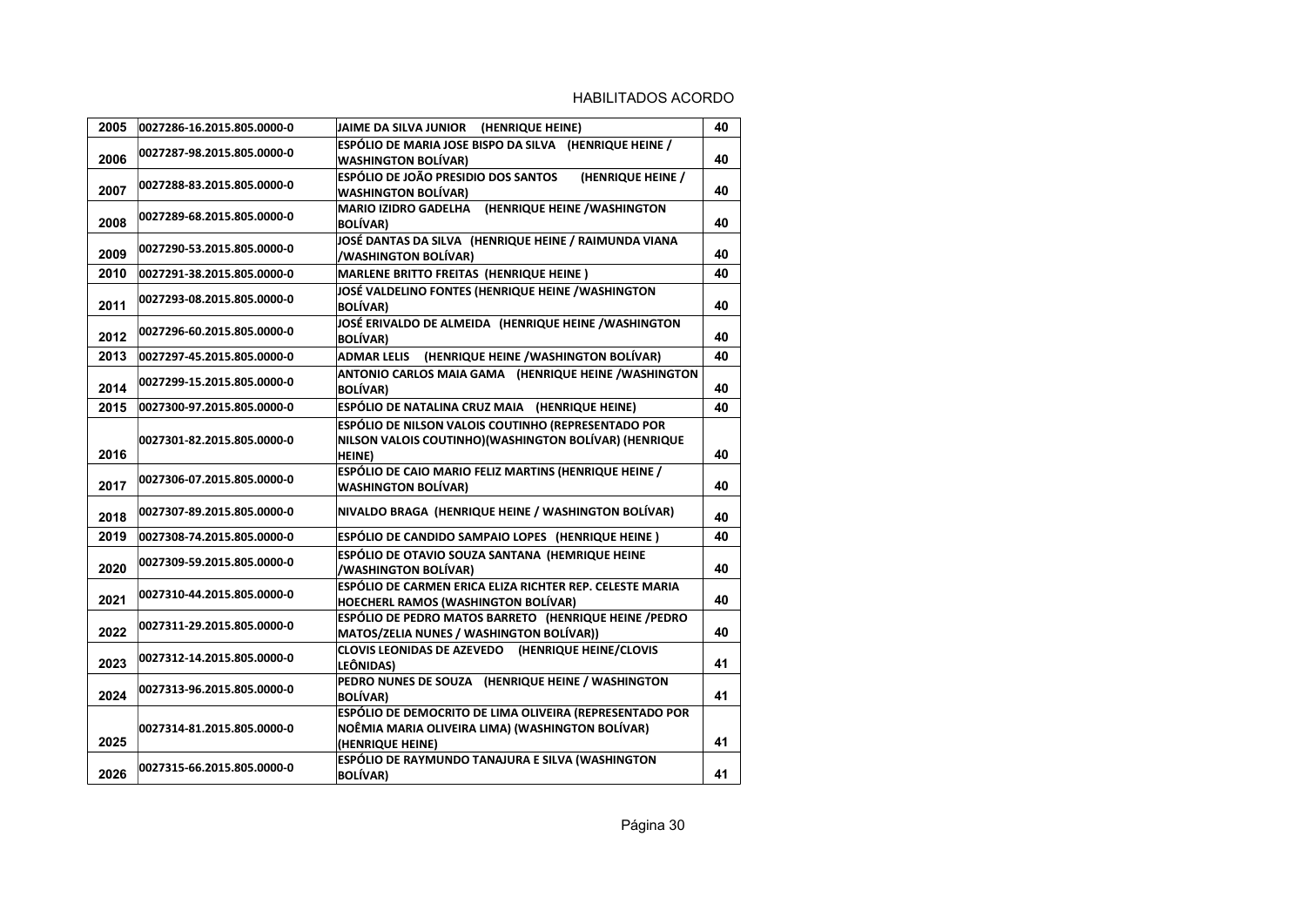| 2005 | 0027286-16.2015.805.0000-0 | JAIME DA SILVA JUNIOR (HENRIQUE HEINE)                                                                                               | 40 |
|------|----------------------------|--------------------------------------------------------------------------------------------------------------------------------------|----|
| 2006 | 0027287-98.2015.805.0000-0 | ESPÓLIO DE MARIA JOSE BISPO DA SILVA (HENRIQUE HEINE /<br><b>WASHINGTON BOLÍVAR)</b>                                                 | 40 |
| 2007 | 0027288-83.2015.805.0000-0 | <b>ESPÓLIO DE JOÃO PRESIDIO DOS SANTOS</b><br>(HENRIQUE HEINE /<br><b>WASHINGTON BOLÍVAR)</b>                                        | 40 |
| 2008 | 0027289-68.2015.805.0000-0 | <b>MARIO IZIDRO GADELHA</b><br>(HENRIQUE HEINE / WASHINGTON<br><b>BOLÍVAR)</b>                                                       | 40 |
| 2009 | 0027290-53.2015.805.0000-0 | JOSÉ DANTAS DA SILVA (HENRIQUE HEINE / RAIMUNDA VIANA<br><b>/WASHINGTON BOLÍVAR)</b>                                                 | 40 |
| 2010 | 0027291-38.2015.805.0000-0 | MARLENE BRITTO FREITAS (HENRIQUE HEINE)                                                                                              | 40 |
| 2011 | 0027293-08.2015.805.0000-0 | JOSÉ VALDELINO FONTES (HENRIQUE HEINE /WASHINGTON<br><b>BOLÍVAR)</b>                                                                 | 40 |
| 2012 | 0027296-60.2015.805.0000-0 | JOSÉ ERIVALDO DE ALMEIDA (HENRIQUE HEINE / WASHINGTON<br><b>BOLÍVAR)</b>                                                             | 40 |
| 2013 | 0027297-45.2015.805.0000-0 | ADMAR LELIS (HENRIQUE HEINE / WASHINGTON BOLÍVAR)                                                                                    | 40 |
| 2014 | 0027299-15.2015.805.0000-0 | ANTONIO CARLOS MAIA GAMA (HENRIQUE HEINE /WASHINGTON<br><b>BOLÍVAR)</b>                                                              | 40 |
| 2015 | 0027300-97.2015.805.0000-0 | ESPÓLIO DE NATALINA CRUZ MAIA (HENRIQUE HEINE)                                                                                       | 40 |
| 2016 | 0027301-82.2015.805.0000-0 | <b>ESPÓLIO DE NILSON VALOIS COUTINHO (REPRESENTADO POR</b><br>NILSON VALOIS COUTINHO) (WASHINGTON BOLÍVAR) (HENRIQUE<br><b>HEINE</b> | 40 |
| 2017 | 0027306-07.2015.805.0000-0 | ESPÓLIO DE CAIO MARIO FELIZ MARTINS (HENRIQUE HEINE /<br><b>WASHINGTON BOLÍVAR)</b>                                                  | 40 |
| 2018 | 0027307-89.2015.805.0000-0 | NIVALDO BRAGA (HENRIQUE HEINE / WASHINGTON BOLÍVAR)                                                                                  | 40 |
| 2019 | 0027308-74.2015.805.0000-0 | ESPÓLIO DE CANDIDO SAMPAIO LOPES (HENRIQUE HEINE)                                                                                    | 40 |
| 2020 | 0027309-59.2015.805.0000-0 | ESPÓLIO DE OTAVIO SOUZA SANTANA (HEMRIQUE HEINE<br>/WASHINGTON BOLÍVAR)                                                              | 40 |
| 2021 | 0027310-44.2015.805.0000-0 | ESPÓLIO DE CARMEN ERICA ELIZA RICHTER REP. CELESTE MARIA<br><b>HOECHERL RAMOS (WASHINGTON BOLÍVAR)</b>                               | 40 |
| 2022 | 0027311-29.2015.805.0000-0 | ESPÓLIO DE PEDRO MATOS BARRETO (HENRIQUE HEINE / PEDRO<br>MATOS/ZELIA NUNES / WASHINGTON BOLÍVAR))                                   | 40 |
| 2023 | 0027312-14.2015.805.0000-0 | CLOVIS LEONIDAS DE AZEVEDO (HENRIQUE HEINE/CLOVIS<br>LEÔNIDAS)                                                                       | 41 |
| 2024 | 0027313-96.2015.805.0000-0 | PEDRO NUNES DE SOUZA (HENRIQUE HEINE / WASHINGTON<br><b>BOLÍVAR)</b>                                                                 | 41 |
| 2025 | 0027314-81.2015.805.0000-0 | ESPÓLIO DE DEMOCRITO DE LIMA OLIVEIRA (REPRESENTADO POR<br>NOÊMIA MARIA OLIVEIRA LIMA) (WASHINGTON BOLÍVAR)<br>(HENRIQUE HEINE)      | 41 |
| 2026 | 0027315-66.2015.805.0000-0 | ESPÓLIO DE RAYMUNDO TANAJURA E SILVA (WASHINGTON<br><b>BOLÍVAR)</b>                                                                  | 41 |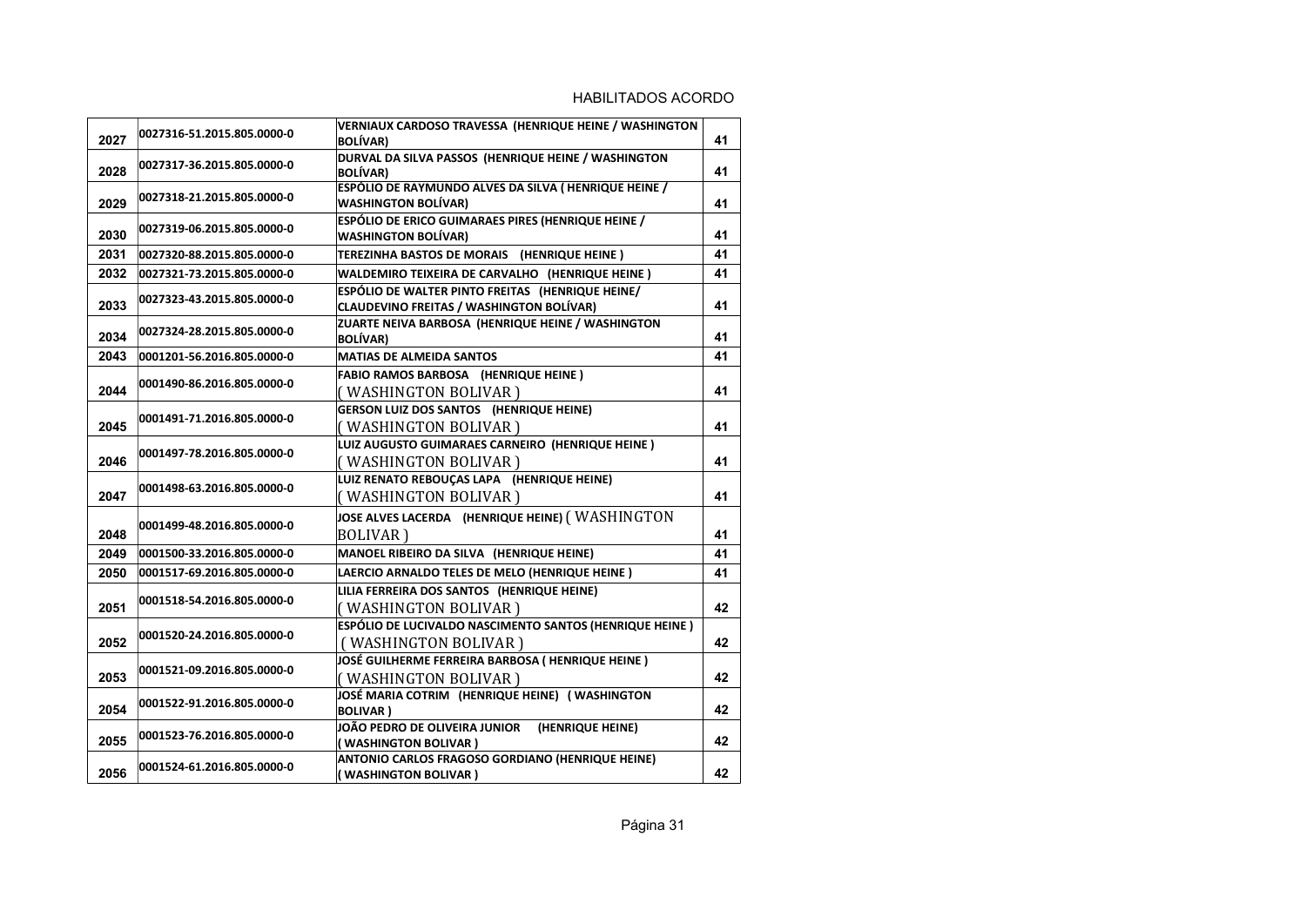| 2027 | 0027316-51.2015.805.0000-0 | <b>VERNIAUX CARDOSO TRAVESSA (HENRIQUE HEINE / WASHINGTON</b><br><b>BOLÍVAR)</b>                    | 41 |
|------|----------------------------|-----------------------------------------------------------------------------------------------------|----|
| 2028 | 0027317-36.2015.805.0000-0 | DURVAL DA SILVA PASSOS (HENRIQUE HEINE / WASHINGTON<br><b>BOLÍVAR)</b>                              | 41 |
| 2029 | 0027318-21.2015.805.0000-0 | ESPÓLIO DE RAYMUNDO ALVES DA SILVA (HENRIQUE HEINE /<br><b>WASHINGTON BOLÍVAR)</b>                  | 41 |
| 2030 | 0027319-06.2015.805.0000-0 | ESPÓLIO DE ERICO GUIMARAES PIRES (HENRIQUE HEINE /<br><b>WASHINGTON BOLÍVAR)</b>                    | 41 |
| 2031 | 0027320-88.2015.805.0000-0 | TEREZINHA BASTOS DE MORAIS (HENRIQUE HEINE)                                                         | 41 |
| 2032 | 0027321-73.2015.805.0000-0 | WALDEMIRO TEIXEIRA DE CARVALHO (HENRIQUE HEINE)                                                     | 41 |
| 2033 | 0027323-43.2015.805.0000-0 | ESPÓLIO DE WALTER PINTO FREITAS (HENRIQUE HEINE/<br><b>CLAUDEVINO FREITAS / WASHINGTON BOLÍVAR)</b> | 41 |
| 2034 | 0027324-28.2015.805.0000-0 | ZUARTE NEIVA BARBOSA (HENRIQUE HEINE / WASHINGTON<br><b>BOLÍVAR)</b>                                | 41 |
| 2043 | 0001201-56.2016.805.0000-0 | <b>MATIAS DE ALMEIDA SANTOS</b>                                                                     | 41 |
| 2044 | 0001490-86.2016.805.0000-0 | <b>FABIO RAMOS BARBOSA (HENRIQUE HEINE)</b><br>(WASHINGTON BOLIVAR)                                 | 41 |
| 2045 | 0001491-71.2016.805.0000-0 | <b>GERSON LUIZ DOS SANTOS (HENRIQUE HEINE)</b><br>(WASHINGTON BOLIVAR)                              | 41 |
| 2046 | 0001497-78.2016.805.0000-0 | LUIZ AUGUSTO GUIMARAES CARNEIRO (HENRIQUE HEINE)<br>(WASHINGTON BOLIVAR)                            | 41 |
| 2047 | 0001498-63.2016.805.0000-0 | LUIZ RENATO REBOUÇAS LAPA (HENRIQUE HEINE)<br>(WASHINGTON BOLIVAR)                                  | 41 |
| 2048 | 0001499-48.2016.805.0000-0 | JOSE ALVES LACERDA (HENRIQUE HEINE) (WASHINGTON<br><b>BOLIVAR</b> )                                 | 41 |
| 2049 | 0001500-33.2016.805.0000-0 | MANOEL RIBEIRO DA SILVA (HENRIQUE HEINE)                                                            | 41 |
| 2050 | 0001517-69.2016.805.0000-0 | LAERCIO ARNALDO TELES DE MELO (HENRIQUE HEINE)                                                      | 41 |
| 2051 | 0001518-54.2016.805.0000-0 | LILIA FERREIRA DOS SANTOS (HENRIQUE HEINE)<br>(WASHINGTON BOLIVAR)                                  | 42 |
| 2052 | 0001520-24.2016.805.0000-0 | ESPÓLIO DE LUCIVALDO NASCIMENTO SANTOS (HENRIQUE HEINE)<br>(WASHINGTON BOLIVAR)                     | 42 |
| 2053 | 0001521-09.2016.805.0000-0 | JOSÉ GUILHERME FERREIRA BARBOSA (HENRIQUE HEINE)<br>(WASHINGTON BOLIVAR)                            | 42 |
| 2054 | 0001522-91.2016.805.0000-0 | JOSÉ MARIA COTRIM (HENRIQUE HEINE) (WASHINGTON<br><b>BOLIVAR</b> )                                  | 42 |
| 2055 | 0001523-76.2016.805.0000-0 | JOÃO PEDRO DE OLIVEIRA JUNIOR<br>(HENRIQUE HEINE)<br>(WASHINGTON BOLIVAR)                           | 42 |
| 2056 | 0001524-61.2016.805.0000-0 | ANTONIO CARLOS FRAGOSO GORDIANO (HENRIQUE HEINE)<br>(WASHINGTON BOLIVAR)                            | 42 |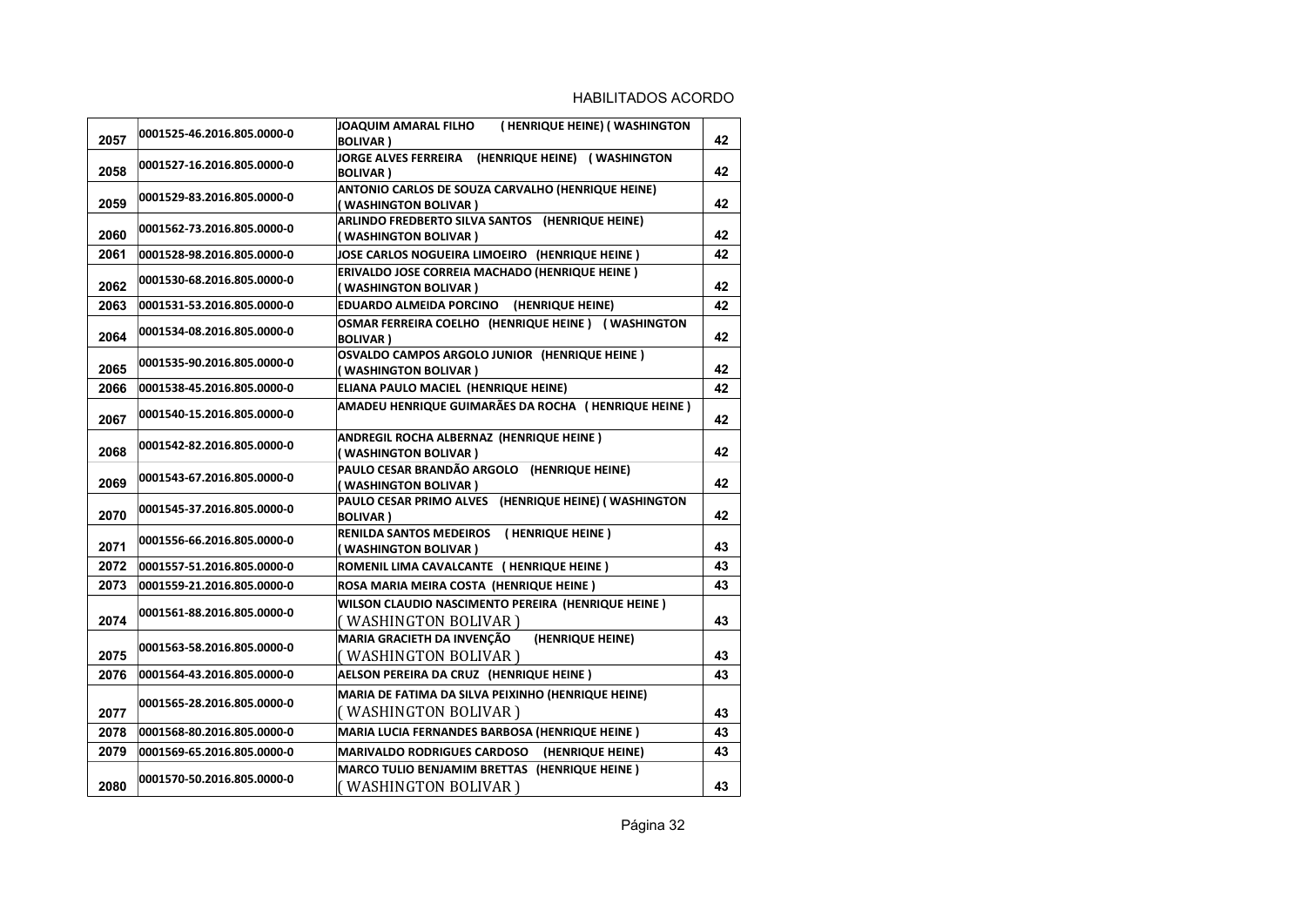| 2057 | 0001525-46.2016.805.0000-0 | (HENRIQUE HEINE) (WASHINGTON<br>JOAQUIM AMARAL FILHO<br><b>BOLIVAR</b> )   | 42 |
|------|----------------------------|----------------------------------------------------------------------------|----|
| 2058 | 0001527-16.2016.805.0000-0 | JORGE ALVES FERREIRA (HENRIQUE HEINE) (WASHINGTON<br><b>BOLIVAR</b> )      | 42 |
| 2059 | 0001529-83.2016.805.0000-0 | ANTONIO CARLOS DE SOUZA CARVALHO (HENRIQUE HEINE)<br>(WASHINGTON BOLIVAR)  | 42 |
| 2060 | 0001562-73.2016.805.0000-0 | ARLINDO FREDBERTO SILVA SANTOS (HENRIQUE HEINE)<br>(WASHINGTON BOLIVAR)    | 42 |
| 2061 | 0001528-98.2016.805.0000-0 | JOSE CARLOS NOGUEIRA LIMOEIRO (HENRIQUE HEINE)                             | 42 |
| 2062 | 0001530-68.2016.805.0000-0 | ERIVALDO JOSE CORREIA MACHADO (HENRIQUE HEINE)<br>(WASHINGTON BOLIVAR )    | 42 |
| 2063 | 0001531-53.2016.805.0000-0 | EDUARDO ALMEIDA PORCINO (HENRIQUE HEINE)                                   | 42 |
| 2064 | 0001534-08.2016.805.0000-0 | OSMAR FERREIRA COELHO (HENRIQUE HEINE) (WASHINGTON<br><b>BOLIVAR</b> )     | 42 |
| 2065 | 0001535-90.2016.805.0000-0 | OSVALDO CAMPOS ARGOLO JUNIOR (HENRIQUE HEINE)<br>(WASHINGTON BOLIVAR )     | 42 |
| 2066 | 0001538-45.2016.805.0000-0 | ELIANA PAULO MACIEL (HENRIQUE HEINE)                                       | 42 |
| 2067 | 0001540-15.2016.805.0000-0 | AMADEU HENRIQUE GUIMARÃES DA ROCHA (HENRIQUE HEINE)                        | 42 |
| 2068 | 0001542-82.2016.805.0000-0 | ANDREGIL ROCHA ALBERNAZ (HENRIQUE HEINE)<br>(WASHINGTON BOLIVAR )          | 42 |
| 2069 | 0001543-67.2016.805.0000-0 | PAULO CESAR BRANDÃO ARGOLO (HENRIQUE HEINE)<br>(WASHINGTON BOLIVAR)        | 42 |
| 2070 | 0001545-37.2016.805.0000-0 | PAULO CESAR PRIMO ALVES (HENRIQUE HEINE) (WASHINGTON<br><b>BOLIVAR</b> )   | 42 |
| 2071 | 0001556-66.2016.805.0000-0 | RENILDA SANTOS MEDEIROS (HENRIQUE HEINE)<br>(WASHINGTON BOLIVAR )          | 43 |
| 2072 | 0001557-51.2016.805.0000-0 | ROMENIL LIMA CAVALCANTE ( HENRIQUE HEINE )                                 | 43 |
| 2073 | 0001559-21.2016.805.0000-0 | ROSA MARIA MEIRA COSTA (HENRIQUE HEINE)                                    | 43 |
| 2074 | 0001561-88.2016.805.0000-0 | WILSON CLAUDIO NASCIMENTO PEREIRA (HENRIQUE HEINE)<br>(WASHINGTON BOLIVAR) | 43 |
| 2075 | 0001563-58.2016.805.0000-0 | MARIA GRACIETH DA INVENÇÃO<br>(HENRIQUE HEINE)<br>(WASHINGTON BOLIVAR )    | 43 |
| 2076 | 0001564-43.2016.805.0000-0 | AELSON PEREIRA DA CRUZ (HENRIQUE HEINE)                                    | 43 |
| 2077 | 0001565-28.2016.805.0000-0 | MARIA DE FATIMA DA SILVA PEIXINHO (HENRIQUE HEINE)<br>(WASHINGTON BOLIVAR) | 43 |
| 2078 | 0001568-80.2016.805.0000-0 | MARIA LUCIA FERNANDES BARBOSA (HENRIQUE HEINE)                             | 43 |
| 2079 | 0001569-65.2016.805.0000-0 | <b>MARIVALDO RODRIGUES CARDOSO</b><br>(HENRIQUE HEINE)                     | 43 |
| 2080 | 0001570-50.2016.805.0000-0 | MARCO TULIO BENJAMIM BRETTAS (HENRIQUE HEINE)<br>(WASHINGTON BOLIVAR)      | 43 |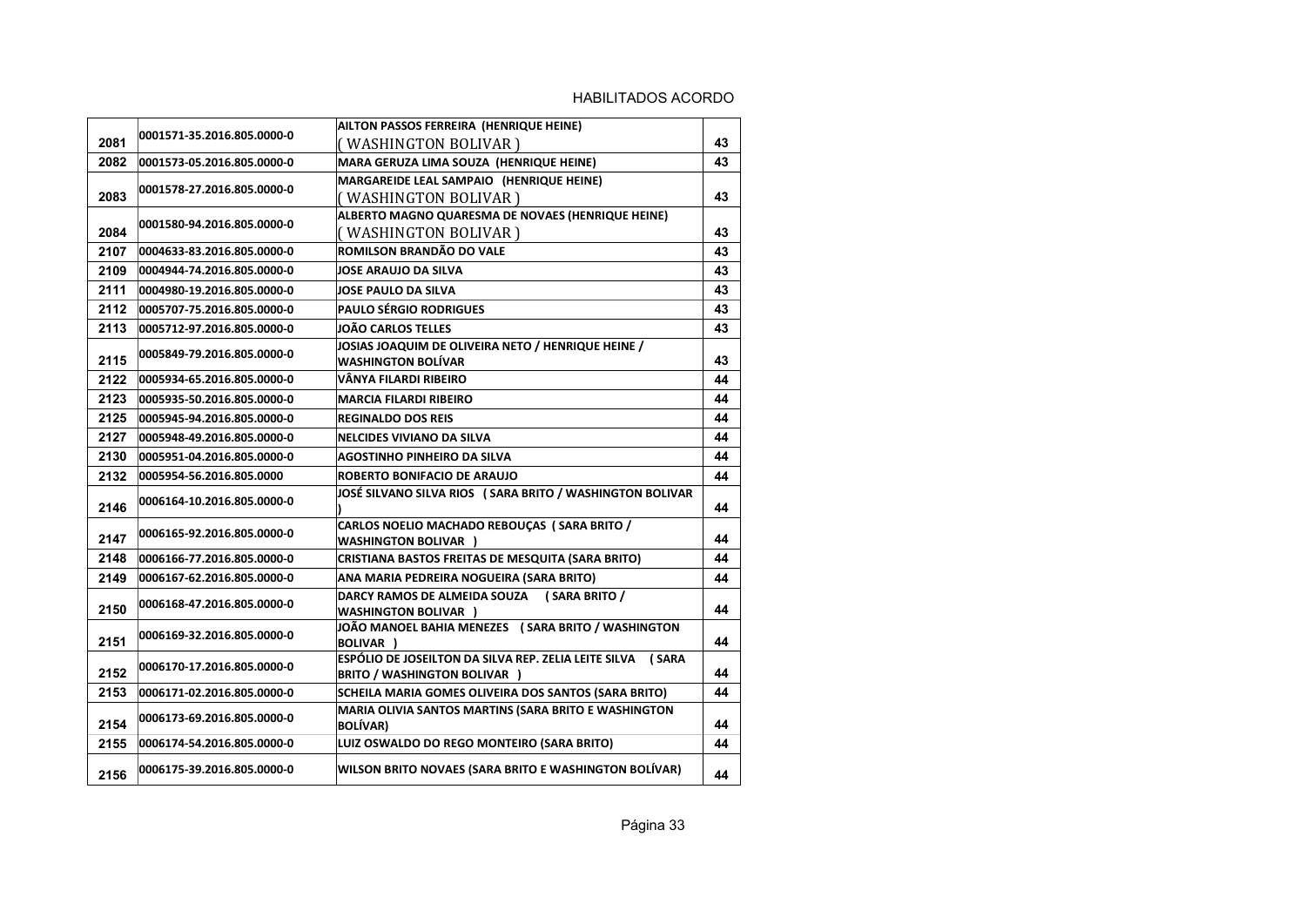|      | 0001571-35.2016.805.0000-0 | AILTON PASSOS FERREIRA (HENRIQUE HEINE)                                                           |    |
|------|----------------------------|---------------------------------------------------------------------------------------------------|----|
| 2081 |                            | (WASHINGTON BOLIVAR )                                                                             | 43 |
| 2082 | 0001573-05.2016.805.0000-0 | MARA GERUZA LIMA SOUZA (HENRIQUE HEINE)                                                           | 43 |
|      | 0001578-27.2016.805.0000-0 | MARGAREIDE LEAL SAMPAIO (HENRIQUE HEINE)                                                          |    |
| 2083 |                            | ( WASHINGTON BOLIVAR )                                                                            | 43 |
|      | 0001580-94.2016.805.0000-0 | ALBERTO MAGNO QUARESMA DE NOVAES (HENRIQUE HEINE)                                                 |    |
| 2084 |                            | (WASHINGTON BOLIVAR )                                                                             | 43 |
| 2107 | 0004633-83.2016.805.0000-0 | ROMILSON BRANDÃO DO VALE                                                                          | 43 |
| 2109 | 0004944-74.2016.805.0000-0 | JOSE ARAUJO DA SILVA                                                                              | 43 |
| 2111 | 0004980-19.2016.805.0000-0 | <b>JOSE PAULO DA SILVA</b>                                                                        | 43 |
| 2112 | 0005707-75.2016.805.0000-0 | PAULO SÉRGIO RODRIGUES                                                                            | 43 |
| 2113 | 0005712-97.2016.805.0000-0 | <b>JOÃO CARLOS TELLES</b>                                                                         | 43 |
|      | 0005849-79.2016.805.0000-0 | JOSIAS JOAQUIM DE OLIVEIRA NETO / HENRIQUE HEINE /                                                |    |
| 2115 |                            | <b>WASHINGTON BOLÍVAR</b>                                                                         | 43 |
| 2122 | 0005934-65.2016.805.0000-0 | VÂNYA FILARDI RIBEIRO                                                                             | 44 |
| 2123 | 0005935-50.2016.805.0000-0 | <b>MARCIA FILARDI RIBEIRO</b>                                                                     | 44 |
| 2125 | 0005945-94.2016.805.0000-0 | <b>REGINALDO DOS REIS</b>                                                                         | 44 |
| 2127 | 0005948-49.2016.805.0000-0 | <b>NELCIDES VIVIANO DA SILVA</b>                                                                  | 44 |
| 2130 | 0005951-04.2016.805.0000-0 | <b>AGOSTINHO PINHEIRO DA SILVA</b>                                                                | 44 |
| 2132 | 0005954-56.2016.805.0000   | ROBERTO BONIFACIO DE ARAUJO                                                                       | 44 |
| 2146 | 0006164-10.2016.805.0000-0 | JOSÉ SILVANO SILVA RIOS (SARA BRITO / WASHINGTON BOLIVAR                                          | 44 |
| 2147 | 0006165-92.2016.805.0000-0 | CARLOS NOELIO MACHADO REBOUÇAS (SARA BRITO /<br><b>WASHINGTON BOLIVAR )</b>                       | 44 |
| 2148 | 0006166-77.2016.805.0000-0 | CRISTIANA BASTOS FREITAS DE MESQUITA (SARA BRITO)                                                 | 44 |
| 2149 | 0006167-62.2016.805.0000-0 | ANA MARIA PEDREIRA NOGUEIRA (SARA BRITO)                                                          | 44 |
| 2150 | 0006168-47.2016.805.0000-0 | DARCY RAMOS DE ALMEIDA SOUZA (SARA BRITO /<br><b>WASHINGTON BOLIVAR )</b>                         | 44 |
| 2151 | 0006169-32.2016.805.0000-0 | JOÃO MANOEL BAHIA MENEZES (SARA BRITO / WASHINGTON<br><b>BOLIVAR</b> )                            | 44 |
| 2152 | 0006170-17.2016.805.0000-0 | ESPÓLIO DE JOSEILTON DA SILVA REP. ZELIA LEITE SILVA (SARA<br><b>BRITO / WASHINGTON BOLIVAR )</b> | 44 |
| 2153 | 0006171-02.2016.805.0000-0 | SCHEILA MARIA GOMES OLIVEIRA DOS SANTOS (SARA BRITO)                                              | 44 |
| 2154 | 0006173-69.2016.805.0000-0 | MARIA OLIVIA SANTOS MARTINS (SARA BRITO E WASHINGTON<br><b>BOLÍVAR)</b>                           | 44 |
| 2155 | 0006174-54.2016.805.0000-0 | LUIZ OSWALDO DO REGO MONTEIRO (SARA BRITO)                                                        | 44 |
| 2156 | 0006175-39.2016.805.0000-0 | WILSON BRITO NOVAES (SARA BRITO E WASHINGTON BOLIVAR)                                             | 44 |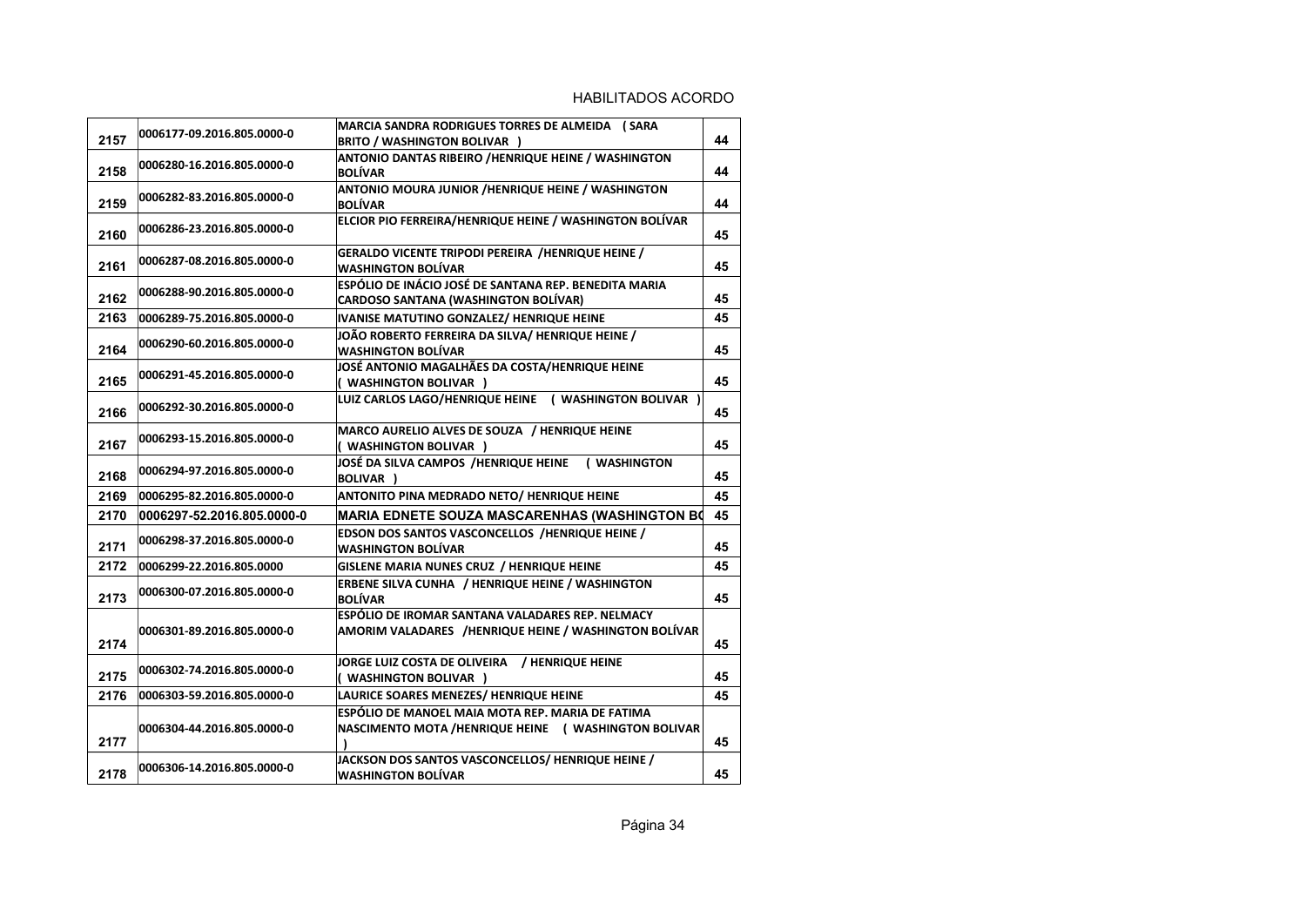| 2157 | 0006177-09.2016.805.0000-0 | MARCIA SANDRA RODRIGUES TORRES DE ALMEIDA (SARA<br><b>BRITO / WASHINGTON BOLIVAR )</b>                    | 44 |
|------|----------------------------|-----------------------------------------------------------------------------------------------------------|----|
| 2158 | 0006280-16.2016.805.0000-0 | ANTONIO DANTAS RIBEIRO / HENRIQUE HEINE / WASHINGTON<br><b>BOLÍVAR</b>                                    | 44 |
| 2159 | 0006282-83.2016.805.0000-0 | ANTONIO MOURA JUNIOR /HENRIQUE HEINE / WASHINGTON<br><b>BOLÍVAR</b>                                       | 44 |
| 2160 | 0006286-23.2016.805.0000-0 | ELCIOR PIO FERREIRA/HENRIQUE HEINE / WASHINGTON BOLÍVAR                                                   | 45 |
| 2161 | 0006287-08.2016.805.0000-0 | GERALDO VICENTE TRIPODI PEREIRA /HENRIQUE HEINE /<br><b>WASHINGTON BOLÍVAR</b>                            | 45 |
| 2162 | 0006288-90.2016.805.0000-0 | ESPÓLIO DE INÁCIO JOSÉ DE SANTANA REP. BENEDITA MARIA<br><b>CARDOSO SANTANA (WASHINGTON BOLÍVAR)</b>      | 45 |
| 2163 | 0006289-75.2016.805.0000-0 | IVANISE MATUTINO GONZALEZ/ HENRIQUE HEINE                                                                 | 45 |
| 2164 | 0006290-60.2016.805.0000-0 | JOÃO ROBERTO FERREIRA DA SILVA/HENRIQUE HEINE /<br><b>WASHINGTON BOLÍVAR</b>                              | 45 |
| 2165 | 0006291-45.2016.805.0000-0 | JOSÉ ANTONIO MAGALHÃES DA COSTA/HENRIQUE HEINE<br>( WASHINGTON BOLIVAR )                                  | 45 |
| 2166 | 0006292-30.2016.805.0000-0 | LUIZ CARLOS LAGO/HENRIQUE HEINE ( WASHINGTON BOLIVAR )                                                    | 45 |
| 2167 | 0006293-15.2016.805.0000-0 | MARCO AURELIO ALVES DE SOUZA / HENRIQUE HEINE<br>( WASHINGTON BOLIVAR )                                   | 45 |
| 2168 | 0006294-97.2016.805.0000-0 | JOSÉ DA SILVA CAMPOS /HENRIQUE HEINE<br>( WASHINGTON<br>BOLIVAR )                                         | 45 |
| 2169 | 0006295-82.2016.805.0000-0 | ANTONITO PINA MEDRADO NETO/ HENRIQUE HEINE                                                                | 45 |
| 2170 | 0006297-52.2016.805.0000-0 | <b>MARIA EDNETE SOUZA MASCARENHAS (WASHINGTON BO</b>                                                      | 45 |
| 2171 | 0006298-37.2016.805.0000-0 | <b>EDSON DOS SANTOS VASCONCELLOS /HENRIQUE HEINE /</b><br><b>WASHINGTON BOLÍVAR</b>                       | 45 |
| 2172 | 0006299-22.2016.805.0000   | GISLENE MARIA NUNES CRUZ / HENRIQUE HEINE                                                                 | 45 |
| 2173 | 0006300-07.2016.805.0000-0 | <b>ERBENE SILVA CUNHA / HENRIQUE HEINE / WASHINGTON</b><br><b>BOLÍVAR</b>                                 | 45 |
| 2174 | 0006301-89.2016.805.0000-0 | ESPÓLIO DE IROMAR SANTANA VALADARES REP. NELMACY<br>AMORIM VALADARES /HENRIQUE HEINE / WASHINGTON BOLÍVAR | 45 |
| 2175 | 0006302-74.2016.805.0000-0 | JORGE LUIZ COSTA DE OLIVEIRA / HENRIQUE HEINE<br>( WASHINGTON BOLIVAR )                                   | 45 |
| 2176 | 0006303-59.2016.805.0000-0 | LAURICE SOARES MENEZES/ HENRIQUE HEINE                                                                    | 45 |
| 2177 | 0006304-44.2016.805.0000-0 | ESPÓLIO DE MANOEL MAIA MOTA REP. MARIA DE FATIMA<br>NASCIMENTO MOTA /HENRIQUE HEINE ( WASHINGTON BOLIVAR  | 45 |
| 2178 | 0006306-14.2016.805.0000-0 | JACKSON DOS SANTOS VASCONCELLOS/HENRIQUE HEINE /<br><b>WASHINGTON BOLÍVAR</b>                             | 45 |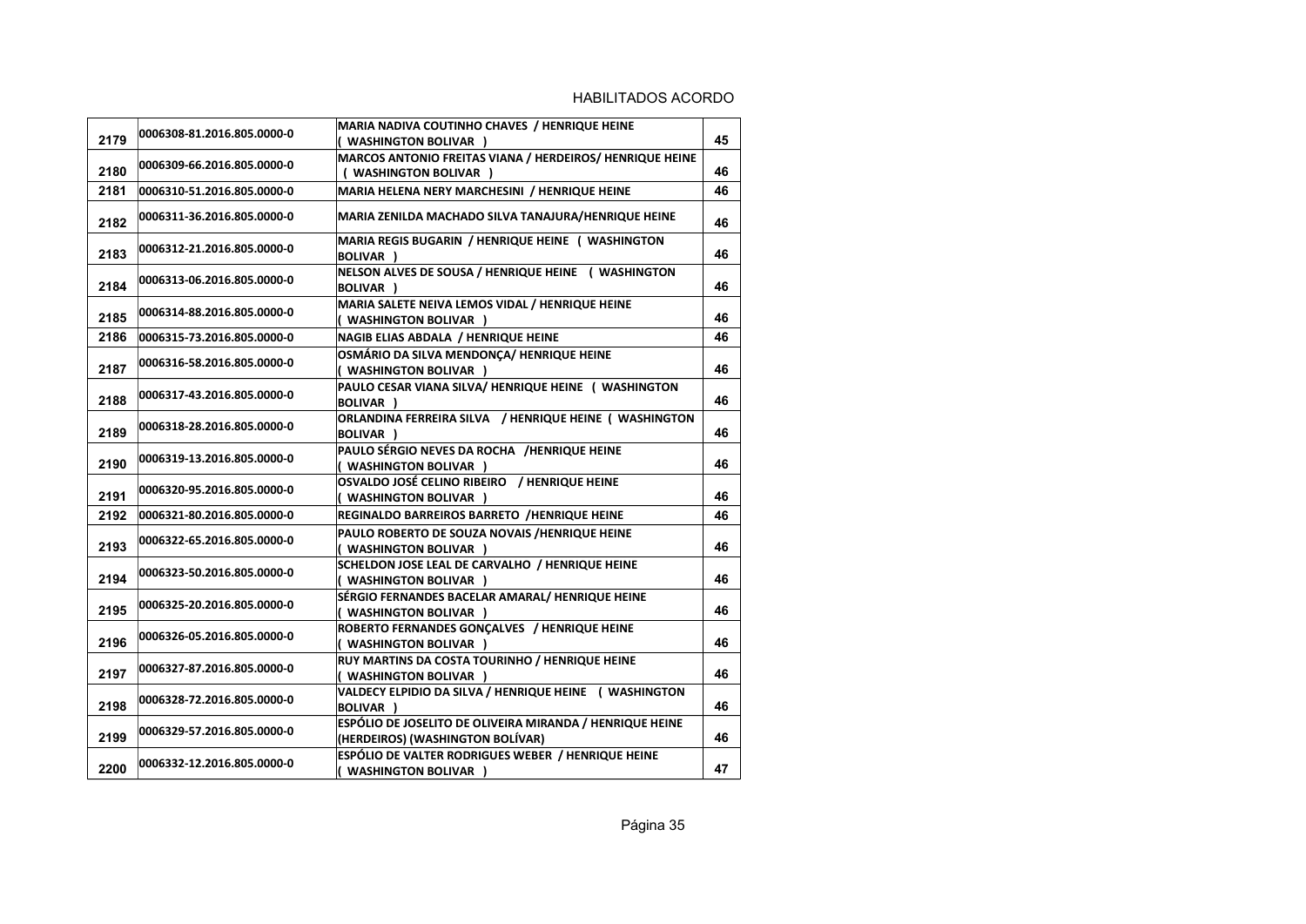| 2179 | 0006308-81.2016.805.0000-0 | MARIA NADIVA COUTINHO CHAVES / HENRIQUE HEINE<br>( WASHINGTON BOLIVAR )                      | 45 |
|------|----------------------------|----------------------------------------------------------------------------------------------|----|
| 2180 | 0006309-66.2016.805.0000-0 | MARCOS ANTONIO FREITAS VIANA / HERDEIROS/ HENRIQUE HEINE<br>( WASHINGTON BOLIVAR )           | 46 |
| 2181 | 0006310-51.2016.805.0000-0 | MARIA HELENA NERY MARCHESINI / HENRIQUE HEINE                                                | 46 |
| 2182 | 0006311-36.2016.805.0000-0 | MARIA ZENILDA MACHADO SILVA TANAJURA/HENRIQUE HEINE                                          | 46 |
| 2183 | 0006312-21.2016.805.0000-0 | MARIA REGIS BUGARIN / HENRIQUE HEINE ( WASHINGTON<br><b>BOLIVAR</b> )                        | 46 |
| 2184 | 0006313-06.2016.805.0000-0 | NELSON ALVES DE SOUSA / HENRIQUE HEINE ( WASHINGTON<br>BOLIVAR )                             | 46 |
| 2185 | 0006314-88.2016.805.0000-0 | MARIA SALETE NEIVA LEMOS VIDAL / HENRIQUE HEINE<br>( WASHINGTON BOLIVAR )                    | 46 |
| 2186 | 0006315-73.2016.805.0000-0 | NAGIB ELIAS ABDALA / HENRIQUE HEINE                                                          | 46 |
| 2187 | 0006316-58.2016.805.0000-0 | OSMÁRIO DA SILVA MENDONÇA/ HENRIQUE HEINE<br>( WASHINGTON BOLIVAR )                          | 46 |
| 2188 | 0006317-43.2016.805.0000-0 | PAULO CESAR VIANA SILVA/ HENRIQUE HEINE ( WASHINGTON<br><b>BOLIVAR</b> )                     | 46 |
| 2189 | 0006318-28.2016.805.0000-0 | ORLANDINA FERREIRA SILVA / HENRIQUE HEINE ( WASHINGTON<br><b>BOLIVAR</b> )                   | 46 |
| 2190 | 0006319-13.2016.805.0000-0 | PAULO SÉRGIO NEVES DA ROCHA /HENRIQUE HEINE<br>( WASHINGTON BOLIVAR )                        | 46 |
| 2191 | 0006320-95.2016.805.0000-0 | OSVALDO JOSÉ CELINO RIBEIRO / HENRIQUE HEINE<br>( WASHINGTON BOLIVAR )                       | 46 |
| 2192 | 0006321-80.2016.805.0000-0 | REGINALDO BARREIROS BARRETO /HENRIQUE HEINE                                                  | 46 |
| 2193 | 0006322-65.2016.805.0000-0 | PAULO ROBERTO DE SOUZA NOVAIS /HENRIQUE HEINE<br>( WASHINGTON BOLIVAR )                      | 46 |
| 2194 | 0006323-50.2016.805.0000-0 | SCHELDON JOSE LEAL DE CARVALHO / HENRIQUE HEINE<br>( WASHINGTON BOLIVAR )                    | 46 |
| 2195 | 0006325-20.2016.805.0000-0 | SÉRGIO FERNANDES BACELAR AMARAL/ HENRIQUE HEINE<br>( WASHINGTON BOLIVAR )                    | 46 |
| 2196 | 0006326-05.2016.805.0000-0 | ROBERTO FERNANDES GONCALVES / HENRIQUE HEINE<br>( WASHINGTON BOLIVAR )                       | 46 |
| 2197 | 0006327-87.2016.805.0000-0 | RUY MARTINS DA COSTA TOURINHO / HENRIQUE HEINE<br>( WASHINGTON BOLIVAR )                     | 46 |
| 2198 | 0006328-72.2016.805.0000-0 | VALDECY ELPIDIO DA SILVA / HENRIQUE HEINE ( WASHINGTON<br><b>BOLIVAR</b> )                   | 46 |
| 2199 | 0006329-57.2016.805.0000-0 | ESPÓLIO DE JOSELITO DE OLIVEIRA MIRANDA / HENRIQUE HEINE<br>(HERDEIROS) (WASHINGTON BOLÍVAR) | 46 |
| 2200 | 0006332-12.2016.805.0000-0 | ESPÓLIO DE VALTER RODRIGUES WEBER / HENRIQUE HEINE<br>( WASHINGTON BOLIVAR )                 | 47 |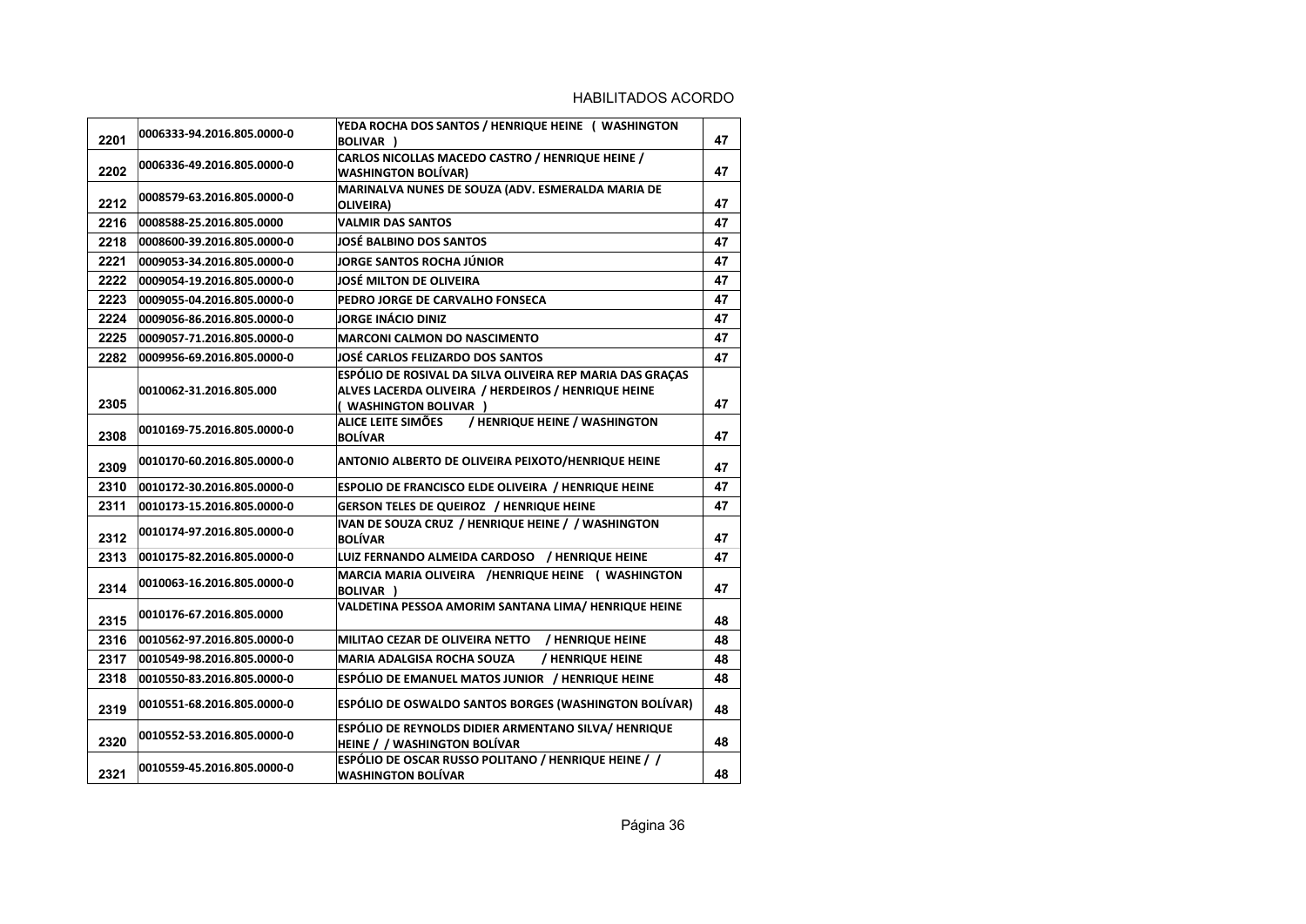| 2201 | 0006333-94.2016.805.0000-0 | YEDA ROCHA DOS SANTOS / HENRIQUE HEINE ( WASHINGTON<br><b>BOLIVAR</b> )                                                                    | 47 |
|------|----------------------------|--------------------------------------------------------------------------------------------------------------------------------------------|----|
| 2202 | 0006336-49.2016.805.0000-0 | CARLOS NICOLLAS MACEDO CASTRO / HENRIQUE HEINE /<br><b>WASHINGTON BOLÍVAR)</b>                                                             | 47 |
| 2212 | 0008579-63.2016.805.0000-0 | MARINALVA NUNES DE SOUZA (ADV. ESMERALDA MARIA DE<br>OLIVEIRA)                                                                             | 47 |
| 2216 | 0008588-25.2016.805.0000   | <b>VALMIR DAS SANTOS</b>                                                                                                                   | 47 |
| 2218 | 0008600-39.2016.805.0000-0 | <b>JOSÉ BALBINO DOS SANTOS</b>                                                                                                             | 47 |
| 2221 | 0009053-34.2016.805.0000-0 | <b>JORGE SANTOS ROCHA JÚNIOR</b>                                                                                                           | 47 |
| 2222 | 0009054-19.2016.805.0000-0 | <b>JOSÉ MILTON DE OLIVEIRA</b>                                                                                                             | 47 |
| 2223 | 0009055-04.2016.805.0000-0 | PEDRO JORGE DE CARVALHO FONSECA                                                                                                            | 47 |
| 2224 | 0009056-86.2016.805.0000-0 | <b>JORGE INÁCIO DINIZ</b>                                                                                                                  | 47 |
| 2225 | 0009057-71.2016.805.0000-0 | <b>MARCONI CALMON DO NASCIMENTO</b>                                                                                                        | 47 |
| 2282 | 0009956-69.2016.805.0000-0 | JOSÉ CARLOS FELIZARDO DOS SANTOS                                                                                                           | 47 |
| 2305 | 0010062-31.2016.805.000    | ESPÓLIO DE ROSIVAL DA SILVA OLIVEIRA REP MARIA DAS GRAÇAS<br>ALVES LACERDA OLIVEIRA / HERDEIROS / HENRIQUE HEINE<br>( WASHINGTON BOLIVAR ) | 47 |
| 2308 | 0010169-75.2016.805.0000-0 | ALICE LEITE SIMÕES<br>/ HENRIQUE HEINE / WASHINGTON<br><b>BOLÍVAR</b>                                                                      | 47 |
| 2309 | 0010170-60.2016.805.0000-0 | ANTONIO ALBERTO DE OLIVEIRA PEIXOTO/HENRIQUE HEINE                                                                                         | 47 |
| 2310 | 0010172-30.2016.805.0000-0 | <b>ESPOLIO DE FRANCISCO ELDE OLIVEIRA / HENRIQUE HEINE</b>                                                                                 | 47 |
| 2311 | 0010173-15.2016.805.0000-0 | <b>GERSON TELES DE QUEIROZ / HENRIQUE HEINE</b>                                                                                            | 47 |
| 2312 | 0010174-97.2016.805.0000-0 | IVAN DE SOUZA CRUZ / HENRIQUE HEINE / / WASHINGTON<br><b>BOLÍVAR</b>                                                                       | 47 |
| 2313 | 0010175-82.2016.805.0000-0 | LUIZ FERNANDO ALMEIDA CARDOSO / HENRIQUE HEINE                                                                                             | 47 |
| 2314 | 0010063-16.2016.805.0000-0 | MARCIA MARIA OLIVEIRA /HENRIQUE HEINE ( WASHINGTON<br><b>BOLIVAR</b> )                                                                     | 47 |
| 2315 | 0010176-67.2016.805.0000   | VALDETINA PESSOA AMORIM SANTANA LIMA/ HENRIQUE HEINE                                                                                       | 48 |
| 2316 | 0010562-97.2016.805.0000-0 | / HENRIQUE HEINE<br>MILITAO CEZAR DE OLIVEIRA NETTO                                                                                        | 48 |
| 2317 | 0010549-98.2016.805.0000-0 | / HENRIQUE HEINE<br><b>MARIA ADALGISA ROCHA SOUZA</b>                                                                                      | 48 |
| 2318 | 0010550-83.2016.805.0000-0 | ESPÓLIO DE EMANUEL MATOS JUNIOR / HENRIQUE HEINE                                                                                           | 48 |
| 2319 | 0010551-68.2016.805.0000-0 | ESPÓLIO DE OSWALDO SANTOS BORGES (WASHINGTON BOLÍVAR)                                                                                      | 48 |
| 2320 | 0010552-53.2016.805.0000-0 | ESPÓLIO DE REYNOLDS DIDIER ARMENTANO SILVA/ HENRIQUE<br>HEINE / / WASHINGTON BOLÍVAR                                                       | 48 |
| 2321 | 0010559-45.2016.805.0000-0 | ESPÓLIO DE OSCAR RUSSO POLITANO / HENRIQUE HEINE / /<br><b>WASHINGTON BOLÍVAR</b>                                                          | 48 |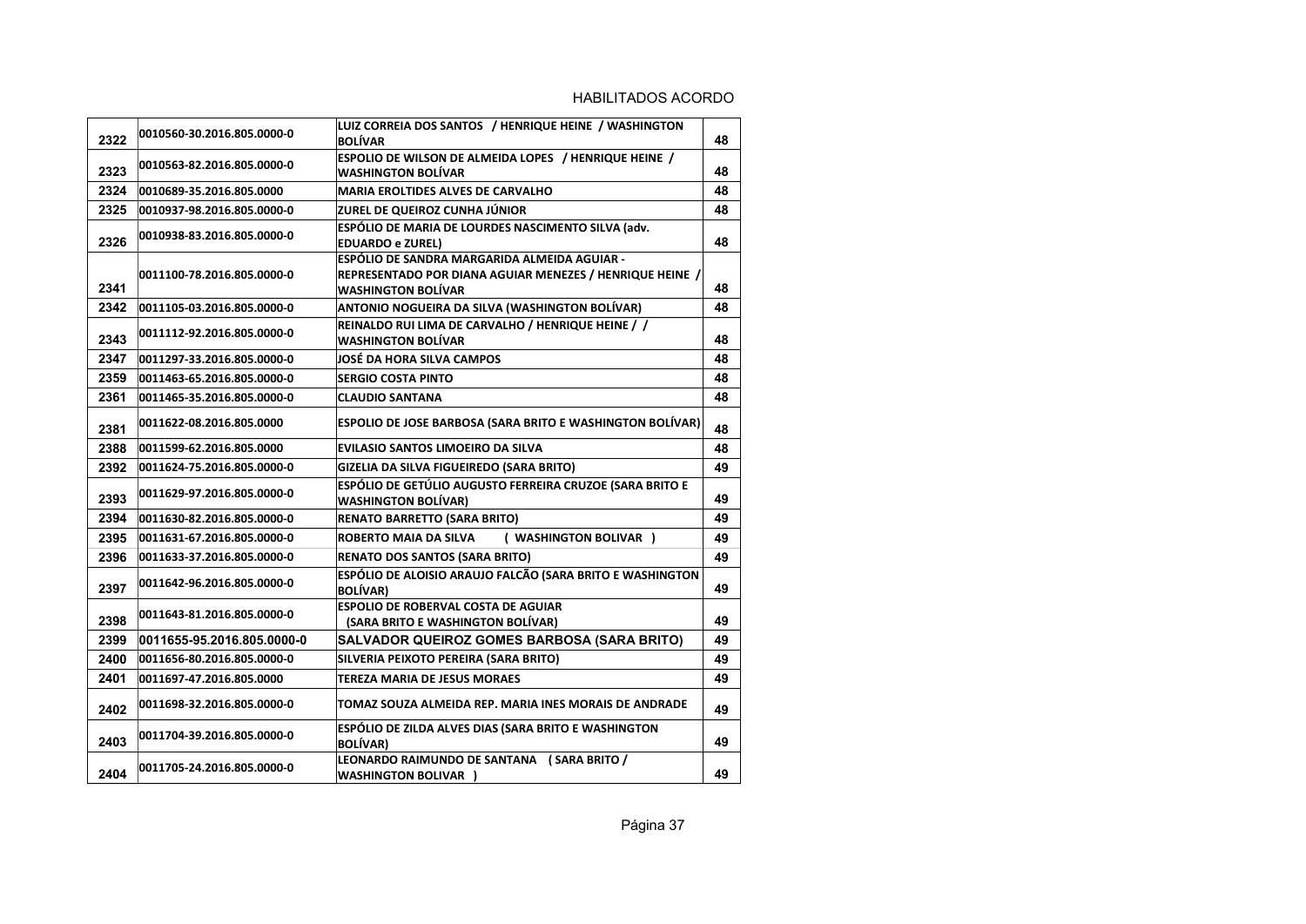| 2322 | 0010560-30.2016.805.0000-0 | LUIZ CORREIA DOS SANTOS / HENRIQUE HEINE / WASHINGTON<br><b>BOLÍVAR</b>                                                               | 48 |
|------|----------------------------|---------------------------------------------------------------------------------------------------------------------------------------|----|
| 2323 | 0010563-82.2016.805.0000-0 | ESPOLIO DE WILSON DE ALMEIDA LOPES / HENRIQUE HEINE /<br><b>WASHINGTON BOLÍVAR</b>                                                    | 48 |
| 2324 | 0010689-35.2016.805.0000   | <b>MARIA EROLTIDES ALVES DE CARVALHO</b>                                                                                              | 48 |
| 2325 | 0010937-98.2016.805.0000-0 | ZUREL DE QUEIROZ CUNHA JÚNIOR                                                                                                         | 48 |
| 2326 | 0010938-83.2016.805.0000-0 | ESPÓLIO DE MARIA DE LOURDES NASCIMENTO SILVA (adv.<br><b>EDUARDO e ZUREL)</b>                                                         | 48 |
| 2341 | 0011100-78.2016.805.0000-0 | ESPÓLIO DE SANDRA MARGARIDA ALMEIDA AGUIAR -<br>REPRESENTADO POR DIANA AGUIAR MENEZES / HENRIQUE HEINE /<br><b>WASHINGTON BOLÍVAR</b> | 48 |
| 2342 | 0011105-03.2016.805.0000-0 | ANTONIO NOGUEIRA DA SILVA (WASHINGTON BOLÍVAR)                                                                                        | 48 |
| 2343 | 0011112-92.2016.805.0000-0 | REINALDO RUI LIMA DE CARVALHO / HENRIQUE HEINE / /<br><b>WASHINGTON BOLÍVAR</b>                                                       | 48 |
| 2347 | 0011297-33.2016.805.0000-0 | JOSÉ DA HORA SILVA CAMPOS                                                                                                             | 48 |
| 2359 | 0011463-65.2016.805.0000-0 | <b>SERGIO COSTA PINTO</b>                                                                                                             | 48 |
| 2361 | 0011465-35.2016.805.0000-0 | <b>CLAUDIO SANTANA</b>                                                                                                                | 48 |
| 2381 | 0011622-08.2016.805.0000   | ESPOLIO DE JOSE BARBOSA (SARA BRITO E WASHINGTON BOLÍVAR)                                                                             | 48 |
| 2388 | 0011599-62.2016.805.0000   | <b>EVILASIO SANTOS LIMOEIRO DA SILVA</b>                                                                                              | 48 |
| 2392 | 0011624-75.2016.805.0000-0 | GIZELIA DA SILVA FIGUEIREDO (SARA BRITO)                                                                                              | 49 |
| 2393 | 0011629-97.2016.805.0000-0 | ESPÓLIO DE GETÚLIO AUGUSTO FERREIRA CRUZOE (SARA BRITO E<br><b>WASHINGTON BOLÍVAR)</b>                                                | 49 |
| 2394 | 0011630-82.2016.805.0000-0 | <b>RENATO BARRETTO (SARA BRITO)</b>                                                                                                   | 49 |
| 2395 | 0011631-67.2016.805.0000-0 | <b>ROBERTO MAIA DA SILVA</b><br>( WASHINGTON BOLIVAR )                                                                                | 49 |
| 2396 | 0011633-37.2016.805.0000-0 | <b>RENATO DOS SANTOS (SARA BRITO)</b>                                                                                                 | 49 |
| 2397 | 0011642-96.2016.805.0000-0 | ESPÓLIO DE ALOISIO ARAUJO FALCÃO (SARA BRITO E WASHINGTON<br><b>BOLÍVAR)</b>                                                          | 49 |
| 2398 | 0011643-81.2016.805.0000-0 | ESPOLIO DE ROBERVAL COSTA DE AGUIAR<br>(SARA BRITO E WASHINGTON BOLÍVAR)                                                              | 49 |
| 2399 | 0011655-95.2016.805.0000-0 | SALVADOR QUEIROZ GOMES BARBOSA (SARA BRITO)                                                                                           | 49 |
| 2400 | 0011656-80.2016.805.0000-0 | SILVERIA PEIXOTO PEREIRA (SARA BRITO)                                                                                                 | 49 |
| 2401 | 0011697-47.2016.805.0000   | <b>TEREZA MARIA DE JESUS MORAES</b>                                                                                                   | 49 |
| 2402 | 0011698-32.2016.805.0000-0 | TOMAZ SOUZA ALMEIDA REP. MARIA INES MORAIS DE ANDRADE                                                                                 | 49 |
| 2403 | 0011704-39.2016.805.0000-0 | ESPÓLIO DE ZILDA ALVES DIAS (SARA BRITO E WASHINGTON<br><b>BOLÍVAR)</b>                                                               | 49 |
| 2404 | 0011705-24.2016.805.0000-0 | LEONARDO RAIMUNDO DE SANTANA (SARA BRITO /<br><b>WASHINGTON BOLIVAR )</b>                                                             | 49 |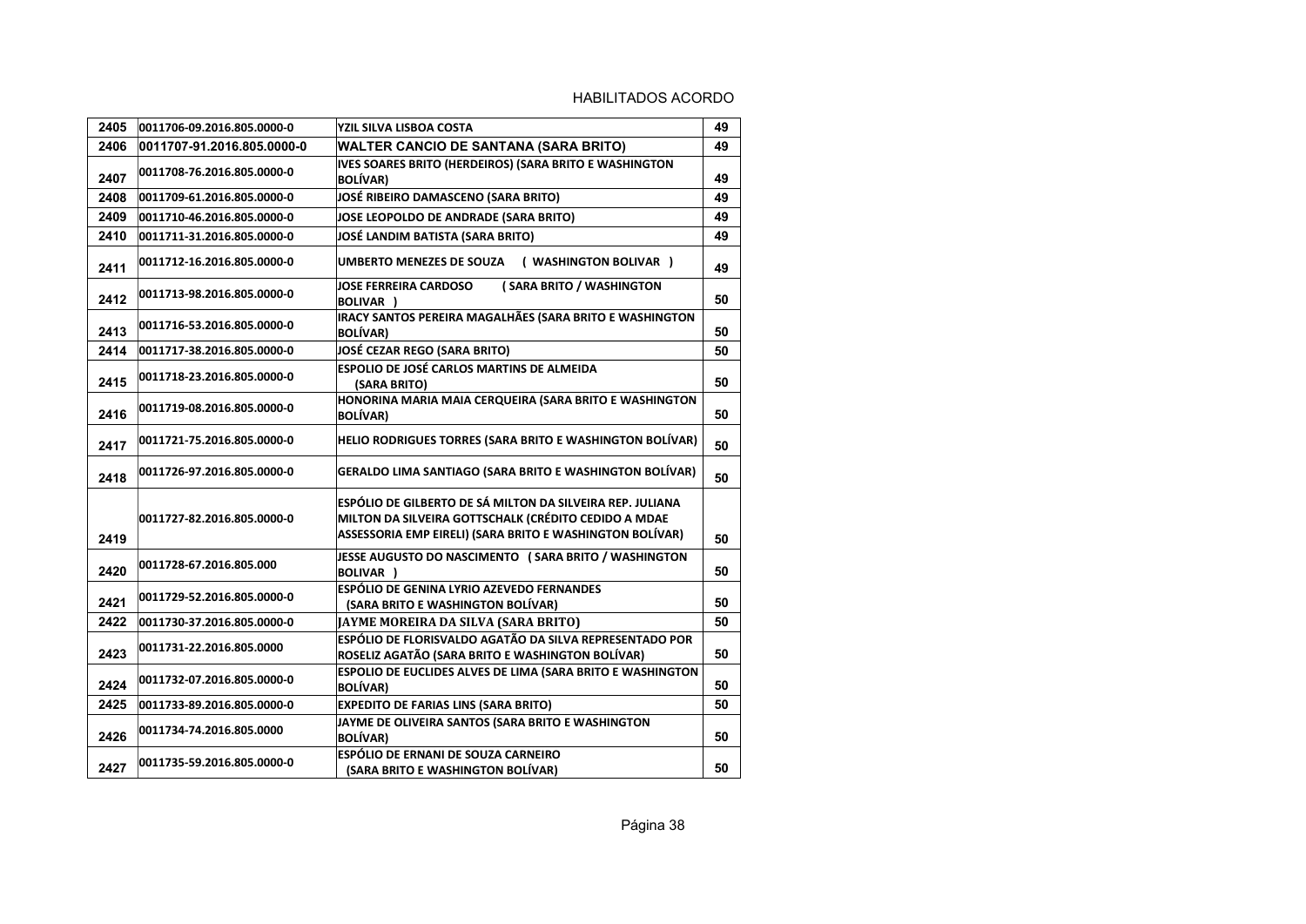| 2405 | 0011706-09.2016.805.0000-0 | YZIL SILVA LISBOA COSTA                                                                                                                                                       | 49 |
|------|----------------------------|-------------------------------------------------------------------------------------------------------------------------------------------------------------------------------|----|
| 2406 | 0011707-91.2016.805.0000-0 | <b>WALTER CANCIO DE SANTANA (SARA BRITO)</b>                                                                                                                                  | 49 |
| 2407 | 0011708-76.2016.805.0000-0 | IVES SOARES BRITO (HERDEIROS) (SARA BRITO E WASHINGTON<br><b>BOLÍVAR)</b>                                                                                                     | 49 |
| 2408 | 0011709-61.2016.805.0000-0 | JOSÉ RIBEIRO DAMASCENO (SARA BRITO)                                                                                                                                           | 49 |
| 2409 | 0011710-46.2016.805.0000-0 | JOSE LEOPOLDO DE ANDRADE (SARA BRITO)                                                                                                                                         | 49 |
| 2410 | 0011711-31.2016.805.0000-0 | JOSÉ LANDIM BATISTA (SARA BRITO)                                                                                                                                              | 49 |
| 2411 | 0011712-16.2016.805.0000-0 | <b>UMBERTO MENEZES DE SOUZA</b><br>( WASHINGTON BOLIVAR )                                                                                                                     | 49 |
| 2412 | 0011713-98.2016.805.0000-0 | (SARA BRITO / WASHINGTON<br><b>JOSE FERREIRA CARDOSO</b><br>BOLIVAR )                                                                                                         | 50 |
| 2413 | 0011716-53.2016.805.0000-0 | IRACY SANTOS PEREIRA MAGALHÃES (SARA BRITO E WASHINGTON<br><b>BOLÍVAR)</b>                                                                                                    | 50 |
| 2414 | 0011717-38.2016.805.0000-0 | JOSÉ CEZAR REGO (SARA BRITO)                                                                                                                                                  | 50 |
| 2415 | 0011718-23.2016.805.0000-0 | <b>ESPOLIO DE JOSÉ CARLOS MARTINS DE ALMEIDA</b><br>(SARA BRITO)                                                                                                              | 50 |
| 2416 | 0011719-08.2016.805.0000-0 | HONORINA MARIA MAIA CERQUEIRA (SARA BRITO E WASHINGTON<br><b>BOLÍVAR)</b>                                                                                                     | 50 |
| 2417 | 0011721-75.2016.805.0000-0 | HELIO RODRIGUES TORRES (SARA BRITO E WASHINGTON BOLÍVAR)                                                                                                                      | 50 |
| 2418 | 0011726-97.2016.805.0000-0 | <b>GERALDO LIMA SANTIAGO (SARA BRITO E WASHINGTON BOLÍVAR)</b>                                                                                                                | 50 |
| 2419 | 0011727-82.2016.805.0000-0 | ESPÓLIO DE GILBERTO DE SÁ MILTON DA SILVEIRA REP. JULIANA<br>MILTON DA SILVEIRA GOTTSCHALK (CRÉDITO CEDIDO A MDAE<br>ASSESSORIA EMP EIRELI) (SARA BRITO E WASHINGTON BOLÍVAR) | 50 |
| 2420 | 0011728-67.2016.805.000    | JESSE AUGUSTO DO NASCIMENTO (SARA BRITO / WASHINGTON<br><b>BOLIVAR</b> )                                                                                                      | 50 |
| 2421 | 0011729-52.2016.805.0000-0 | <b>ESPÓLIO DE GENINA LYRIO AZEVEDO FERNANDES</b><br>(SARA BRITO E WASHINGTON BOLÍVAR)                                                                                         | 50 |
| 2422 | 0011730-37.2016.805.0000-0 | <b>JAYME MOREIRA DA SILVA (SARA BRITO)</b>                                                                                                                                    | 50 |
| 2423 | 0011731-22.2016.805.0000   | ESPÓLIO DE FLORISVALDO AGATÃO DA SILVA REPRESENTADO POR<br>ROSELIZ AGATÃO (SARA BRITO E WASHINGTON BOLÍVAR)                                                                   | 50 |
| 2424 | 0011732-07.2016.805.0000-0 | ESPOLIO DE EUCLIDES ALVES DE LIMA (SARA BRITO E WASHINGTON<br><b>BOLÍVAR)</b>                                                                                                 | 50 |
| 2425 | 0011733-89.2016.805.0000-0 | <b>EXPEDITO DE FARIAS LINS (SARA BRITO)</b>                                                                                                                                   | 50 |
| 2426 | 0011734-74.2016.805.0000   | JAYME DE OLIVEIRA SANTOS (SARA BRITO E WASHINGTON<br><b>BOLÍVAR)</b>                                                                                                          | 50 |
| 2427 | 0011735-59.2016.805.0000-0 | ESPÓLIO DE ERNANI DE SOUZA CARNEIRO<br>(SARA BRITO E WASHINGTON BOLÍVAR)                                                                                                      | 50 |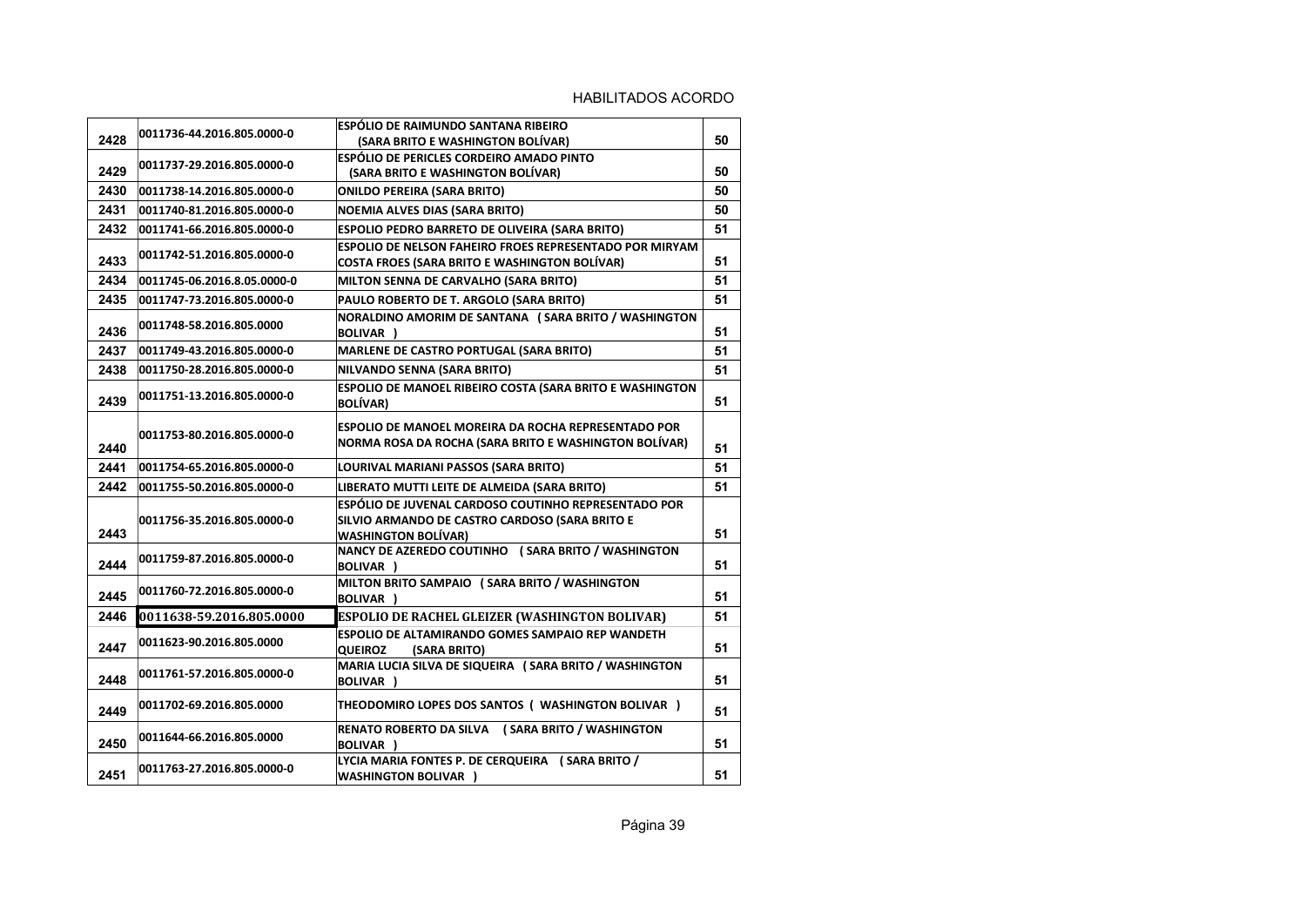|      | 0011736-44.2016.805.0000-0  | ESPÓLIO DE RAIMUNDO SANTANA RIBEIRO                                          |    |
|------|-----------------------------|------------------------------------------------------------------------------|----|
| 2428 |                             | (SARA BRITO E WASHINGTON BOLIVAR)                                            | 50 |
|      | 0011737-29.2016.805.0000-0  | ESPÓLIO DE PERICLES CORDEIRO AMADO PINTO                                     |    |
| 2429 |                             | (SARA BRITO E WASHINGTON BOLÍVAR)                                            | 50 |
| 2430 | 0011738-14.2016.805.0000-0  | <b>ONILDO PEREIRA (SARA BRITO)</b>                                           | 50 |
| 2431 | 0011740-81.2016.805.0000-0  | <b>NOEMIA ALVES DIAS (SARA BRITO)</b>                                        | 50 |
| 2432 | 0011741-66.2016.805.0000-0  | ESPOLIO PEDRO BARRETO DE OLIVEIRA (SARA BRITO)                               | 51 |
|      | 0011742-51.2016.805.0000-0  | <b>ESPOLIO DE NELSON FAHEIRO FROES REPRESENTADO POR MIRYAM</b>               |    |
| 2433 |                             | <b>COSTA FROES (SARA BRITO E WASHINGTON BOLÍVAR)</b>                         | 51 |
| 2434 | 0011745-06.2016.8.05.0000-0 | MILTON SENNA DE CARVALHO (SARA BRITO)                                        | 51 |
| 2435 | 0011747-73.2016.805.0000-0  | PAULO ROBERTO DE T. ARGOLO (SARA BRITO)                                      | 51 |
|      | 0011748-58.2016.805.0000    | NORALDINO AMORIM DE SANTANA (SARA BRITO / WASHINGTON                         |    |
| 2436 |                             | <b>BOLIVAR</b> )                                                             | 51 |
| 2437 | 0011749-43.2016.805.0000-0  | <b>MARLENE DE CASTRO PORTUGAL (SARA BRITO)</b>                               | 51 |
| 2438 | 0011750-28.2016.805.0000-0  | NILVANDO SENNA (SARA BRITO)                                                  | 51 |
|      | 0011751-13.2016.805.0000-0  | ESPOLIO DE MANOEL RIBEIRO COSTA (SARA BRITO E WASHINGTON                     |    |
| 2439 |                             | <b>BOLÍVAR)</b>                                                              | 51 |
|      |                             | <b>ESPOLIO DE MANOEL MOREIRA DA ROCHA REPRESENTADO POR</b>                   |    |
| 2440 | 0011753-80.2016.805.0000-0  | NORMA ROSA DA ROCHA (SARA BRITO E WASHINGTON BOLÍVAR)                        | 51 |
| 2441 |                             |                                                                              |    |
|      | 0011754-65.2016.805.0000-0  | LOURIVAL MARIANI PASSOS (SARA BRITO)                                         | 51 |
| 2442 | 0011755-50.2016.805.0000-0  | LIBERATO MUTTI LEITE DE ALMEIDA (SARA BRITO)                                 | 51 |
|      |                             | ESPÓLIO DE JUVENAL CARDOSO COUTINHO REPRESENTADO POR                         |    |
| 2443 | 0011756-35.2016.805.0000-0  | SILVIO ARMANDO DE CASTRO CARDOSO (SARA BRITO E<br><b>WASHINGTON BOLÍVAR)</b> | 51 |
|      |                             | NANCY DE AZEREDO COUTINHO (SARA BRITO / WASHINGTON                           |    |
| 2444 | 0011759-87.2016.805.0000-0  | <b>BOLIVAR</b> )                                                             | 51 |
|      |                             | MILTON BRITO SAMPAIO (SARA BRITO / WASHINGTON                                |    |
| 2445 | 0011760-72.2016.805.0000-0  | <b>BOLIVAR</b> )                                                             | 51 |
| 2446 | 0011638-59.2016.805.0000    | ESPOLIO DE RACHEL GLEIZER (WASHINGTON BOLIVAR)                               | 51 |
|      |                             | <b>ESPOLIO DE ALTAMIRANDO GOMES SAMPAIO REP WANDETH</b>                      |    |
| 2447 | 0011623-90.2016.805.0000    | <b>QUEIROZ</b><br>(SARA BRITO)                                               | 51 |
|      | 0011761-57.2016.805.0000-0  | MARIA LUCIA SILVA DE SIQUEIRA (SARA BRITO / WASHINGTON                       |    |
| 2448 |                             | <b>BOLIVAR</b> )                                                             | 51 |
| 2449 | 0011702-69.2016.805.0000    | THEODOMIRO LOPES DOS SANTOS ( WASHINGTON BOLIVAR )                           | 51 |
|      |                             | RENATO ROBERTO DA SILVA (SARA BRITO / WASHINGTON                             |    |
| 2450 | 0011644-66.2016.805.0000    | <b>BOLIVAR</b> )                                                             | 51 |
|      |                             | LYCIA MARIA FONTES P. DE CERQUEIRA (SARA BRITO /                             |    |
| 2451 | 0011763-27.2016.805.0000-0  | <b>WASHINGTON BOLIVAR )</b>                                                  | 51 |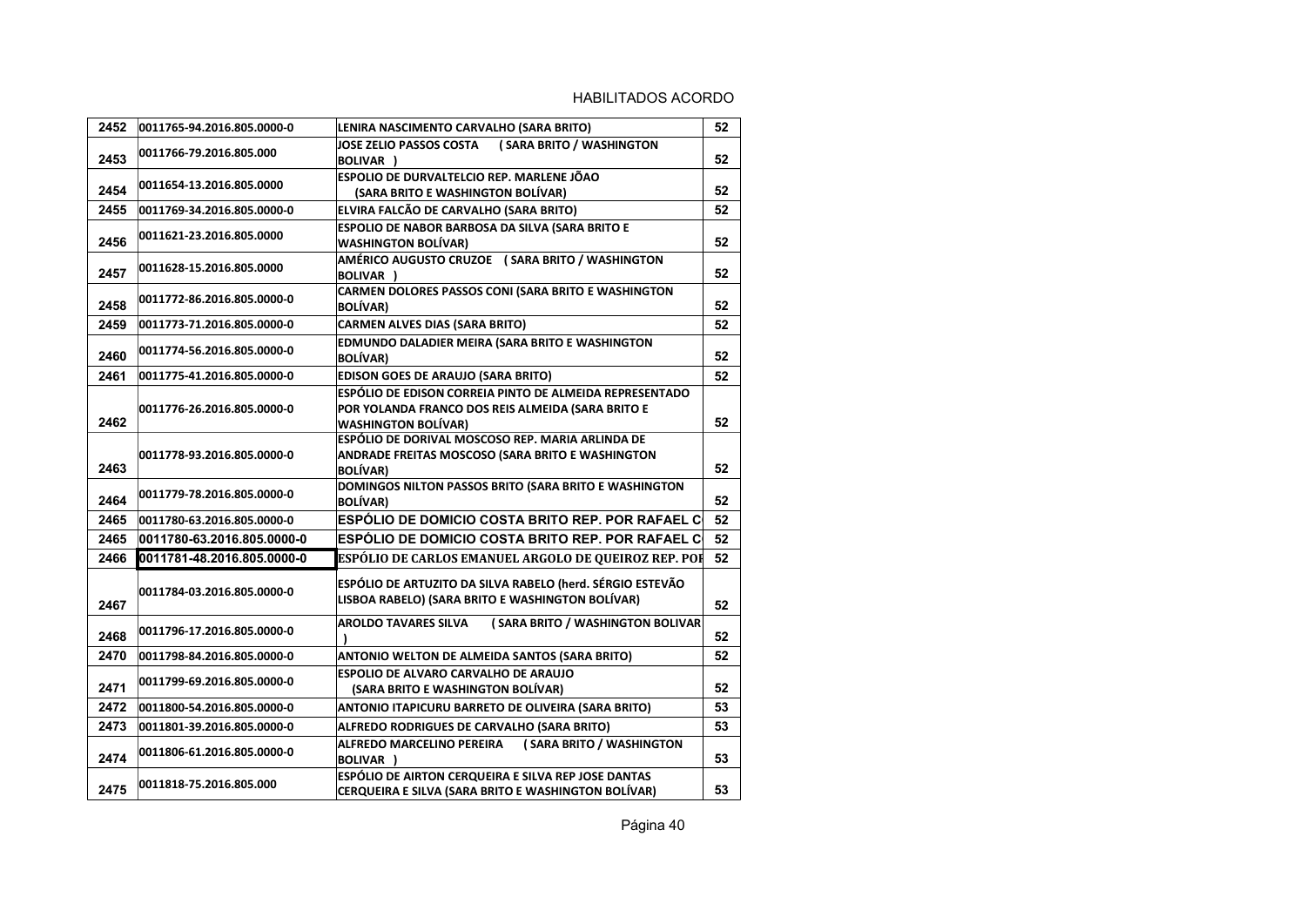| 2452 | 0011765-94.2016.805.0000-0 | LENIRA NASCIMENTO CARVALHO (SARA BRITO)                             | 52 |
|------|----------------------------|---------------------------------------------------------------------|----|
|      | 0011766-79.2016.805.000    | (SARA BRITO / WASHINGTON<br>JOSE ZELIO PASSOS COSTA                 |    |
| 2453 |                            | BOLIVAR )                                                           | 52 |
|      | 0011654-13.2016.805.0000   | ESPOLIO DE DURVALTELCIO REP. MARLENE JÕAO                           |    |
| 2454 |                            | (SARA BRITO E WASHINGTON BOLÍVAR)                                   | 52 |
| 2455 | 0011769-34.2016.805.0000-0 | ELVIRA FALCÃO DE CARVALHO (SARA BRITO)                              | 52 |
|      | 0011621-23.2016.805.0000   | ESPOLIO DE NABOR BARBOSA DA SILVA (SARA BRITO E                     |    |
| 2456 |                            | <b>WASHINGTON BOLÍVAR)</b>                                          | 52 |
| 2457 | 0011628-15.2016.805.0000   | AMÉRICO AUGUSTO CRUZOE (SARA BRITO / WASHINGTON<br><b>BOLIVAR</b> ) | 52 |
|      |                            | CARMEN DOLORES PASSOS CONI (SARA BRITO E WASHINGTON                 |    |
| 2458 | 0011772-86.2016.805.0000-0 | <b>BOLÍVAR)</b>                                                     | 52 |
| 2459 | 0011773-71.2016.805.0000-0 | <b>CARMEN ALVES DIAS (SARA BRITO)</b>                               | 52 |
|      |                            | EDMUNDO DALADIER MEIRA (SARA BRITO E WASHINGTON                     |    |
| 2460 | 0011774-56.2016.805.0000-0 | <b>BOLÍVAR)</b>                                                     | 52 |
| 2461 | 0011775-41.2016.805.0000-0 | <b>EDISON GOES DE ARAUJO (SARA BRITO)</b>                           | 52 |
|      |                            | ESPÓLIO DE EDISON CORREIA PINTO DE ALMEIDA REPRESENTADO             |    |
|      | 0011776-26.2016.805.0000-0 | POR YOLANDA FRANCO DOS REIS ALMEIDA (SARA BRITO E                   |    |
| 2462 |                            | <b>WASHINGTON BOLIVAR)</b>                                          | 52 |
|      |                            | ESPÓLIO DE DORIVAL MOSCOSO REP. MARIA ARLINDA DE                    |    |
| 2463 | 0011778-93.2016.805.0000-0 | ANDRADE FREITAS MOSCOSO (SARA BRITO E WASHINGTON<br><b>BOLÍVAR)</b> | 52 |
|      |                            | DOMINGOS NILTON PASSOS BRITO (SARA BRITO E WASHINGTON               |    |
| 2464 | 0011779-78.2016.805.0000-0 | <b>BOLÍVAR)</b>                                                     | 52 |
| 2465 | 0011780-63.2016.805.0000-0 | ESPOLIO DE DOMICIO COSTA BRITO REP. POR RAFAEL C                    | 52 |
| 2465 | 0011780-63.2016.805.0000-0 | <b>ESPÓLIO DE DOMICIO COSTA BRITO REP. POR RAFAEL C</b>             | 52 |
| 2466 |                            |                                                                     |    |
|      | 0011781-48.2016.805.0000-0 | ESPÓLIO DE CARLOS EMANUEL ARGOLO DE QUEIROZ REP. POI                | 52 |
|      | 0011784-03.2016.805.0000-0 | ESPÓLIO DE ARTUZITO DA SILVA RABELO (herd. SÉRGIO ESTEVÃO           |    |
| 2467 |                            | LISBOA RABELO) (SARA BRITO E WASHINGTON BOLÍVAR)                    | 52 |
|      |                            | <b>AROLDO TAVARES SILVA</b><br>(SARA BRITO / WASHINGTON BOLIVAR     |    |
| 2468 | 0011796-17.2016.805.0000-0 |                                                                     | 52 |
| 2470 | 0011798-84.2016.805.0000-0 | ANTONIO WELTON DE ALMEIDA SANTOS (SARA BRITO)                       | 52 |
|      | 0011799-69.2016.805.0000-0 | ESPOLIO DE ALVARO CARVALHO DE ARAUJO                                |    |
| 2471 |                            | (SARA BRITO E WASHINGTON BOLİVAR)                                   | 52 |
| 2472 | 0011800-54.2016.805.0000-0 | ANTONIO ITAPICURU BARRETO DE OLIVEIRA (SARA BRITO)                  | 53 |
| 2473 | 0011801-39.2016.805.0000-0 | ALFREDO RODRIGUES DE CARVALHO (SARA BRITO)                          | 53 |
|      | 0011806-61.2016.805.0000-0 | ( SARA BRITO / WASHINGTON<br>ALFREDO MARCELINO PEREIRA              |    |
| 2474 |                            | <b>BOLIVAR</b> )                                                    | 53 |
| 2475 | 0011818-75.2016.805.000    | ESPÓLIO DE AIRTON CERQUEIRA E SILVA REPJOSE DANTAS                  | 53 |
|      |                            | CERQUEIRA E SILVA (SARA BRITO E WASHINGTON BOLIVAR)                 |    |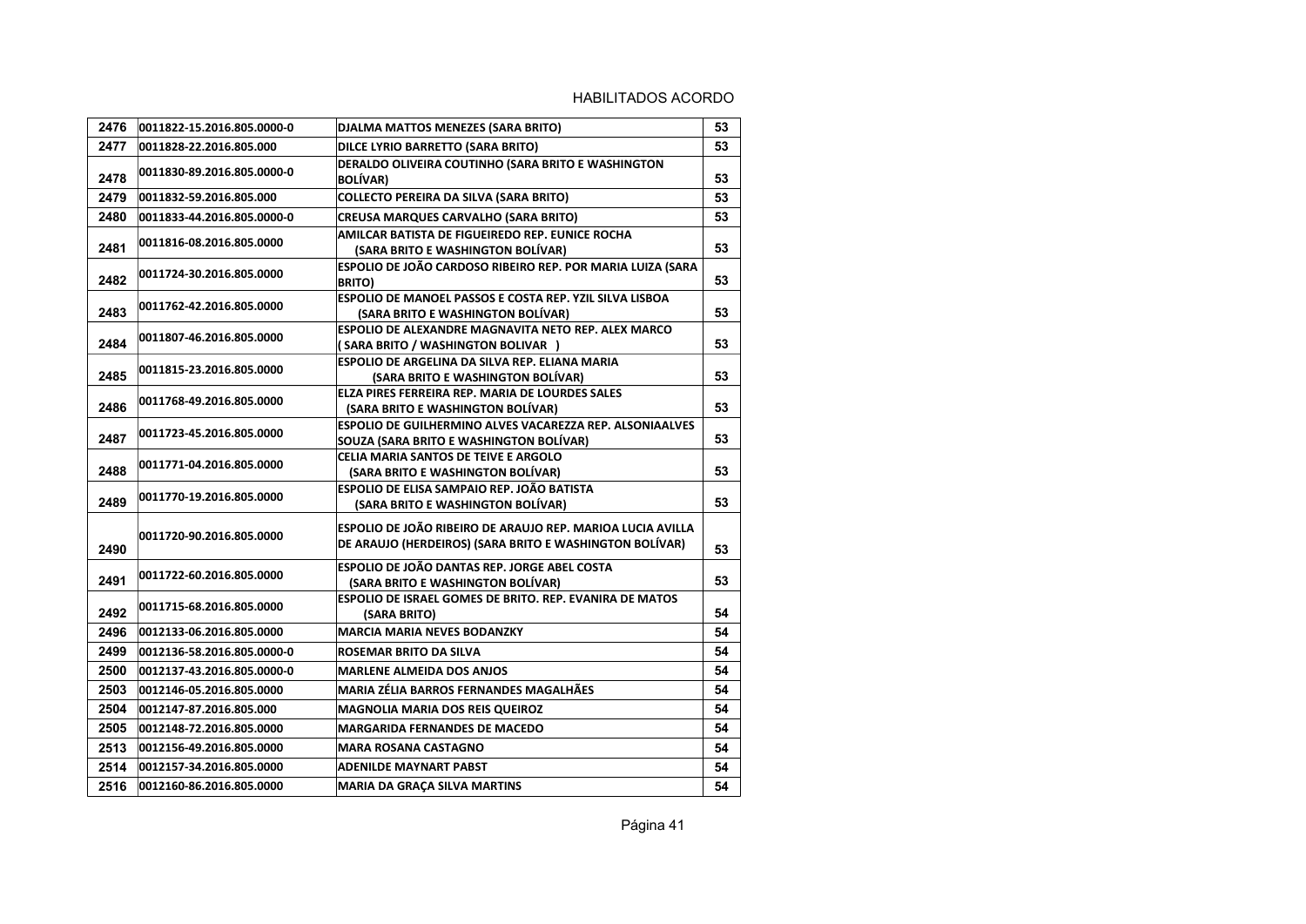| 2476 | 0011822-15.2016.805.0000-0 | DJALMA MATTOS MENEZES (SARA BRITO)                                                                                    | 53 |
|------|----------------------------|-----------------------------------------------------------------------------------------------------------------------|----|
| 2477 | 0011828-22.2016.805.000    | DILCE LYRIO BARRETTO (SARA BRITO)                                                                                     | 53 |
| 2478 | 0011830-89.2016.805.0000-0 | DERALDO OLIVEIRA COUTINHO (SARA BRITO E WASHINGTON<br><b>BOLÍVAR)</b>                                                 | 53 |
| 2479 | 0011832-59.2016.805.000    | <b>COLLECTO PEREIRA DA SILVA (SARA BRITO)</b>                                                                         | 53 |
| 2480 | 0011833-44.2016.805.0000-0 | <b>CREUSA MARQUES CARVALHO (SARA BRITO)</b>                                                                           | 53 |
| 2481 | 0011816-08.2016.805.0000   | AMILCAR BATISTA DE FIGUEIREDO REP. EUNICE ROCHA<br>(SARA BRITO E WASHINGTON BOLÍVAR)                                  | 53 |
| 2482 | 0011724-30.2016.805.0000   | ESPOLIO DE JOÃO CARDOSO RIBEIRO REP. POR MARIA LUIZA (SARA<br><b>BRITO)</b>                                           | 53 |
| 2483 | 0011762-42.2016.805.0000   | ESPOLIO DE MANOEL PASSOS E COSTA REP. YZIL SILVA LISBOA<br>(SARA BRITO E WASHINGTON BOLÍVAR)                          | 53 |
| 2484 | 0011807-46.2016.805.0000   | ESPOLIO DE ALEXANDRE MAGNAVITA NETO REP. ALEX MARCO<br>(SARA BRITO / WASHINGTON BOLIVAR )                             | 53 |
| 2485 | 0011815-23.2016.805.0000   | ESPOLIO DE ARGELINA DA SILVA REP. ELIANA MARIA<br>(SARA BRITO E WASHINGTON BOLIVAR)                                   | 53 |
| 2486 | 0011768-49.2016.805.0000   | ELZA PIRES FERREIRA REP. MARIA DE LOURDES SALES<br>(SARA BRITO E WASHINGTON BOLÍVAR)                                  | 53 |
| 2487 | 0011723-45.2016.805.0000   | <b>ESPOLIO DE GUILHERMINO ALVES VACAREZZA REP. ALSONIAALVES</b><br>SOUZA (SARA BRITO E WASHINGTON BOLIVAR)            | 53 |
| 2488 | 0011771-04.2016.805.0000   | CELIA MARIA SANTOS DE TEIVE E ARGOLO<br>(SARA BRITO E WASHINGTON BOLÍVAR)                                             | 53 |
| 2489 | 0011770-19.2016.805.0000   | ESPOLIO DE ELISA SAMPAIO REP. JOÃO BATISTA<br>(SARA BRITO E WASHINGTON BOLÍVAR)                                       | 53 |
| 2490 | 0011720-90.2016.805.0000   | ESPOLIO DE JOÃO RIBEIRO DE ARAUJO REP. MARIOA LUCIA AVILLA<br>DE ARAUJO (HERDEIROS) (SARA BRITO E WASHINGTON BOLÍVAR) | 53 |
| 2491 | 0011722-60.2016.805.0000   | ESPOLIO DE JOÃO DANTAS REP. JORGE ABEL COSTA<br>(SARA BRITO E WASHINGTON BOLÍVAR)                                     | 53 |
| 2492 | 0011715-68.2016.805.0000   | <b>ESPOLIO DE ISRAEL GOMES DE BRITO. REP. EVANIRA DE MATOS</b><br>(SARA BRITO)                                        | 54 |
| 2496 | 0012133-06.2016.805.0000   | <b>MARCIA MARIA NEVES BODANZKY</b>                                                                                    | 54 |
| 2499 | 0012136-58.2016.805.0000-0 | ROSEMAR BRITO DA SILVA                                                                                                | 54 |
| 2500 | 0012137-43.2016.805.0000-0 | <b>MARLENE ALMEIDA DOS ANJOS</b>                                                                                      | 54 |
| 2503 | 0012146-05.2016.805.0000   | MARIA ZÉLIA BARROS FERNANDES MAGALHÃES                                                                                | 54 |
| 2504 | 0012147-87.2016.805.000    | <b>MAGNOLIA MARIA DOS REIS QUEIROZ</b>                                                                                | 54 |
| 2505 | 0012148-72.2016.805.0000   | <b>MARGARIDA FERNANDES DE MACEDO</b>                                                                                  | 54 |
| 2513 | 0012156-49.2016.805.0000   | <b>MARA ROSANA CASTAGNO</b>                                                                                           | 54 |
| 2514 | 0012157-34.2016.805.0000   | <b>ADENILDE MAYNART PABST</b>                                                                                         | 54 |
| 2516 | 0012160-86.2016.805.0000   | <b>MARIA DA GRAÇA SILVA MARTINS</b>                                                                                   | 54 |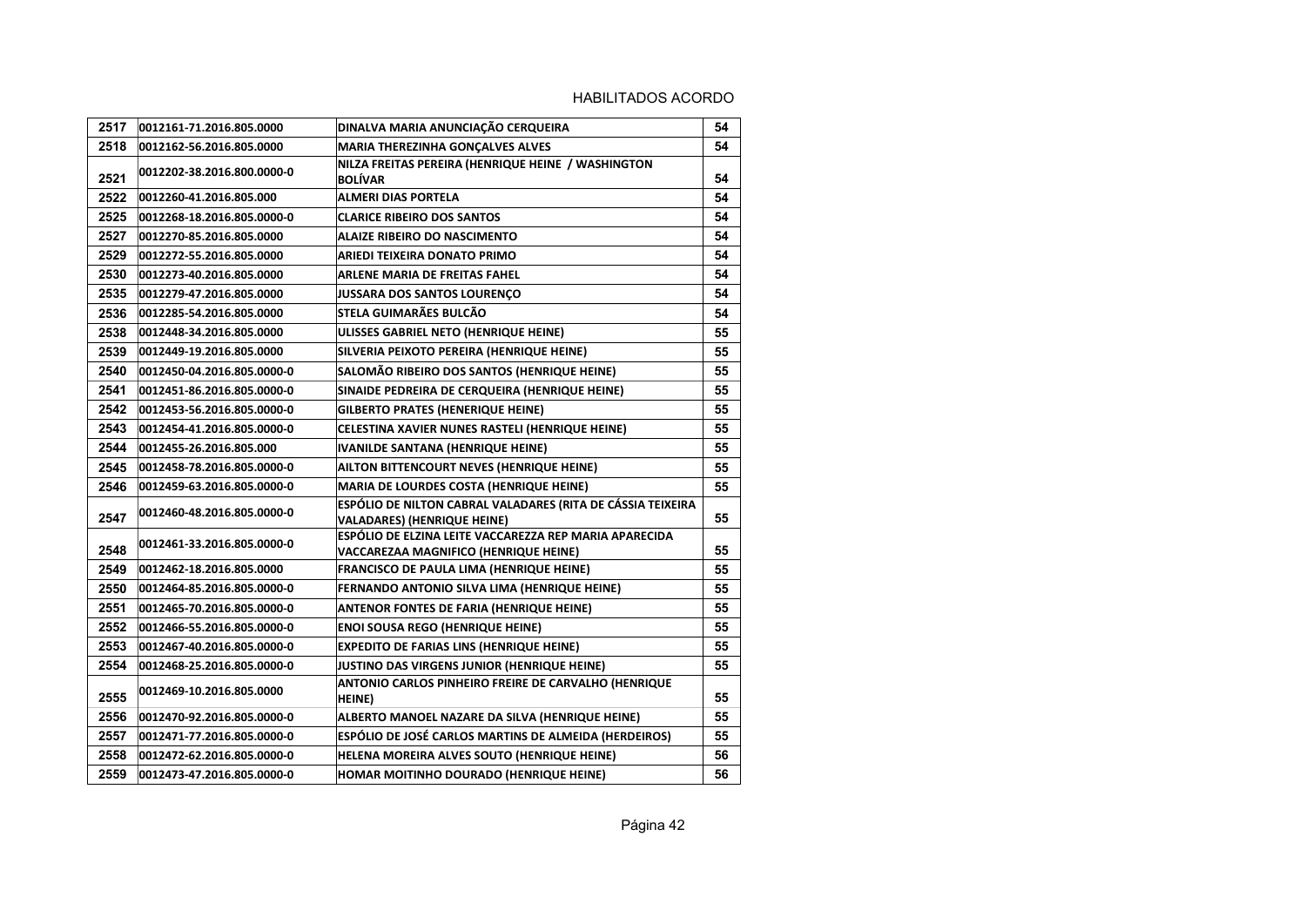| 2517 | 0012161-71.2016.805.0000   | DINALVA MARIA ANUNCIAÇÃO CERQUEIRA                                                              | 54 |
|------|----------------------------|-------------------------------------------------------------------------------------------------|----|
| 2518 | 0012162-56.2016.805.0000   | MARIA THEREZINHA GONÇALVES ALVES                                                                | 54 |
| 2521 | 0012202-38.2016.800.0000-0 | NILZA FREITAS PEREIRA (HENRIQUE HEINE / WASHINGTON<br><b>BOLÍVAR</b>                            | 54 |
| 2522 | 0012260-41.2016.805.000    | <b>ALMERI DIAS PORTELA</b>                                                                      | 54 |
| 2525 | 0012268-18.2016.805.0000-0 | <b>CLARICE RIBEIRO DOS SANTOS</b>                                                               | 54 |
| 2527 | 0012270-85.2016.805.0000   | <b>ALAIZE RIBEIRO DO NASCIMENTO</b>                                                             | 54 |
| 2529 | 0012272-55.2016.805.0000   | ARIEDI TEIXEIRA DONATO PRIMO                                                                    | 54 |
| 2530 | 0012273-40.2016.805.0000   | ARLENE MARIA DE FREITAS FAHEL                                                                   | 54 |
| 2535 | 0012279-47.2016.805.0000   | JUSSARA DOS SANTOS LOURENÇO                                                                     | 54 |
| 2536 | 0012285-54.2016.805.0000   | STELA GUIMARÃES BULCÃO                                                                          | 54 |
| 2538 | 0012448-34.2016.805.0000   | ULISSES GABRIEL NETO (HENRIQUE HEINE)                                                           | 55 |
| 2539 | 0012449-19.2016.805.0000   | SILVERIA PEIXOTO PEREIRA (HENRIQUE HEINE)                                                       | 55 |
| 2540 | 0012450-04.2016.805.0000-0 | SALOMÃO RIBEIRO DOS SANTOS (HENRIQUE HEINE)                                                     | 55 |
| 2541 | 0012451-86.2016.805.0000-0 | SINAIDE PEDREIRA DE CERQUEIRA (HENRIQUE HEINE)                                                  | 55 |
| 2542 | 0012453-56.2016.805.0000-0 | <b>GILBERTO PRATES (HENERIQUE HEINE)</b>                                                        | 55 |
| 2543 | 0012454-41.2016.805.0000-0 | CELESTINA XAVIER NUNES RASTELI (HENRIQUE HEINE)                                                 | 55 |
| 2544 | 0012455-26.2016.805.000    | <b>IVANILDE SANTANA (HENRIQUE HEINE)</b>                                                        | 55 |
| 2545 | 0012458-78.2016.805.0000-0 | AILTON BITTENCOURT NEVES (HENRIQUE HEINE)                                                       | 55 |
| 2546 | 0012459-63.2016.805.0000-0 | MARIA DE LOURDES COSTA (HENRIQUE HEINE)                                                         | 55 |
| 2547 | 0012460-48.2016.805.0000-0 | ESPÓLIO DE NILTON CABRAL VALADARES (RITA DE CÁSSIA TEIXEIRA<br>VALADARES) (HENRIQUE HEINE)      | 55 |
| 2548 | 0012461-33.2016.805.0000-0 | ESPÓLIO DE ELZINA LEITE VACCAREZZA REP MARIA APARECIDA<br>VACCAREZAA MAGNIFICO (HENRIQUE HEINE) | 55 |
| 2549 | 0012462-18.2016.805.0000   | FRANCISCO DE PAULA LIMA (HENRIQUE HEINE)                                                        | 55 |
| 2550 | 0012464-85.2016.805.0000-0 | FERNANDO ANTONIO SILVA LIMA (HENRIQUE HEINE)                                                    | 55 |
| 2551 | 0012465-70.2016.805.0000-0 | <b>ANTENOR FONTES DE FARIA (HENRIQUE HEINE)</b>                                                 | 55 |
| 2552 | 0012466-55.2016.805.0000-0 | <b>ENOI SOUSA REGO (HENRIQUE HEINE)</b>                                                         | 55 |
| 2553 | 0012467-40.2016.805.0000-0 | <b>EXPEDITO DE FARIAS LINS (HENRIQUE HEINE)</b>                                                 | 55 |
| 2554 | 0012468-25.2016.805.0000-0 | JUSTINO DAS VIRGENS JUNIOR (HENRIQUE HEINE)                                                     | 55 |
| 2555 | 0012469-10.2016.805.0000   | ANTONIO CARLOS PINHEIRO FREIRE DE CARVALHO (HENRIQUE<br>HEINE)                                  | 55 |
| 2556 | 0012470-92.2016.805.0000-0 | ALBERTO MANOEL NAZARE DA SILVA (HENRIQUE HEINE)                                                 | 55 |
| 2557 | 0012471-77.2016.805.0000-0 | ESPÓLIO DE JOSÉ CARLOS MARTINS DE ALMEIDA (HERDEIROS)                                           | 55 |
| 2558 | 0012472-62.2016.805.0000-0 | HELENA MOREIRA ALVES SOUTO (HENRIQUE HEINE)                                                     | 56 |
| 2559 | 0012473-47.2016.805.0000-0 | HOMAR MOITINHO DOURADO (HENRIQUE HEINE)                                                         | 56 |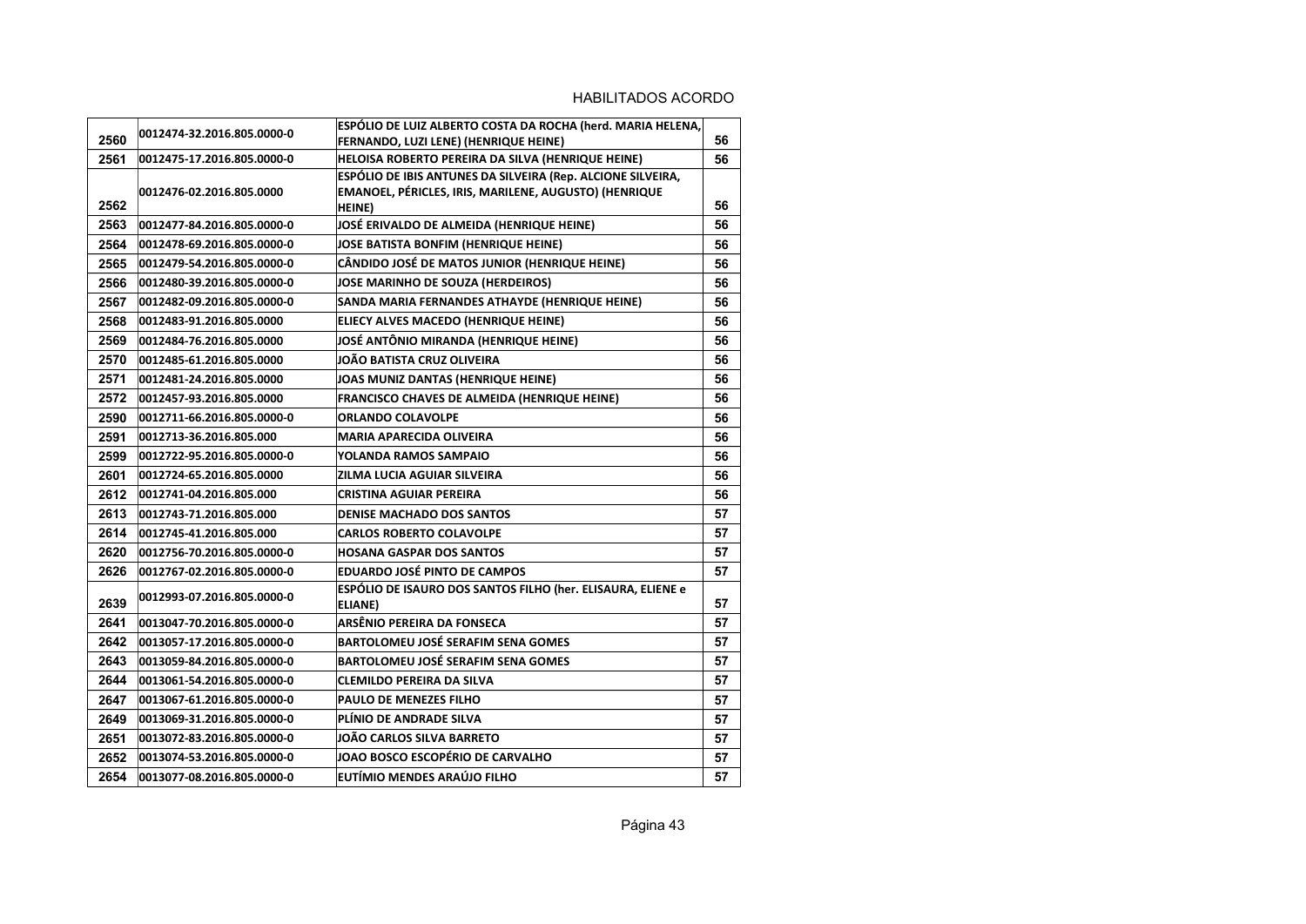| 2560 | 0012474-32.2016.805.0000-0 | ESPÓLIO DE LUIZ ALBERTO COSTA DA ROCHA (herd. MARIA HELENA,<br>FERNANDO, LUZI LENE) (HENRIQUE HEINE)                                  | 56 |
|------|----------------------------|---------------------------------------------------------------------------------------------------------------------------------------|----|
| 2561 | 0012475-17.2016.805.0000-0 | HELOISA ROBERTO PEREIRA DA SILVA (HENRIQUE HEINE)                                                                                     | 56 |
| 2562 | 0012476-02.2016.805.0000   | ESPÓLIO DE IBIS ANTUNES DA SILVEIRA (Rep. ALCIONE SILVEIRA,<br>EMANOEL, PÉRICLES, IRIS, MARILENE, AUGUSTO) (HENRIQUE<br><b>HEINE)</b> | 56 |
| 2563 | 0012477-84.2016.805.0000-0 | JOSÉ ERIVALDO DE ALMEIDA (HENRIQUE HEINE)                                                                                             | 56 |
| 2564 | 0012478-69.2016.805.0000-0 | JOSE BATISTA BONFIM (HENRIQUE HEINE)                                                                                                  | 56 |
| 2565 | 0012479-54.2016.805.0000-0 | CÂNDIDO JOSÉ DE MATOS JUNIOR (HENRIQUE HEINE)                                                                                         | 56 |
| 2566 | 0012480-39.2016.805.0000-0 | <b>JOSE MARINHO DE SOUZA (HERDEIROS)</b>                                                                                              | 56 |
| 2567 | 0012482-09.2016.805.0000-0 | SANDA MARIA FERNANDES ATHAYDE (HENRIQUE HEINE)                                                                                        | 56 |
| 2568 | 0012483-91.2016.805.0000   | ELIECY ALVES MACEDO (HENRIQUE HEINE)                                                                                                  | 56 |
| 2569 | 0012484-76.2016.805.0000   | JOSÉ ANTÔNIO MIRANDA (HENRIQUE HEINE)                                                                                                 | 56 |
| 2570 | 0012485-61.2016.805.0000   | JOÃO BATISTA CRUZ OLIVEIRA                                                                                                            | 56 |
| 2571 | 0012481-24.2016.805.0000   | JOAS MUNIZ DANTAS (HENRIQUE HEINE)                                                                                                    | 56 |
| 2572 | 0012457-93.2016.805.0000   | FRANCISCO CHAVES DE ALMEIDA (HENRIQUE HEINE)                                                                                          | 56 |
| 2590 | 0012711-66.2016.805.0000-0 | <b>ORLANDO COLAVOLPE</b>                                                                                                              | 56 |
| 2591 | 0012713-36.2016.805.000    | <b>MARIA APARECIDA OLIVEIRA</b>                                                                                                       | 56 |
| 2599 | 0012722-95.2016.805.0000-0 | YOLANDA RAMOS SAMPAIO                                                                                                                 | 56 |
| 2601 | 0012724-65.2016.805.0000   | ZILMA LUCIA AGUIAR SILVEIRA                                                                                                           | 56 |
| 2612 | 0012741-04.2016.805.000    | <b>CRISTINA AGUIAR PEREIRA</b>                                                                                                        | 56 |
| 2613 | 0012743-71.2016.805.000    | <b>DENISE MACHADO DOS SANTOS</b>                                                                                                      | 57 |
| 2614 | 0012745-41.2016.805.000    | <b>CARLOS ROBERTO COLAVOLPE</b>                                                                                                       | 57 |
| 2620 | 0012756-70.2016.805.0000-0 | <b>HOSANA GASPAR DOS SANTOS</b>                                                                                                       | 57 |
| 2626 | 0012767-02.2016.805.0000-0 | <b>EDUARDO JOSÉ PINTO DE CAMPOS</b>                                                                                                   | 57 |
| 2639 | 0012993-07.2016.805.0000-0 | ESPÓLIO DE ISAURO DOS SANTOS FILHO (her. ELISAURA, ELIENE e<br>ELIANE)                                                                | 57 |
| 2641 | 0013047-70.2016.805.0000-0 | ARSÊNIO PEREIRA DA FONSECA                                                                                                            | 57 |
| 2642 | 0013057-17.2016.805.0000-0 | <b>BARTOLOMEU JOSÉ SERAFIM SENA GOMES</b>                                                                                             | 57 |
| 2643 | 0013059-84.2016.805.0000-0 | <b>BARTOLOMEU JOSÉ SERAFIM SENA GOMES</b>                                                                                             | 57 |
| 2644 | 0013061-54.2016.805.0000-0 | <b>CLEMILDO PEREIRA DA SILVA</b>                                                                                                      | 57 |
| 2647 | 0013067-61.2016.805.0000-0 | PAULO DE MENEZES FILHO                                                                                                                | 57 |
| 2649 | 0013069-31.2016.805.0000-0 | PLÍNIO DE ANDRADE SILVA                                                                                                               | 57 |
| 2651 | 0013072-83.2016.805.0000-0 | <b>JOÃO CARLOS SILVA BARRETO</b>                                                                                                      | 57 |
| 2652 | 0013074-53.2016.805.0000-0 | <b>JOAO BOSCO ESCOPÉRIO DE CARVALHO</b>                                                                                               | 57 |
| 2654 | 0013077-08.2016.805.0000-0 | EUTÍMIO MENDES ARAÚJO FILHO                                                                                                           | 57 |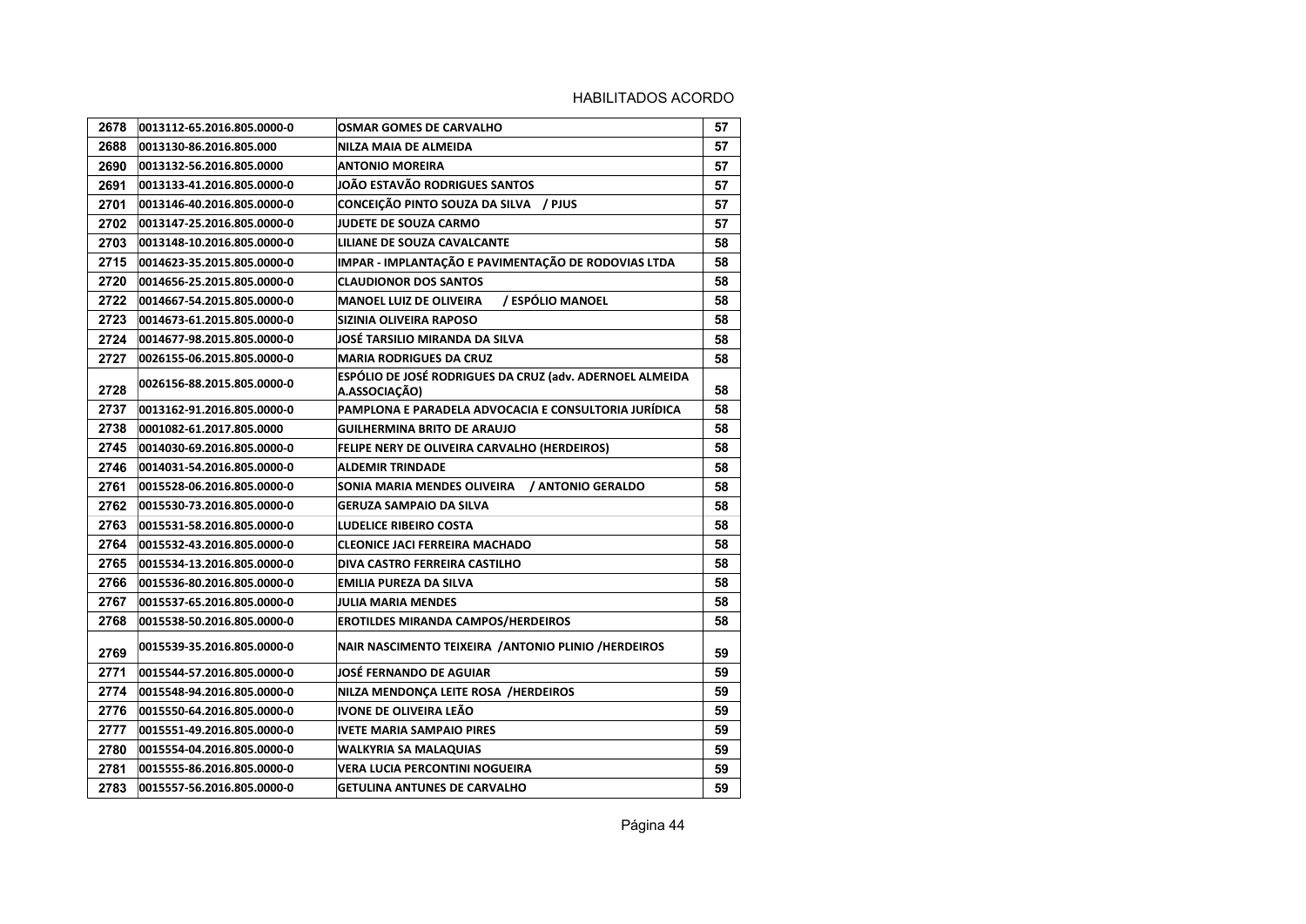| 2678 | 0013112-65.2016.805.0000-0 | OSMAR GOMES DE CARVALHO                                                   | 57 |
|------|----------------------------|---------------------------------------------------------------------------|----|
| 2688 | 0013130-86.2016.805.000    | NILZA MAIA DE ALMEIDA                                                     | 57 |
| 2690 | 0013132-56.2016.805.0000   | <b>ANTONIO MOREIRA</b>                                                    | 57 |
| 2691 | 0013133-41.2016.805.0000-0 | JOÃO ESTAVÃO RODRIGUES SANTOS                                             | 57 |
| 2701 | 0013146-40.2016.805.0000-0 | CONCEIÇÃO PINTO SOUZA DA SILVA / PJUS                                     | 57 |
| 2702 | 0013147-25.2016.805.0000-0 | <b>JUDETE DE SOUZA CARMO</b>                                              | 57 |
| 2703 | 0013148-10.2016.805.0000-0 | LILIANE DE SOUZA CAVALCANTE                                               | 58 |
| 2715 | 0014623-35.2015.805.0000-0 | IMPAR - IMPLANTAÇÃO E PAVIMENTAÇÃO DE RODOVIAS LTDA                       | 58 |
| 2720 | 0014656-25.2015.805.0000-0 | <b>CLAUDIONOR DOS SANTOS</b>                                              | 58 |
| 2722 | 0014667-54.2015.805.0000-0 | / ESPÓLIO MANOEL<br><b>MANOEL LUIZ DE OLIVEIRA</b>                        | 58 |
| 2723 | 0014673-61.2015.805.0000-0 | SIZINIA OLIVEIRA RAPOSO                                                   | 58 |
| 2724 | 0014677-98.2015.805.0000-0 | JOSÉ TARSILIO MIRANDA DA SILVA                                            | 58 |
| 2727 | 0026155-06.2015.805.0000-0 | <b>MARIA RODRIGUES DA CRUZ</b>                                            | 58 |
| 2728 | 0026156-88.2015.805.0000-0 | ESPÓLIO DE JOSÉ RODRIGUES DA CRUZ (adv. ADERNOEL ALMEIDA<br>A.ASSOCIAÇÃO) | 58 |
| 2737 | 0013162-91.2016.805.0000-0 | PAMPLONA E PARADELA ADVOCACIA E CONSULTORIA JURÍDICA                      | 58 |
| 2738 | 0001082-61.2017.805.0000   | <b>GUILHERMINA BRITO DE ARAUJO</b>                                        | 58 |
| 2745 | 0014030-69.2016.805.0000-0 | FELIPE NERY DE OLIVEIRA CARVALHO (HERDEIROS)                              | 58 |
| 2746 | 0014031-54.2016.805.0000-0 | <b>ALDEMIR TRINDADE</b>                                                   | 58 |
| 2761 | 0015528-06.2016.805.0000-0 | SONIA MARIA MENDES OLIVEIRA / ANTONIO GERALDO                             | 58 |
| 2762 | 0015530-73.2016.805.0000-0 | <b>GERUZA SAMPAIO DA SILVA</b>                                            | 58 |
| 2763 | 0015531-58.2016.805.0000-0 | LUDELICE RIBEIRO COSTA                                                    | 58 |
| 2764 | 0015532-43.2016.805.0000-0 | CLEONICE JACI FERREIRA MACHADO                                            | 58 |
| 2765 | 0015534-13.2016.805.0000-0 | DIVA CASTRO FERREIRA CASTILHO                                             | 58 |
| 2766 | 0015536-80.2016.805.0000-0 | EMILIA PUREZA DA SILVA                                                    | 58 |
| 2767 | 0015537-65.2016.805.0000-0 | <b>JULIA MARIA MENDES</b>                                                 | 58 |
| 2768 | 0015538-50.2016.805.0000-0 | <b>EROTILDES MIRANDA CAMPOS/HERDEIROS</b>                                 | 58 |
| 2769 | 0015539-35.2016.805.0000-0 | NAIR NASCIMENTO TEIXEIRA / ANTONIO PLINIO / HERDEIROS                     | 59 |
| 2771 | 0015544-57.2016.805.0000-0 | JOSÉ FERNANDO DE AGUIAR                                                   | 59 |
| 2774 | 0015548-94.2016.805.0000-0 | NILZA MENDONÇA LEITE ROSA /HERDEIROS                                      | 59 |
| 2776 | 0015550-64.2016.805.0000-0 | IVONE DE OLIVEIRA LEÃO                                                    | 59 |
| 2777 | 0015551-49.2016.805.0000-0 | <b>IVETE MARIA SAMPAIO PIRES</b>                                          | 59 |
| 2780 | 0015554-04.2016.805.0000-0 | WALKYRIA SA MALAQUIAS                                                     | 59 |
| 2781 | 0015555-86.2016.805.0000-0 | VERA LUCIA PERCONTINI NOGUEIRA                                            | 59 |
| 2783 | 0015557-56.2016.805.0000-0 | <b>GETULINA ANTUNES DE CARVALHO</b>                                       | 59 |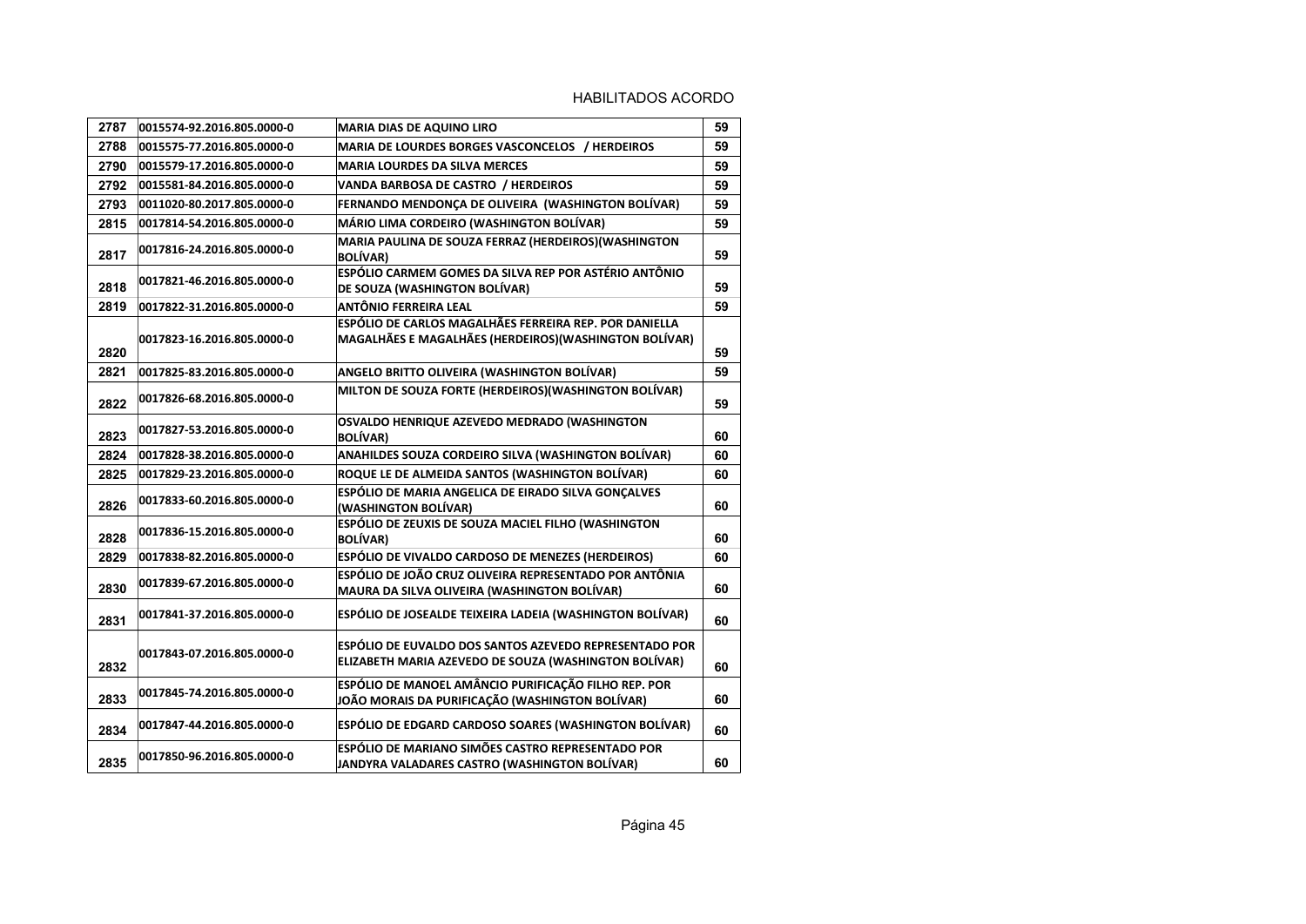| 2787 | 0015574-92.2016.805.0000-0 | <b>MARIA DIAS DE AQUINO LIRO</b>                                                                                 | 59 |
|------|----------------------------|------------------------------------------------------------------------------------------------------------------|----|
| 2788 | 0015575-77.2016.805.0000-0 | MARIA DE LOURDES BORGES VASCONCELOS / HERDEIROS                                                                  | 59 |
| 2790 | 0015579-17.2016.805.0000-0 | <b>MARIA LOURDES DA SILVA MERCES</b>                                                                             | 59 |
| 2792 | 0015581-84.2016.805.0000-0 | VANDA BARBOSA DE CASTRO / HERDEIROS                                                                              | 59 |
| 2793 | 0011020-80.2017.805.0000-0 | FERNANDO MENDONÇA DE OLIVEIRA (WASHINGTON BOLÍVAR)                                                               | 59 |
| 2815 | 0017814-54.2016.805.0000-0 | MÁRIO LIMA CORDEIRO (WASHINGTON BOLÍVAR)                                                                         | 59 |
| 2817 | 0017816-24.2016.805.0000-0 | MARIA PAULINA DE SOUZA FERRAZ (HERDEIROS) (WASHINGTON<br><b>BOLÍVAR)</b>                                         | 59 |
| 2818 | 0017821-46.2016.805.0000-0 | ESPÓLIO CARMEM GOMES DA SILVA REP POR ASTÉRIO ANTÔNIO<br>DE SOUZA (WASHINGTON BOLÍVAR)                           | 59 |
| 2819 | 0017822-31.2016.805.0000-0 | <b>ANTÔNIO FERREIRA LEAL</b>                                                                                     | 59 |
| 2820 | 0017823-16.2016.805.0000-0 | ESPÓLIO DE CARLOS MAGALHÃES FERREIRA REP. POR DANIELLA<br>MAGALHÃES E MAGALHÃES (HERDEIROS) (WASHINGTON BOLÍVAR) | 59 |
| 2821 | 0017825-83.2016.805.0000-0 | ANGELO BRITTO OLIVEIRA (WASHINGTON BOLÍVAR)                                                                      | 59 |
| 2822 | 0017826-68.2016.805.0000-0 | MILTON DE SOUZA FORTE (HERDEIROS) (WASHINGTON BOLÍVAR)                                                           | 59 |
| 2823 | 0017827-53.2016.805.0000-0 | OSVALDO HENRIQUE AZEVEDO MEDRADO (WASHINGTON<br><b>BOLÍVAR)</b>                                                  | 60 |
| 2824 | 0017828-38.2016.805.0000-0 | ANAHILDES SOUZA CORDEIRO SILVA (WASHINGTON BOLÍVAR)                                                              | 60 |
| 2825 | 0017829-23.2016.805.0000-0 | ROQUE LE DE ALMEIDA SANTOS (WASHINGTON BOLÍVAR)                                                                  | 60 |
| 2826 | 0017833-60.2016.805.0000-0 | ESPÓLIO DE MARIA ANGELICA DE EIRADO SILVA GONÇALVES<br>(WASHINGTON BOLÍVAR)                                      | 60 |
| 2828 | 0017836-15.2016.805.0000-0 | ESPÓLIO DE ZEUXIS DE SOUZA MACIEL FILHO (WASHINGTON<br><b>BOLÍVAR)</b>                                           | 60 |
| 2829 | 0017838-82.2016.805.0000-0 | ESPÓLIO DE VIVALDO CARDOSO DE MENEZES (HERDEIROS)                                                                | 60 |
| 2830 | 0017839-67.2016.805.0000-0 | ESPÓLIO DE JOÃO CRUZ OLIVEIRA REPRESENTADO POR ANTÔNIA<br>MAURA DA SILVA OLIVEIRA (WASHINGTON BOLÍVAR)           | 60 |
| 2831 | 0017841-37.2016.805.0000-0 | ESPÓLIO DE JOSEALDE TEIXEIRA LADEIA (WASHINGTON BOLÍVAR)                                                         | 60 |
| 2832 | 0017843-07.2016.805.0000-0 | ESPÓLIO DE EUVALDO DOS SANTOS AZEVEDO REPRESENTADO POR<br>ELIZABETH MARIA AZEVEDO DE SOUZA (WASHINGTON BOLÍVAR)  | 60 |
| 2833 | 0017845-74.2016.805.0000-0 | ESPÓLIO DE MANOEL AMÂNCIO PURIFICAÇÃO FILHO REP. POR<br>JOÃO MORAIS DA PURIFICAÇÃO (WASHINGTON BOLÍVAR)          | 60 |
| 2834 | 0017847-44.2016.805.0000-0 | ESPÓLIO DE EDGARD CARDOSO SOARES (WASHINGTON BOLÍVAR)                                                            | 60 |
| 2835 | 0017850-96.2016.805.0000-0 | ESPÓLIO DE MARIANO SIMÕES CASTRO REPRESENTADO POR<br>JANDYRA VALADARES CASTRO (WASHINGTON BOLÍVAR)               | 60 |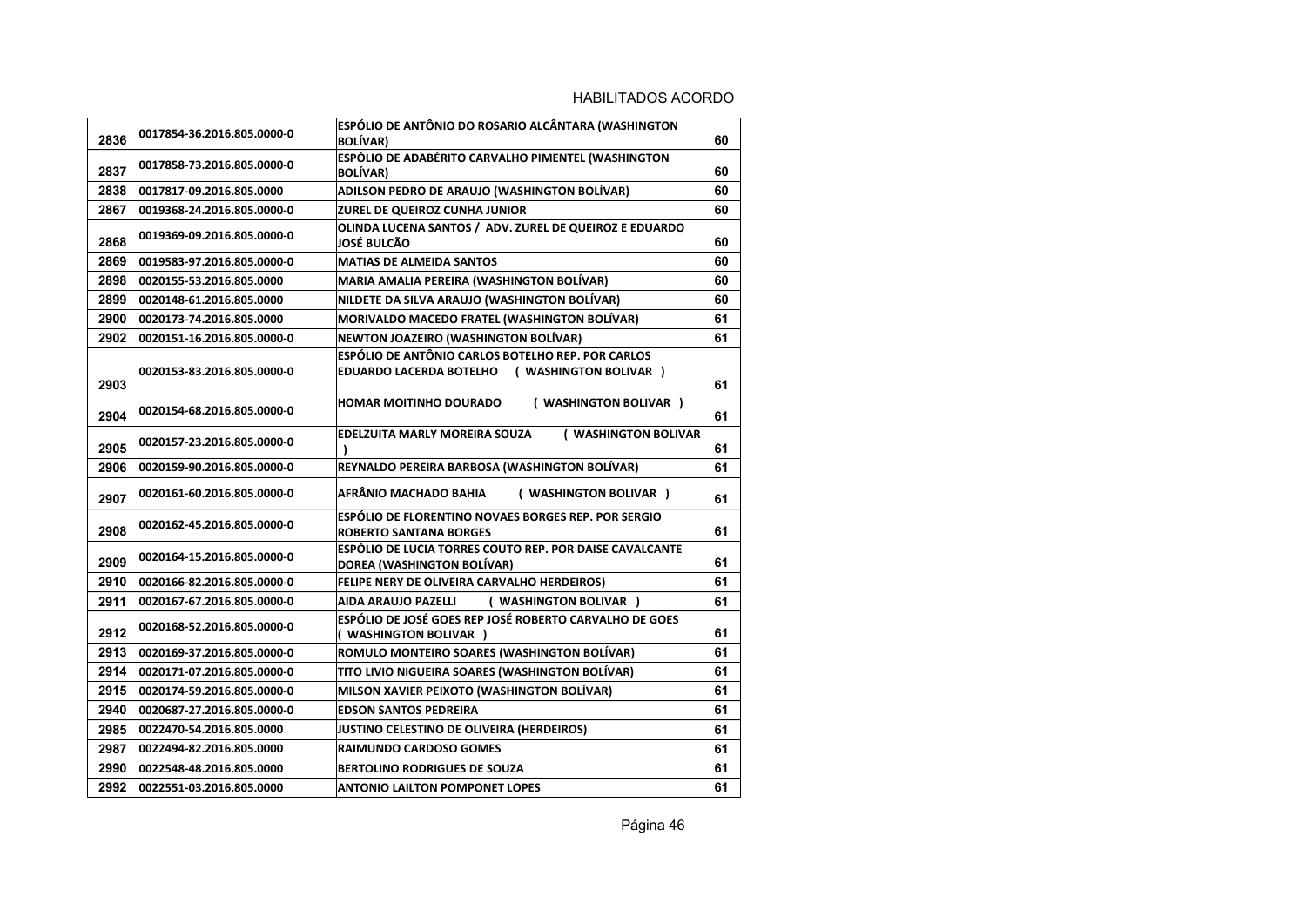| 2836 | 0017854-36.2016.805.0000-0 | ESPÓLIO DE ANTÔNIO DO ROSARIO ALCÂNTARA (WASHINGTON<br><b>BOLÍVAR)</b>                            | 60 |
|------|----------------------------|---------------------------------------------------------------------------------------------------|----|
| 2837 | 0017858-73.2016.805.0000-0 | ESPÓLIO DE ADABÉRITO CARVALHO PIMENTEL (WASHINGTON<br><b>BOLÍVAR)</b>                             | 60 |
| 2838 | 0017817-09.2016.805.0000   | ADILSON PEDRO DE ARAUJO (WASHINGTON BOLÍVAR)                                                      | 60 |
| 2867 | 0019368-24.2016.805.0000-0 | ZUREL DE QUEIROZ CUNHA JUNIOR                                                                     | 60 |
| 2868 | 0019369-09.2016.805.0000-0 | OLINDA LUCENA SANTOS / ADV. ZUREL DE QUEIROZ E EDUARDO<br>JOSÉ BULCÃO                             | 60 |
| 2869 | 0019583-97.2016.805.0000-0 | <b>MATIAS DE ALMEIDA SANTOS</b>                                                                   | 60 |
| 2898 | 0020155-53.2016.805.0000   | MARIA AMALIA PEREIRA (WASHINGTON BOLÍVAR)                                                         | 60 |
| 2899 | 0020148-61.2016.805.0000   | NILDETE DA SILVA ARAUJO (WASHINGTON BOLÍVAR)                                                      | 60 |
| 2900 | 0020173-74.2016.805.0000   | MORIVALDO MACEDO FRATEL (WASHINGTON BOLÍVAR)                                                      | 61 |
| 2902 | 0020151-16.2016.805.0000-0 | NEWTON JOAZEIRO (WASHINGTON BOLÍVAR)                                                              | 61 |
| 2903 | 0020153-83.2016.805.0000-0 | ESPÓLIO DE ANTÔNIO CARLOS BOTELHO REP. POR CARLOS<br>EDUARDO LACERDA BOTELHO (WASHINGTON BOLIVAR) | 61 |
| 2904 | 0020154-68.2016.805.0000-0 | HOMAR MOITINHO DOURADO<br>( WASHINGTON BOLIVAR )                                                  | 61 |
| 2905 | 0020157-23.2016.805.0000-0 | ( WASHINGTON BOLIVAR<br>EDELZUITA MARLY MOREIRA SOUZA                                             | 61 |
| 2906 | 0020159-90.2016.805.0000-0 | REYNALDO PEREIRA BARBOSA (WASHINGTON BOLÍVAR)                                                     | 61 |
| 2907 | 0020161-60.2016.805.0000-0 | AFRÂNIO MACHADO BAHIA<br>( WASHINGTON BOLIVAR )                                                   | 61 |
| 2908 | 0020162-45.2016.805.0000-0 | ESPÓLIO DE FLORENTINO NOVAES BORGES REP. POR SERGIO<br><b>ROBERTO SANTANA BORGES</b>              | 61 |
| 2909 | 0020164-15.2016.805.0000-0 | ESPÓLIO DE LUCIA TORRES COUTO REP. POR DAISE CAVALCANTE<br>DOREA (WASHINGTON BOLÍVAR)             | 61 |
| 2910 | 0020166-82.2016.805.0000-0 | FELIPE NERY DE OLIVEIRA CARVALHO HERDEIROS)                                                       | 61 |
| 2911 | 0020167-67.2016.805.0000-0 | ( WASHINGTON BOLIVAR )<br>AIDA ARAUJO PAZELLI                                                     | 61 |
| 2912 | 0020168-52.2016.805.0000-0 | ESPÓLIO DE JOSÉ GOES REP JOSÉ ROBERTO CARVALHO DE GOES<br>( WASHINGTON BOLIVAR )                  | 61 |
| 2913 | 0020169-37.2016.805.0000-0 | ROMULO MONTEIRO SOARES (WASHINGTON BOLÍVAR)                                                       | 61 |
| 2914 | 0020171-07.2016.805.0000-0 | TITO LIVIO NIGUEIRA SOARES (WASHINGTON BOLÍVAR)                                                   | 61 |
| 2915 | 0020174-59.2016.805.0000-0 | MILSON XAVIER PEIXOTO (WASHINGTON BOLÍVAR)                                                        | 61 |
| 2940 | 0020687-27.2016.805.0000-0 | <b>EDSON SANTOS PEDREIRA</b>                                                                      | 61 |
| 2985 | 0022470-54.2016.805.0000   | JUSTINO CELESTINO DE OLIVEIRA (HERDEIROS)                                                         | 61 |
| 2987 | 0022494-82.2016.805.0000   | <b>RAIMUNDO CARDOSO GOMES</b>                                                                     | 61 |
| 2990 | 0022548-48.2016.805.0000   | <b>BERTOLINO RODRIGUES DE SOUZA</b>                                                               | 61 |
| 2992 | 0022551-03.2016.805.0000   | <b>ANTONIO LAILTON POMPONET LOPES</b>                                                             | 61 |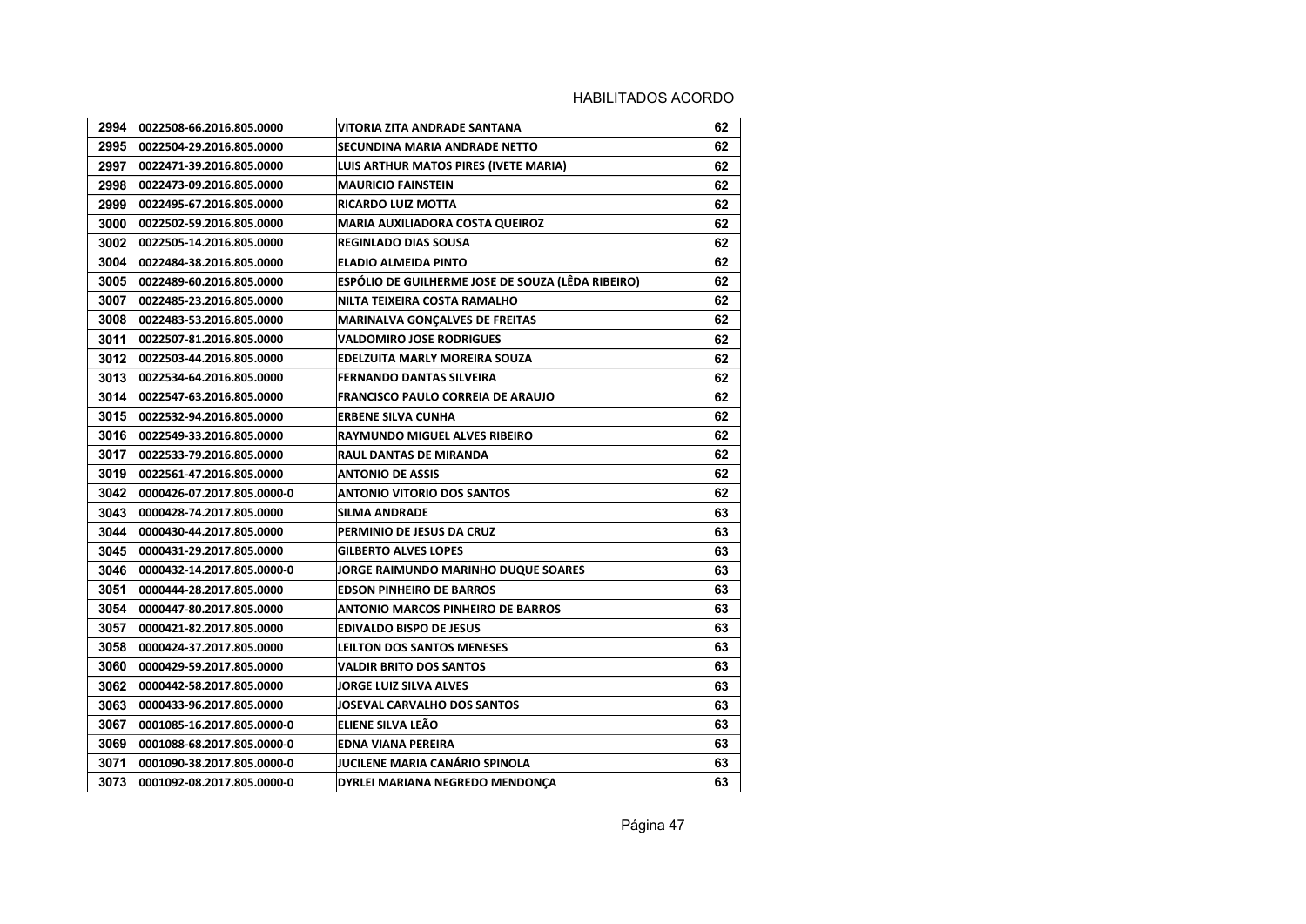| 2994 | 0022508-66.2016.805.0000   | VITORIA ZITA ANDRADE SANTANA                      | 62 |
|------|----------------------------|---------------------------------------------------|----|
| 2995 | 0022504-29.2016.805.0000   | SECUNDINA MARIA ANDRADE NETTO                     | 62 |
| 2997 | 0022471-39.2016.805.0000   | LUIS ARTHUR MATOS PIRES (IVETE MARIA)             | 62 |
| 2998 | 0022473-09.2016.805.0000   | <b>MAURICIO FAINSTEIN</b>                         | 62 |
| 2999 | 0022495-67.2016.805.0000   | RICARDO LUIZ MOTTA                                | 62 |
| 3000 | 0022502-59.2016.805.0000   | MARIA AUXILIADORA COSTA QUEIROZ                   | 62 |
| 3002 | 0022505-14.2016.805.0000   | <b>REGINLADO DIAS SOUSA</b>                       | 62 |
| 3004 | 0022484-38.2016.805.0000   | <b>ELADIO ALMEIDA PINTO</b>                       | 62 |
| 3005 | 0022489-60.2016.805.0000   | ESPÓLIO DE GUILHERME JOSE DE SOUZA (LÊDA RIBEIRO) | 62 |
| 3007 | 0022485-23.2016.805.0000   | NILTA TEIXEIRA COSTA RAMALHO                      | 62 |
| 3008 | 0022483-53.2016.805.0000   | <b>MARINALVA GONCALVES DE FREITAS</b>             | 62 |
| 3011 | 0022507-81.2016.805.0000   | VALDOMIRO JOSE RODRIGUES                          | 62 |
| 3012 | 0022503-44.2016.805.0000   | EDELZUITA MARLY MOREIRA SOUZA                     | 62 |
| 3013 | 0022534-64.2016.805.0000   | FERNANDO DANTAS SILVEIRA                          | 62 |
| 3014 | 0022547-63.2016.805.0000   | FRANCISCO PAULO CORREIA DE ARAUJO                 | 62 |
| 3015 | 0022532-94.2016.805.0000   | <b>ERBENE SILVA CUNHA</b>                         | 62 |
| 3016 | 0022549-33.2016.805.0000   | RAYMUNDO MIGUEL ALVES RIBEIRO                     | 62 |
| 3017 | 0022533-79.2016.805.0000   | RAUL DANTAS DE MIRANDA                            | 62 |
| 3019 | 0022561-47.2016.805.0000   | ANTONIO DE ASSIS                                  | 62 |
| 3042 | 0000426-07.2017.805.0000-0 | <b>ANTONIO VITORIO DOS SANTOS</b>                 | 62 |
| 3043 | 0000428-74.2017.805.0000   | SILMA ANDRADE                                     | 63 |
| 3044 | 0000430-44.2017.805.0000   | PERMINIO DE JESUS DA CRUZ                         | 63 |
| 3045 | 0000431-29.2017.805.0000   | <b>GILBERTO ALVES LOPES</b>                       | 63 |
| 3046 | 0000432-14.2017.805.0000-0 | JORGE RAIMUNDO MARINHO DUQUE SOARES               | 63 |
| 3051 | 0000444-28.2017.805.0000   | <b>EDSON PINHEIRO DE BARROS</b>                   | 63 |
| 3054 | l0000447-80.2017.805.0000  | ANTONIO MARCOS PINHEIRO DE BARROS                 | 63 |
| 3057 | 0000421-82.2017.805.0000   | EDIVALDO BISPO DE JESUS                           | 63 |
| 3058 | 0000424-37.2017.805.0000   | LEILTON DOS SANTOS MENESES                        | 63 |
| 3060 | 0000429-59.2017.805.0000   | VALDIR BRITO DOS SANTOS                           | 63 |
| 3062 | 0000442-58.2017.805.0000   | JORGE LUIZ SILVA ALVES                            | 63 |
| 3063 | 0000433-96.2017.805.0000   | JOSEVAL CARVALHO DOS SANTOS                       | 63 |
| 3067 | 0001085-16.2017.805.0000-0 | ELIENE SILVA LEÃO                                 | 63 |
| 3069 | 0001088-68.2017.805.0000-0 | EDNA VIANA PEREIRA                                | 63 |
| 3071 | 0001090-38.2017.805.0000-0 | JUCILENE MARIA CANÁRIO SPINOLA                    | 63 |
| 3073 | 0001092-08.2017.805.0000-0 | DYRLEI MARIANA NEGREDO MENDONCA                   | 63 |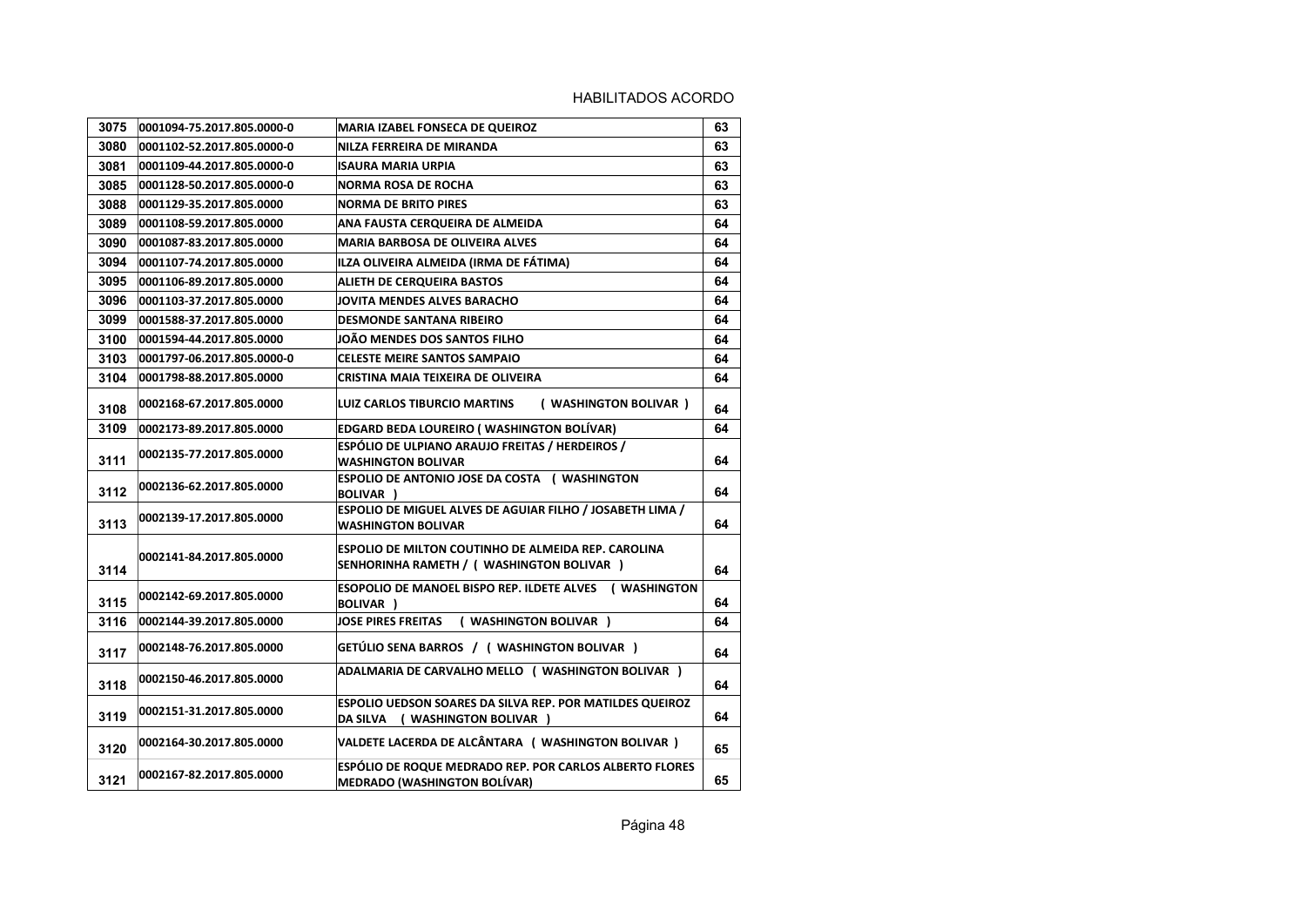| 3075 | 0001094-75.2017.805.0000-0 | <b>MARIA IZABEL FONSECA DE QUEIROZ</b>                                                                   | 63 |
|------|----------------------------|----------------------------------------------------------------------------------------------------------|----|
| 3080 | 0001102-52.2017.805.0000-0 | NILZA FERREIRA DE MIRANDA                                                                                | 63 |
| 3081 | 0001109-44.2017.805.0000-0 | <b>ISAURA MARIA URPIA</b>                                                                                | 63 |
| 3085 | 0001128-50.2017.805.0000-0 | <b>NORMA ROSA DE ROCHA</b>                                                                               | 63 |
| 3088 | 0001129-35.2017.805.0000   | <b>NORMA DE BRITO PIRES</b>                                                                              | 63 |
| 3089 | 0001108-59.2017.805.0000   | ANA FAUSTA CERQUEIRA DE ALMEIDA                                                                          | 64 |
| 3090 | 0001087-83.2017.805.0000   | <b>MARIA BARBOSA DE OLIVEIRA ALVES</b>                                                                   | 64 |
| 3094 | 0001107-74.2017.805.0000   | ILZA OLIVEIRA ALMEIDA (IRMA DE FÁTIMA)                                                                   | 64 |
| 3095 | 0001106-89.2017.805.0000   | <b>ALIETH DE CERQUEIRA BASTOS</b>                                                                        | 64 |
| 3096 | 0001103-37.2017.805.0000   | JOVITA MENDES ALVES BARACHO                                                                              | 64 |
| 3099 | 0001588-37.2017.805.0000   | <b>DESMONDE SANTANA RIBEIRO</b>                                                                          | 64 |
| 3100 | 0001594-44.2017.805.0000   | JOÃO MENDES DOS SANTOS FILHO                                                                             | 64 |
| 3103 | 0001797-06.2017.805.0000-0 | <b>CELESTE MEIRE SANTOS SAMPAIO</b>                                                                      | 64 |
| 3104 | 0001798-88.2017.805.0000   | CRISTINA MAIA TEIXEIRA DE OLIVEIRA                                                                       | 64 |
| 3108 | 0002168-67.2017.805.0000   | LUIZ CARLOS TIBURCIO MARTINS<br>( WASHINGTON BOLIVAR )                                                   | 64 |
| 3109 | 0002173-89.2017.805.0000   | <b>EDGARD BEDA LOUREIRO (WASHINGTON BOLÍVAR)</b>                                                         | 64 |
| 3111 | 0002135-77.2017.805.0000   | ESPÓLIO DE ULPIANO ARAUJO FREITAS / HERDEIROS /<br><b>WASHINGTON BOLIVAR</b>                             | 64 |
| 3112 | 0002136-62.2017.805.0000   | <b>ESPOLIO DE ANTONIO JOSE DA COSTA (WASHINGTON</b><br><b>BOLIVAR</b> )                                  | 64 |
| 3113 | 0002139-17.2017.805.0000   | ESPOLIO DE MIGUEL ALVES DE AGUIAR FILHO / JOSABETH LIMA /<br><b>WASHINGTON BOLIVAR</b>                   | 64 |
| 3114 | 0002141-84.2017.805.0000   | <b>ESPOLIO DE MILTON COUTINHO DE ALMEIDA REP. CAROLINA</b><br>SENHORINHA RAMETH / ( WASHINGTON BOLIVAR ) | 64 |
| 3115 | 0002142-69.2017.805.0000   | ESOPOLIO DE MANOEL BISPO REP. ILDETE ALVES (WASHINGTON<br><b>BOLIVAR</b> )                               | 64 |
| 3116 | 0002144-39.2017.805.0000   | <b>JOSE PIRES FREITAS</b><br>( WASHINGTON BOLIVAR )                                                      | 64 |
| 3117 | 0002148-76.2017.805.0000   | GETÚLIO SENA BARROS / (WASHINGTON BOLIVAR)                                                               | 64 |
| 3118 | 0002150-46.2017.805.0000   | ADALMARIA DE CARVALHO MELLO ( WASHINGTON BOLIVAR )                                                       | 64 |
| 3119 | 0002151-31.2017.805.0000   | ESPOLIO UEDSON SOARES DA SILVA REP. POR MATILDES QUEIROZ<br>DA SILVA ( WASHINGTON BOLIVAR )              | 64 |
| 3120 | 0002164-30.2017.805.0000   | VALDETE LACERDA DE ALCÂNTARA ( WASHINGTON BOLIVAR )                                                      | 65 |
| 3121 | 0002167-82.2017.805.0000   | ESPÓLIO DE ROQUE MEDRADO REP. POR CARLOS ALBERTO FLORES<br><b>MEDRADO (WASHINGTON BOLÍVAR)</b>           | 65 |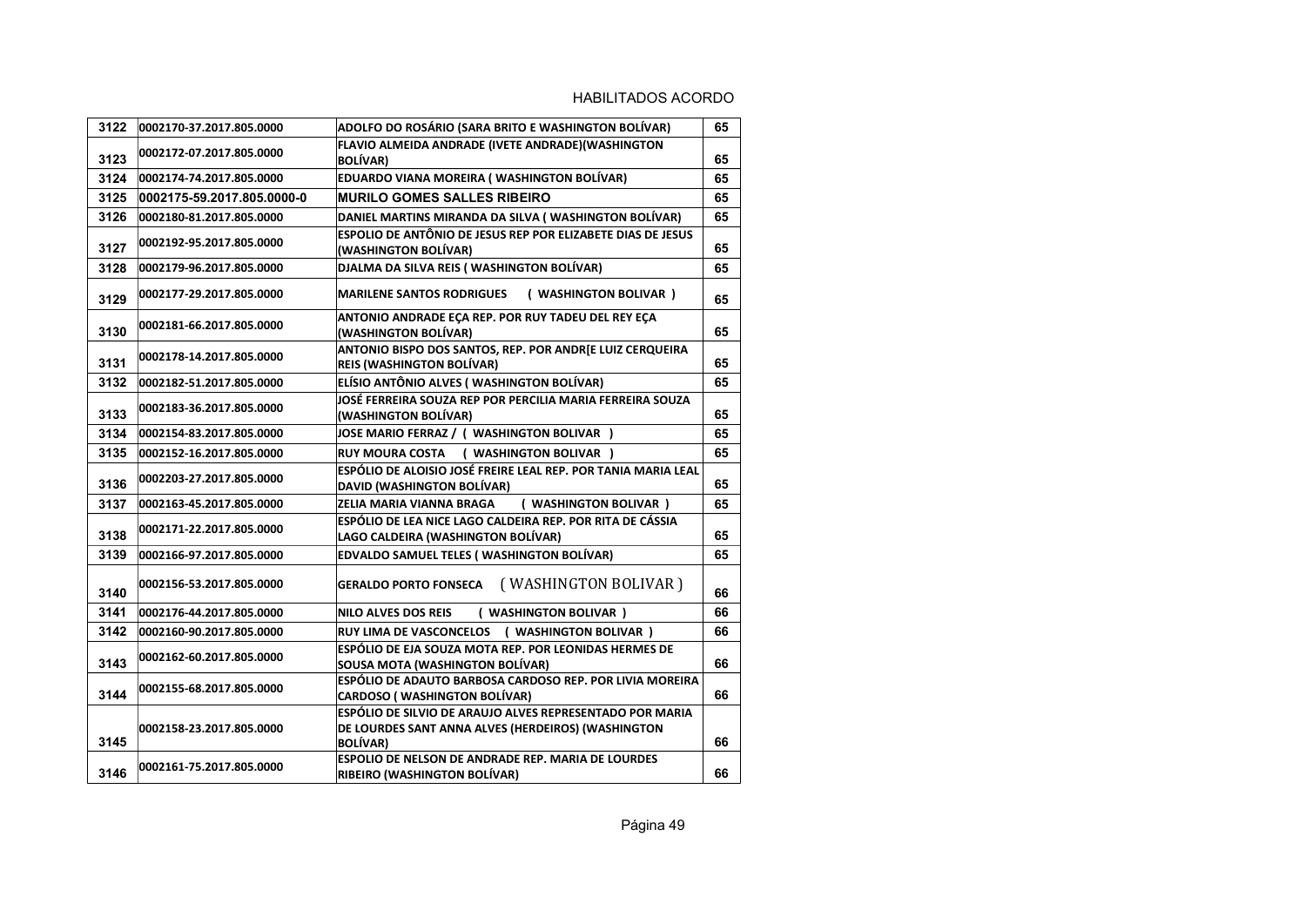| 3122 | 0002170-37.2017.805.0000   | ADOLFO DO ROSÁRIO (SARA BRITO E WASHINGTON BOLÍVAR)                                                                               | 65 |
|------|----------------------------|-----------------------------------------------------------------------------------------------------------------------------------|----|
| 3123 | 0002172-07.2017.805.0000   | FLAVIO ALMEIDA ANDRADE (IVETE ANDRADE) (WASHINGTON<br><b>BOLÍVAR)</b>                                                             | 65 |
| 3124 | 0002174-74.2017.805.0000   | EDUARDO VIANA MOREIRA (WASHINGTON BOLÍVAR)                                                                                        | 65 |
| 3125 | 0002175-59.2017.805.0000-0 | <b>MURILO GOMES SALLES RIBEIRO</b>                                                                                                | 65 |
| 3126 | 0002180-81.2017.805.0000   | DANIEL MARTINS MIRANDA DA SILVA (WASHINGTON BOLÍVAR)                                                                              | 65 |
| 3127 | 0002192-95.2017.805.0000   | ESPOLIO DE ANTÔNIO DE JESUS REP POR ELIZABETE DIAS DE JESUS<br>(WASHINGTON BOLÍVAR)                                               | 65 |
| 3128 | 0002179-96.2017.805.0000   | DJALMA DA SILVA REIS (WASHINGTON BOLÍVAR)                                                                                         | 65 |
| 3129 | 0002177-29.2017.805.0000   | <b>MARILENE SANTOS RODRIGUES</b><br>( WASHINGTON BOLIVAR )                                                                        | 65 |
| 3130 | 0002181-66.2017.805.0000   | ANTONIO ANDRADE ECA REP. POR RUY TADEU DEL REY ECA<br>(WASHINGTON BOLÍVAR)                                                        | 65 |
| 3131 | 0002178-14.2017.805.0000   | ANTONIO BISPO DOS SANTOS, REP. POR ANDR[E LUIZ CERQUEIRA<br><b>REIS (WASHINGTON BOLÍVAR)</b>                                      | 65 |
| 3132 | 0002182-51.2017.805.0000   | ELÍSIO ANTÔNIO ALVES (WASHINGTON BOLÍVAR)                                                                                         | 65 |
| 3133 | 0002183-36.2017.805.0000   | JOSÉ FERREIRA SOUZA REP POR PERCILIA MARIA FERREIRA SOUZA<br>(WASHINGTON BOLÍVAR)                                                 | 65 |
| 3134 | 0002154-83.2017.805.0000   | JOSE MARIO FERRAZ / ( WASHINGTON BOLIVAR )                                                                                        | 65 |
| 3135 | 0002152-16.2017.805.0000   | RUY MOURA COSTA ( WASHINGTON BOLIVAR )                                                                                            | 65 |
| 3136 | 0002203-27.2017.805.0000   | ESPÓLIO DE ALOISIO JOSÉ FREIRE LEAL REP. POR TANIA MARIA LEAL<br>DAVID (WASHINGTON BOLÍVAR)                                       | 65 |
| 3137 | 0002163-45.2017.805.0000   | ZELIA MARIA VIANNA BRAGA<br>( WASHINGTON BOLIVAR )                                                                                | 65 |
| 3138 | 0002171-22.2017.805.0000   | ESPÓLIO DE LEA NICE LAGO CALDEIRA REP. POR RITA DE CÁSSIA<br>LAGO CALDEIRA (WASHINGTON BOLÍVAR)                                   | 65 |
| 3139 | 0002166-97.2017.805.0000   | <b>EDVALDO SAMUEL TELES (WASHINGTON BOLÍVAR)</b>                                                                                  | 65 |
| 3140 | 0002156-53.2017.805.0000   | (WASHINGTON BOLIVAR)<br><b>GERALDO PORTO FONSECA</b>                                                                              | 66 |
| 3141 | 0002176-44.2017.805.0000   | ( WASHINGTON BOLIVAR )<br><b>NILO ALVES DOS REIS</b>                                                                              | 66 |
| 3142 | 0002160-90.2017.805.0000   | RUY LIMA DE VASCONCELOS (WASHINGTON BOLIVAR)                                                                                      | 66 |
| 3143 | 0002162-60.2017.805.0000   | ESPÓLIO DE EJA SOUZA MOTA REP. POR LEONIDAS HERMES DE<br>SOUSA MOTA (WASHINGTON BOLÍVAR)                                          | 66 |
| 3144 | 0002155-68.2017.805.0000   | ESPÓLIO DE ADAUTO BARBOSA CARDOSO REP. POR LIVIA MOREIRA<br><b>CARDOSO (WASHINGTON BOLÍVAR)</b>                                   | 66 |
| 3145 | 0002158-23.2017.805.0000   | ESPÓLIO DE SILVIO DE ARAUJO ALVES REPRESENTADO POR MARIA<br>DE LOURDES SANT ANNA ALVES (HERDEIROS) (WASHINGTON<br><b>BOLÍVAR)</b> | 66 |
| 3146 | 0002161-75.2017.805.0000   | <b>ESPOLIO DE NELSON DE ANDRADE REP. MARIA DE LOURDES</b><br><b>RIBEIRO (WASHINGTON BOLÍVAR)</b>                                  | 66 |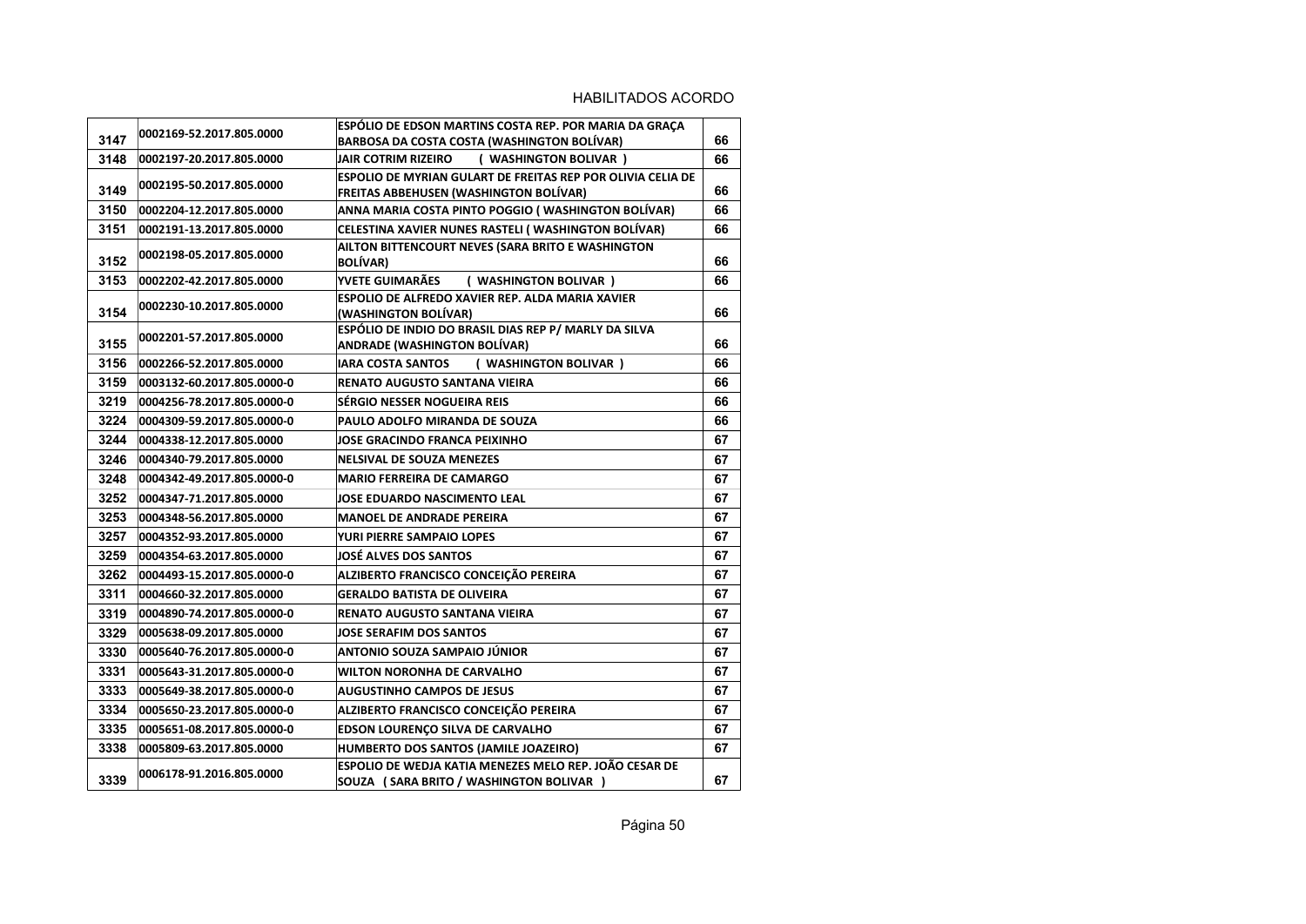| 3147 | 0002169-52.2017.805.0000   | ESPÓLIO DE EDSON MARTINS COSTA REP. POR MARIA DA GRAÇA<br>BARBOSA DA COSTA COSTA (WASHINGTON BOLÍVAR) | 66 |
|------|----------------------------|-------------------------------------------------------------------------------------------------------|----|
| 3148 | 0002197-20.2017.805.0000   | JAIR COTRIM RIZEIRO<br>( WASHINGTON BOLIVAR )                                                         | 66 |
| 3149 | 0002195-50.2017.805.0000   | ESPOLIO DE MYRIAN GULART DE FREITAS REP POR OLIVIA CELIA DE<br>FREITAS ABBEHUSEN (WASHINGTON BOLÍVAR) | 66 |
| 3150 | 0002204-12.2017.805.0000   | ANNA MARIA COSTA PINTO POGGIO (WASHINGTON BOLÍVAR)                                                    | 66 |
| 3151 | 0002191-13.2017.805.0000   | CELESTINA XAVIER NUNES RASTELI (WASHINGTON BOLÍVAR)                                                   | 66 |
| 3152 | 0002198-05.2017.805.0000   | AILTON BITTENCOURT NEVES (SARA BRITO E WASHINGTON<br><b>BOLÍVAR)</b>                                  | 66 |
| 3153 | 0002202-42.2017.805.0000   | YVETE GUIMARÃES<br>( WASHINGTON BOLIVAR )                                                             | 66 |
| 3154 | 0002230-10.2017.805.0000   | ESPOLIO DE ALFREDO XAVIER REP. ALDA MARIA XAVIER<br>(WASHINGTON BOLÍVAR)                              | 66 |
| 3155 | 0002201-57.2017.805.0000   | ESPÓLIO DE INDIO DO BRASIL DIAS REP P/ MARLY DA SILVA<br><b>ANDRADE (WASHINGTON BOLÍVAR)</b>          | 66 |
| 3156 | 0002266-52.2017.805.0000   | <b>IARA COSTA SANTOS</b><br>( WASHINGTON BOLIVAR )                                                    | 66 |
| 3159 | 0003132-60.2017.805.0000-0 | RENATO AUGUSTO SANTANA VIEIRA                                                                         | 66 |
| 3219 | 0004256-78.2017.805.0000-0 | SÉRGIO NESSER NOGUEIRA REIS                                                                           | 66 |
| 3224 | 0004309-59.2017.805.0000-0 | PAULO ADOLFO MIRANDA DE SOUZA                                                                         | 66 |
| 3244 | 0004338-12.2017.805.0000   | JOSE GRACINDO FRANCA PEIXINHO                                                                         | 67 |
| 3246 | 0004340-79.2017.805.0000   | <b>NELSIVAL DE SOUZA MENEZES</b>                                                                      | 67 |
| 3248 | 0004342-49.2017.805.0000-0 | <b>MARIO FERREIRA DE CAMARGO</b>                                                                      | 67 |
| 3252 | 0004347-71.2017.805.0000   | JOSE EDUARDO NASCIMENTO LEAL                                                                          | 67 |
| 3253 | 0004348-56.2017.805.0000   | <b>MANOEL DE ANDRADE PEREIRA</b>                                                                      | 67 |
| 3257 | 0004352-93.2017.805.0000   | YURI PIERRE SAMPAIO LOPES                                                                             | 67 |
| 3259 | 0004354-63.2017.805.0000   | JOSÉ ALVES DOS SANTOS                                                                                 | 67 |
| 3262 | 0004493-15.2017.805.0000-0 | ALZIBERTO FRANCISCO CONCEIÇÃO PEREIRA                                                                 | 67 |
| 3311 | 0004660-32.2017.805.0000   | <b>GERALDO BATISTA DE OLIVEIRA</b>                                                                    | 67 |
| 3319 | 0004890-74.2017.805.0000-0 | RENATO AUGUSTO SANTANA VIEIRA                                                                         | 67 |
| 3329 | 0005638-09.2017.805.0000   | <b>JOSE SERAFIM DOS SANTOS</b>                                                                        | 67 |
| 3330 | 0005640-76.2017.805.0000-0 | ANTONIO SOUZA SAMPAIO JÚNIOR                                                                          | 67 |
| 3331 | 0005643-31.2017.805.0000-0 | <b>WILTON NORONHA DE CARVALHO</b>                                                                     | 67 |
| 3333 | 0005649-38.2017.805.0000-0 | <b>AUGUSTINHO CAMPOS DE JESUS</b>                                                                     | 67 |
| 3334 | 0005650-23.2017.805.0000-0 | ALZIBERTO FRANCISCO CONCEIÇÃO PEREIRA                                                                 | 67 |
| 3335 | 0005651-08.2017.805.0000-0 | EDSON LOURENÇO SILVA DE CARVALHO                                                                      | 67 |
| 3338 | 0005809-63.2017.805.0000   | HUMBERTO DOS SANTOS (JAMILE JOAZEIRO)                                                                 | 67 |
| 3339 | 0006178-91.2016.805.0000   | ESPOLIO DE WEDJA KATIA MENEZES MELO REP. JOÃO CESAR DE<br>SOUZA (SARA BRITO / WASHINGTON BOLIVAR )    | 67 |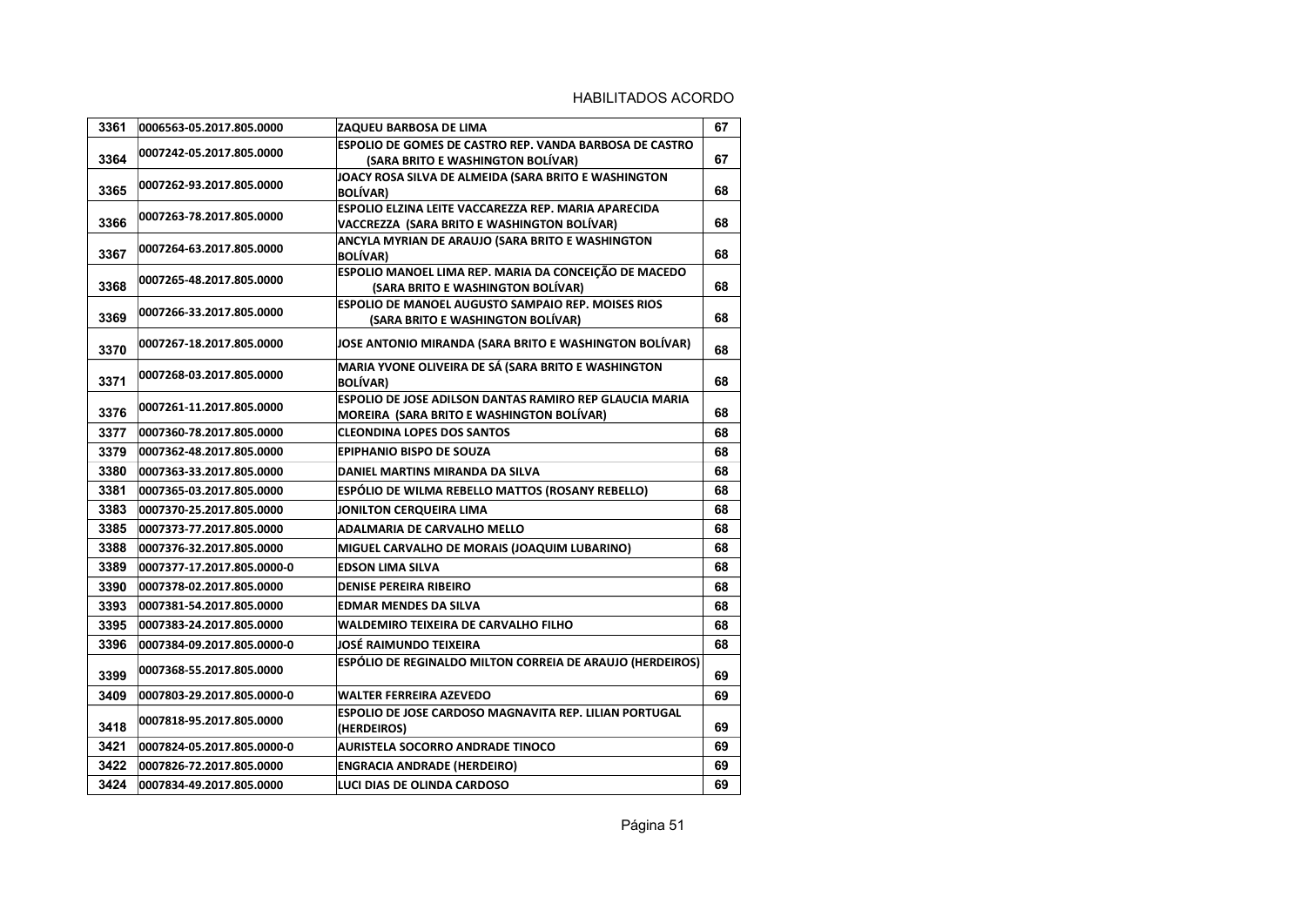| 3361 | 0006563-05.2017.805.0000   | ZAQUEU BARBOSA DE LIMA                                                                                      | 67 |
|------|----------------------------|-------------------------------------------------------------------------------------------------------------|----|
| 3364 | 0007242-05.2017.805.0000   | ESPOLIO DE GOMES DE CASTRO REP. VANDA BARBOSA DE CASTRO<br>(SARA BRITO E WASHINGTON BOLÍVAR)                | 67 |
| 3365 | 0007262-93.2017.805.0000   | JOACY ROSA SILVA DE ALMEIDA (SARA BRITO E WASHINGTON<br><b>BOLÍVAR)</b>                                     | 68 |
| 3366 | 0007263-78.2017.805.0000   | ESPOLIO ELZINA LEITE VACCAREZZA REP. MARIA APARECIDA<br>VACCREZZA (SARA BRITO E WASHINGTON BOLÍVAR)         | 68 |
| 3367 | 0007264-63.2017.805.0000   | ANCYLA MYRIAN DE ARAUJO (SARA BRITO E WASHINGTON<br><b>BOLÍVAR</b> )                                        | 68 |
| 3368 | 0007265-48.2017.805.0000   | ESPOLIO MANOEL LIMA REP. MARIA DA CONCEIÇÃO DE MACEDO<br>(SARA BRITO E WASHINGTON BOLÍVAR)                  | 68 |
| 3369 | 0007266-33.2017.805.0000   | ESPOLIO DE MANOEL AUGUSTO SAMPAIO REP. MOISES RIOS<br>(SARA BRITO E WASHINGTON BOLÍVAR)                     | 68 |
| 3370 | 0007267-18.2017.805.0000   | JOSE ANTONIO MIRANDA (SARA BRITO E WASHINGTON BOLÍVAR)                                                      | 68 |
| 3371 | 0007268-03.2017.805.0000   | MARIA YVONE OLIVEIRA DE SÁ (SARA BRITO E WASHINGTON<br><b>BOLÍVAR)</b>                                      | 68 |
| 3376 | 0007261-11.2017.805.0000   | ESPOLIO DE JOSE ADILSON DANTAS RAMIRO REP GLAUCIA MARIA<br><b>MOREIRA (SARA BRITO E WASHINGTON BOLÍVAR)</b> | 68 |
| 3377 | 0007360-78.2017.805.0000   | <b>CLEONDINA LOPES DOS SANTOS</b>                                                                           | 68 |
| 3379 | 0007362-48.2017.805.0000   | <b>EPIPHANIO BISPO DE SOUZA</b>                                                                             | 68 |
| 3380 | 0007363-33.2017.805.0000   | DANIEL MARTINS MIRANDA DA SILVA                                                                             | 68 |
| 3381 | 0007365-03.2017.805.0000   | ESPÓLIO DE WILMA REBELLO MATTOS (ROSANY REBELLO)                                                            | 68 |
| 3383 | 0007370-25.2017.805.0000   | JONILTON CERQUEIRA LIMA                                                                                     | 68 |
| 3385 | 0007373-77.2017.805.0000   | <b>ADALMARIA DE CARVALHO MELLO</b>                                                                          | 68 |
| 3388 | 0007376-32.2017.805.0000   | MIGUEL CARVALHO DE MORAIS (JOAQUIM LUBARINO)                                                                | 68 |
| 3389 | 0007377-17.2017.805.0000-0 | <b>EDSON LIMA SILVA</b>                                                                                     | 68 |
| 3390 | 0007378-02.2017.805.0000   | <b>DENISE PEREIRA RIBEIRO</b>                                                                               | 68 |
| 3393 | 0007381-54.2017.805.0000   | <b>EDMAR MENDES DA SILVA</b>                                                                                | 68 |
| 3395 | 0007383-24.2017.805.0000   | <b>WALDEMIRO TEIXEIRA DE CARVALHO FILHO</b>                                                                 | 68 |
| 3396 | 0007384-09.2017.805.0000-0 | JOSÉ RAIMUNDO TEIXEIRA                                                                                      | 68 |
| 3399 | 0007368-55.2017.805.0000   | ESPÓLIO DE REGINALDO MILTON CORREIA DE ARAUJO (HERDEIROS)                                                   | 69 |
| 3409 | 0007803-29.2017.805.0000-0 | <b>WALTER FERREIRA AZEVEDO</b>                                                                              | 69 |
| 3418 | 0007818-95.2017.805.0000   | <b>ESPOLIO DE JOSE CARDOSO MAGNAVITA REP. LILIAN PORTUGAL</b><br>(HERDEIROS)                                | 69 |
| 3421 | 0007824-05.2017.805.0000-0 | <b>AURISTELA SOCORRO ANDRADE TINOCO</b>                                                                     | 69 |
| 3422 | 0007826-72.2017.805.0000   | <b>ENGRACIA ANDRADE (HERDEIRO)</b>                                                                          | 69 |
| 3424 | 0007834-49.2017.805.0000   | LUCI DIAS DE OLINDA CARDOSO                                                                                 | 69 |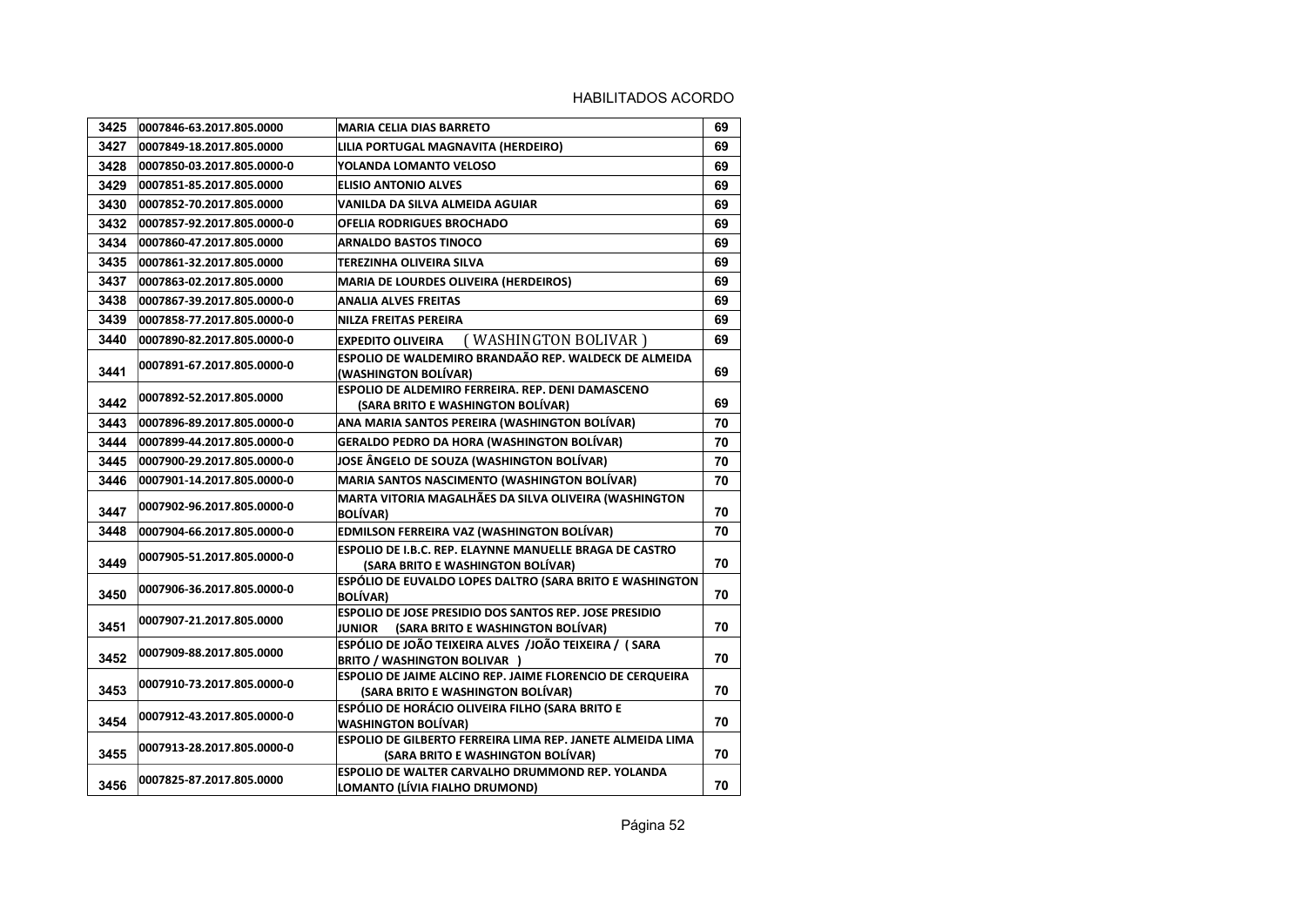| 3425 | 0007846-63.2017.805.0000   | <b>MARIA CELIA DIAS BARRETO</b>                                                                    | 69 |
|------|----------------------------|----------------------------------------------------------------------------------------------------|----|
| 3427 | 0007849-18.2017.805.0000   | LILIA PORTUGAL MAGNAVITA (HERDEIRO)                                                                | 69 |
| 3428 | 0007850-03.2017.805.0000-0 | YOLANDA LOMANTO VELOSO                                                                             | 69 |
| 3429 | 0007851-85.2017.805.0000   | <b>ELISIO ANTONIO ALVES</b>                                                                        | 69 |
| 3430 | 0007852-70.2017.805.0000   | VANILDA DA SILVA ALMEIDA AGUIAR                                                                    | 69 |
| 3432 | 0007857-92.2017.805.0000-0 | <b>OFELIA RODRIGUES BROCHADO</b>                                                                   | 69 |
| 3434 | 0007860-47.2017.805.0000   | <b>ARNALDO BASTOS TINOCO</b>                                                                       | 69 |
| 3435 | 0007861-32.2017.805.0000   | TEREZINHA OLIVEIRA SILVA                                                                           | 69 |
| 3437 | 0007863-02.2017.805.0000   | <b>MARIA DE LOURDES OLIVEIRA (HERDEIROS)</b>                                                       | 69 |
| 3438 | 0007867-39.2017.805.0000-0 | <b>ANALIA ALVES FREITAS</b>                                                                        | 69 |
| 3439 | 0007858-77.2017.805.0000-0 | <b>NILZA FREITAS PEREIRA</b>                                                                       | 69 |
| 3440 | 0007890-82.2017.805.0000-0 | (WASHINGTON BOLIVAR)<br><b>EXPEDITO OLIVEIRA</b>                                                   | 69 |
| 3441 | 0007891-67.2017.805.0000-0 | ESPOLIO DE WALDEMIRO BRANDAÃO REP. WALDECK DE ALMEIDA<br>(WASHINGTON BOLÍVAR)                      | 69 |
| 3442 | 0007892-52.2017.805.0000   | ESPOLIO DE ALDEMIRO FERREIRA. REP. DENI DAMASCENO<br>(SARA BRITO E WASHINGTON BOLÍVAR)             | 69 |
| 3443 | 0007896-89.2017.805.0000-0 | ANA MARIA SANTOS PEREIRA (WASHINGTON BOLÍVAR)                                                      | 70 |
| 3444 | 0007899-44.2017.805.0000-0 | GERALDO PEDRO DA HORA (WASHINGTON BOLÍVAR)                                                         | 70 |
| 3445 | 0007900-29.2017.805.0000-0 | JOSE ÂNGELO DE SOUZA (WASHINGTON BOLÍVAR)                                                          | 70 |
| 3446 | 0007901-14.2017.805.0000-0 | <b>MARIA SANTOS NASCIMENTO (WASHINGTON BOLÍVAR)</b>                                                | 70 |
| 3447 | 0007902-96.2017.805.0000-0 | MARTA VITORIA MAGALHÃES DA SILVA OLIVEIRA (WASHINGTON<br><b>BOLÍVAR)</b>                           | 70 |
| 3448 | 0007904-66.2017.805.0000-0 | EDMILSON FERREIRA VAZ (WASHINGTON BOLÍVAR)                                                         | 70 |
| 3449 | 0007905-51.2017.805.0000-0 | ESPOLIO DE I.B.C. REP. ELAYNNE MANUELLE BRAGA DE CASTRO<br>(SARA BRITO E WASHINGTON BOLÍVAR)       | 70 |
| 3450 | 0007906-36.2017.805.0000-0 | ESPÓLIO DE EUVALDO LOPES DALTRO (SARA BRITO E WASHINGTON<br><b>BOLÍVAR)</b>                        | 70 |
| 3451 | 0007907-21.2017.805.0000   | ESPOLIO DE JOSE PRESIDIO DOS SANTOS REP. JOSE PRESIDIO<br>JUNIOR (SARA BRITO E WASHINGTON BOLÍVAR) | 70 |
| 3452 | 0007909-88.2017.805.0000   | ESPÓLIO DE JOÃO TEIXEIRA ALVES /JOÃO TEIXEIRA / (SARA<br><b>BRITO / WASHINGTON BOLIVAR )</b>       | 70 |
| 3453 | 0007910-73.2017.805.0000-0 | ESPOLIO DE JAIME ALCINO REP. JAIME FLORENCIO DE CERQUEIRA<br>(SARA BRITO E WASHINGTON BOLÍVAR)     | 70 |
| 3454 | 0007912-43.2017.805.0000-0 | ESPÓLIO DE HORÁCIO OLIVEIRA FILHO (SARA BRITO E<br><b>WASHINGTON BOLÍVAR)</b>                      | 70 |
| 3455 | 0007913-28.2017.805.0000-0 | ESPOLIO DE GILBERTO FERREIRA LIMA REP. JANETE ALMEIDA LIMA<br>(SARA BRITO E WASHINGTON BOLÍVAR)    | 70 |
| 3456 | 0007825-87.2017.805.0000   | ESPOLIO DE WALTER CARVALHO DRUMMOND REP. YOLANDA<br>LOMANTO (LÍVIA FIALHO DRUMOND)                 | 70 |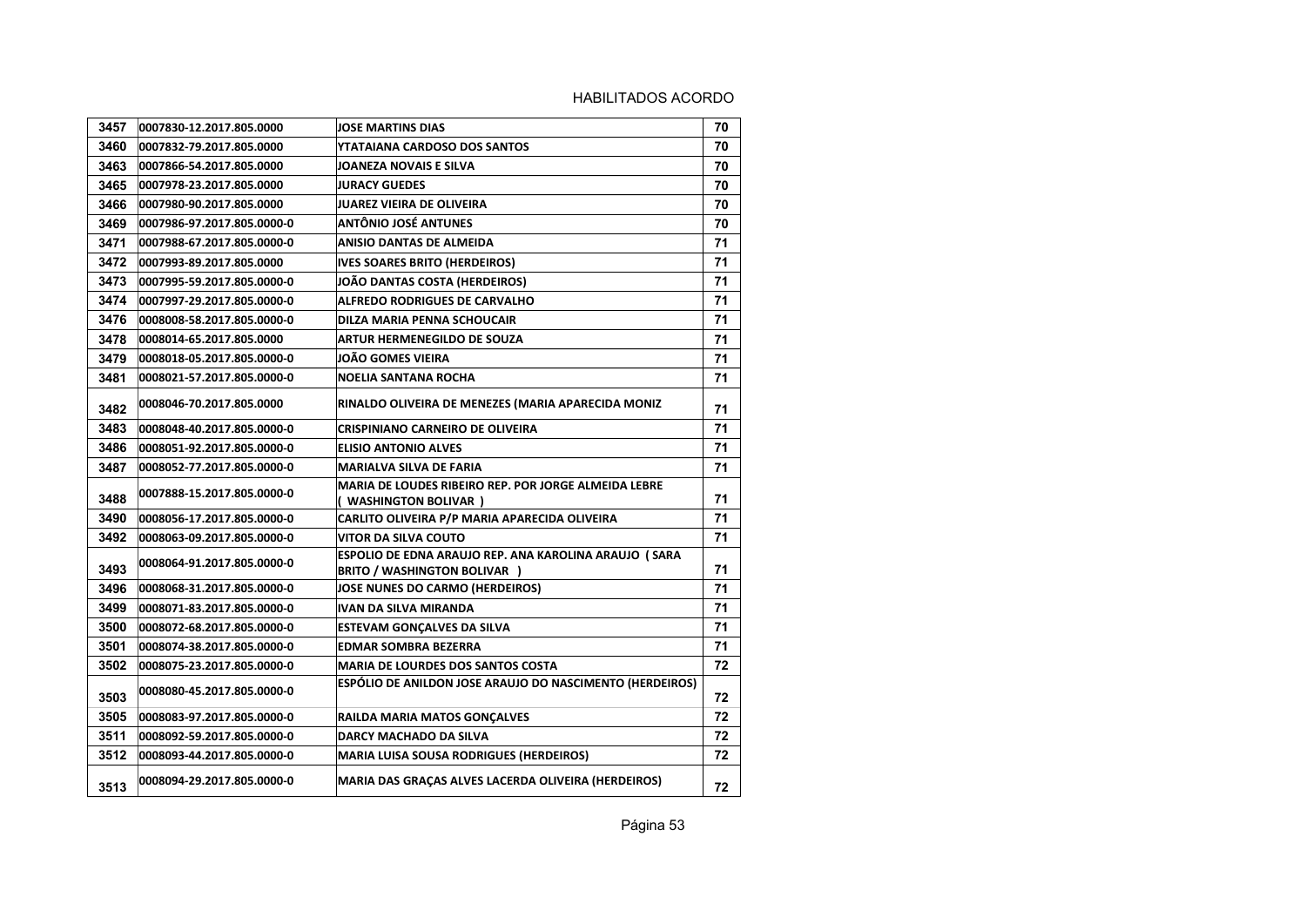| 3457 | 0007830-12.2017.805.0000   | <b>JOSE MARTINS DIAS</b>                                                                     | 70 |
|------|----------------------------|----------------------------------------------------------------------------------------------|----|
| 3460 | 0007832-79.2017.805.0000   | YTATAIANA CARDOSO DOS SANTOS                                                                 | 70 |
| 3463 | 0007866-54.2017.805.0000   | JOANEZA NOVAIS E SILVA                                                                       | 70 |
| 3465 | 0007978-23.2017.805.0000   | <b>JURACY GUEDES</b>                                                                         | 70 |
| 3466 | 0007980-90.2017.805.0000   | <b>JUAREZ VIEIRA DE OLIVEIRA</b>                                                             | 70 |
| 3469 | 0007986-97.2017.805.0000-0 | <b>ANTÔNIO JOSÉ ANTUNES</b>                                                                  | 70 |
| 3471 | 0007988-67.2017.805.0000-0 | ANISIO DANTAS DE ALMEIDA                                                                     | 71 |
| 3472 | 0007993-89.2017.805.0000   | <b>IVES SOARES BRITO (HERDEIROS)</b>                                                         | 71 |
| 3473 | 0007995-59.2017.805.0000-0 | JOÃO DANTAS COSTA (HERDEIROS)                                                                | 71 |
| 3474 | 0007997-29.2017.805.0000-0 | <b>ALFREDO RODRIGUES DE CARVALHO</b>                                                         | 71 |
| 3476 | 0008008-58.2017.805.0000-0 | DILZA MARIA PENNA SCHOUCAIR                                                                  | 71 |
| 3478 | 0008014-65.2017.805.0000   | ARTUR HERMENEGILDO DE SOUZA                                                                  | 71 |
| 3479 | 0008018-05.2017.805.0000-0 | JOÃO GOMES VIEIRA                                                                            | 71 |
| 3481 | 0008021-57.2017.805.0000-0 | <b>NOELIA SANTANA ROCHA</b>                                                                  | 71 |
| 3482 | 0008046-70.2017.805.0000   | RINALDO OLIVEIRA DE MENEZES (MARIA APARECIDA MONIZ                                           | 71 |
| 3483 | 0008048-40.2017.805.0000-0 | <b>CRISPINIANO CARNEIRO DE OLIVEIRA</b>                                                      | 71 |
| 3486 | 0008051-92.2017.805.0000-0 | <b>ELISIO ANTONIO ALVES</b>                                                                  | 71 |
| 3487 | 0008052-77.2017.805.0000-0 | <b>MARIALVA SILVA DE FARIA</b>                                                               | 71 |
| 3488 | 0007888-15.2017.805.0000-0 | <b>MARIA DE LOUDES RIBEIRO REP. POR JORGE ALMEIDA LEBRE</b><br>( WASHINGTON BOLIVAR )        | 71 |
| 3490 | 0008056-17.2017.805.0000-0 | CARLITO OLIVEIRA P/P MARIA APARECIDA OLIVEIRA                                                | 71 |
| 3492 | 0008063-09.2017.805.0000-0 | VITOR DA SILVA COUTO                                                                         | 71 |
| 3493 | 0008064-91.2017.805.0000-0 | ESPOLIO DE EDNA ARAUJO REP. ANA KAROLINA ARAUJO (SARA<br><b>BRITO / WASHINGTON BOLIVAR )</b> | 71 |
| 3496 | 0008068-31.2017.805.0000-0 | <b>JOSE NUNES DO CARMO (HERDEIROS)</b>                                                       | 71 |
| 3499 | 0008071-83.2017.805.0000-0 | <b>IVAN DA SILVA MIRANDA</b>                                                                 | 71 |
| 3500 | 0008072-68.2017.805.0000-0 | <b>ESTEVAM GONÇALVES DA SILVA</b>                                                            | 71 |
| 3501 | 0008074-38.2017.805.0000-0 | <b>EDMAR SOMBRA BEZERRA</b>                                                                  | 71 |
| 3502 | 0008075-23.2017.805.0000-0 | <b>MARIA DE LOURDES DOS SANTOS COSTA</b>                                                     | 72 |
| 3503 | 0008080-45.2017.805.0000-0 | ESPÓLIO DE ANILDON JOSE ARAUJO DO NASCIMENTO (HERDEIROS)                                     | 72 |
| 3505 | 0008083-97.2017.805.0000-0 | <b>RAILDA MARIA MATOS GONCALVES</b>                                                          | 72 |
| 3511 | 0008092-59.2017.805.0000-0 | DARCY MACHADO DA SILVA                                                                       | 72 |
| 3512 | 0008093-44.2017.805.0000-0 | <b>MARIA LUISA SOUSA RODRIGUES (HERDEIROS)</b>                                               | 72 |
| 3513 | 0008094-29.2017.805.0000-0 | MARIA DAS GRAÇAS ALVES LACERDA OLIVEIRA (HERDEIROS)                                          | 72 |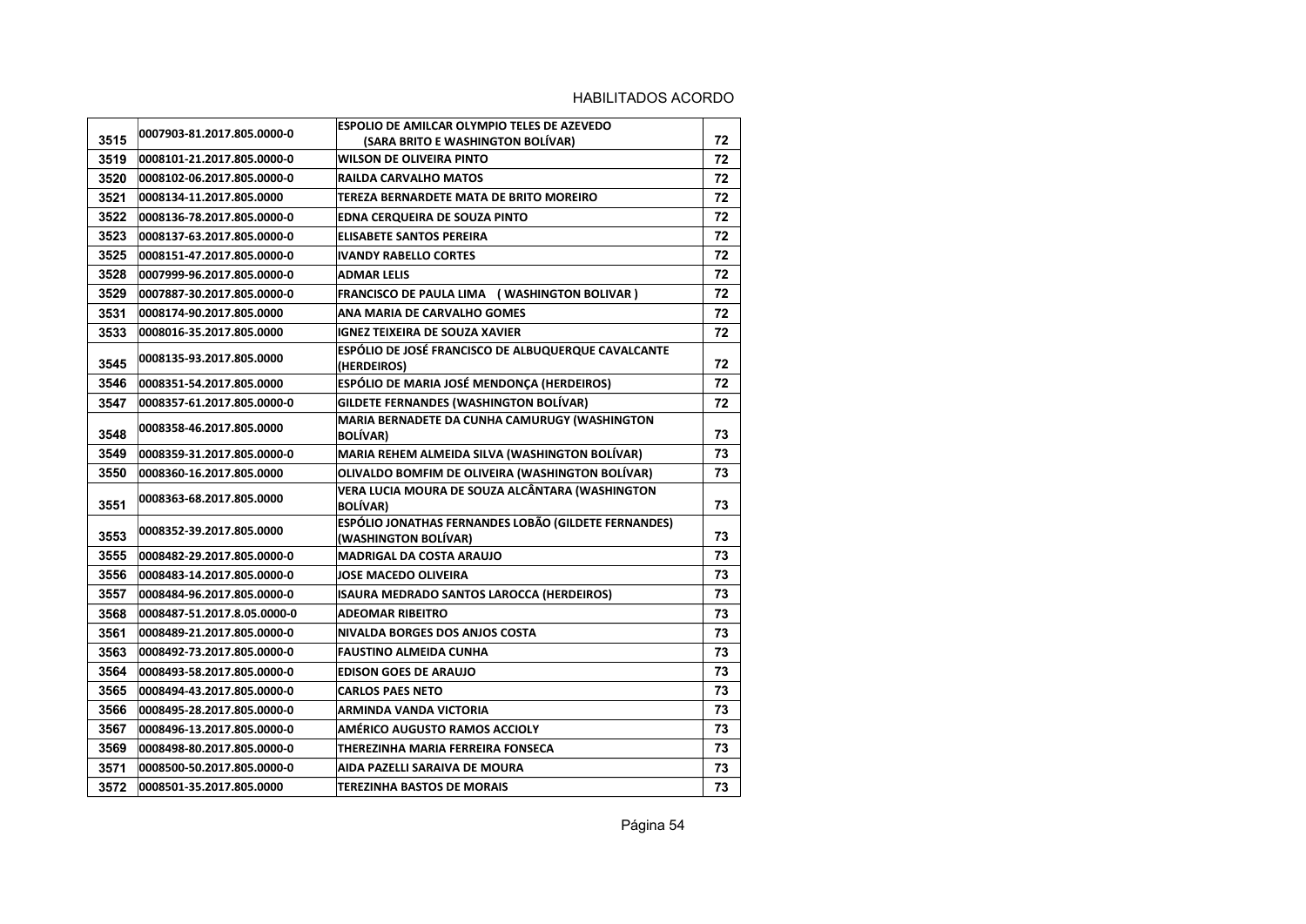| 3515 | 0007903-81.2017.805.0000-0  | ESPOLIO DE AMILCAR OLYMPIO TELES DE AZEVEDO<br>(SARA BRITO E WASHINGTON BOLIVAR) | 72 |
|------|-----------------------------|----------------------------------------------------------------------------------|----|
| 3519 | 0008101-21.2017.805.0000-0  | WILSON DE OLIVEIRA PINTO                                                         | 72 |
| 3520 | 0008102-06.2017.805.0000-0  | <b>RAILDA CARVALHO MATOS</b>                                                     | 72 |
| 3521 | 0008134-11.2017.805.0000    | TEREZA BERNARDETE MATA DE BRITO MOREIRO                                          | 72 |
| 3522 | 0008136-78.2017.805.0000-0  | <b>EDNA CERQUEIRA DE SOUZA PINTO</b>                                             | 72 |
| 3523 | 0008137-63.2017.805.0000-0  | <b>ELISABETE SANTOS PEREIRA</b>                                                  | 72 |
| 3525 | 0008151-47.2017.805.0000-0  | <b>IVANDY RABELLO CORTES</b>                                                     | 72 |
| 3528 | 0007999-96.2017.805.0000-0  | <b>ADMAR LELIS</b>                                                               | 72 |
| 3529 | 0007887-30.2017.805.0000-0  | FRANCISCO DE PAULA LIMA (WASHINGTON BOLIVAR)                                     | 72 |
| 3531 |                             | ANA MARIA DE CARVALHO GOMES                                                      | 72 |
| 3533 | 0008174-90.2017.805.0000    | <b>IGNEZ TEIXEIRA DE SOUZA XAVIER</b>                                            |    |
|      | 0008016-35.2017.805.0000    | ESPÓLIO DE JOSÉ FRANCISCO DE ALBUQUERQUE CAVALCANTE                              | 72 |
| 3545 | 0008135-93.2017.805.0000    | (HERDEIROS)                                                                      | 72 |
| 3546 | 0008351-54.2017.805.0000    | ESPÓLIO DE MARIA JOSÉ MENDONÇA (HERDEIROS)                                       | 72 |
| 3547 | 0008357-61.2017.805.0000-0  | <b>GILDETE FERNANDES (WASHINGTON BOLÍVAR)</b>                                    | 72 |
| 3548 | 0008358-46.2017.805.0000    | MARIA BERNADETE DA CUNHA CAMURUGY (WASHINGTON<br><b>BOLÍVAR)</b>                 | 73 |
| 3549 | 0008359-31.2017.805.0000-0  | MARIA REHEM ALMEIDA SILVA (WASHINGTON BOLÍVAR)                                   | 73 |
| 3550 | 0008360-16.2017.805.0000    | OLIVALDO BOMFIM DE OLIVEIRA (WASHINGTON BOLÍVAR)                                 | 73 |
| 3551 | 0008363-68.2017.805.0000    | VERA LUCIA MOURA DE SOUZA ALCÂNTARA (WASHINGTON<br><b>BOLÍVAR)</b>               | 73 |
| 3553 | 0008352-39.2017.805.0000    | ESPÓLIO JONATHAS FERNANDES LOBÃO (GILDETE FERNANDES)<br>(WASHINGTON BOLÍVAR)     | 73 |
| 3555 | 0008482-29.2017.805.0000-0  | MADRIGAL DA COSTA ARAUJO                                                         | 73 |
| 3556 | 0008483-14.2017.805.0000-0  | JOSE MACEDO OLIVEIRA                                                             | 73 |
| 3557 | 0008484-96.2017.805.0000-0  | ISAURA MEDRADO SANTOS LAROCCA (HERDEIROS)                                        | 73 |
| 3568 | 0008487-51.2017.8.05.0000-0 | <b>ADEOMAR RIBEITRO</b>                                                          | 73 |
| 3561 | 0008489-21.2017.805.0000-0  | NIVALDA BORGES DOS ANJOS COSTA                                                   | 73 |
| 3563 | 0008492-73.2017.805.0000-0  | <b>FAUSTINO ALMEIDA CUNHA</b>                                                    | 73 |
| 3564 | 0008493-58.2017.805.0000-0  | <b>EDISON GOES DE ARAUJO</b>                                                     | 73 |
| 3565 | 0008494-43.2017.805.0000-0  | <b>CARLOS PAES NETO</b>                                                          | 73 |
| 3566 | 0008495-28.2017.805.0000-0  | ARMINDA VANDA VICTORIA                                                           | 73 |
| 3567 | 0008496-13.2017.805.0000-0  | AMÉRICO AUGUSTO RAMOS ACCIOLY                                                    | 73 |
| 3569 | 0008498-80.2017.805.0000-0  | THEREZINHA MARIA FERREIRA FONSECA                                                | 73 |
| 3571 | 0008500-50.2017.805.0000-0  | AIDA PAZELLI SARAIVA DE MOURA                                                    | 73 |
| 3572 | 0008501-35.2017.805.0000    | <b>TEREZINHA BASTOS DE MORAIS</b>                                                | 73 |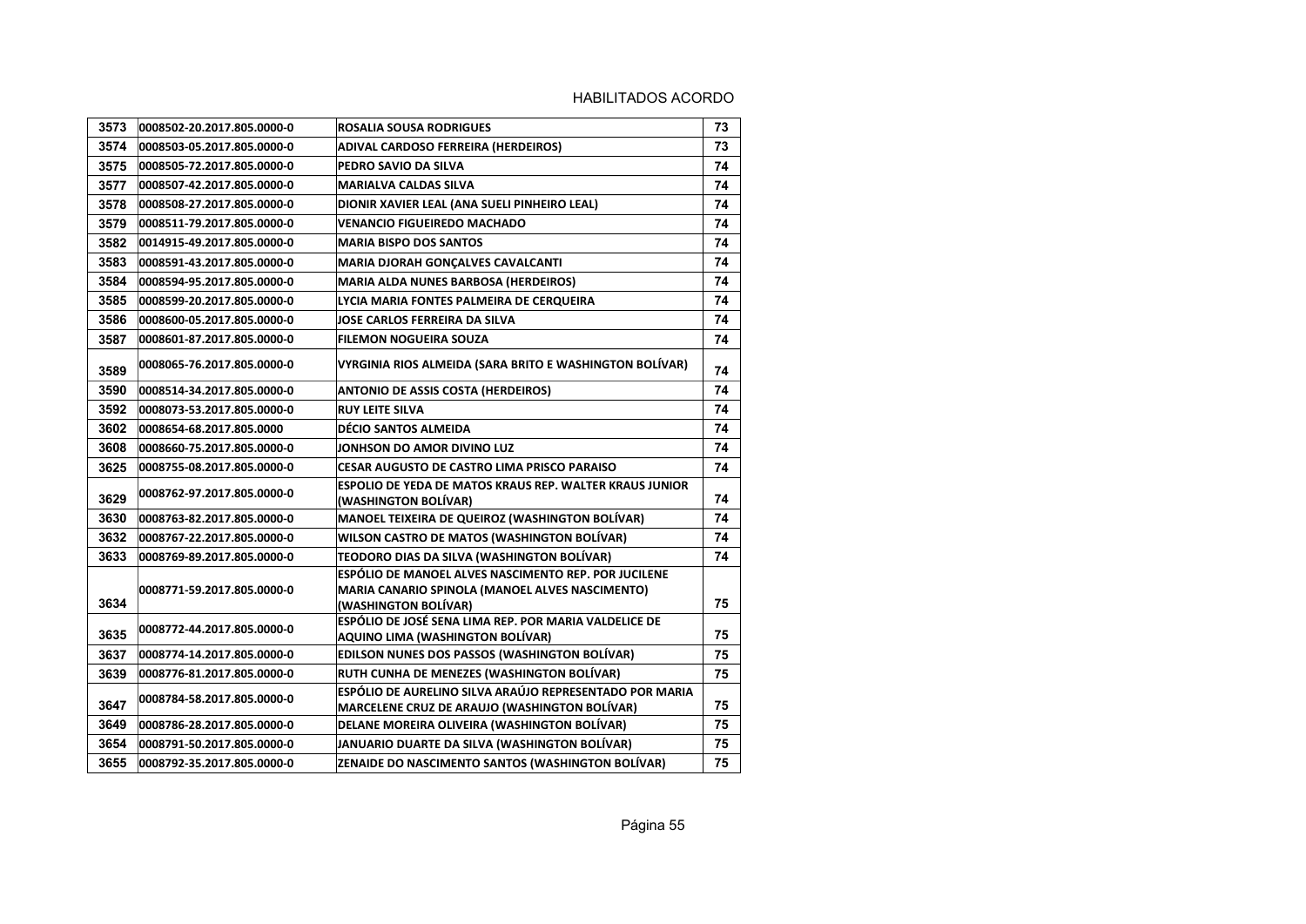| 3573 | 0008502-20.2017.805.0000-0 | <b>ROSALIA SOUSA RODRIGUES</b>                                                                                                  | 73 |
|------|----------------------------|---------------------------------------------------------------------------------------------------------------------------------|----|
| 3574 | 0008503-05.2017.805.0000-0 | ADIVAL CARDOSO FERREIRA (HERDEIROS)                                                                                             | 73 |
| 3575 | 0008505-72.2017.805.0000-0 | PEDRO SAVIO DA SILVA                                                                                                            | 74 |
| 3577 | 0008507-42.2017.805.0000-0 | <b>MARIALVA CALDAS SILVA</b>                                                                                                    | 74 |
| 3578 | 0008508-27.2017.805.0000-0 | DIONIR XAVIER LEAL (ANA SUELI PINHEIRO LEAL)                                                                                    | 74 |
| 3579 | 0008511-79.2017.805.0000-0 | <b>VENANCIO FIGUEIREDO MACHADO</b>                                                                                              | 74 |
| 3582 | 0014915-49.2017.805.0000-0 | <b>MARIA BISPO DOS SANTOS</b>                                                                                                   | 74 |
| 3583 | 0008591-43.2017.805.0000-0 | MARIA DJORAH GONÇALVES CAVALCANTI                                                                                               | 74 |
| 3584 | 0008594-95.2017.805.0000-0 | <b>MARIA ALDA NUNES BARBOSA (HERDEIROS)</b>                                                                                     | 74 |
| 3585 | 0008599-20.2017.805.0000-0 | LYCIA MARIA FONTES PALMEIRA DE CERQUEIRA                                                                                        | 74 |
| 3586 | 0008600-05.2017.805.0000-0 | JOSE CARLOS FERREIRA DA SILVA                                                                                                   | 74 |
| 3587 | 0008601-87.2017.805.0000-0 | <b>FILEMON NOGUEIRA SOUZA</b>                                                                                                   | 74 |
| 3589 | 0008065-76.2017.805.0000-0 | VYRGINIA RIOS ALMEIDA (SARA BRITO E WASHINGTON BOLÍVAR)                                                                         | 74 |
| 3590 | 0008514-34.2017.805.0000-0 | <b>ANTONIO DE ASSIS COSTA (HERDEIROS)</b>                                                                                       | 74 |
| 3592 | 0008073-53.2017.805.0000-0 | <b>RUY LEITE SILVA</b>                                                                                                          | 74 |
| 3602 | 0008654-68.2017.805.0000   | <b>DÉCIO SANTOS ALMEIDA</b>                                                                                                     | 74 |
| 3608 | 0008660-75.2017.805.0000-0 | JONHSON DO AMOR DIVINO LUZ                                                                                                      | 74 |
| 3625 | 0008755-08.2017.805.0000-0 | <b>CESAR AUGUSTO DE CASTRO LIMA PRISCO PARAISO</b>                                                                              | 74 |
| 3629 | 0008762-97.2017.805.0000-0 | ESPOLIO DE YEDA DE MATOS KRAUS REP. WALTER KRAUS JUNIOR<br>(WASHINGTON BOLÍVAR)                                                 | 74 |
| 3630 | 0008763-82.2017.805.0000-0 | <b>MANOEL TEIXEIRA DE QUEIROZ (WASHINGTON BOLÍVAR)</b>                                                                          | 74 |
| 3632 | 0008767-22.2017.805.0000-0 | WILSON CASTRO DE MATOS (WASHINGTON BOLÍVAR)                                                                                     | 74 |
| 3633 | 0008769-89.2017.805.0000-0 | TEODORO DIAS DA SILVA (WASHINGTON BOLÍVAR)                                                                                      | 74 |
| 3634 | 0008771-59.2017.805.0000-0 | ESPÓLIO DE MANOEL ALVES NASCIMENTO REP. POR JUCILENE<br>MARIA CANARIO SPINOLA (MANOEL ALVES NASCIMENTO)<br>(WASHINGTON BOLİVAR) | 75 |
| 3635 | 0008772-44.2017.805.0000-0 | ESPÓLIO DE JOSÉ SENA LIMA REP. POR MARIA VALDELICE DE<br>AQUINO LIMA (WASHINGTON BOLÍVAR)                                       | 75 |
| 3637 | 0008774-14.2017.805.0000-0 | EDILSON NUNES DOS PASSOS (WASHINGTON BOLÍVAR)                                                                                   | 75 |
| 3639 | 0008776-81.2017.805.0000-0 | RUTH CUNHA DE MENEZES (WASHINGTON BOLÍVAR)                                                                                      | 75 |
| 3647 | 0008784-58.2017.805.0000-0 | ESPÓLIO DE AURELINO SILVA ARAÚJO REPRESENTADO POR MARIA<br><b>MARCELENE CRUZ DE ARAUJO (WASHINGTON BOLÍVAR)</b>                 | 75 |
| 3649 | 0008786-28.2017.805.0000-0 | DELANE MOREIRA OLIVEIRA (WASHINGTON BOLÍVAR)                                                                                    | 75 |
| 3654 | 0008791-50.2017.805.0000-0 | JANUARIO DUARTE DA SILVA (WASHINGTON BOLÍVAR)                                                                                   | 75 |
| 3655 | 0008792-35.2017.805.0000-0 | ZENAIDE DO NASCIMENTO SANTOS (WASHINGTON BOLÍVAR)                                                                               | 75 |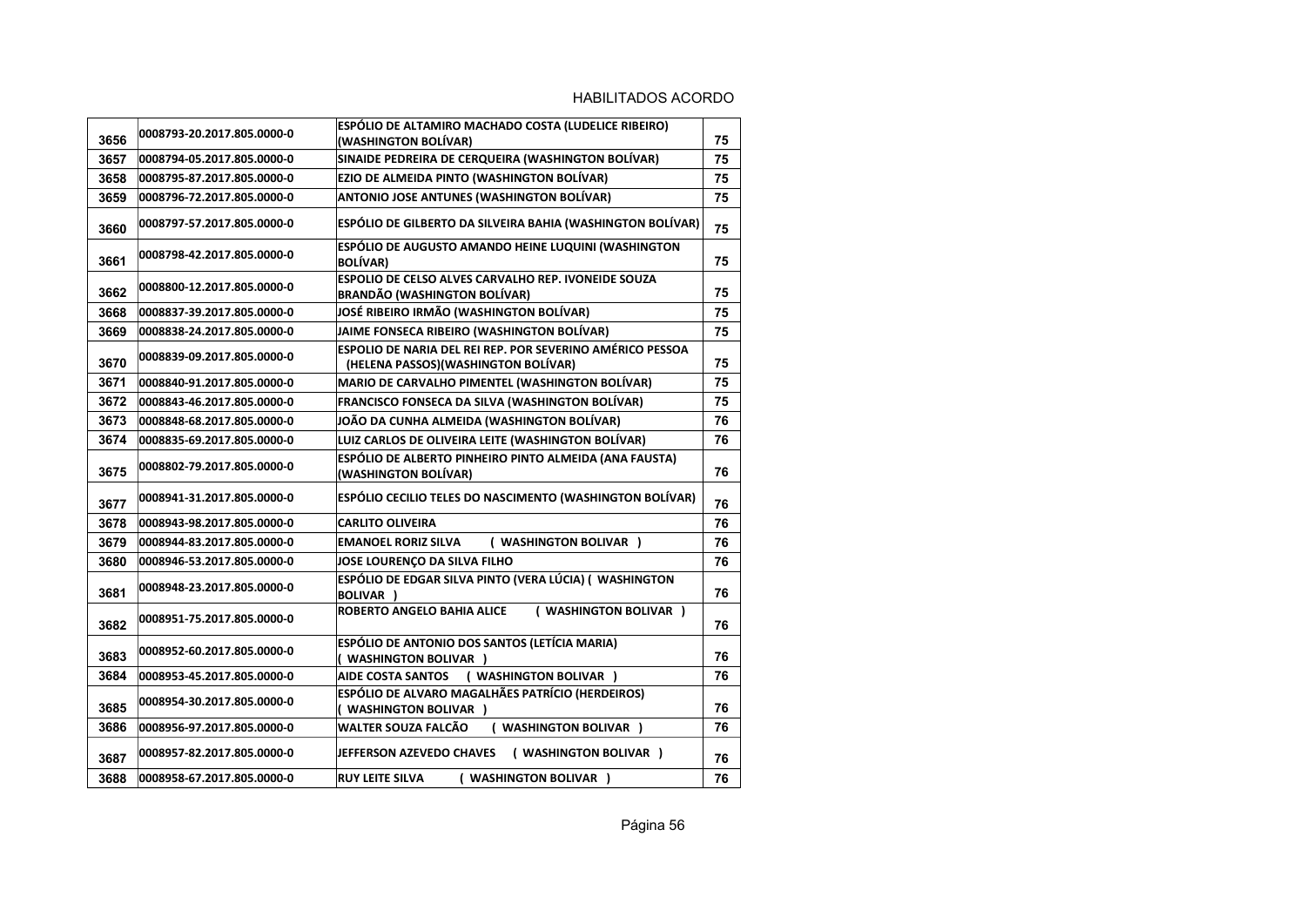| 3656 | 0008793-20.2017.805.0000-0 | ESPÓLIO DE ALTAMIRO MACHADO COSTA (LUDELICE RIBEIRO)<br>(WASHINGTON BOLÍVAR)                      | 75 |
|------|----------------------------|---------------------------------------------------------------------------------------------------|----|
| 3657 | 0008794-05.2017.805.0000-0 | SINAIDE PEDREIRA DE CERQUEIRA (WASHINGTON BOLÍVAR)                                                | 75 |
| 3658 | 0008795-87.2017.805.0000-0 | EZIO DE ALMEIDA PINTO (WASHINGTON BOLÍVAR)                                                        | 75 |
| 3659 | 0008796-72.2017.805.0000-0 | ANTONIO JOSE ANTUNES (WASHINGTON BOLÍVAR)                                                         | 75 |
| 3660 | 0008797-57.2017.805.0000-0 | ESPÓLIO DE GILBERTO DA SILVEIRA BAHIA (WASHINGTON BOLÍVAR)                                        | 75 |
| 3661 | 0008798-42.2017.805.0000-0 | ESPÓLIO DE AUGUSTO AMANDO HEINE LUQUINI (WASHINGTON<br><b>BOLÍVAR)</b>                            | 75 |
| 3662 | 0008800-12.2017.805.0000-0 | <b>ESPOLIO DE CELSO ALVES CARVALHO REP. IVONEIDE SOUZA</b><br><b>BRANDÃO (WASHINGTON BOLÍVAR)</b> | 75 |
| 3668 | 0008837-39.2017.805.0000-0 | JOSÉ RIBEIRO IRMÃO (WASHINGTON BOLÍVAR)                                                           | 75 |
| 3669 | 0008838-24.2017.805.0000-0 | JAIME FONSECA RIBEIRO (WASHINGTON BOLÍVAR)                                                        | 75 |
| 3670 | 0008839-09.2017.805.0000-0 | ESPOLIO DE NARIA DEL REI REP. POR SEVERINO AMÉRICO PESSOA<br>(HELENA PASSOS) (WASHINGTON BOLÍVAR) | 75 |
| 3671 | 0008840-91.2017.805.0000-0 | MARIO DE CARVALHO PIMENTEL (WASHINGTON BOLÍVAR)                                                   | 75 |
| 3672 | 0008843-46.2017.805.0000-0 | <b>FRANCISCO FONSECA DA SILVA (WASHINGTON BOLÍVAR)</b>                                            | 75 |
| 3673 | 0008848-68.2017.805.0000-0 | JOÃO DA CUNHA ALMEIDA (WASHINGTON BOLÍVAR)                                                        | 76 |
| 3674 | 0008835-69.2017.805.0000-0 | LUIZ CARLOS DE OLIVEIRA LEITE (WASHINGTON BOLÍVAR)                                                | 76 |
| 3675 | 0008802-79.2017.805.0000-0 | ESPÓLIO DE ALBERTO PINHEIRO PINTO ALMEIDA (ANA FAUSTA)<br>(WASHINGTON BOLÍVAR)                    | 76 |
| 3677 | 0008941-31.2017.805.0000-0 | ESPÓLIO CECILIO TELES DO NASCIMENTO (WASHINGTON BOLÍVAR)                                          | 76 |
| 3678 | 0008943-98.2017.805.0000-0 | <b>CARLITO OLIVEIRA</b>                                                                           | 76 |
| 3679 | 0008944-83.2017.805.0000-0 | <b>EMANOEL RORIZ SILVA</b><br>( WASHINGTON BOLIVAR )                                              | 76 |
| 3680 | 0008946-53.2017.805.0000-0 | JOSE LOURENÇO DA SILVA FILHO                                                                      | 76 |
| 3681 | 0008948-23.2017.805.0000-0 | ESPÓLIO DE EDGAR SILVA PINTO (VERA LÚCIA) ( WASHINGTON<br><b>BOLIVAR</b> )                        | 76 |
| 3682 | 0008951-75.2017.805.0000-0 | ROBERTO ANGELO BAHIA ALICE<br>( WASHINGTON BOLIVAR )                                              | 76 |
| 3683 | 0008952-60.2017.805.0000-0 | ESPÓLIO DE ANTONIO DOS SANTOS (LETÍCIA MARIA)<br>( WASHINGTON BOLIVAR )                           | 76 |
| 3684 | 0008953-45.2017.805.0000-0 | ( WASHINGTON BOLIVAR )<br><b>AIDE COSTA SANTOS</b>                                                | 76 |
| 3685 | 0008954-30.2017.805.0000-0 | ESPÓLIO DE ALVARO MAGALHÃES PATRÍCIO (HERDEIROS)<br>( WASHINGTON BOLIVAR )                        | 76 |
| 3686 | 0008956-97.2017.805.0000-0 | WALTER SOUZA FALCÃO<br>( WASHINGTON BOLIVAR )                                                     | 76 |
| 3687 | 0008957-82.2017.805.0000-0 | JEFFERSON AZEVEDO CHAVES<br>( WASHINGTON BOLIVAR )                                                | 76 |
| 3688 | 0008958-67.2017.805.0000-0 | <b>RUY LEITE SILVA</b><br>( WASHINGTON BOLIVAR )                                                  | 76 |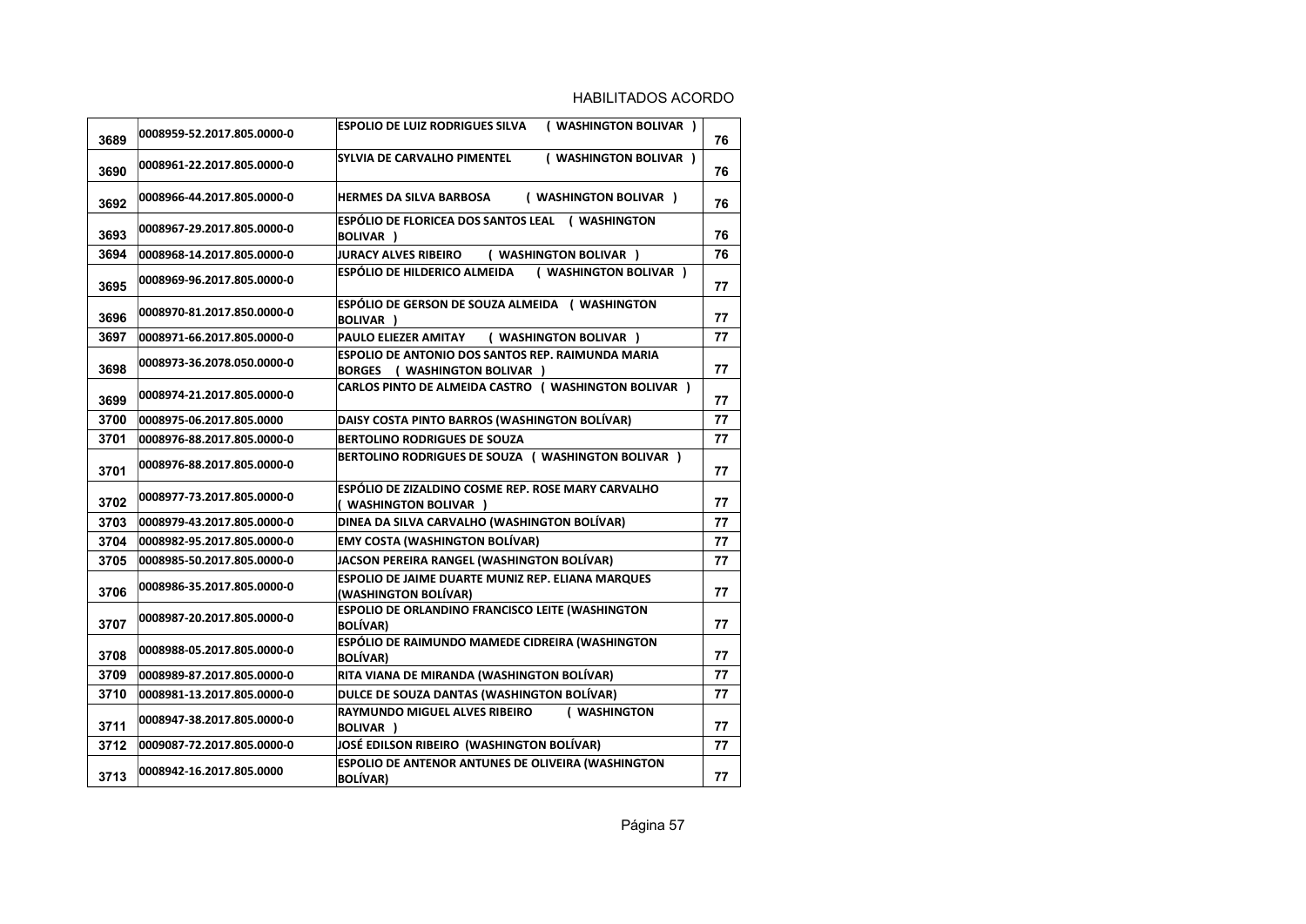| 3689 | 0008959-52.2017.805.0000-0 | <b>ESPOLIO DE LUIZ RODRIGUES SILVA</b><br>( WASHINGTON BOLIVAR )                   | 76 |
|------|----------------------------|------------------------------------------------------------------------------------|----|
| 3690 | 0008961-22.2017.805.0000-0 | ( WASHINGTON BOLIVAR )<br><b>SYLVIA DE CARVALHO PIMENTEL</b>                       | 76 |
| 3692 | 0008966-44.2017.805.0000-0 | ( WASHINGTON BOLIVAR )<br><b>HERMES DA SILVA BARBOSA</b>                           | 76 |
| 3693 | 0008967-29.2017.805.0000-0 | ESPÓLIO DE FLORICEA DOS SANTOS LEAL (WASHINGTON<br>BOLIVAR )                       | 76 |
| 3694 | 0008968-14.2017.805.0000-0 | ( WASHINGTON BOLIVAR )<br><b>JURACY ALVES RIBEIRO</b>                              | 76 |
| 3695 | 0008969-96.2017.805.0000-0 | ESPÓLIO DE HILDERICO ALMEIDA<br>( WASHINGTON BOLIVAR )                             | 77 |
| 3696 | 0008970-81.2017.850.0000-0 | ESPÓLIO DE GERSON DE SOUZA ALMEIDA (WASHINGTON<br><b>BOLIVAR</b> )                 | 77 |
| 3697 | 0008971-66.2017.805.0000-0 | PAULO ELIEZER AMITAY<br>( WASHINGTON BOLIVAR )                                     | 77 |
| 3698 | 0008973-36.2078.050.0000-0 | ESPOLIO DE ANTONIO DOS SANTOS REP. RAIMUNDA MARIA<br>BORGES ( WASHINGTON BOLIVAR ) | 77 |
| 3699 | 0008974-21.2017.805.0000-0 | CARLOS PINTO DE ALMEIDA CASTRO ( WASHINGTON BOLIVAR )                              | 77 |
| 3700 | 0008975-06.2017.805.0000   | DAISY COSTA PINTO BARROS (WASHINGTON BOLÍVAR)                                      | 77 |
| 3701 | 0008976-88.2017.805.0000-0 | <b>BERTOLINO RODRIGUES DE SOUZA</b>                                                | 77 |
| 3701 | 0008976-88.2017.805.0000-0 | BERTOLINO RODRIGUES DE SOUZA ( WASHINGTON BOLIVAR )                                | 77 |
| 3702 | 0008977-73.2017.805.0000-0 | ESPÓLIO DE ZIZALDINO COSME REP. ROSE MARY CARVALHO<br>( WASHINGTON BOLIVAR )       | 77 |
| 3703 | 0008979-43.2017.805.0000-0 | DINEA DA SILVA CARVALHO (WASHINGTON BOLÍVAR)                                       | 77 |
| 3704 | 0008982-95.2017.805.0000-0 | <b>EMY COSTA (WASHINGTON BOLÍVAR)</b>                                              | 77 |
| 3705 | 0008985-50.2017.805.0000-0 | JACSON PEREIRA RANGEL (WASHINGTON BOLÍVAR)                                         | 77 |
| 3706 | 0008986-35.2017.805.0000-0 | ESPOLIO DE JAIME DUARTE MUNIZ REP. ELIANA MARQUES<br>(WASHINGTON BOLÍVAR)          | 77 |
| 3707 | 0008987-20.2017.805.0000-0 | ESPOLIO DE ORLANDINO FRANCISCO LEITE (WASHINGTON<br><b>BOLÍVAR)</b>                | 77 |
| 3708 | 0008988-05.2017.805.0000-0 | ESPÓLIO DE RAIMUNDO MAMEDE CIDREIRA (WASHINGTON<br><b>BOLÍVAR)</b>                 | 77 |
| 3709 | 0008989-87.2017.805.0000-0 | RITA VIANA DE MIRANDA (WASHINGTON BOLÍVAR)                                         | 77 |
| 3710 | 0008981-13.2017.805.0000-0 | DULCE DE SOUZA DANTAS (WASHINGTON BOLÍVAR)                                         | 77 |
| 3711 | 0008947-38.2017.805.0000-0 | <b>RAYMUNDO MIGUEL ALVES RIBEIRO</b><br>( WASHINGTON<br><b>BOLIVAR</b> )           | 77 |
| 3712 | 0009087-72.2017.805.0000-0 | JOSÉ EDILSON RIBEIRO (WASHINGTON BOLÍVAR)                                          | 77 |
| 3713 | 0008942-16.2017.805.0000   | ESPOLIO DE ANTENOR ANTUNES DE OLIVEIRA (WASHINGTON<br><b>BOLÍVAR)</b>              | 77 |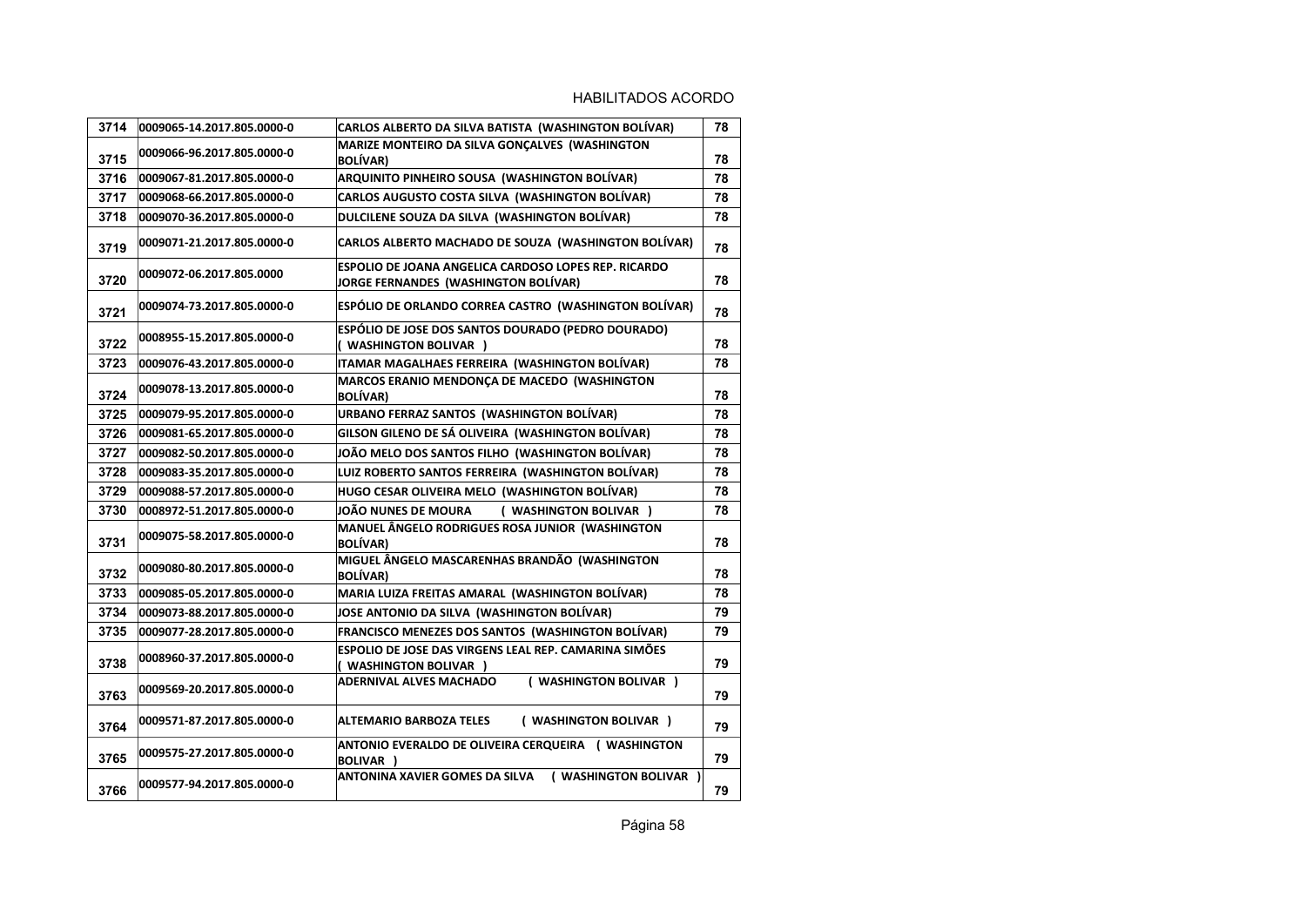| 3714 | 0009065-14.2017.805.0000-0 | CARLOS ALBERTO DA SILVA BATISTA (WASHINGTON BOLÍVAR)                                         | 78 |
|------|----------------------------|----------------------------------------------------------------------------------------------|----|
| 3715 | 0009066-96.2017.805.0000-0 | MARIZE MONTEIRO DA SILVA GONCALVES (WASHINGTON<br><b>BOLÍVAR)</b>                            | 78 |
| 3716 | 0009067-81.2017.805.0000-0 | ARQUINITO PINHEIRO SOUSA (WASHINGTON BOLÍVAR)                                                | 78 |
| 3717 | 0009068-66.2017.805.0000-0 | <b>CARLOS AUGUSTO COSTA SILVA (WASHINGTON BOLÍVAR)</b>                                       | 78 |
| 3718 | 0009070-36.2017.805.0000-0 | DULCILENE SOUZA DA SILVA (WASHINGTON BOLÍVAR)                                                | 78 |
| 3719 | 0009071-21.2017.805.0000-0 | CARLOS ALBERTO MACHADO DE SOUZA (WASHINGTON BOLÍVAR)                                         | 78 |
| 3720 | 0009072-06.2017.805.0000   | ESPOLIO DE JOANA ANGELICA CARDOSO LOPES REP. RICARDO<br>JORGE FERNANDES (WASHINGTON BOLÍVAR) | 78 |
| 3721 | 0009074-73.2017.805.0000-0 | ESPÓLIO DE ORLANDO CORREA CASTRO (WASHINGTON BOLÍVAR)                                        | 78 |
| 3722 | 0008955-15.2017.805.0000-0 | ESPÓLIO DE JOSE DOS SANTOS DOURADO (PEDRO DOURADO)<br>( WASHINGTON BOLIVAR )                 | 78 |
| 3723 | 0009076-43.2017.805.0000-0 | ITAMAR MAGALHAES FERREIRA (WASHINGTON BOLÍVAR)                                               | 78 |
| 3724 | 0009078-13.2017.805.0000-0 | MARCOS ERANIO MENDONÇA DE MACEDO (WASHINGTON<br><b>BOLÍVAR)</b>                              | 78 |
| 3725 | 0009079-95.2017.805.0000-0 | URBANO FERRAZ SANTOS (WASHINGTON BOLÍVAR)                                                    | 78 |
| 3726 | 0009081-65.2017.805.0000-0 | GILSON GILENO DE SÁ OLIVEIRA (WASHINGTON BOLÍVAR)                                            | 78 |
| 3727 | 0009082-50.2017.805.0000-0 | JOÃO MELO DOS SANTOS FILHO (WASHINGTON BOLÍVAR)                                              | 78 |
| 3728 | 0009083-35.2017.805.0000-0 | LUIZ ROBERTO SANTOS FERREIRA (WASHINGTON BOLÍVAR)                                            | 78 |
| 3729 | 0009088-57.2017.805.0000-0 | HUGO CESAR OLIVEIRA MELO (WASHINGTON BOLÍVAR)                                                | 78 |
| 3730 | 0008972-51.2017.805.0000-0 | JOÃO NUNES DE MOURA<br>( WASHINGTON BOLIVAR )                                                | 78 |
| 3731 | 0009075-58.2017.805.0000-0 | MANUEL ÂNGELO RODRIGUES ROSA JUNIOR (WASHINGTON<br><b>BOLÍVAR)</b>                           | 78 |
| 3732 | 0009080-80.2017.805.0000-0 | MIGUEL ÂNGELO MASCARENHAS BRANDÃO (WASHINGTON<br><b>BOLÍVAR)</b>                             | 78 |
| 3733 | 0009085-05.2017.805.0000-0 | MARIA LUIZA FREITAS AMARAL (WASHINGTON BOLÍVAR)                                              | 78 |
| 3734 | 0009073-88.2017.805.0000-0 | JOSE ANTONIO DA SILVA (WASHINGTON BOLÍVAR)                                                   | 79 |
| 3735 | 0009077-28.2017.805.0000-0 | FRANCISCO MENEZES DOS SANTOS (WASHINGTON BOLÍVAR)                                            | 79 |
| 3738 | 0008960-37.2017.805.0000-0 | ESPOLIO DE JOSE DAS VIRGENS LEAL REP. CAMARINA SIMÕES<br>( WASHINGTON BOLIVAR )              | 79 |
| 3763 | 0009569-20.2017.805.0000-0 | ( WASHINGTON BOLIVAR )<br><b>ADERNIVAL ALVES MACHADO</b>                                     | 79 |
| 3764 | 0009571-87.2017.805.0000-0 | <b>ALTEMARIO BARBOZA TELES</b><br>( WASHINGTON BOLIVAR )                                     | 79 |
| 3765 | 0009575-27.2017.805.0000-0 | ANTONIO EVERALDO DE OLIVEIRA CERQUEIRA ( WASHINGTON<br><b>BOLIVAR</b> )                      | 79 |
| 3766 | 0009577-94.2017.805.0000-0 | ANTONINA XAVIER GOMES DA SILVA<br>( WASHINGTON BOLIVAR )                                     | 79 |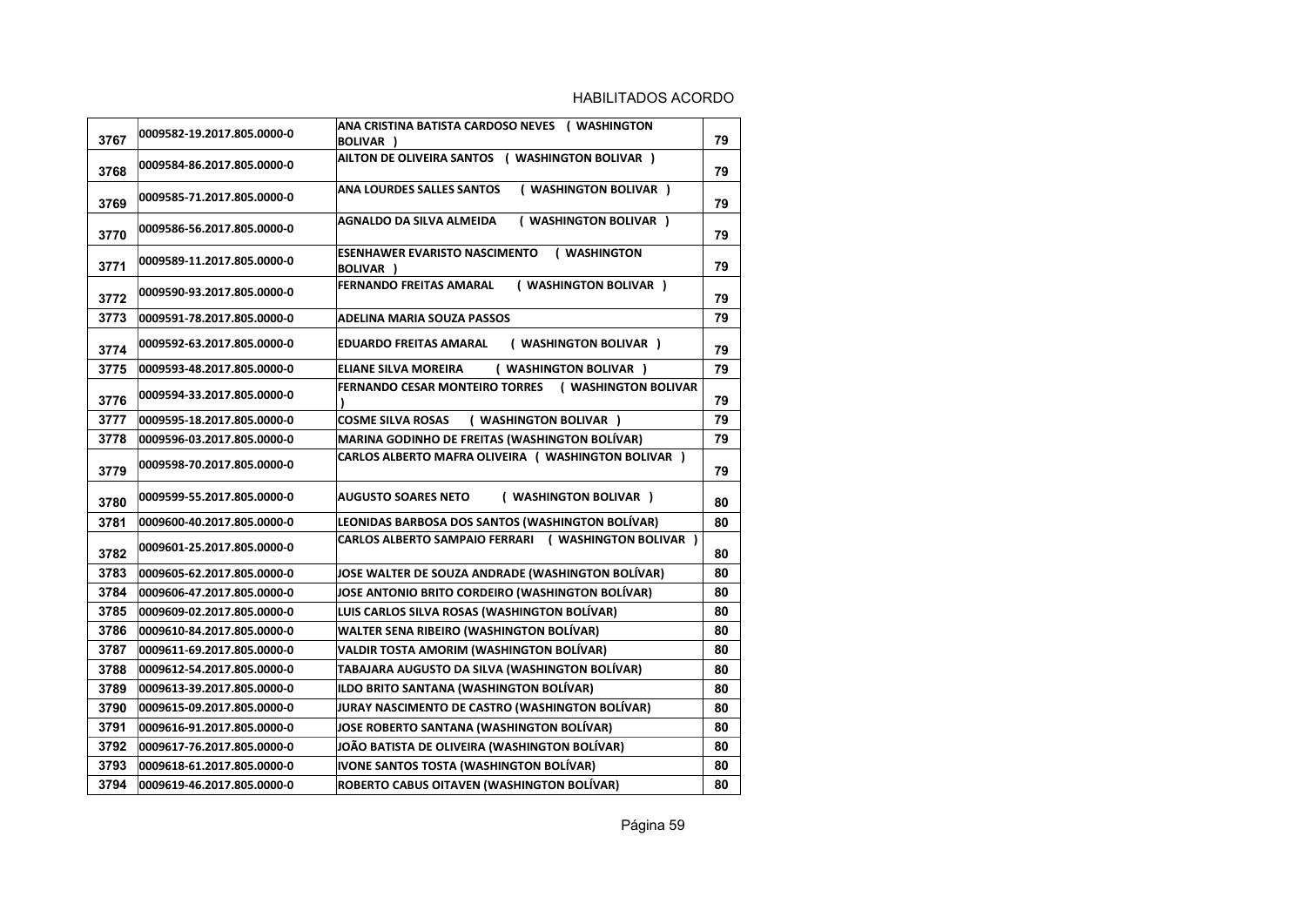| 3767 | 0009582-19.2017.805.0000-0 | ANA CRISTINA BATISTA CARDOSO NEVES ( WASHINGTON<br><b>BOLIVAR</b> ) | 79 |
|------|----------------------------|---------------------------------------------------------------------|----|
| 3768 | 0009584-86.2017.805.0000-0 | AILTON DE OLIVEIRA SANTOS ( WASHINGTON BOLIVAR )                    | 79 |
| 3769 | 0009585-71.2017.805.0000-0 | ( WASHINGTON BOLIVAR )<br><b>ANA LOURDES SALLES SANTOS</b>          | 79 |
| 3770 | 0009586-56.2017.805.0000-0 | AGNALDO DA SILVA ALMEIDA<br>( WASHINGTON BOLIVAR )                  | 79 |
| 3771 | 0009589-11.2017.805.0000-0 | <b>ESENHAWER EVARISTO NASCIMENTO</b><br>( WASHINGTON<br>BOLIVAR )   | 79 |
| 3772 | 0009590-93.2017.805.0000-0 | <b>FERNANDO FREITAS AMARAL</b><br><b>WASHINGTON BOLIVAR )</b>       | 79 |
| 3773 | 0009591-78.2017.805.0000-0 | ADELINA MARIA SOUZA PASSOS                                          | 79 |
| 3774 | 0009592-63.2017.805.0000-0 | ( WASHINGTON BOLIVAR )<br>EDUARDO FREITAS AMARAL                    | 79 |
| 3775 | 0009593-48.2017.805.0000-0 | ( WASHINGTON BOLIVAR )<br><b>ELIANE SILVA MOREIRA</b>               | 79 |
| 3776 | 0009594-33.2017.805.0000-0 | <b>FERNANDO CESAR MONTEIRO TORRES</b><br>( WASHINGTON BOLIVAR       | 79 |
| 3777 | 0009595-18.2017.805.0000-0 | <b>COSME SILVA ROSAS</b><br>( WASHINGTON BOLIVAR )                  | 79 |
| 3778 | 0009596-03.2017.805.0000-0 | <b>MARINA GODINHO DE FREITAS (WASHINGTON BOLÍVAR)</b>               | 79 |
| 3779 | 0009598-70.2017.805.0000-0 | CARLOS ALBERTO MAFRA OLIVEIRA ( WASHINGTON BOLIVAR )                | 79 |
| 3780 | 0009599-55.2017.805.0000-0 | ( WASHINGTON BOLIVAR )<br><b>AUGUSTO SOARES NETO</b>                | 80 |
| 3781 | 0009600-40.2017.805.0000-0 | LEONIDAS BARBOSA DOS SANTOS (WASHINGTON BOLÍVAR)                    | 80 |
| 3782 | 0009601-25.2017.805.0000-0 | CARLOS ALBERTO SAMPAIO FERRARI ( WASHINGTON BOLIVAR )               | 80 |
| 3783 | 0009605-62.2017.805.0000-0 | JOSE WALTER DE SOUZA ANDRADE (WASHINGTON BOLÍVAR)                   | 80 |
| 3784 | 0009606-47.2017.805.0000-0 | JOSE ANTONIO BRITO CORDEIRO (WASHINGTON BOLÍVAR)                    | 80 |
| 3785 | 0009609-02.2017.805.0000-0 | LUIS CARLOS SILVA ROSAS (WASHINGTON BOLÍVAR)                        | 80 |
| 3786 | 0009610-84.2017.805.0000-0 | <b>WALTER SENA RIBEIRO (WASHINGTON BOLÍVAR)</b>                     | 80 |
| 3787 | 0009611-69.2017.805.0000-0 | <b>VALDIR TOSTA AMORIM (WASHINGTON BOLÍVAR)</b>                     | 80 |
| 3788 | 0009612-54.2017.805.0000-0 | TABAJARA AUGUSTO DA SILVA (WASHINGTON BOLÍVAR)                      | 80 |
| 3789 | 0009613-39.2017.805.0000-0 | ILDO BRITO SANTANA (WASHINGTON BOLÍVAR)                             | 80 |
| 3790 | 0009615-09.2017.805.0000-0 | JURAY NASCIMENTO DE CASTRO (WASHINGTON BOLÍVAR)                     | 80 |
| 3791 | 0009616-91.2017.805.0000-0 | JOSE ROBERTO SANTANA (WASHINGTON BOLÍVAR)                           | 80 |
| 3792 | 0009617-76.2017.805.0000-0 | JOÃO BATISTA DE OLIVEIRA (WASHINGTON BOLÍVAR)                       | 80 |
| 3793 | 0009618-61.2017.805.0000-0 | IVONE SANTOS TOSTA (WASHINGTON BOLÍVAR)                             | 80 |
| 3794 | 0009619-46.2017.805.0000-0 | ROBERTO CABUS OITAVEN (WASHINGTON BOLÍVAR)                          | 80 |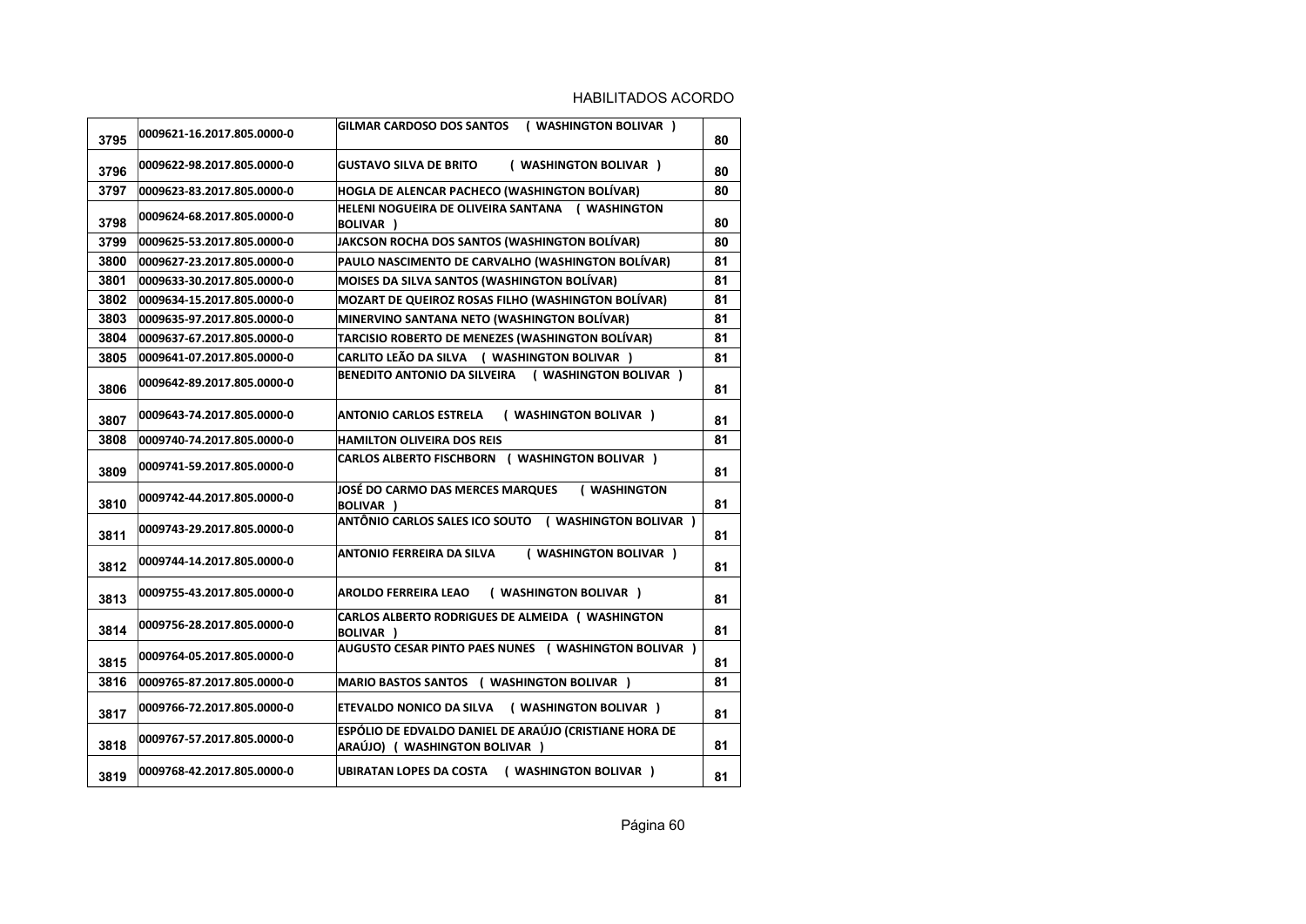| 3795 | 0009621-16.2017.805.0000-0 | <b>GILMAR CARDOSO DOS SANTOS</b><br>( WASHINGTON BOLIVAR )                               | 80 |
|------|----------------------------|------------------------------------------------------------------------------------------|----|
| 3796 | 0009622-98.2017.805.0000-0 | <b>GUSTAVO SILVA DE BRITO</b><br>( WASHINGTON BOLIVAR )                                  | 80 |
| 3797 | 0009623-83.2017.805.0000-0 | HOGLA DE ALENCAR PACHECO (WASHINGTON BOLÍVAR)                                            | 80 |
| 3798 | 0009624-68.2017.805.0000-0 | HELENI NOGUEIRA DE OLIVEIRA SANTANA (WASHINGTON<br><b>BOLIVAR</b> )                      | 80 |
| 3799 | 0009625-53.2017.805.0000-0 | JAKCSON ROCHA DOS SANTOS (WASHINGTON BOLÍVAR)                                            | 80 |
| 3800 | 0009627-23.2017.805.0000-0 | PAULO NASCIMENTO DE CARVALHO (WASHINGTON BOLÍVAR)                                        | 81 |
| 3801 | 0009633-30.2017.805.0000-0 | MOISES DA SILVA SANTOS (WASHINGTON BOLÍVAR)                                              | 81 |
| 3802 | 0009634-15.2017.805.0000-0 | <b>MOZART DE QUEIROZ ROSAS FILHO (WASHINGTON BOLIVAR)</b>                                | 81 |
| 3803 | 0009635-97.2017.805.0000-0 | MINERVINO SANTANA NETO (WASHINGTON BOLÍVAR)                                              | 81 |
| 3804 | 0009637-67.2017.805.0000-0 | TARCISIO ROBERTO DE MENEZES (WASHINGTON BOLÍVAR)                                         | 81 |
| 3805 | 0009641-07.2017.805.0000-0 | CARLITO LEÃO DA SILVA ( WASHINGTON BOLIVAR )                                             | 81 |
| 3806 | 0009642-89.2017.805.0000-0 | BENEDITO ANTONIO DA SILVEIRA (WASHINGTON BOLIVAR)                                        | 81 |
| 3807 | 0009643-74.2017.805.0000-0 | ( WASHINGTON BOLIVAR )<br><b>ANTONIO CARLOS ESTRELA</b>                                  | 81 |
| 3808 | 0009740-74.2017.805.0000-0 | <b>HAMILTON OLIVEIRA DOS REIS</b>                                                        | 81 |
| 3809 | 0009741-59.2017.805.0000-0 | <b>CARLOS ALBERTO FISCHBORN ( WASHINGTON BOLIVAR )</b>                                   | 81 |
| 3810 | 0009742-44.2017.805.0000-0 | JOSÉ DO CARMO DAS MERCES MARQUES<br>( WASHINGTON<br>BOLIVAR )                            | 81 |
| 3811 | 0009743-29.2017.805.0000-0 | ANTÔNIO CARLOS SALES ICO SOUTO ( WASHINGTON BOLIVAR )                                    | 81 |
| 3812 | 0009744-14.2017.805.0000-0 | ( WASHINGTON BOLIVAR )<br><b>ANTONIO FERREIRA DA SILVA</b>                               | 81 |
| 3813 | 0009755-43.2017.805.0000-0 | <b>AROLDO FERREIRA LEAO</b><br>( WASHINGTON BOLIVAR )                                    | 81 |
| 3814 | 0009756-28.2017.805.0000-0 | CARLOS ALBERTO RODRIGUES DE ALMEIDA (WASHINGTON<br>BOLIVAR )                             | 81 |
| 3815 | 0009764-05.2017.805.0000-0 | AUGUSTO CESAR PINTO PAES NUNES ( WASHINGTON BOLIVAR )                                    | 81 |
| 3816 | 0009765-87.2017.805.0000-0 | MARIO BASTOS SANTOS ( WASHINGTON BOLIVAR )                                               | 81 |
| 3817 | 0009766-72.2017.805.0000-0 | ETEVALDO NONICO DA SILVA (WASHINGTON BOLIVAR)                                            | 81 |
| 3818 | 0009767-57.2017.805.0000-0 | ESPÓLIO DE EDVALDO DANIEL DE ARAÚJO (CRISTIANE HORA DE<br>ARAÚJO) ( WASHINGTON BOLIVAR ) | 81 |
| 3819 | 0009768-42.2017.805.0000-0 | UBIRATAN LOPES DA COSTA ( WASHINGTON BOLIVAR )                                           | 81 |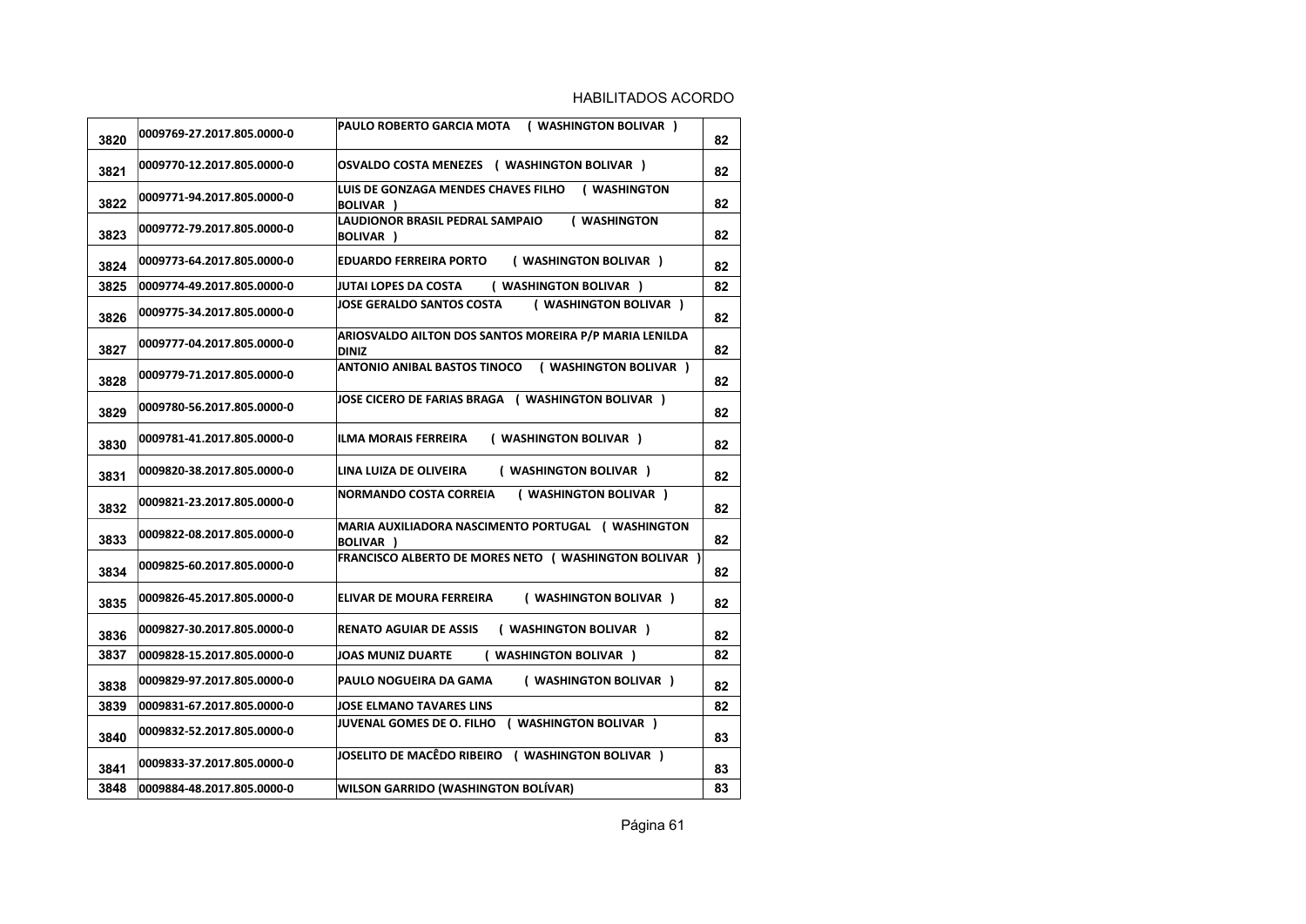| 3820 | 0009769-27.2017.805.0000-0 | ( WASHINGTON BOLIVAR )<br>PAULO ROBERTO GARCIA MOTA                    | 82 |
|------|----------------------------|------------------------------------------------------------------------|----|
| 3821 | 0009770-12.2017.805.0000-0 | OSVALDO COSTA MENEZES ( WASHINGTON BOLIVAR )                           | 82 |
| 3822 | 0009771-94.2017.805.0000-0 | LUIS DE GONZAGA MENDES CHAVES FILHO<br>( WASHINGTON<br>BOLIVAR )       | 82 |
| 3823 | 0009772-79.2017.805.0000-0 | LAUDIONOR BRASIL PEDRAL SAMPAIO<br>( WASHINGTON<br><b>BOLIVAR</b> )    | 82 |
| 3824 | 0009773-64.2017.805.0000-0 | ( WASHINGTON BOLIVAR )<br>EDUARDO FERREIRA PORTO                       | 82 |
| 3825 | 0009774-49.2017.805.0000-0 | <b>JUTAI LOPES DA COSTA</b><br>( WASHINGTON BOLIVAR )                  | 82 |
| 3826 | 0009775-34.2017.805.0000-0 | JOSE GERALDO SANTOS COSTA<br>( WASHINGTON BOLIVAR )                    | 82 |
| 3827 | 0009777-04.2017.805.0000-0 | ARIOSVALDO AILTON DOS SANTOS MOREIRA P/P MARIA LENILDA<br><b>DINIZ</b> | 82 |
| 3828 | 0009779-71.2017.805.0000-0 | ANTONIO ANIBAL BASTOS TINOCO<br>( WASHINGTON BOLIVAR )                 | 82 |
| 3829 | 0009780-56.2017.805.0000-0 | JOSE CICERO DE FARIAS BRAGA ( WASHINGTON BOLIVAR )                     | 82 |
| 3830 | 0009781-41.2017.805.0000-0 | ( WASHINGTON BOLIVAR )<br>ILMA MORAIS FERREIRA                         | 82 |
| 3831 | 0009820-38.2017.805.0000-0 | ( WASHINGTON BOLIVAR )<br>LINA LUIZA DE OLIVEIRA                       | 82 |
| 3832 | 0009821-23.2017.805.0000-0 | <b>NORMANDO COSTA CORREIA</b><br>( WASHINGTON BOLIVAR )                | 82 |
| 3833 | 0009822-08.2017.805.0000-0 | MARIA AUXILIADORA NASCIMENTO PORTUGAL (WASHINGTON<br><b>BOLIVAR</b> )  | 82 |
| 3834 | 0009825-60.2017.805.0000-0 | <b>FRANCISCO ALBERTO DE MORES NETO (WASHINGTON BOLIVAR)</b>            | 82 |
| 3835 | 0009826-45.2017.805.0000-0 | ( WASHINGTON BOLIVAR )<br>ELIVAR DE MOURA FERREIRA                     | 82 |
| 3836 | 0009827-30.2017.805.0000-0 | <b>RENATO AGUIAR DE ASSIS</b><br>( WASHINGTON BOLIVAR )                | 82 |
| 3837 | 0009828-15.2017.805.0000-0 | <b>JOAS MUNIZ DUARTE</b><br>( WASHINGTON BOLIVAR )                     | 82 |
| 3838 | 0009829-97.2017.805.0000-0 | ( WASHINGTON BOLIVAR )<br>PAULO NOGUEIRA DA GAMA                       | 82 |
| 3839 | 0009831-67.2017.805.0000-0 | <b>JOSE ELMANO TAVARES LINS</b>                                        | 82 |
| 3840 | 0009832-52.2017.805.0000-0 | JUVENAL GOMES DE O. FILHO ( WASHINGTON BOLIVAR )                       | 83 |
| 3841 | 0009833-37.2017.805.0000-0 | JOSELITO DE MACÊDO RIBEIRO ( WASHINGTON BOLIVAR )                      | 83 |
| 3848 | 0009884-48.2017.805.0000-0 | <b>WILSON GARRIDO (WASHINGTON BOLIVAR)</b>                             | 83 |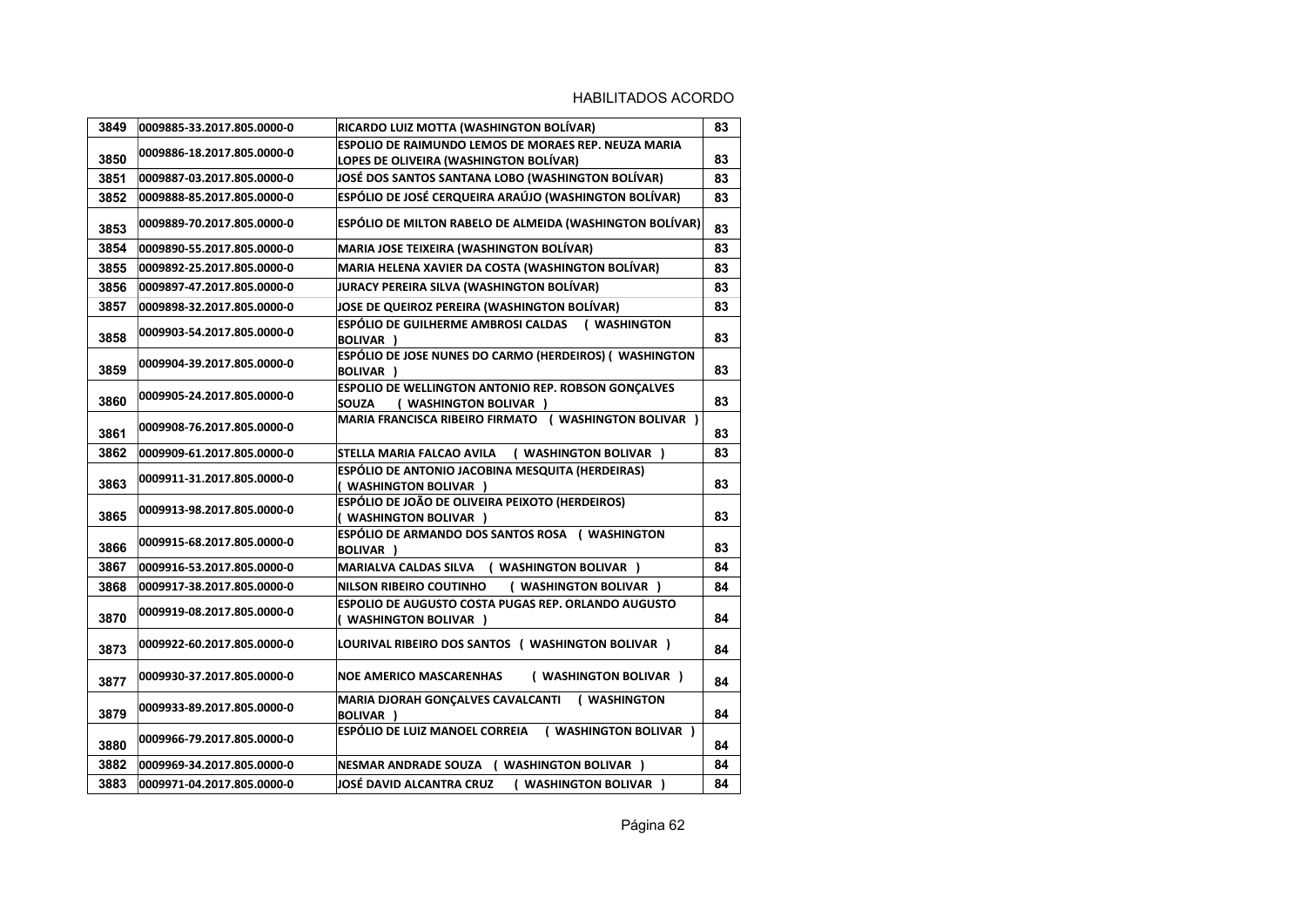| 3849 | 0009885-33.2017.805.0000-0 | RICARDO LUIZ MOTTA (WASHINGTON BOLÍVAR)                                                               | 83 |
|------|----------------------------|-------------------------------------------------------------------------------------------------------|----|
| 3850 | 0009886-18.2017.805.0000-0 | <b>ESPOLIO DE RAIMUNDO LEMOS DE MORAES REP. NEUZA MARIA</b><br>LOPES DE OLIVEIRA (WASHINGTON BOLÍVAR) | 83 |
| 3851 | 0009887-03.2017.805.0000-0 | JOSÉ DOS SANTOS SANTANA LOBO (WASHINGTON BOLÍVAR)                                                     | 83 |
| 3852 | 0009888-85.2017.805.0000-0 | ESPÓLIO DE JOSÉ CERQUEIRA ARAÚJO (WASHINGTON BOLÍVAR)                                                 | 83 |
| 3853 | 0009889-70.2017.805.0000-0 | ESPÓLIO DE MILTON RABELO DE ALMEIDA (WASHINGTON BOLÍVAR)                                              | 83 |
| 3854 | 0009890-55.2017.805.0000-0 | <b>MARIA JOSE TEIXEIRA (WASHINGTON BOLÍVAR)</b>                                                       | 83 |
| 3855 | 0009892-25.2017.805.0000-0 | MARIA HELENA XAVIER DA COSTA (WASHINGTON BOLÍVAR)                                                     | 83 |
| 3856 | 0009897-47.2017.805.0000-0 | JURACY PEREIRA SILVA (WASHINGTON BOLÍVAR)                                                             | 83 |
| 3857 | 0009898-32.2017.805.0000-0 | JOSE DE QUEIROZ PEREIRA (WASHINGTON BOLÍVAR)                                                          | 83 |
| 3858 | 0009903-54.2017.805.0000-0 | ESPÓLIO DE GUILHERME AMBROSI CALDAS<br>( WASHINGTON<br><b>BOLIVAR</b> )                               | 83 |
| 3859 | 0009904-39.2017.805.0000-0 | ESPÓLIO DE JOSE NUNES DO CARMO (HERDEIROS) ( WASHINGTON<br>BOLIVAR )                                  | 83 |
| 3860 | 0009905-24.2017.805.0000-0 | ESPOLIO DE WELLINGTON ANTONIO REP. ROBSON GONÇALVES<br>SOUZA<br>( WASHINGTON BOLIVAR )                | 83 |
| 3861 | 0009908-76.2017.805.0000-0 | <b>MARIA FRANCISCA RIBEIRO FIRMATO ( WASHINGTON BOLIVAR )</b>                                         | 83 |
| 3862 | 0009909-61.2017.805.0000-0 | STELLA MARIA FALCAO AVILA<br>( WASHINGTON BOLIVAR )                                                   | 83 |
| 3863 | 0009911-31.2017.805.0000-0 | ESPÓLIO DE ANTONIO JACOBINA MESQUITA (HERDEIRAS)<br>( WASHINGTON BOLIVAR )                            | 83 |
| 3865 | 0009913-98.2017.805.0000-0 | ESPÓLIO DE JOÃO DE OLIVEIRA PEIXOTO (HERDEIROS)<br>( WASHINGTON BOLIVAR )                             | 83 |
| 3866 | 0009915-68.2017.805.0000-0 | ESPÓLIO DE ARMANDO DOS SANTOS ROSA (WASHINGTON<br>BOLIVAR )                                           | 83 |
| 3867 | 0009916-53.2017.805.0000-0 | <b>MARIALVA CALDAS SILVA</b><br>( WASHINGTON BOLIVAR )                                                | 84 |
| 3868 | 0009917-38.2017.805.0000-0 | <b>NILSON RIBEIRO COUTINHO</b><br>( WASHINGTON BOLIVAR )                                              | 84 |
| 3870 | 0009919-08.2017.805.0000-0 | <b>ESPOLIO DE AUGUSTO COSTA PUGAS REP. ORLANDO AUGUSTO</b><br>( WASHINGTON BOLIVAR )                  | 84 |
| 3873 | 0009922-60.2017.805.0000-0 | LOURIVAL RIBEIRO DOS SANTOS ( WASHINGTON BOLIVAR )                                                    | 84 |
| 3877 | 0009930-37.2017.805.0000-0 | <b>NOE AMERICO MASCARENHAS</b><br>( WASHINGTON BOLIVAR )                                              | 84 |
| 3879 | 0009933-89.2017.805.0000-0 | <b>MARIA DJORAH GONÇALVES CAVALCANTI</b><br>( WASHINGTON<br>BOLIVAR )                                 | 84 |
| 3880 | 0009966-79.2017.805.0000-0 | <b>ESPÓLIO DE LUIZ MANOEL CORREIA</b><br>( WASHINGTON BOLIVAR )                                       | 84 |
| 3882 | 0009969-34.2017.805.0000-0 | ( WASHINGTON BOLIVAR )<br><b>NESMAR ANDRADE SOUZA</b>                                                 | 84 |
| 3883 | 0009971-04.2017.805.0000-0 | JOSÉ DAVID ALCANTRA CRUZ<br>( WASHINGTON BOLIVAR )                                                    | 84 |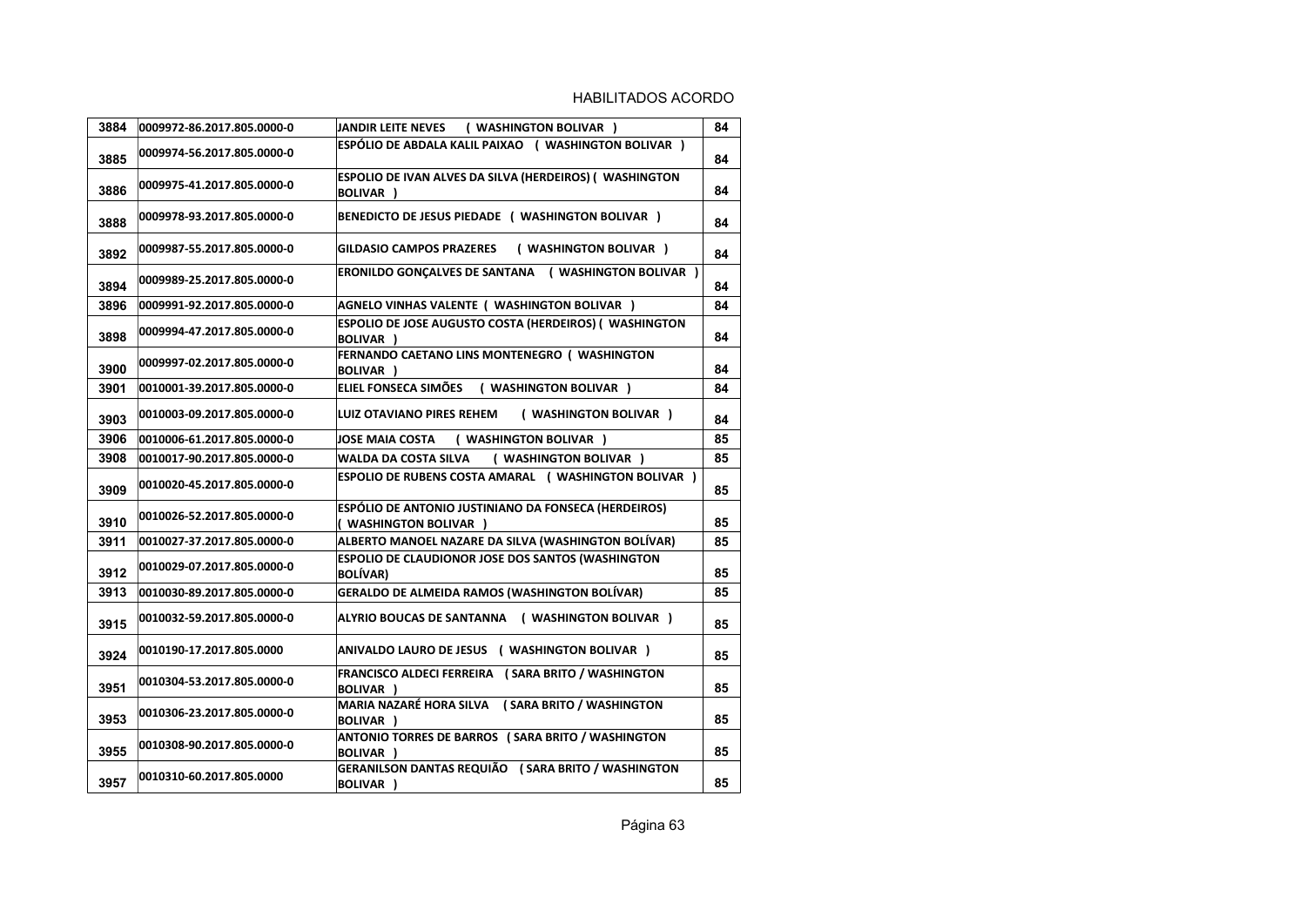| 3884 | 0009972-86.2017.805.0000-0 | JANDIR LEITE NEVES (WASHINGTON BOLIVAR)                                           | 84 |
|------|----------------------------|-----------------------------------------------------------------------------------|----|
| 3885 | 0009974-56.2017.805.0000-0 | ESPÓLIO DE ABDALA KALIL PAIXAO ( WASHINGTON BOLIVAR )                             | 84 |
| 3886 | 0009975-41.2017.805.0000-0 | ESPOLIO DE IVAN ALVES DA SILVA (HERDEIROS) ( WASHINGTON<br><b>BOLIVAR</b> )       | 84 |
| 3888 | 0009978-93.2017.805.0000-0 | BENEDICTO DE JESUS PIEDADE ( WASHINGTON BOLIVAR )                                 | 84 |
| 3892 | 0009987-55.2017.805.0000-0 | <b>GILDASIO CAMPOS PRAZERES</b><br>( WASHINGTON BOLIVAR )                         | 84 |
| 3894 | 0009989-25.2017.805.0000-0 | ERONILDO GONÇALVES DE SANTANA ( WASHINGTON BOLIVAR )                              | 84 |
| 3896 | 0009991-92.2017.805.0000-0 | AGNELO VINHAS VALENTE ( WASHINGTON BOLIVAR )                                      | 84 |
| 3898 | 0009994-47.2017.805.0000-0 | <b>ESPOLIO DE JOSE AUGUSTO COSTA (HERDEIROS) ( WASHINGTON</b><br><b>BOLIVAR</b> ) | 84 |
| 3900 | 0009997-02.2017.805.0000-0 | FERNANDO CAETANO LINS MONTENEGRO ( WASHINGTON<br>BOLIVAR )                        | 84 |
| 3901 | 0010001-39.2017.805.0000-0 | <b>ELIEL FONSECA SIMÕES</b><br>( WASHINGTON BOLIVAR )                             | 84 |
| 3903 | 0010003-09.2017.805.0000-0 | LUIZ OTAVIANO PIRES REHEM (WASHINGTON BOLIVAR)                                    | 84 |
| 3906 | 0010006-61.2017.805.0000-0 | ( WASHINGTON BOLIVAR )<br>JOSE MAIA COSTA                                         | 85 |
| 3908 | 0010017-90.2017.805.0000-0 | ( WASHINGTON BOLIVAR )<br><b>WALDA DA COSTA SILVA</b>                             | 85 |
| 3909 | 0010020-45.2017.805.0000-0 | <b>ESPOLIO DE RUBENS COSTA AMARAL ( WASHINGTON BOLIVAR )</b>                      | 85 |
| 3910 | 0010026-52.2017.805.0000-0 | ESPÓLIO DE ANTONIO JUSTINIANO DA FONSECA (HERDEIROS)<br>( WASHINGTON BOLIVAR )    | 85 |
| 3911 | 0010027-37.2017.805.0000-0 | ALBERTO MANOEL NAZARE DA SILVA (WASHINGTON BOLÍVAR)                               | 85 |
| 3912 | 0010029-07.2017.805.0000-0 | ESPOLIO DE CLAUDIONOR JOSE DOS SANTOS (WASHINGTON<br><b>BOLÍVAR)</b>              | 85 |
| 3913 | 0010030-89.2017.805.0000-0 | <b>GERALDO DE ALMEIDA RAMOS (WASHINGTON BOLÍVAR)</b>                              | 85 |
| 3915 | 0010032-59.2017.805.0000-0 | ALYRIO BOUCAS DE SANTANNA ( WASHINGTON BOLIVAR )                                  | 85 |
| 3924 | 0010190-17.2017.805.0000   | ANIVALDO LAURO DE JESUS ( WASHINGTON BOLIVAR )                                    | 85 |
| 3951 | 0010304-53.2017.805.0000-0 | FRANCISCO ALDECI FERREIRA (SARA BRITO / WASHINGTON<br><b>BOLIVAR</b> )            | 85 |
| 3953 | 0010306-23.2017.805.0000-0 | MARIA NAZARÉ HORA SILVA (SARA BRITO / WASHINGTON<br><b>BOLIVAR</b> )              | 85 |
| 3955 | 0010308-90.2017.805.0000-0 | ANTONIO TORRES DE BARROS (SARA BRITO / WASHINGTON<br><b>BOLIVAR</b> )             | 85 |
| 3957 | 0010310-60.2017.805.0000   | GERANILSON DANTAS REQUIÃO (SARA BRITO / WASHINGTON<br><b>BOLIVAR</b> )            | 85 |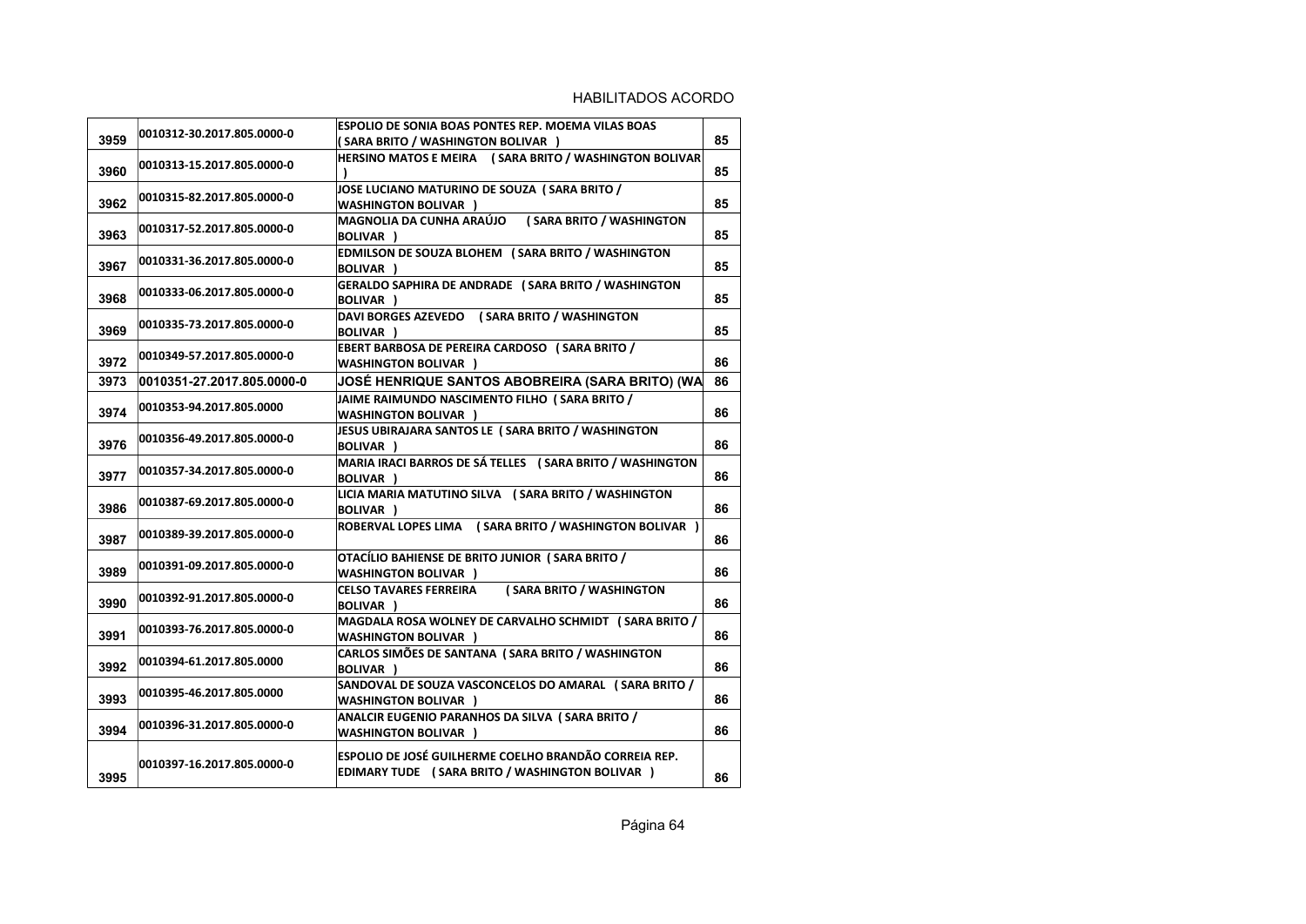|      |                            | <b>ESPOLIO DE SONIA BOAS PONTES REP. MOEMA VILAS BOAS</b>                                                       |    |
|------|----------------------------|-----------------------------------------------------------------------------------------------------------------|----|
| 3959 | 0010312-30.2017.805.0000-0 | (SARA BRITO / WASHINGTON BOLIVAR )                                                                              | 85 |
| 3960 | 0010313-15.2017.805.0000-0 | HERSINO MATOS E MEIRA (SARA BRITO / WASHINGTON BOLIVAR                                                          | 85 |
| 3962 | 0010315-82.2017.805.0000-0 | JOSE LUCIANO MATURINO DE SOUZA (SARA BRITO /<br><b>WASHINGTON BOLIVAR )</b>                                     | 85 |
| 3963 | 0010317-52.2017.805.0000-0 | MAGNOLIA DA CUNHA ARAÚJO<br>(SARA BRITO / WASHINGTON<br><b>BOLIVAR</b> )                                        | 85 |
| 3967 | 0010331-36.2017.805.0000-0 | EDMILSON DE SOUZA BLOHEM (SARA BRITO / WASHINGTON<br>BOLIVAR )                                                  | 85 |
| 3968 | 0010333-06.2017.805.0000-0 | GERALDO SAPHIRA DE ANDRADE (SARA BRITO / WASHINGTON<br><b>BOLIVAR</b> )                                         | 85 |
| 3969 | 0010335-73.2017.805.0000-0 | DAVI BORGES AZEVEDO (SARA BRITO / WASHINGTON<br>BOLIVAR )                                                       | 85 |
| 3972 | 0010349-57.2017.805.0000-0 | <b>EBERT BARBOSA DE PEREIRA CARDOSO (SARA BRITO /</b><br><b>WASHINGTON BOLIVAR</b> )                            | 86 |
| 3973 | 0010351-27.2017.805.0000-0 | JOSÉ HENRIQUE SANTOS ABOBREIRA (SARA BRITO) (WA                                                                 | 86 |
| 3974 | 0010353-94.2017.805.0000   | JAIME RAIMUNDO NASCIMENTO FILHO (SARA BRITO /<br><b>WASHINGTON BOLIVAR )</b>                                    | 86 |
| 3976 | 0010356-49.2017.805.0000-0 | JESUS UBIRAJARA SANTOS LE (SARA BRITO / WASHINGTON<br>BOLIVAR )                                                 | 86 |
| 3977 | 0010357-34.2017.805.0000-0 | MARIA IRACI BARROS DE SÁ TELLES (SARA BRITO / WASHINGTON<br>BOLIVAR )                                           | 86 |
| 3986 | 0010387-69.2017.805.0000-0 | LICIA MARIA MATUTINO SILVA (SARA BRITO / WASHINGTON<br>BOLIVAR )                                                | 86 |
| 3987 | 0010389-39.2017.805.0000-0 | ROBERVAL LOPES LIMA (SARA BRITO / WASHINGTON BOLIVAR)                                                           | 86 |
| 3989 | 0010391-09.2017.805.0000-0 | OTACÍLIO BAHIENSE DE BRITO JUNIOR (SARA BRITO /<br><b>WASHINGTON BOLIVAR )</b>                                  | 86 |
| 3990 | 0010392-91.2017.805.0000-0 | (SARA BRITO / WASHINGTON<br><b>CELSO TAVARES FERREIRA</b><br>BOLIVAR )                                          | 86 |
| 3991 | 0010393-76.2017.805.0000-0 | MAGDALA ROSA WOLNEY DE CARVALHO SCHMIDT (SARA BRITO /<br><b>WASHINGTON BOLIVAR</b>                              | 86 |
| 3992 | 0010394-61.2017.805.0000   | CARLOS SIMÕES DE SANTANA (SARA BRITO / WASHINGTON<br>BOLIVAR )                                                  | 86 |
| 3993 | 0010395-46.2017.805.0000   | SANDOVAL DE SOUZA VASCONCELOS DO AMARAL (SARA BRITO /<br><b>WASHINGTON BOLIVAR</b> )                            | 86 |
| 3994 | 0010396-31.2017.805.0000-0 | ANALCIR EUGENIO PARANHOS DA SILVA (SARA BRITO /<br><b>WASHINGTON BOLIVAR )</b>                                  | 86 |
| 3995 | 0010397-16.2017.805.0000-0 | <b>ESPOLIO DE JOSÉ GUILHERME COELHO BRANDÃO CORREIA REP.</b><br>EDIMARY TUDE (SARA BRITO / WASHINGTON BOLIVAR ) | 86 |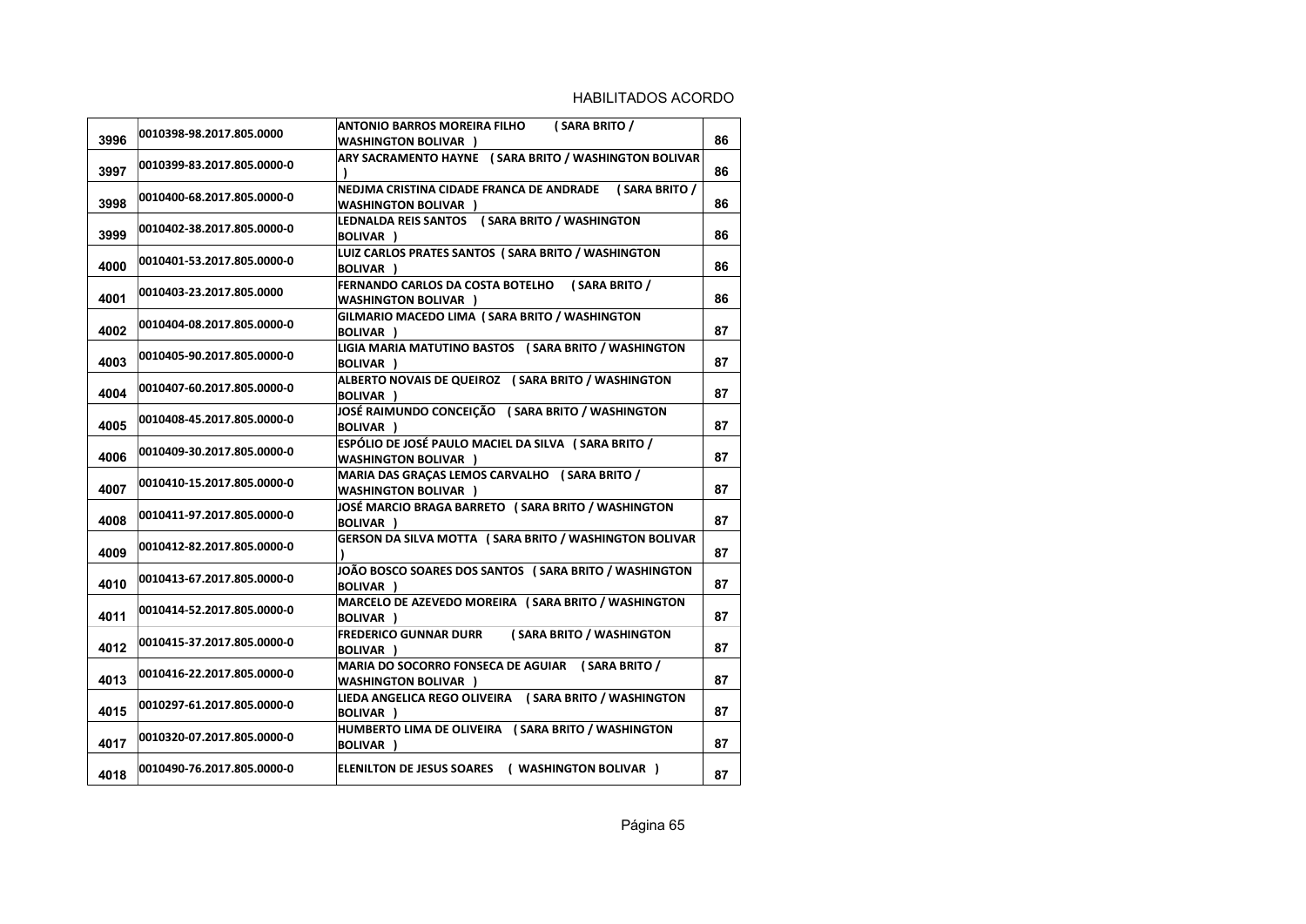| 3996 | 0010398-98.2017.805.0000   | ANTONIO BARROS MOREIRA FILHO<br>(SARA BRITO /<br><b>WASHINGTON BOLIVAR</b> )          | 86 |
|------|----------------------------|---------------------------------------------------------------------------------------|----|
| 3997 | 0010399-83.2017.805.0000-0 | ARY SACRAMENTO HAYNE (SARA BRITO / WASHINGTON BOLIVAR                                 | 86 |
| 3998 | 0010400-68.2017.805.0000-0 | NEDJMA CRISTINA CIDADE FRANCA DE ANDRADE (SARA BRITO /<br><b>WASHINGTON BOLIVAR</b> ) | 86 |
| 3999 | 0010402-38.2017.805.0000-0 | LEDNALDA REIS SANTOS (SARA BRITO / WASHINGTON<br>BOLIVAR )                            | 86 |
| 4000 | 0010401-53.2017.805.0000-0 | LUIZ CARLOS PRATES SANTOS ( SARA BRITO / WASHINGTON<br>BOLIVAR )                      | 86 |
| 4001 | 0010403-23.2017.805.0000   | FERNANDO CARLOS DA COSTA BOTELHO (SARA BRITO /<br><b>WASHINGTON BOLIVAR )</b>         | 86 |
| 4002 | 0010404-08.2017.805.0000-0 | GILMARIO MACEDO LIMA (SARA BRITO / WASHINGTON<br>BOLIVAR )                            | 87 |
| 4003 | 0010405-90.2017.805.0000-0 | LIGIA MARIA MATUTINO BASTOS (SARA BRITO / WASHINGTON<br>BOLIVAR )                     | 87 |
| 4004 | 0010407-60.2017.805.0000-0 | ALBERTO NOVAIS DE QUEIROZ (SARA BRITO / WASHINGTON<br>BOLIVAR )                       | 87 |
| 4005 | 0010408-45.2017.805.0000-0 | JOSÉ RAIMUNDO CONCEIÇÃO (SARA BRITO / WASHINGTON<br><b>BOLIVAR</b> )                  | 87 |
| 4006 | 0010409-30.2017.805.0000-0 | ESPÓLIO DE JOSÉ PAULO MACIEL DA SILVA (SARA BRITO /<br><b>WASHINGTON BOLIVAR )</b>    | 87 |
| 4007 | 0010410-15.2017.805.0000-0 | MARIA DAS GRAÇAS LEMOS CARVALHO (SARA BRITO /<br><b>WASHINGTON BOLIVAR )</b>          | 87 |
| 4008 | 0010411-97.2017.805.0000-0 | JOSÉ MARCIO BRAGA BARRETO (SARA BRITO / WASHINGTON<br>BOLIVAR )                       | 87 |
| 4009 | 0010412-82.2017.805.0000-0 | GERSON DA SILVA MOTTA (SARA BRITO / WASHINGTON BOLIVAR                                | 87 |
| 4010 | 0010413-67.2017.805.0000-0 | JOÃO BOSCO SOARES DOS SANTOS (SARA BRITO / WASHINGTON<br><b>BOLIVAR</b> )             | 87 |
| 4011 | 0010414-52.2017.805.0000-0 | MARCELO DE AZEVEDO MOREIRA (SARA BRITO / WASHINGTON<br>BOLIVAR )                      | 87 |
| 4012 | 0010415-37.2017.805.0000-0 | (SARA BRITO / WASHINGTON<br><b>FREDERICO GUNNAR DURR</b><br>BOLIVAR )                 | 87 |
| 4013 | 0010416-22.2017.805.0000-0 | MARIA DO SOCORRO FONSECA DE AGUIAR (SARA BRITO /<br><b>WASHINGTON BOLIVAR )</b>       | 87 |
| 4015 | 0010297-61.2017.805.0000-0 | LIEDA ANGELICA REGO OLIVEIRA (SARA BRITO / WASHINGTON<br><b>BOLIVAR</b> )             | 87 |
| 4017 | 0010320-07.2017.805.0000-0 | HUMBERTO LIMA DE OLIVEIRA (SARA BRITO / WASHINGTON<br><b>BOLIVAR</b> )                | 87 |
| 4018 | 0010490-76.2017.805.0000-0 | ELENILTON DE JESUS SOARES ( WASHINGTON BOLIVAR )                                      | 87 |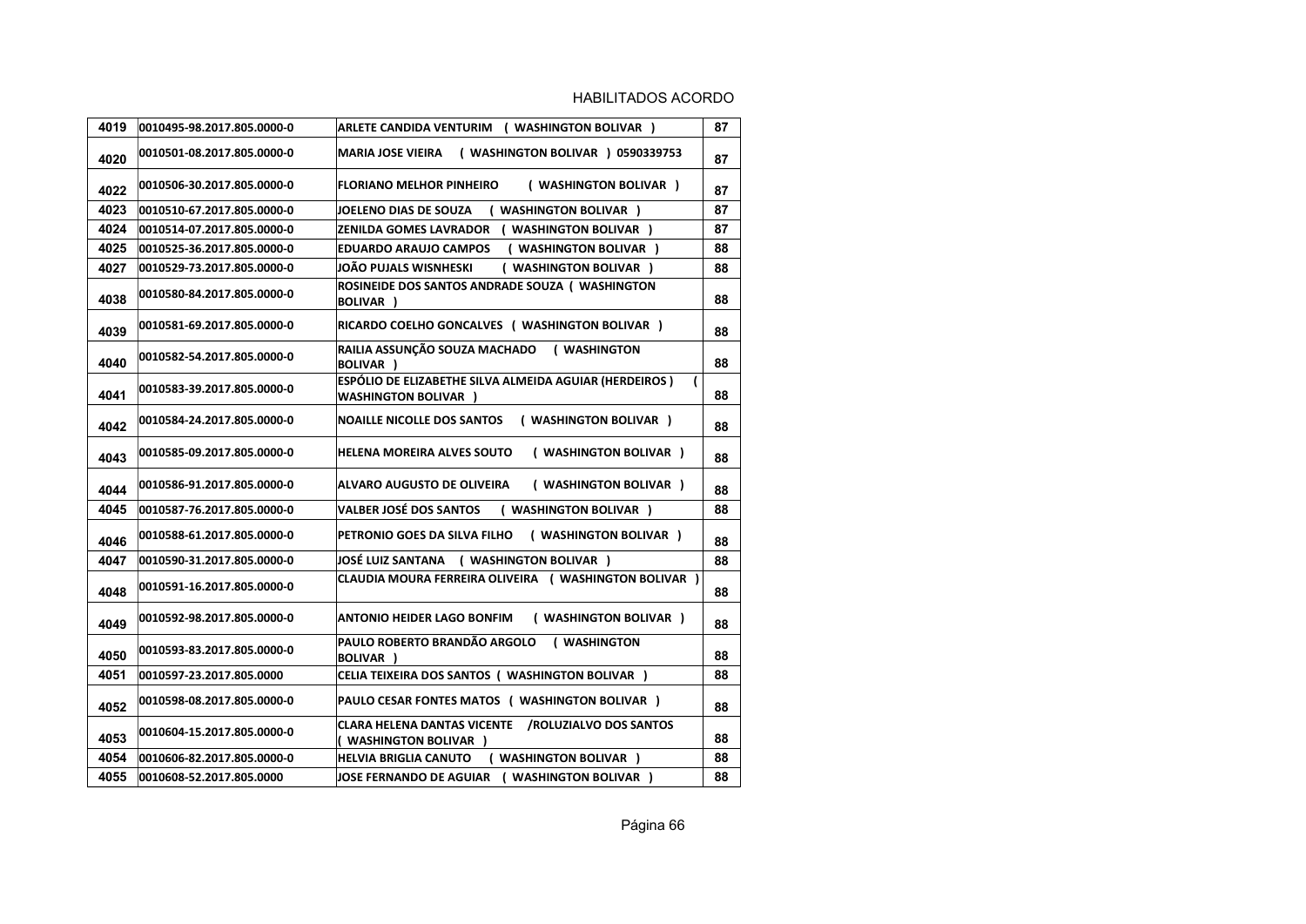| 4019 | 0010495-98.2017.805.0000-0 | ARLETE CANDIDA VENTURIM ( WASHINGTON BOLIVAR )                                                          | 87 |
|------|----------------------------|---------------------------------------------------------------------------------------------------------|----|
| 4020 | 0010501-08.2017.805.0000-0 | MARIA JOSE VIEIRA ( WASHINGTON BOLIVAR ) 0590339753                                                     | 87 |
| 4022 | 0010506-30.2017.805.0000-0 | <b>FLORIANO MELHOR PINHEIRO</b><br>( WASHINGTON BOLIVAR )                                               | 87 |
| 4023 | 0010510-67.2017.805.0000-0 | JOELENO DIAS DE SOUZA<br>( WASHINGTON BOLIVAR )                                                         | 87 |
| 4024 | 0010514-07.2017.805.0000-0 | ZENILDA GOMES LAVRADOR ( WASHINGTON BOLIVAR )                                                           | 87 |
| 4025 | 0010525-36.2017.805.0000-0 | <b>EDUARDO ARAUJO CAMPOS</b><br>( WASHINGTON BOLIVAR )                                                  | 88 |
| 4027 | 0010529-73.2017.805.0000-0 | JOÃO PUJALS WISNHESKI<br>( WASHINGTON BOLIVAR )                                                         | 88 |
| 4038 | 0010580-84.2017.805.0000-0 | ROSINEIDE DOS SANTOS ANDRADE SOUZA ( WASHINGTON<br><b>BOLIVAR</b> )                                     | 88 |
| 4039 | 0010581-69.2017.805.0000-0 | RICARDO COELHO GONCALVES ( WASHINGTON BOLIVAR )                                                         | 88 |
| 4040 | 0010582-54.2017.805.0000-0 | RAILIA ASSUNÇÃO SOUZA MACHADO<br>( WASHINGTON<br><b>BOLIVAR</b> )                                       | 88 |
| 4041 | 0010583-39.2017.805.0000-0 | ESPÓLIO DE ELIZABETHE SILVA ALMEIDA AGUIAR (HERDEIROS)<br>$\overline{ }$<br><b>WASHINGTON BOLIVAR )</b> | 88 |
| 4042 | 0010584-24.2017.805.0000-0 | <b>NOAILLE NICOLLE DOS SANTOS</b><br>( WASHINGTON BOLIVAR )                                             | 88 |
| 4043 | 0010585-09.2017.805.0000-0 | HELENA MOREIRA ALVES SOUTO<br>( WASHINGTON BOLIVAR )                                                    | 88 |
| 4044 | 0010586-91.2017.805.0000-0 | <b>ALVARO AUGUSTO DE OLIVEIRA</b><br>( WASHINGTON BOLIVAR )                                             | 88 |
| 4045 | 0010587-76.2017.805.0000-0 | <b>VALBER JOSÉ DOS SANTOS</b><br>( WASHINGTON BOLIVAR )                                                 | 88 |
| 4046 | 0010588-61.2017.805.0000-0 | PETRONIO GOES DA SILVA FILHO<br>( WASHINGTON BOLIVAR )                                                  | 88 |
| 4047 | 0010590-31.2017.805.0000-0 | JOSÉ LUIZ SANTANA ( WASHINGTON BOLIVAR )                                                                | 88 |
| 4048 | 0010591-16.2017.805.0000-0 | CLAUDIA MOURA FERREIRA OLIVEIRA ( WASHINGTON BOLIVAR )                                                  | 88 |
| 4049 | 0010592-98.2017.805.0000-0 | ( WASHINGTON BOLIVAR )<br>ANTONIO HEIDER LAGO BONFIM                                                    | 88 |
| 4050 | 0010593-83.2017.805.0000-0 | PAULO ROBERTO BRANDÃO ARGOLO<br>( WASHINGTON<br><b>BOLIVAR</b> )                                        | 88 |
| 4051 | 0010597-23.2017.805.0000   | CELIA TEIXEIRA DOS SANTOS ( WASHINGTON BOLIVAR )                                                        | 88 |
| 4052 | 0010598-08.2017.805.0000-0 | PAULO CESAR FONTES MATOS ( WASHINGTON BOLIVAR )                                                         | 88 |
| 4053 | 0010604-15.2017.805.0000-0 | CLARA HELENA DANTAS VICENTE /ROLUZIALVO DOS SANTOS<br>( WASHINGTON BOLIVAR )                            | 88 |
| 4054 | 0010606-82.2017.805.0000-0 | ( WASHINGTON BOLIVAR )<br>HELVIA BRIGLIA CANUTO                                                         | 88 |
| 4055 | 0010608-52.2017.805.0000   | JOSE FERNANDO DE AGUIAR ( WASHINGTON BOLIVAR )                                                          | 88 |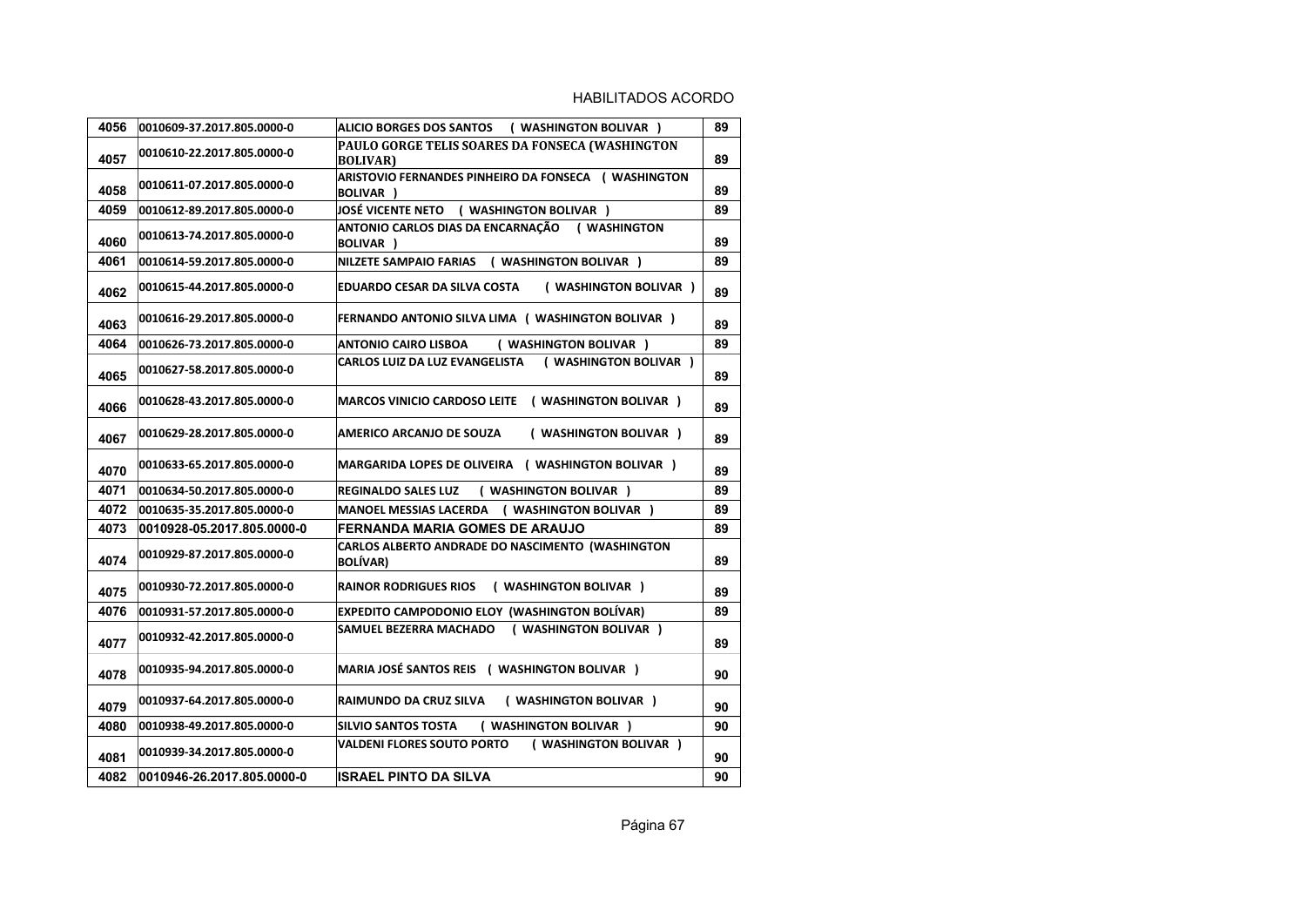| 4056 | 0010609-37.2017.805.0000-0 | <b>ALICIO BORGES DOS SANTOS</b><br>( WASHINGTON BOLIVAR )                    | 89 |
|------|----------------------------|------------------------------------------------------------------------------|----|
| 4057 | 0010610-22.2017.805.0000-0 | PAULO GORGE TELIS SOARES DA FONSECA (WASHINGTON<br><b>BOLIVAR</b> )          | 89 |
| 4058 | 0010611-07.2017.805.0000-0 | ARISTOVIO FERNANDES PINHEIRO DA FONSECA (WASHINGTON<br><b>BOLIVAR</b> )      | 89 |
| 4059 | 0010612-89.2017.805.0000-0 | JOSÉ VICENTE NETO ( WASHINGTON BOLIVAR )                                     | 89 |
| 4060 | 0010613-74.2017.805.0000-0 | <b>ANTONIO CARLOS DIAS DA ENCARNAÇÃO</b><br>( WASHINGTON<br><b>BOLIVAR</b> ) | 89 |
| 4061 | 0010614-59.2017.805.0000-0 | <b>NILZETE SAMPAIO FARIAS</b><br>( WASHINGTON BOLIVAR )                      | 89 |
| 4062 | 0010615-44.2017.805.0000-0 | ( WASHINGTON BOLIVAR )<br>EDUARDO CESAR DA SILVA COSTA                       | 89 |
| 4063 | 0010616-29.2017.805.0000-0 | <b>FERNANDO ANTONIO SILVA LIMA ( WASHINGTON BOLIVAR )</b>                    | 89 |
| 4064 | 0010626-73.2017.805.0000-0 | ( WASHINGTON BOLIVAR )<br><b>ANTONIO CAIRO LISBOA</b>                        | 89 |
| 4065 | 0010627-58.2017.805.0000-0 | ( WASHINGTON BOLIVAR )<br><b>CARLOS LUIZ DA LUZ EVANGELISTA</b>              | 89 |
| 4066 | 0010628-43.2017.805.0000-0 | MARCOS VINICIO CARDOSO LEITE ( WASHINGTON BOLIVAR )                          | 89 |
| 4067 | 0010629-28.2017.805.0000-0 | AMERICO ARCANJO DE SOUZA<br>( WASHINGTON BOLIVAR )                           | 89 |
| 4070 | 0010633-65.2017.805.0000-0 | MARGARIDA LOPES DE OLIVEIRA ( WASHINGTON BOLIVAR )                           | 89 |
| 4071 | 0010634-50.2017.805.0000-0 | <b>REGINALDO SALES LUZ</b><br>( WASHINGTON BOLIVAR )                         | 89 |
| 4072 | 0010635-35.2017.805.0000-0 | <b>MANOEL MESSIAS LACERDA</b><br>( WASHINGTON BOLIVAR )                      | 89 |
| 4073 | 0010928-05.2017.805.0000-0 | FERNANDA MARIA GOMES DE ARAUJO                                               | 89 |
| 4074 | 0010929-87.2017.805.0000-0 | CARLOS ALBERTO ANDRADE DO NASCIMENTO (WASHINGTON<br><b>BOLÍVAR)</b>          | 89 |
| 4075 | 0010930-72.2017.805.0000-0 | <b>RAINOR RODRIGUES RIOS</b><br>( WASHINGTON BOLIVAR )                       | 89 |
| 4076 | 0010931-57.2017.805.0000-0 | <b>EXPEDITO CAMPODONIO ELOY (WASHINGTON BOLÍVAR)</b>                         | 89 |
| 4077 | 0010932-42.2017.805.0000-0 | ( WASHINGTON BOLIVAR )<br>SAMUEL BEZERRA MACHADO                             | 89 |
| 4078 | 0010935-94.2017.805.0000-0 | MARIA JOSÉ SANTOS REIS ( WASHINGTON BOLIVAR )                                | 90 |
| 4079 | 0010937-64.2017.805.0000-0 | RAIMUNDO DA CRUZ SILVA<br>( WASHINGTON BOLIVAR )                             | 90 |
| 4080 | 0010938-49.2017.805.0000-0 | ( WASHINGTON BOLIVAR )<br><b>SILVIO SANTOS TOSTA</b>                         | 90 |
| 4081 | 0010939-34.2017.805.0000-0 | VALDENI FLORES SOUTO PORTO<br>( WASHINGTON BOLIVAR )                         | 90 |
| 4082 | 0010946-26.2017.805.0000-0 | <b>ISRAEL PINTO DA SILVA</b>                                                 | 90 |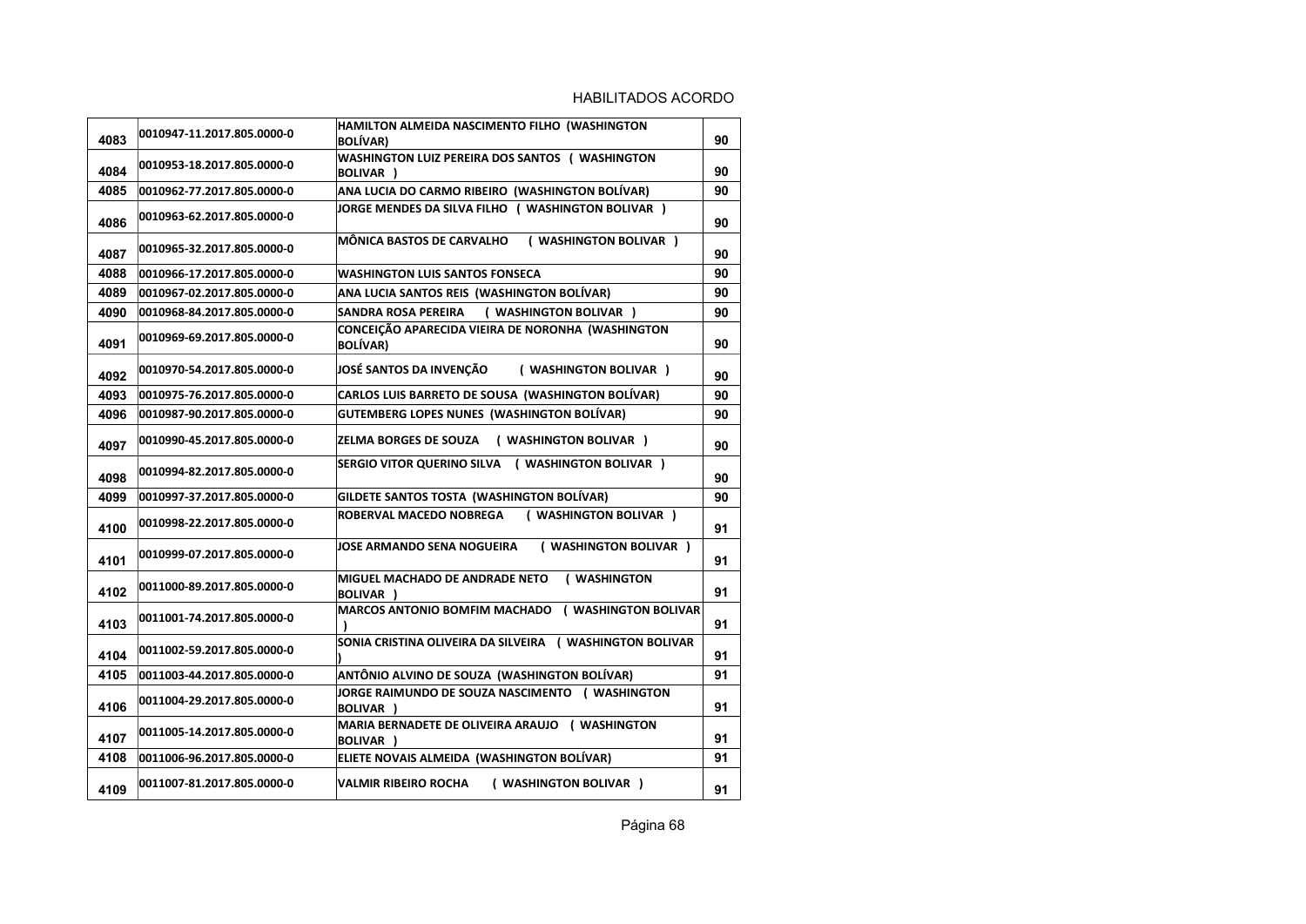| 4083 | 0010947-11.2017.805.0000-0 | HAMILTON ALMEIDA NASCIMENTO FILHO (WASHINGTON<br><b>BOLÍVAR)</b>     | 90 |
|------|----------------------------|----------------------------------------------------------------------|----|
| 4084 | 0010953-18.2017.805.0000-0 | WASHINGTON LUIZ PEREIRA DOS SANTOS ( WASHINGTON<br>BOLIVAR )         | 90 |
| 4085 | 0010962-77.2017.805.0000-0 | ANA LUCIA DO CARMO RIBEIRO (WASHINGTON BOLÍVAR)                      | 90 |
| 4086 | 0010963-62.2017.805.0000-0 | JORGE MENDES DA SILVA FILHO ( WASHINGTON BOLIVAR )                   | 90 |
| 4087 | 0010965-32.2017.805.0000-0 | ( WASHINGTON BOLIVAR )<br><b>MÖNICA BASTOS DE CARVALHO</b>           | 90 |
| 4088 | 0010966-17.2017.805.0000-0 | <b>WASHINGTON LUIS SANTOS FONSECA</b>                                | 90 |
| 4089 | 0010967-02.2017.805.0000-0 | ANA LUCIA SANTOS REIS (WASHINGTON BOLIVAR)                           | 90 |
| 4090 | 0010968-84.2017.805.0000-0 | ( WASHINGTON BOLIVAR )<br>SANDRA ROSA PEREIRA                        | 90 |
| 4091 | 0010969-69.2017.805.0000-0 | CONCEIÇÃO APARECIDA VIEIRA DE NORONHA (WASHINGTON<br><b>BOLÍVAR)</b> | 90 |
| 4092 | 0010970-54.2017.805.0000-0 | JOSÉ SANTOS DA INVENÇÃO<br>( WASHINGTON BOLIVAR )                    | 90 |
| 4093 | 0010975-76.2017.805.0000-0 | CARLOS LUIS BARRETO DE SOUSA (WASHINGTON BOLÍVAR)                    | 90 |
| 4096 | 0010987-90.2017.805.0000-0 | <b>GUTEMBERG LOPES NUNES (WASHINGTON BOLÍVAR)</b>                    | 90 |
| 4097 | 0010990-45.2017.805.0000-0 | ZELMA BORGES DE SOUZA<br>( WASHINGTON BOLIVAR )                      | 90 |
| 4098 | 0010994-82.2017.805.0000-0 | SERGIO VITOR QUERINO SILVA ( WASHINGTON BOLIVAR )                    | 90 |
| 4099 | 0010997-37.2017.805.0000-0 | GILDETE SANTOS TOSTA (WASHINGTON BOLÍVAR)                            | 90 |
| 4100 | 0010998-22.2017.805.0000-0 | ( WASHINGTON BOLIVAR )<br>ROBERVAL MACEDO NOBREGA                    | 91 |
| 4101 | 0010999-07.2017.805.0000-0 | ( WASHINGTON BOLIVAR )<br>JOSE ARMANDO SENA NOGUEIRA                 | 91 |
| 4102 | 0011000-89.2017.805.0000-0 | MIGUEL MACHADO DE ANDRADE NETO<br>( WASHINGTON<br>BOLIVAR )          | 91 |
| 4103 | 0011001-74.2017.805.0000-0 | MARCOS ANTONIO BOMFIM MACHADO ( WASHINGTON BOLIVAR                   | 91 |
| 4104 | 0011002-59.2017.805.0000-0 | SONIA CRISTINA OLIVEIRA DA SILVEIRA ( WASHINGTON BOLIVAR             | 91 |
| 4105 | 0011003-44.2017.805.0000-0 | ANTÔNIO ALVINO DE SOUZA (WASHINGTON BOLÍVAR)                         | 91 |
| 4106 | 0011004-29.2017.805.0000-0 | JORGE RAIMUNDO DE SOUZA NASCIMENTO ( WASHINGTON<br><b>BOLIVAR</b> )  | 91 |
| 4107 | 0011005-14.2017.805.0000-0 | MARIA BERNADETE DE OLIVEIRA ARAUJO (WASHINGTON<br><b>BOLIVAR</b> )   | 91 |
| 4108 | 0011006-96.2017.805.0000-0 | ELIETE NOVAIS ALMEIDA (WASHINGTON BOLÍVAR)                           | 91 |
| 4109 | 0011007-81.2017.805.0000-0 | ( WASHINGTON BOLIVAR )<br><b>VALMIR RIBEIRO ROCHA</b>                | 91 |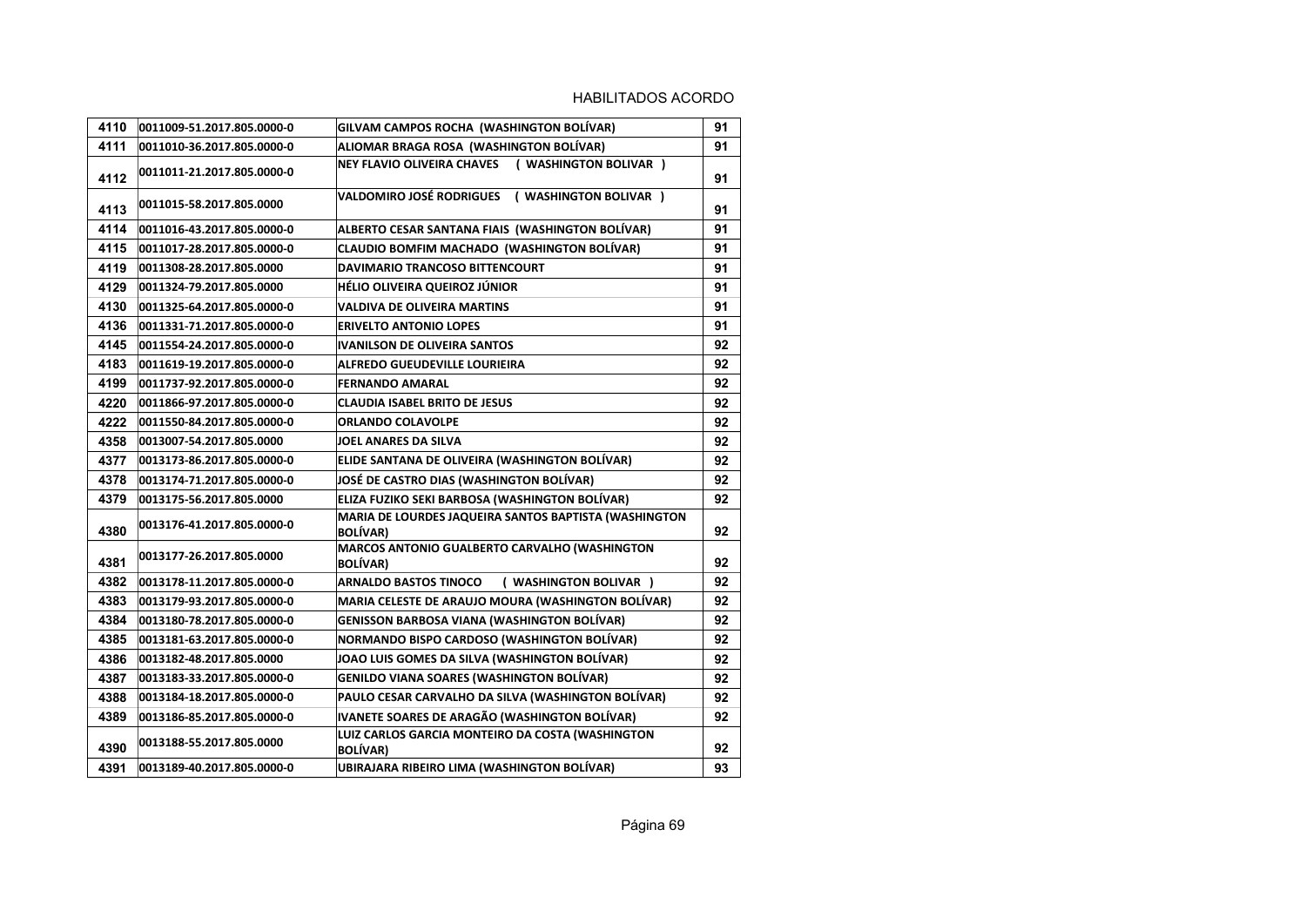| 4110 | 0011009-51.2017.805.0000-0 | GILVAM CAMPOS ROCHA (WASHINGTON BOLÍVAR)                                 | 91 |
|------|----------------------------|--------------------------------------------------------------------------|----|
| 4111 | 0011010-36.2017.805.0000-0 | ALIOMAR BRAGA ROSA (WASHINGTON BOLÍVAR)                                  | 91 |
| 4112 | 0011011-21.2017.805.0000-0 | NEY FLAVIO OLIVEIRA CHAVES ( WASHINGTON BOLIVAR )                        | 91 |
| 4113 | 0011015-58.2017.805.0000   | VALDOMIRO JOSÉ RODRIGUES ( WASHINGTON BOLIVAR )                          | 91 |
| 4114 | 0011016-43.2017.805.0000-0 | ALBERTO CESAR SANTANA FIAIS (WASHINGTON BOLÍVAR)                         | 91 |
| 4115 | 0011017-28.2017.805.0000-0 | <b>CLAUDIO BOMFIM MACHADO (WASHINGTON BOLÍVAR)</b>                       | 91 |
| 4119 | 0011308-28.2017.805.0000   | DAVIMARIO TRANCOSO BITTENCOURT                                           | 91 |
| 4129 | 0011324-79.2017.805.0000   | HÉLIO OLIVEIRA QUEIROZ JÚNIOR                                            | 91 |
| 4130 | 0011325-64.2017.805.0000-0 | <b>VALDIVA DE OLIVEIRA MARTINS</b>                                       | 91 |
| 4136 | 0011331-71.2017.805.0000-0 | <b>ERIVELTO ANTONIO LOPES</b>                                            | 91 |
| 4145 | 0011554-24.2017.805.0000-0 | IVANILSON DE OLIVEIRA SANTOS                                             | 92 |
| 4183 | 0011619-19.2017.805.0000-0 | <b>ALFREDO GUEUDEVILLE LOURIEIRA</b>                                     | 92 |
| 4199 | 0011737-92.2017.805.0000-0 | <b>FERNANDO AMARAL</b>                                                   | 92 |
| 4220 | 0011866-97.2017.805.0000-0 | <b>CLAUDIA ISABEL BRITO DE JESUS</b>                                     | 92 |
| 4222 | 0011550-84.2017.805.0000-0 | <b>ORLANDO COLAVOLPE</b>                                                 | 92 |
| 4358 | 0013007-54.2017.805.0000   | <b>JOEL ANARES DA SILVA</b>                                              | 92 |
| 4377 | 0013173-86.2017.805.0000-0 | ELIDE SANTANA DE OLIVEIRA (WASHINGTON BOLÍVAR)                           | 92 |
| 4378 | 0013174-71.2017.805.0000-0 | JOSÉ DE CASTRO DIAS (WASHINGTON BOLÍVAR)                                 | 92 |
| 4379 | 0013175-56.2017.805.0000   | ELIZA FUZIKO SEKI BARBOSA (WASHINGTON BOLÍVAR)                           | 92 |
| 4380 | 0013176-41.2017.805.0000-0 | MARIA DE LOURDES JAQUEIRA SANTOS BAPTISTA (WASHINGTON<br><b>BOLÍVAR)</b> | 92 |
| 4381 | 0013177-26.2017.805.0000   | MARCOS ANTONIO GUALBERTO CARVALHO (WASHINGTON<br><b>BOLÍVAR)</b>         | 92 |
| 4382 | 0013178-11.2017.805.0000-0 | <b>ARNALDO BASTOS TINOCO</b><br>( WASHINGTON BOLIVAR )                   | 92 |
| 4383 | 0013179-93.2017.805.0000-0 | MARIA CELESTE DE ARAUJO MOURA (WASHINGTON BOLÍVAR)                       | 92 |
| 4384 | 0013180-78.2017.805.0000-0 | <b>GENISSON BARBOSA VIANA (WASHINGTON BOLÍVAR)</b>                       | 92 |
| 4385 | 0013181-63.2017.805.0000-0 | NORMANDO BISPO CARDOSO (WASHINGTON BOLÍVAR)                              | 92 |
| 4386 | 0013182-48.2017.805.0000   | JOAO LUIS GOMES DA SILVA (WASHINGTON BOLÍVAR)                            | 92 |
| 4387 | 0013183-33.2017.805.0000-0 | <b>GENILDO VIANA SOARES (WASHINGTON BOLÍVAR)</b>                         | 92 |
| 4388 | 0013184-18.2017.805.0000-0 | PAULO CESAR CARVALHO DA SILVA (WASHINGTON BOLÍVAR)                       | 92 |
| 4389 | 0013186-85.2017.805.0000-0 | IVANETE SOARES DE ARAGÃO (WASHINGTON BOLÍVAR)                            | 92 |
| 4390 | 0013188-55.2017.805.0000   | LUIZ CARLOS GARCIA MONTEIRO DA COSTA (WASHINGTON<br><b>BOLÍVAR)</b>      | 92 |
| 4391 | 0013189-40.2017.805.0000-0 | UBIRAJARA RIBEIRO LIMA (WASHINGTON BOLÍVAR)                              | 93 |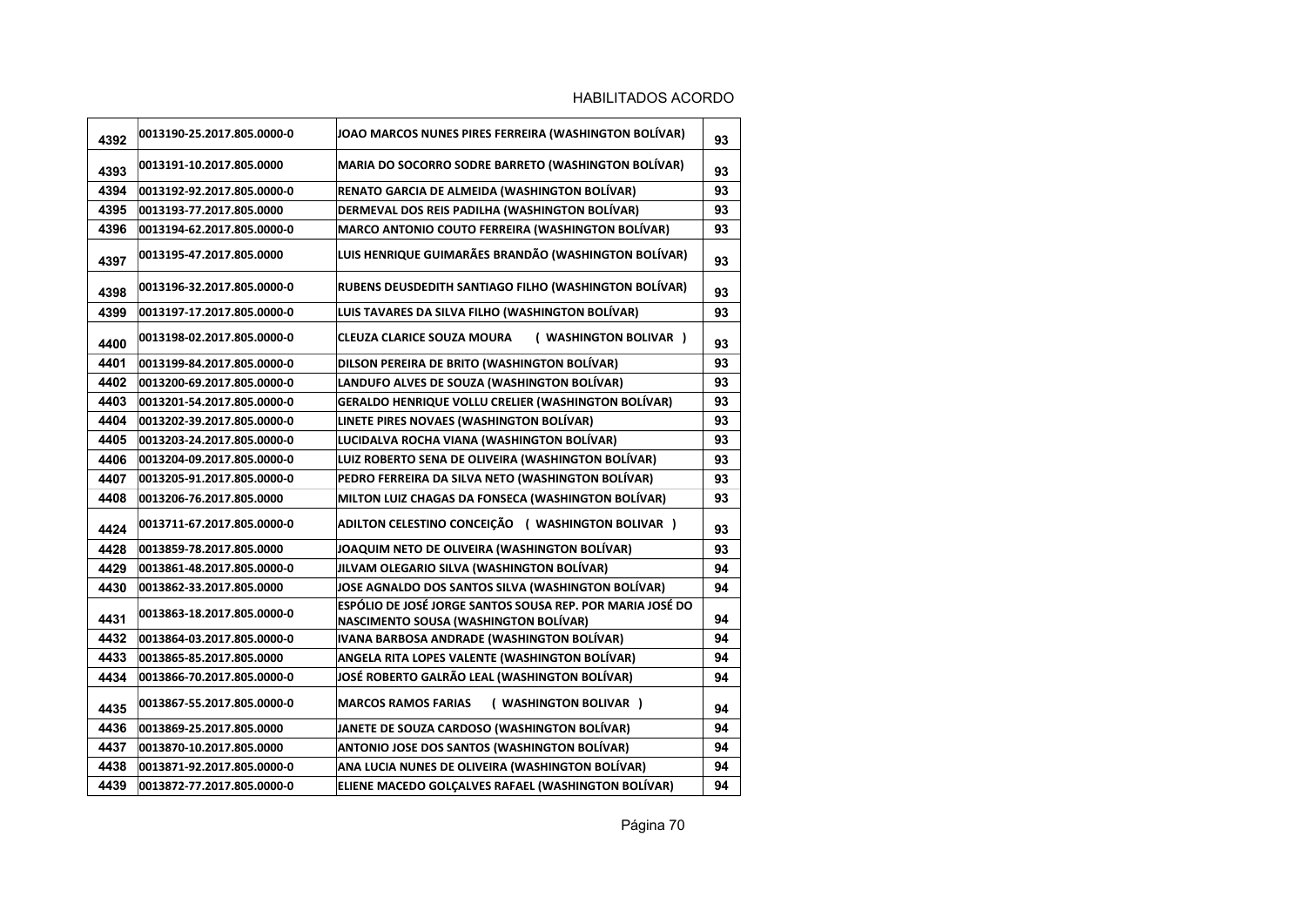| 4392 | 0013190-25.2017.805.0000-0 | JOAO MARCOS NUNES PIRES FERREIRA (WASHINGTON BOLÍVAR)                                              | 93 |
|------|----------------------------|----------------------------------------------------------------------------------------------------|----|
| 4393 | 0013191-10.2017.805.0000   | MARIA DO SOCORRO SODRE BARRETO (WASHINGTON BOLÍVAR)                                                | 93 |
| 4394 | 0013192-92.2017.805.0000-0 | RENATO GARCIA DE ALMEIDA (WASHINGTON BOLÍVAR)                                                      | 93 |
| 4395 | 0013193-77.2017.805.0000   | DERMEVAL DOS REIS PADILHA (WASHINGTON BOLÍVAR)                                                     | 93 |
| 4396 | 0013194-62.2017.805.0000-0 | MARCO ANTONIO COUTO FERREIRA (WASHINGTON BOLÍVAR)                                                  | 93 |
| 4397 | 0013195-47.2017.805.0000   | LUIS HENRIQUE GUIMARÃES BRANDÃO (WASHINGTON BOLÍVAR)                                               | 93 |
| 4398 | 0013196-32.2017.805.0000-0 | RUBENS DEUSDEDITH SANTIAGO FILHO (WASHINGTON BOLÍVAR)                                              | 93 |
| 4399 | 0013197-17.2017.805.0000-0 | LUIS TAVARES DA SILVA FILHO (WASHINGTON BOLÍVAR)                                                   | 93 |
| 4400 | 0013198-02.2017.805.0000-0 | <b>CLEUZA CLARICE SOUZA MOURA</b><br>( WASHINGTON BOLIVAR )                                        | 93 |
| 4401 | 0013199-84.2017.805.0000-0 | DILSON PEREIRA DE BRITO (WASHINGTON BOLÍVAR)                                                       | 93 |
| 4402 | 0013200-69.2017.805.0000-0 | LANDUFO ALVES DE SOUZA (WASHINGTON BOLÍVAR)                                                        | 93 |
| 4403 | 0013201-54.2017.805.0000-0 | GERALDO HENRIQUE VOLLU CRELIER (WASHINGTON BOLÍVAR)                                                | 93 |
| 4404 | 0013202-39.2017.805.0000-0 | LINETE PIRES NOVAES (WASHINGTON BOLÍVAR)                                                           | 93 |
| 4405 | 0013203-24.2017.805.0000-0 | LUCIDALVA ROCHA VIANA (WASHINGTON BOLÍVAR)                                                         | 93 |
| 4406 | 0013204-09.2017.805.0000-0 | LUIZ ROBERTO SENA DE OLIVEIRA (WASHINGTON BOLÍVAR)                                                 | 93 |
| 4407 | 0013205-91.2017.805.0000-0 | PEDRO FERREIRA DA SILVA NETO (WASHINGTON BOLÍVAR)                                                  | 93 |
| 4408 | 0013206-76.2017.805.0000   | MILTON LUIZ CHAGAS DA FONSECA (WASHINGTON BOLÍVAR)                                                 | 93 |
| 4424 | 0013711-67.2017.805.0000-0 | ADILTON CELESTINO CONCEIÇÃO ( WASHINGTON BOLIVAR )                                                 | 93 |
| 4428 | 0013859-78.2017.805.0000   | JOAQUIM NETO DE OLIVEIRA (WASHINGTON BOLÍVAR)                                                      | 93 |
| 4429 | 0013861-48.2017.805.0000-0 | JILVAM OLEGARIO SILVA (WASHINGTON BOLÍVAR)                                                         | 94 |
| 4430 | 0013862-33.2017.805.0000   | JOSE AGNALDO DOS SANTOS SILVA (WASHINGTON BOLÍVAR)                                                 | 94 |
| 4431 | 0013863-18.2017.805.0000-0 | ESPÓLIO DE JOSÉ JORGE SANTOS SOUSA REP. POR MARIA JOSÉ DO<br>NASCIMENTO SOUSA (WASHINGTON BOLÍVAR) | 94 |
| 4432 | 0013864-03.2017.805.0000-0 | IVANA BARBOSA ANDRADE (WASHINGTON BOLIVAR)                                                         | 94 |
| 4433 | 0013865-85.2017.805.0000   | ANGELA RITA LOPES VALENTE (WASHINGTON BOLÍVAR)                                                     | 94 |
| 4434 | 0013866-70.2017.805.0000-0 | JOSÉ ROBERTO GALRÃO LEAL (WASHINGTON BOLÍVAR)                                                      | 94 |
| 4435 | 0013867-55.2017.805.0000-0 | <b>MARCOS RAMOS FARIAS</b><br>( WASHINGTON BOLIVAR )                                               | 94 |
| 4436 | 0013869-25.2017.805.0000   | JANETE DE SOUZA CARDOSO (WASHINGTON BOLÍVAR)                                                       | 94 |
| 4437 | 0013870-10.2017.805.0000   | ANTONIO JOSE DOS SANTOS (WASHINGTON BOLÍVAR)                                                       | 94 |
| 4438 | 0013871-92.2017.805.0000-0 | ANA LUCIA NUNES DE OLIVEIRA (WASHINGTON BOLÍVAR)                                                   | 94 |
| 4439 | 0013872-77.2017.805.0000-0 | ELIENE MACEDO GOLÇALVES RAFAEL (WASHINGTON BOLÍVAR)                                                | 94 |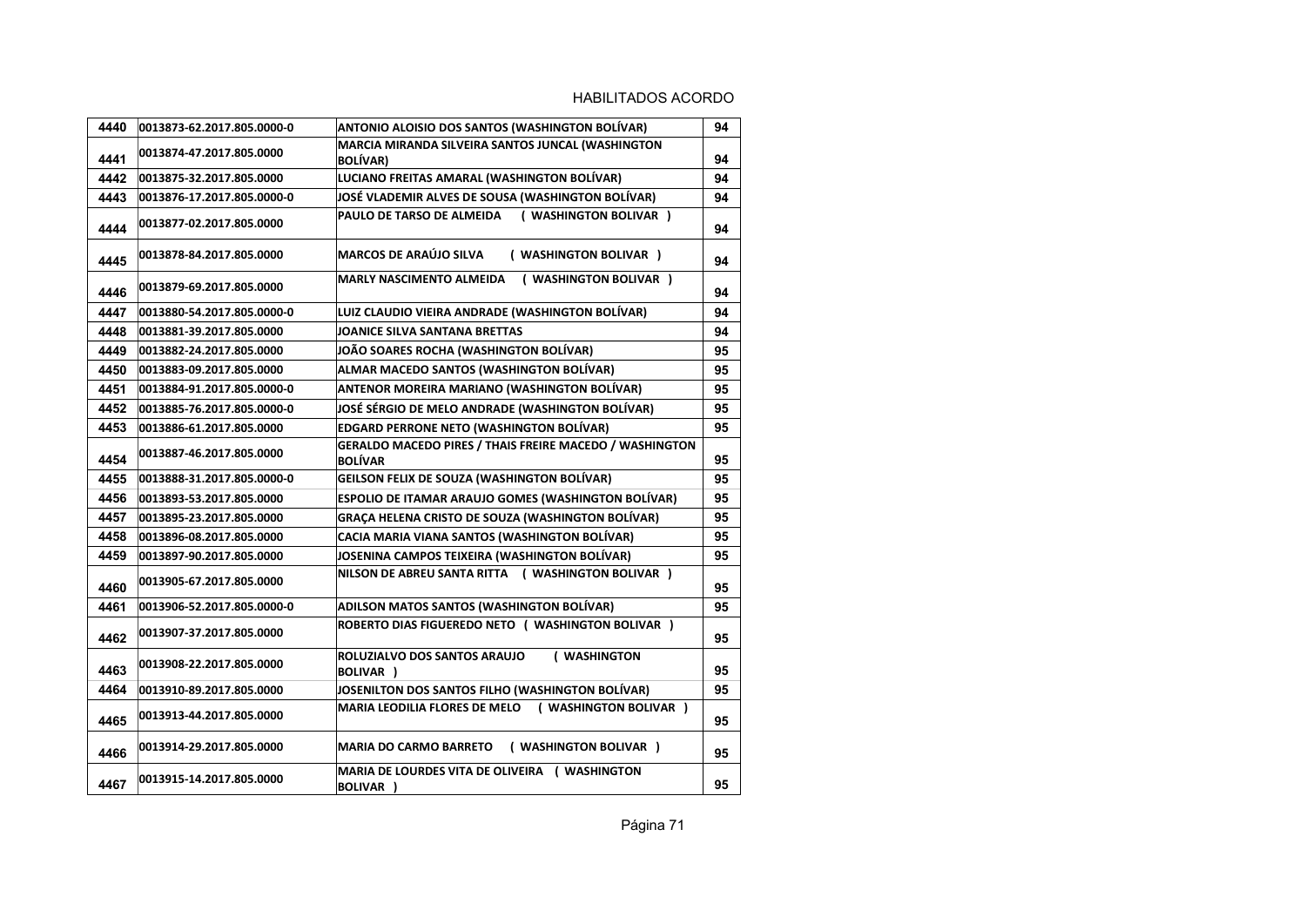| 4440 | 0013873-62.2017.805.0000-0 | ANTONIO ALOISIO DOS SANTOS (WASHINGTON BOLÍVAR)                           | 94 |
|------|----------------------------|---------------------------------------------------------------------------|----|
| 4441 | 0013874-47.2017.805.0000   | MARCIA MIRANDA SILVEIRA SANTOS JUNCAL (WASHINGTON<br><b>BOLIVAR</b> )     | 94 |
| 4442 | 0013875-32.2017.805.0000   | LUCIANO FREITAS AMARAL (WASHINGTON BOLÍVAR)                               | 94 |
| 4443 | 0013876-17.2017.805.0000-0 | JOSÉ VLADEMIR ALVES DE SOUSA (WASHINGTON BOLÍVAR)                         | 94 |
| 4444 | 0013877-02.2017.805.0000   | PAULO DE TARSO DE ALMEIDA (WASHINGTON BOLIVAR)                            | 94 |
| 4445 | 0013878-84.2017.805.0000   | <b>MARCOS DE ARAÚJO SILVA</b><br>( WASHINGTON BOLIVAR )                   | 94 |
| 4446 | 0013879-69.2017.805.0000   | ( WASHINGTON BOLIVAR )<br><b>MARLY NASCIMENTO ALMEIDA</b>                 | 94 |
| 4447 | 0013880-54.2017.805.0000-0 | LUIZ CLAUDIO VIEIRA ANDRADE (WASHINGTON BOLÍVAR)                          | 94 |
| 4448 | 0013881-39.2017.805.0000   | <b>JOANICE SILVA SANTANA BRETTAS</b>                                      | 94 |
| 4449 | 0013882-24.2017.805.0000   | JOÃO SOARES ROCHA (WASHINGTON BOLÍVAR)                                    | 95 |
| 4450 | 0013883-09.2017.805.0000   | ALMAR MACEDO SANTOS (WASHINGTON BOLÍVAR)                                  | 95 |
| 4451 | 0013884-91.2017.805.0000-0 | <b>ANTENOR MOREIRA MARIANO (WASHINGTON BOLÍVAR)</b>                       | 95 |
| 4452 | 0013885-76.2017.805.0000-0 | JOSÉ SÉRGIO DE MELO ANDRADE (WASHINGTON BOLÍVAR)                          | 95 |
| 4453 | 0013886-61.2017.805.0000   | <b>EDGARD PERRONE NETO (WASHINGTON BOLÍVAR)</b>                           | 95 |
| 4454 | 0013887-46.2017.805.0000   | GERALDO MACEDO PIRES / THAIS FREIRE MACEDO / WASHINGTON<br><b>BOLÍVAR</b> | 95 |
| 4455 | 0013888-31.2017.805.0000-0 | <b>GEILSON FELIX DE SOUZA (WASHINGTON BOLÍVAR)</b>                        | 95 |
| 4456 | 0013893-53.2017.805.0000   | <b>ESPOLIO DE ITAMAR ARAUJO GOMES (WASHINGTON BOLÍVAR)</b>                | 95 |
| 4457 | 0013895-23.2017.805.0000   | <b>GRAÇA HELENA CRISTO DE SOUZA (WASHINGTON BOLÍVAR)</b>                  | 95 |
| 4458 | 0013896-08.2017.805.0000   | CACIA MARIA VIANA SANTOS (WASHINGTON BOLÍVAR)                             | 95 |
| 4459 | 0013897-90.2017.805.0000   | JOSENINA CAMPOS TEIXEIRA (WASHINGTON BOLÍVAR)                             | 95 |
| 4460 | 0013905-67.2017.805.0000   | NILSON DE ABREU SANTA RITTA ( WASHINGTON BOLIVAR )                        | 95 |
| 4461 | 0013906-52.2017.805.0000-0 | ADILSON MATOS SANTOS (WASHINGTON BOLÍVAR)                                 | 95 |
| 4462 | 0013907-37.2017.805.0000   | ROBERTO DIAS FIGUEREDO NETO ( WASHINGTON BOLIVAR )                        | 95 |
| 4463 | 0013908-22.2017.805.0000   | ROLUZIALVO DOS SANTOS ARAUJO<br>( WASHINGTON<br><b>BOLIVAR</b> )          | 95 |
| 4464 | 0013910-89.2017.805.0000   | JOSENILTON DOS SANTOS FILHO (WASHINGTON BOLÍVAR)                          | 95 |
| 4465 | 0013913-44.2017.805.0000   | MARIA LEODILIA FLORES DE MELO (WASHINGTON BOLIVAR)                        | 95 |
| 4466 | 0013914-29.2017.805.0000   | <b>MARIA DO CARMO BARRETO</b><br>( WASHINGTON BOLIVAR )                   | 95 |
| 4467 | 0013915-14.2017.805.0000   | MARIA DE LOURDES VITA DE OLIVEIRA ( WASHINGTON<br><b>BOLIVAR</b> )        | 95 |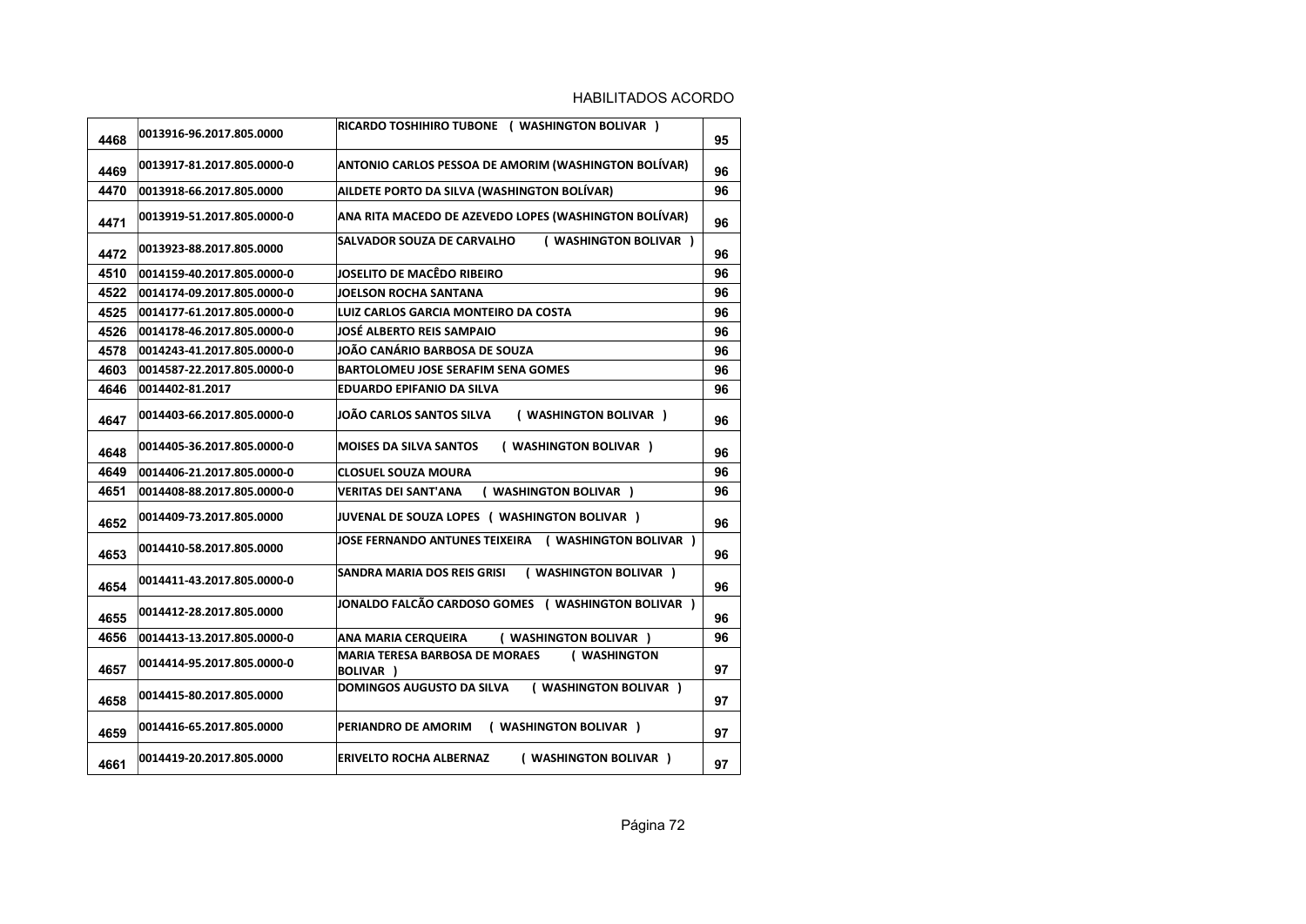| 4468 | 0013916-96.2017.805.0000   | RICARDO TOSHIHIRO TUBONE ( WASHINGTON BOLIVAR )                    | 95 |
|------|----------------------------|--------------------------------------------------------------------|----|
| 4469 | 0013917-81.2017.805.0000-0 | <b>ANTONIO CARLOS PESSOA DE AMORIM (WASHINGTON BOLÍVAR)</b>        | 96 |
| 4470 | 0013918-66.2017.805.0000   | AILDETE PORTO DA SILVA (WASHINGTON BOLÍVAR)                        | 96 |
| 4471 | 0013919-51.2017.805.0000-0 | ANA RITA MACEDO DE AZEVEDO LOPES (WASHINGTON BOLÍVAR)              | 96 |
| 4472 | 0013923-88.2017.805.0000   | ( WASHINGTON BOLIVAR )<br>SALVADOR SOUZA DE CARVALHO               | 96 |
| 4510 | 0014159-40.2017.805.0000-0 | JOSELITO DE MACÊDO RIBEIRO                                         | 96 |
| 4522 | 0014174-09.2017.805.0000-0 | JOELSON ROCHA SANTANA                                              | 96 |
| 4525 | 0014177-61.2017.805.0000-0 | LUIZ CARLOS GARCIA MONTEIRO DA COSTA                               | 96 |
| 4526 | 0014178-46.2017.805.0000-0 | <b>JOSÉ ALBERTO REIS SAMPAIO</b>                                   | 96 |
| 4578 | 0014243-41.2017.805.0000-0 | JOÃO CANÁRIO BARBOSA DE SOUZA                                      | 96 |
| 4603 | 0014587-22.2017.805.0000-0 | <b>BARTOLOMEU JOSE SERAFIM SENA GOMES</b>                          | 96 |
| 4646 | 0014402-81.2017            | <b>EDUARDO EPIFANIO DA SILVA</b>                                   | 96 |
| 4647 | 0014403-66.2017.805.0000-0 | JOÃO CARLOS SANTOS SILVA<br>( WASHINGTON BOLIVAR )                 | 96 |
| 4648 | 0014405-36.2017.805.0000-0 | <b>MOISES DA SILVA SANTOS</b><br>( WASHINGTON BOLIVAR )            | 96 |
| 4649 | 0014406-21.2017.805.0000-0 | <b>CLOSUEL SOUZA MOURA</b>                                         | 96 |
| 4651 | 0014408-88.2017.805.0000-0 | ( WASHINGTON BOLIVAR )<br><b>VERITAS DEI SANT'ANA</b>              | 96 |
| 4652 | 0014409-73.2017.805.0000   | JUVENAL DE SOUZA LOPES ( WASHINGTON BOLIVAR )                      | 96 |
| 4653 | 0014410-58.2017.805.0000   | JOSE FERNANDO ANTUNES TEIXEIRA ( WASHINGTON BOLIVAR )              | 96 |
| 4654 | 0014411-43.2017.805.0000-0 | SANDRA MARIA DOS REIS GRISI<br>( WASHINGTON BOLIVAR )              | 96 |
| 4655 | 0014412-28.2017.805.0000   | JONALDO FALCÃO CARDOSO GOMES ( WASHINGTON BOLIVAR )                | 96 |
| 4656 | 0014413-13.2017.805.0000-0 | ANA MARIA CERQUEIRA<br>( WASHINGTON BOLIVAR )                      | 96 |
| 4657 | 0014414-95.2017.805.0000-0 | <b>MARIA TERESA BARBOSA DE MORAES</b><br>( WASHINGTON<br>BOLIVAR ) | 97 |
| 4658 | 0014415-80.2017.805.0000   | <b>DOMINGOS AUGUSTO DA SILVA</b><br>( WASHINGTON BOLIVAR )         | 97 |
| 4659 | 0014416-65.2017.805.0000   | ( WASHINGTON BOLIVAR )<br>PERIANDRO DE AMORIM                      | 97 |
| 4661 | 0014419-20.2017.805.0000   | ( WASHINGTON BOLIVAR )<br><b>ERIVELTO ROCHA ALBERNAZ</b>           | 97 |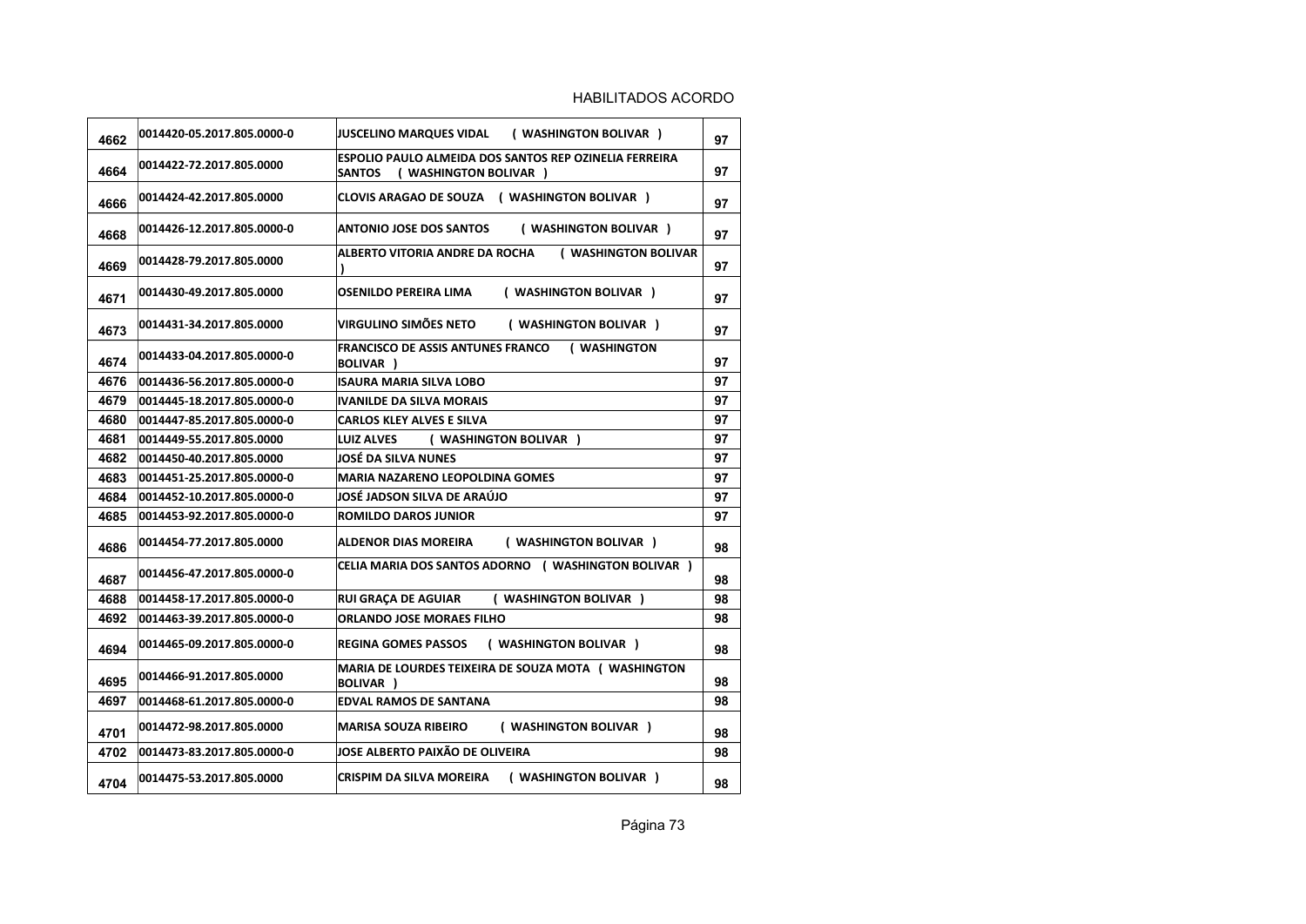## HABILITADOS ACORDO

| 4662 | 0014420-05.2017.805.0000-0 | JUSCELINO MARQUES VIDAL (WASHINGTON BOLIVAR)                                                      | 97 |
|------|----------------------------|---------------------------------------------------------------------------------------------------|----|
| 4664 | 0014422-72.2017.805.0000   | ESPOLIO PAULO ALMEIDA DOS SANTOS REP OZINELIA FERREIRA<br>( WASHINGTON BOLIVAR )<br><b>SANTOS</b> | 97 |
| 4666 | 0014424-42.2017.805.0000   | CLOVIS ARAGAO DE SOUZA ( WASHINGTON BOLIVAR )                                                     | 97 |
| 4668 | 0014426-12.2017.805.0000-0 | <b>ANTONIO JOSE DOS SANTOS</b><br>( WASHINGTON BOLIVAR )                                          | 97 |
| 4669 | 0014428-79.2017.805.0000   | ALBERTO VITORIA ANDRE DA ROCHA<br>( WASHINGTON BOLIVAR                                            | 97 |
| 4671 | 0014430-49.2017.805.0000   | OSENILDO PEREIRA LIMA<br>( WASHINGTON BOLIVAR )                                                   | 97 |
| 4673 | 0014431-34.2017.805.0000   | VIRGULINO SIMÕES NETO<br>( WASHINGTON BOLIVAR )                                                   | 97 |
| 4674 | 0014433-04.2017.805.0000-0 | FRANCISCO DE ASSIS ANTUNES FRANCO (WASHINGTON<br>BOLIVAR )                                        | 97 |
| 4676 | 0014436-56.2017.805.0000-0 | <b>ISAURA MARIA SILVA LOBO</b>                                                                    | 97 |
| 4679 | 0014445-18.2017.805.0000-0 | <b>IVANILDE DA SILVA MORAIS</b>                                                                   | 97 |
| 4680 | 0014447-85.2017.805.0000-0 | <b>CARLOS KLEY ALVES E SILVA</b>                                                                  | 97 |
| 4681 | 0014449-55.2017.805.0000   | LUIZ ALVES (WASHINGTON BOLIVAR)                                                                   | 97 |
| 4682 | 0014450-40.2017.805.0000   | JOSÉ DA SILVA NUNES                                                                               | 97 |
| 4683 | 0014451-25.2017.805.0000-0 | <b>MARIA NAZARENO LEOPOLDINA GOMES</b>                                                            | 97 |
| 4684 | 0014452-10.2017.805.0000-0 | JOSÉ JADSON SILVA DE ARAÚJO                                                                       | 97 |
| 4685 | 0014453-92.2017.805.0000-0 | <b>ROMILDO DAROS JUNIOR</b>                                                                       | 97 |
| 4686 | 0014454-77.2017.805.0000   | <b>ALDENOR DIAS MOREIRA</b><br>( WASHINGTON BOLIVAR )                                             | 98 |
| 4687 | 0014456-47.2017.805.0000-0 | <b>CELIA MARIA DOS SANTOS ADORNO (WASHINGTON BOLIVAR)</b>                                         | 98 |
| 4688 | 0014458-17.2017.805.0000-0 | ( WASHINGTON BOLIVAR )<br><b>RUI GRAÇA DE AGUIAR</b>                                              | 98 |
| 4692 | 0014463-39.2017.805.0000-0 | <b>ORLANDO JOSE MORAES FILHO</b>                                                                  | 98 |
| 4694 | 0014465-09.2017.805.0000-0 | <b>REGINA GOMES PASSOS</b><br>( WASHINGTON BOLIVAR )                                              | 98 |
| 4695 | 0014466-91.2017.805.0000   | MARIA DE LOURDES TEIXEIRA DE SOUZA MOTA (WASHINGTON<br><b>BOLIVAR</b> )                           | 98 |
| 4697 | 0014468-61.2017.805.0000-0 | <b>EDVAL RAMOS DE SANTANA</b>                                                                     | 98 |
| 4701 | 0014472-98.2017.805.0000   | <b>MARISA SOUZA RIBEIRO</b><br>( WASHINGTON BOLIVAR )                                             | 98 |
| 4702 | 0014473-83.2017.805.0000-0 | JOSE ALBERTO PAIXÃO DE OLIVEIRA                                                                   | 98 |
| 4704 | 0014475-53.2017.805.0000   | ( WASHINGTON BOLIVAR )<br>CRISPIM DA SILVA MOREIRA                                                | 98 |